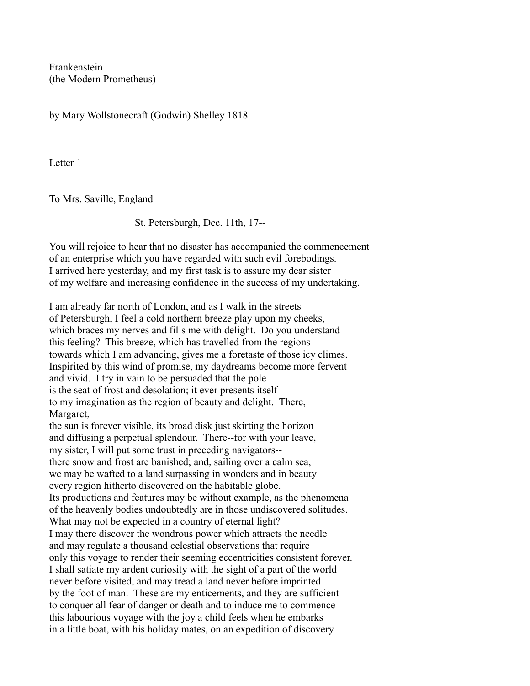Frankenstein (the Modern Prometheus)

by Mary Wollstonecraft (Godwin) Shelley 1818

Letter 1

To Mrs. Saville, England

St. Petersburgh, Dec. 11th, 17--

You will rejoice to hear that no disaster has accompanied the commencement of an enterprise which you have regarded with such evil forebodings. I arrived here yesterday, and my first task is to assure my dear sister of my welfare and increasing confidence in the success of my undertaking.

I am already far north of London, and as I walk in the streets of Petersburgh, I feel a cold northern breeze play upon my cheeks, which braces my nerves and fills me with delight. Do you understand this feeling? This breeze, which has travelled from the regions towards which I am advancing, gives me a foretaste of those icy climes. Inspirited by this wind of promise, my daydreams become more fervent and vivid. I try in vain to be persuaded that the pole is the seat of frost and desolation; it ever presents itself to my imagination as the region of beauty and delight. There, Margaret, the sun is forever visible, its broad disk just skirting the horizon and diffusing a perpetual splendour. There--for with your leave, my sister, I will put some trust in preceding navigators- there snow and frost are banished; and, sailing over a calm sea, we may be wafted to a land surpassing in wonders and in beauty every region hitherto discovered on the habitable globe. Its productions and features may be without example, as the phenomena of the heavenly bodies undoubtedly are in those undiscovered solitudes. What may not be expected in a country of eternal light? I may there discover the wondrous power which attracts the needle and may regulate a thousand celestial observations that require only this voyage to render their seeming eccentricities consistent forever. I shall satiate my ardent curiosity with the sight of a part of the world never before visited, and may tread a land never before imprinted by the foot of man. These are my enticements, and they are sufficient to conquer all fear of danger or death and to induce me to commence this labourious voyage with the joy a child feels when he embarks in a little boat, with his holiday mates, on an expedition of discovery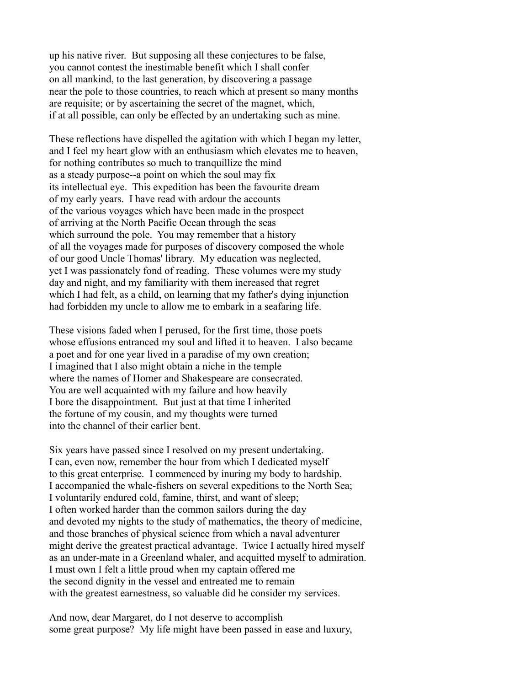up his native river. But supposing all these conjectures to be false, you cannot contest the inestimable benefit which I shall confer on all mankind, to the last generation, by discovering a passage near the pole to those countries, to reach which at present so many months are requisite; or by ascertaining the secret of the magnet, which, if at all possible, can only be effected by an undertaking such as mine.

These reflections have dispelled the agitation with which I began my letter, and I feel my heart glow with an enthusiasm which elevates me to heaven, for nothing contributes so much to tranquillize the mind as a steady purpose--a point on which the soul may fix its intellectual eye. This expedition has been the favourite dream of my early years. I have read with ardour the accounts of the various voyages which have been made in the prospect of arriving at the North Pacific Ocean through the seas which surround the pole. You may remember that a history of all the voyages made for purposes of discovery composed the whole of our good Uncle Thomas' library. My education was neglected, yet I was passionately fond of reading. These volumes were my study day and night, and my familiarity with them increased that regret which I had felt, as a child, on learning that my father's dying injunction had forbidden my uncle to allow me to embark in a seafaring life.

These visions faded when I perused, for the first time, those poets whose effusions entranced my soul and lifted it to heaven. I also became a poet and for one year lived in a paradise of my own creation; I imagined that I also might obtain a niche in the temple where the names of Homer and Shakespeare are consecrated. You are well acquainted with my failure and how heavily I bore the disappointment. But just at that time I inherited the fortune of my cousin, and my thoughts were turned into the channel of their earlier bent.

Six years have passed since I resolved on my present undertaking. I can, even now, remember the hour from which I dedicated myself to this great enterprise. I commenced by inuring my body to hardship. I accompanied the whale-fishers on several expeditions to the North Sea; I voluntarily endured cold, famine, thirst, and want of sleep; I often worked harder than the common sailors during the day and devoted my nights to the study of mathematics, the theory of medicine, and those branches of physical science from which a naval adventurer might derive the greatest practical advantage. Twice I actually hired myself as an under-mate in a Greenland whaler, and acquitted myself to admiration. I must own I felt a little proud when my captain offered me the second dignity in the vessel and entreated me to remain with the greatest earnestness, so valuable did he consider my services.

And now, dear Margaret, do I not deserve to accomplish some great purpose? My life might have been passed in ease and luxury,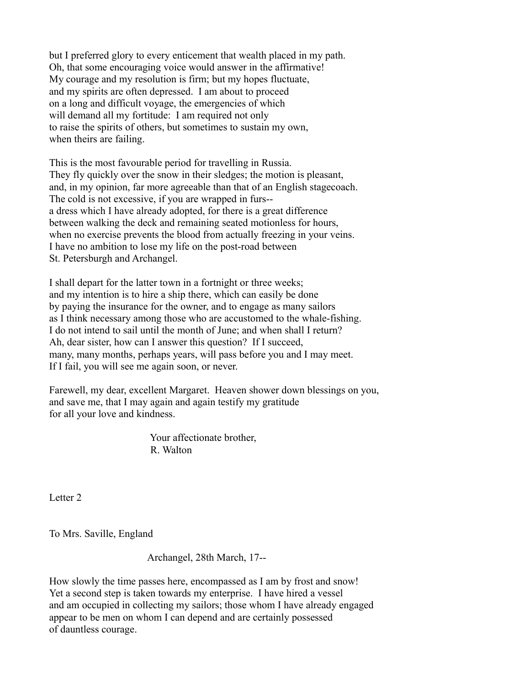but I preferred glory to every enticement that wealth placed in my path. Oh, that some encouraging voice would answer in the affirmative! My courage and my resolution is firm; but my hopes fluctuate, and my spirits are often depressed. I am about to proceed on a long and difficult voyage, the emergencies of which will demand all my fortitude: I am required not only to raise the spirits of others, but sometimes to sustain my own, when theirs are failing.

This is the most favourable period for travelling in Russia. They fly quickly over the snow in their sledges; the motion is pleasant, and, in my opinion, far more agreeable than that of an English stagecoach. The cold is not excessive, if you are wrapped in furs- a dress which I have already adopted, for there is a great difference between walking the deck and remaining seated motionless for hours, when no exercise prevents the blood from actually freezing in your veins. I have no ambition to lose my life on the post-road between St. Petersburgh and Archangel.

I shall depart for the latter town in a fortnight or three weeks; and my intention is to hire a ship there, which can easily be done by paying the insurance for the owner, and to engage as many sailors as I think necessary among those who are accustomed to the whale-fishing. I do not intend to sail until the month of June; and when shall I return? Ah, dear sister, how can I answer this question? If I succeed, many, many months, perhaps years, will pass before you and I may meet. If I fail, you will see me again soon, or never.

Farewell, my dear, excellent Margaret. Heaven shower down blessings on you, and save me, that I may again and again testify my gratitude for all your love and kindness.

> Your affectionate brother, R. Walton

Letter 2

To Mrs. Saville, England

Archangel, 28th March, 17--

How slowly the time passes here, encompassed as I am by frost and snow! Yet a second step is taken towards my enterprise. I have hired a vessel and am occupied in collecting my sailors; those whom I have already engaged appear to be men on whom I can depend and are certainly possessed of dauntless courage.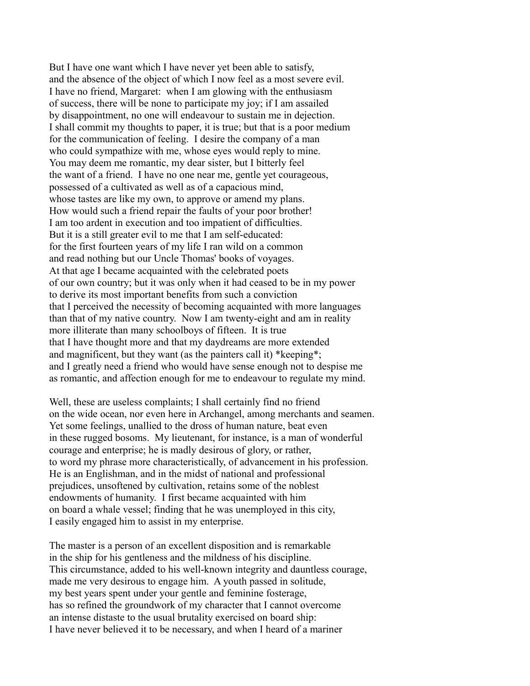But I have one want which I have never yet been able to satisfy, and the absence of the object of which I now feel as a most severe evil. I have no friend, Margaret: when I am glowing with the enthusiasm of success, there will be none to participate my joy; if I am assailed by disappointment, no one will endeavour to sustain me in dejection. I shall commit my thoughts to paper, it is true; but that is a poor medium for the communication of feeling. I desire the company of a man who could sympathize with me, whose eyes would reply to mine. You may deem me romantic, my dear sister, but I bitterly feel the want of a friend. I have no one near me, gentle yet courageous, possessed of a cultivated as well as of a capacious mind, whose tastes are like my own, to approve or amend my plans. How would such a friend repair the faults of your poor brother! I am too ardent in execution and too impatient of difficulties. But it is a still greater evil to me that I am self-educated: for the first fourteen years of my life I ran wild on a common and read nothing but our Uncle Thomas' books of voyages. At that age I became acquainted with the celebrated poets of our own country; but it was only when it had ceased to be in my power to derive its most important benefits from such a conviction that I perceived the necessity of becoming acquainted with more languages than that of my native country. Now I am twenty-eight and am in reality more illiterate than many schoolboys of fifteen. It is true that I have thought more and that my daydreams are more extended and magnificent, but they want (as the painters call it) \*keeping\*; and I greatly need a friend who would have sense enough not to despise me as romantic, and affection enough for me to endeavour to regulate my mind.

Well, these are useless complaints; I shall certainly find no friend on the wide ocean, nor even here in Archangel, among merchants and seamen. Yet some feelings, unallied to the dross of human nature, beat even in these rugged bosoms. My lieutenant, for instance, is a man of wonderful courage and enterprise; he is madly desirous of glory, or rather, to word my phrase more characteristically, of advancement in his profession. He is an Englishman, and in the midst of national and professional prejudices, unsoftened by cultivation, retains some of the noblest endowments of humanity. I first became acquainted with him on board a whale vessel; finding that he was unemployed in this city, I easily engaged him to assist in my enterprise.

The master is a person of an excellent disposition and is remarkable in the ship for his gentleness and the mildness of his discipline. This circumstance, added to his well-known integrity and dauntless courage, made me very desirous to engage him. A youth passed in solitude, my best years spent under your gentle and feminine fosterage, has so refined the groundwork of my character that I cannot overcome an intense distaste to the usual brutality exercised on board ship: I have never believed it to be necessary, and when I heard of a mariner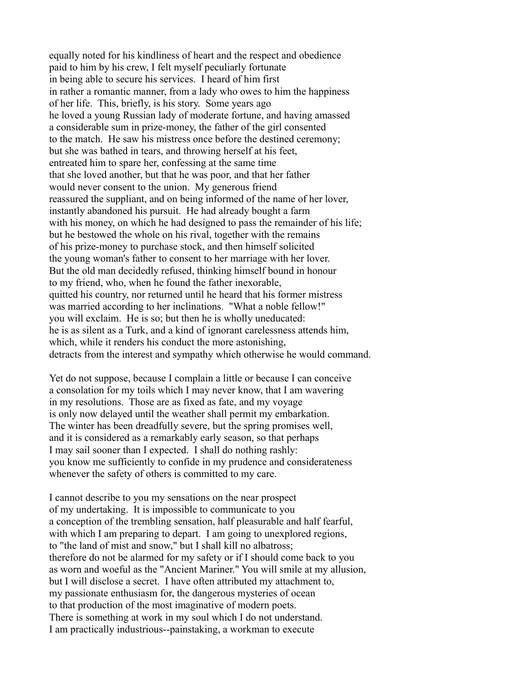equally noted for his kindliness of heart and the respect and obedience paid to him by his crew, I felt myself peculiarly fortunate in being able to secure his services. I heard of him first in rather a romantic manner, from a lady who owes to him the happiness of her life. This, briefly, is his story. Some years ago he loved a young Russian lady of moderate fortune, and having amassed a considerable sum in prize-money, the father of the girl consented to the match. He saw his mistress once before the destined ceremony; but she was bathed in tears, and throwing herself at his feet, entreated him to spare her, confessing at the same time that she loved another, but that he was poor, and that her father would never consent to the union. My generous friend reassured the suppliant, and on being informed of the name of her lover, instantly abandoned his pursuit. He had already bought a farm with his money, on which he had designed to pass the remainder of his life; but he bestowed the whole on his rival, together with the remains of his prize-money to purchase stock, and then himself solicited the young woman's father to consent to her marriage with her lover. But the old man decidedly refused, thinking himself bound in honour to my friend, who, when he found the father inexorable, quitted his country, nor returned until he heard that his former mistress was married according to her inclinations. "What a noble fellow!" you will exclaim. He is so; but then he is wholly uneducated: he is as silent as a Turk, and a kind of ignorant carelessness attends him, which, while it renders his conduct the more astonishing, detracts from the interest and sympathy which otherwise he would command.

Yet do not suppose, because I complain a little or because I can conceive a consolation for my toils which I may never know, that I am wavering in my resolutions. Those are as fixed as fate, and my voyage is only now delayed until the weather shall permit my embarkation. The winter has been dreadfully severe, but the spring promises well, and it is considered as a remarkably early season, so that perhaps I may sail sooner than I expected. I shall do nothing rashly: you know me sufficiently to confide in my prudence and considerateness whenever the safety of others is committed to my care.

I cannot describe to you my sensations on the near prospect of my undertaking. It is impossible to communicate to you a conception of the trembling sensation, half pleasurable and half fearful, with which I am preparing to depart. I am going to unexplored regions, to "the land of mist and snow," but I shall kill no albatross; therefore do not be alarmed for my safety or if I should come back to you as worn and woeful as the "Ancient Mariner." You will smile at my allusion, but I will disclose a secret. I have often attributed my attachment to, my passionate enthusiasm for, the dangerous mysteries of ocean to that production of the most imaginative of modern poets. There is something at work in my soul which I do not understand. I am practically industrious--painstaking, a workman to execute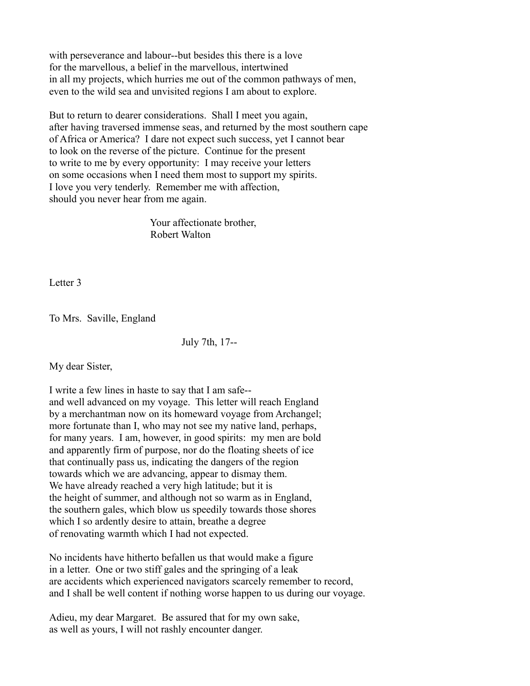with perseverance and labour--but besides this there is a love for the marvellous, a belief in the marvellous, intertwined in all my projects, which hurries me out of the common pathways of men, even to the wild sea and unvisited regions I am about to explore.

But to return to dearer considerations. Shall I meet you again, after having traversed immense seas, and returned by the most southern cape of Africa or America? I dare not expect such success, yet I cannot bear to look on the reverse of the picture. Continue for the present to write to me by every opportunity: I may receive your letters on some occasions when I need them most to support my spirits. I love you very tenderly. Remember me with affection, should you never hear from me again.

> Your affectionate brother, Robert Walton

Letter 3

To Mrs. Saville, England

July 7th, 17--

My dear Sister,

I write a few lines in haste to say that I am safe- and well advanced on my voyage. This letter will reach England by a merchantman now on its homeward voyage from Archangel; more fortunate than I, who may not see my native land, perhaps, for many years. I am, however, in good spirits: my men are bold and apparently firm of purpose, nor do the floating sheets of ice that continually pass us, indicating the dangers of the region towards which we are advancing, appear to dismay them. We have already reached a very high latitude; but it is the height of summer, and although not so warm as in England, the southern gales, which blow us speedily towards those shores which I so ardently desire to attain, breathe a degree of renovating warmth which I had not expected.

No incidents have hitherto befallen us that would make a figure in a letter. One or two stiff gales and the springing of a leak are accidents which experienced navigators scarcely remember to record, and I shall be well content if nothing worse happen to us during our voyage.

Adieu, my dear Margaret. Be assured that for my own sake, as well as yours, I will not rashly encounter danger.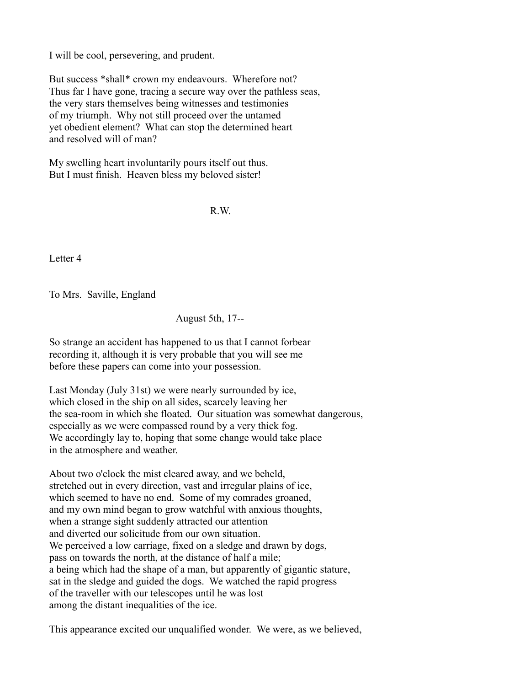I will be cool, persevering, and prudent.

But success \*shall\* crown my endeavours. Wherefore not? Thus far I have gone, tracing a secure way over the pathless seas, the very stars themselves being witnesses and testimonies of my triumph. Why not still proceed over the untamed yet obedient element? What can stop the determined heart and resolved will of man?

My swelling heart involuntarily pours itself out thus. But I must finish. Heaven bless my beloved sister!

R.W.

Letter 4

To Mrs. Saville, England

August 5th, 17--

So strange an accident has happened to us that I cannot forbear recording it, although it is very probable that you will see me before these papers can come into your possession.

Last Monday (July 31st) we were nearly surrounded by ice, which closed in the ship on all sides, scarcely leaving her the sea-room in which she floated. Our situation was somewhat dangerous, especially as we were compassed round by a very thick fog. We accordingly lay to, hoping that some change would take place in the atmosphere and weather.

About two o'clock the mist cleared away, and we beheld, stretched out in every direction, vast and irregular plains of ice, which seemed to have no end. Some of my comrades groaned, and my own mind began to grow watchful with anxious thoughts, when a strange sight suddenly attracted our attention and diverted our solicitude from our own situation. We perceived a low carriage, fixed on a sledge and drawn by dogs, pass on towards the north, at the distance of half a mile; a being which had the shape of a man, but apparently of gigantic stature, sat in the sledge and guided the dogs. We watched the rapid progress of the traveller with our telescopes until he was lost among the distant inequalities of the ice.

This appearance excited our unqualified wonder. We were, as we believed,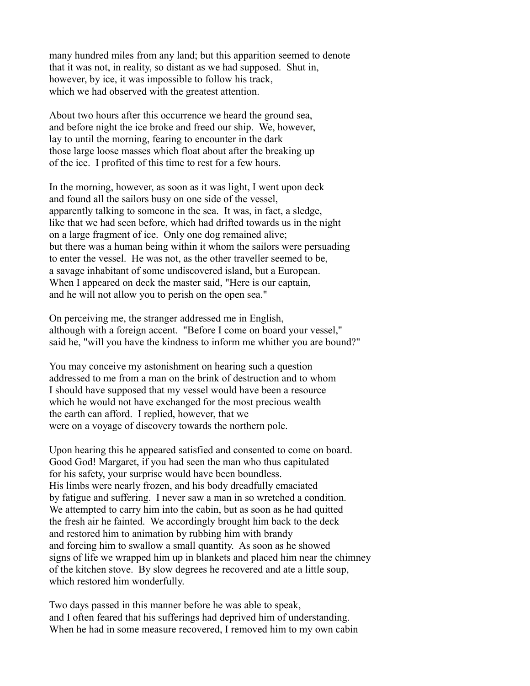many hundred miles from any land; but this apparition seemed to denote that it was not, in reality, so distant as we had supposed. Shut in, however, by ice, it was impossible to follow his track, which we had observed with the greatest attention.

About two hours after this occurrence we heard the ground sea, and before night the ice broke and freed our ship. We, however, lay to until the morning, fearing to encounter in the dark those large loose masses which float about after the breaking up of the ice. I profited of this time to rest for a few hours.

In the morning, however, as soon as it was light, I went upon deck and found all the sailors busy on one side of the vessel, apparently talking to someone in the sea. It was, in fact, a sledge, like that we had seen before, which had drifted towards us in the night on a large fragment of ice. Only one dog remained alive; but there was a human being within it whom the sailors were persuading to enter the vessel. He was not, as the other traveller seemed to be, a savage inhabitant of some undiscovered island, but a European. When I appeared on deck the master said, "Here is our captain, and he will not allow you to perish on the open sea."

On perceiving me, the stranger addressed me in English, although with a foreign accent. "Before I come on board your vessel," said he, "will you have the kindness to inform me whither you are bound?"

You may conceive my astonishment on hearing such a question addressed to me from a man on the brink of destruction and to whom I should have supposed that my vessel would have been a resource which he would not have exchanged for the most precious wealth the earth can afford. I replied, however, that we were on a voyage of discovery towards the northern pole.

Upon hearing this he appeared satisfied and consented to come on board. Good God! Margaret, if you had seen the man who thus capitulated for his safety, your surprise would have been boundless. His limbs were nearly frozen, and his body dreadfully emaciated by fatigue and suffering. I never saw a man in so wretched a condition. We attempted to carry him into the cabin, but as soon as he had quitted the fresh air he fainted. We accordingly brought him back to the deck and restored him to animation by rubbing him with brandy and forcing him to swallow a small quantity. As soon as he showed signs of life we wrapped him up in blankets and placed him near the chimney of the kitchen stove. By slow degrees he recovered and ate a little soup, which restored him wonderfully.

Two days passed in this manner before he was able to speak, and I often feared that his sufferings had deprived him of understanding. When he had in some measure recovered, I removed him to my own cabin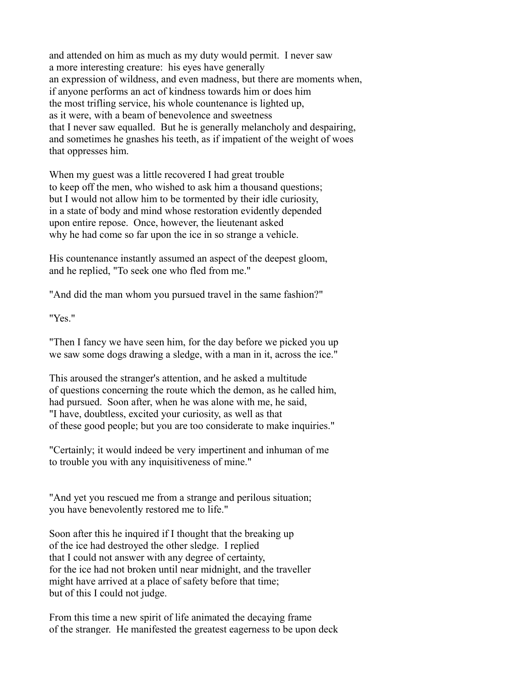and attended on him as much as my duty would permit. I never saw a more interesting creature: his eyes have generally an expression of wildness, and even madness, but there are moments when, if anyone performs an act of kindness towards him or does him the most trifling service, his whole countenance is lighted up, as it were, with a beam of benevolence and sweetness that I never saw equalled. But he is generally melancholy and despairing, and sometimes he gnashes his teeth, as if impatient of the weight of woes that oppresses him.

When my guest was a little recovered I had great trouble to keep off the men, who wished to ask him a thousand questions; but I would not allow him to be tormented by their idle curiosity, in a state of body and mind whose restoration evidently depended upon entire repose. Once, however, the lieutenant asked why he had come so far upon the ice in so strange a vehicle.

His countenance instantly assumed an aspect of the deepest gloom, and he replied, "To seek one who fled from me."

"And did the man whom you pursued travel in the same fashion?"

"Yes."

"Then I fancy we have seen him, for the day before we picked you up we saw some dogs drawing a sledge, with a man in it, across the ice."

This aroused the stranger's attention, and he asked a multitude of questions concerning the route which the demon, as he called him, had pursued. Soon after, when he was alone with me, he said, "I have, doubtless, excited your curiosity, as well as that of these good people; but you are too considerate to make inquiries."

"Certainly; it would indeed be very impertinent and inhuman of me to trouble you with any inquisitiveness of mine."

"And yet you rescued me from a strange and perilous situation; you have benevolently restored me to life."

Soon after this he inquired if I thought that the breaking up of the ice had destroyed the other sledge. I replied that I could not answer with any degree of certainty, for the ice had not broken until near midnight, and the traveller might have arrived at a place of safety before that time; but of this I could not judge.

From this time a new spirit of life animated the decaying frame of the stranger. He manifested the greatest eagerness to be upon deck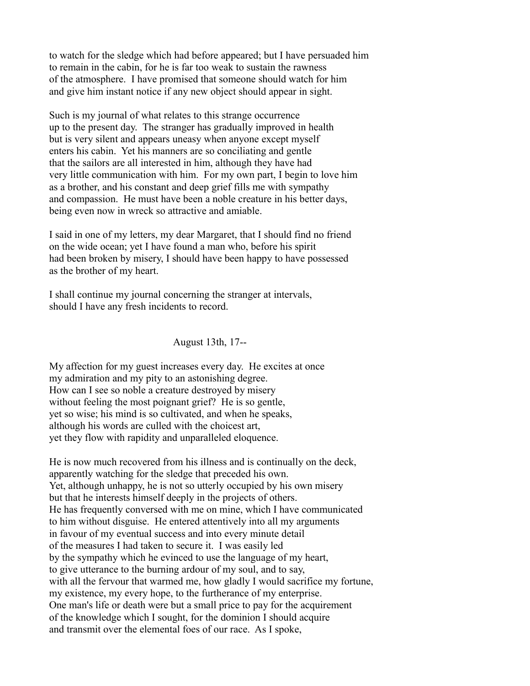to watch for the sledge which had before appeared; but I have persuaded him to remain in the cabin, for he is far too weak to sustain the rawness of the atmosphere. I have promised that someone should watch for him and give him instant notice if any new object should appear in sight.

Such is my journal of what relates to this strange occurrence up to the present day. The stranger has gradually improved in health but is very silent and appears uneasy when anyone except myself enters his cabin. Yet his manners are so conciliating and gentle that the sailors are all interested in him, although they have had very little communication with him. For my own part, I begin to love him as a brother, and his constant and deep grief fills me with sympathy and compassion. He must have been a noble creature in his better days, being even now in wreck so attractive and amiable.

I said in one of my letters, my dear Margaret, that I should find no friend on the wide ocean; yet I have found a man who, before his spirit had been broken by misery, I should have been happy to have possessed as the brother of my heart.

I shall continue my journal concerning the stranger at intervals, should I have any fresh incidents to record.

August 13th, 17--

My affection for my guest increases every day. He excites at once my admiration and my pity to an astonishing degree. How can I see so noble a creature destroyed by misery without feeling the most poignant grief? He is so gentle, yet so wise; his mind is so cultivated, and when he speaks, although his words are culled with the choicest art, yet they flow with rapidity and unparalleled eloquence.

He is now much recovered from his illness and is continually on the deck, apparently watching for the sledge that preceded his own. Yet, although unhappy, he is not so utterly occupied by his own misery but that he interests himself deeply in the projects of others. He has frequently conversed with me on mine, which I have communicated to him without disguise. He entered attentively into all my arguments in favour of my eventual success and into every minute detail of the measures I had taken to secure it. I was easily led by the sympathy which he evinced to use the language of my heart, to give utterance to the burning ardour of my soul, and to say, with all the fervour that warmed me, how gladly I would sacrifice my fortune, my existence, my every hope, to the furtherance of my enterprise. One man's life or death were but a small price to pay for the acquirement of the knowledge which I sought, for the dominion I should acquire and transmit over the elemental foes of our race. As I spoke,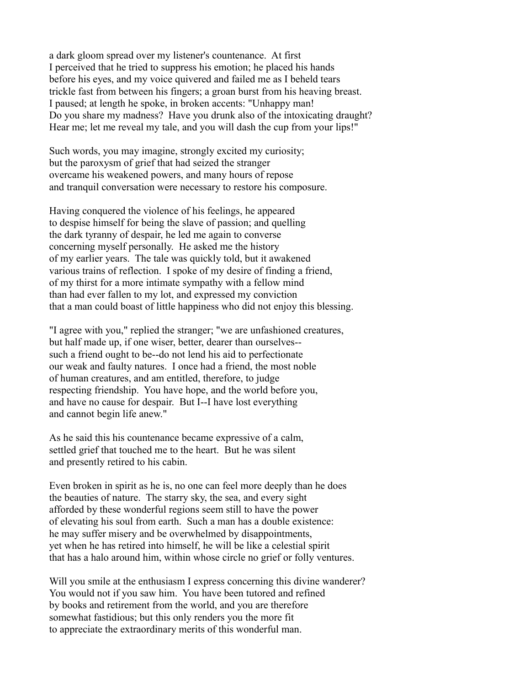a dark gloom spread over my listener's countenance. At first I perceived that he tried to suppress his emotion; he placed his hands before his eyes, and my voice quivered and failed me as I beheld tears trickle fast from between his fingers; a groan burst from his heaving breast. I paused; at length he spoke, in broken accents: "Unhappy man! Do you share my madness? Have you drunk also of the intoxicating draught? Hear me; let me reveal my tale, and you will dash the cup from your lips!"

Such words, you may imagine, strongly excited my curiosity; but the paroxysm of grief that had seized the stranger overcame his weakened powers, and many hours of repose and tranquil conversation were necessary to restore his composure.

Having conquered the violence of his feelings, he appeared to despise himself for being the slave of passion; and quelling the dark tyranny of despair, he led me again to converse concerning myself personally. He asked me the history of my earlier years. The tale was quickly told, but it awakened various trains of reflection. I spoke of my desire of finding a friend, of my thirst for a more intimate sympathy with a fellow mind than had ever fallen to my lot, and expressed my conviction that a man could boast of little happiness who did not enjoy this blessing.

"I agree with you," replied the stranger; "we are unfashioned creatures, but half made up, if one wiser, better, dearer than ourselves- such a friend ought to be--do not lend his aid to perfectionate our weak and faulty natures. I once had a friend, the most noble of human creatures, and am entitled, therefore, to judge respecting friendship. You have hope, and the world before you, and have no cause for despair. But I--I have lost everything and cannot begin life anew."

As he said this his countenance became expressive of a calm, settled grief that touched me to the heart. But he was silent and presently retired to his cabin.

Even broken in spirit as he is, no one can feel more deeply than he does the beauties of nature. The starry sky, the sea, and every sight afforded by these wonderful regions seem still to have the power of elevating his soul from earth. Such a man has a double existence: he may suffer misery and be overwhelmed by disappointments, yet when he has retired into himself, he will be like a celestial spirit that has a halo around him, within whose circle no grief or folly ventures.

Will you smile at the enthusiasm I express concerning this divine wanderer? You would not if you saw him. You have been tutored and refined by books and retirement from the world, and you are therefore somewhat fastidious; but this only renders you the more fit to appreciate the extraordinary merits of this wonderful man.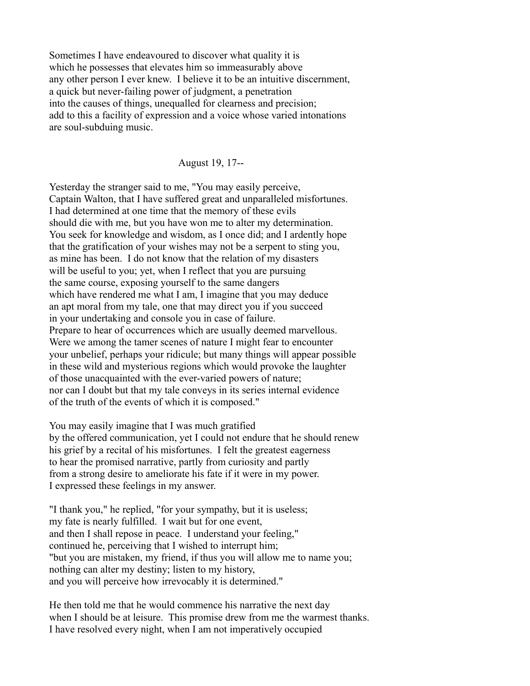Sometimes I have endeavoured to discover what quality it is which he possesses that elevates him so immeasurably above any other person I ever knew. I believe it to be an intuitive discernment, a quick but never-failing power of judgment, a penetration into the causes of things, unequalled for clearness and precision; add to this a facility of expression and a voice whose varied intonations are soul-subduing music.

## August 19, 17--

Yesterday the stranger said to me, "You may easily perceive, Captain Walton, that I have suffered great and unparalleled misfortunes. I had determined at one time that the memory of these evils should die with me, but you have won me to alter my determination. You seek for knowledge and wisdom, as I once did; and I ardently hope that the gratification of your wishes may not be a serpent to sting you, as mine has been. I do not know that the relation of my disasters will be useful to you; yet, when I reflect that you are pursuing the same course, exposing yourself to the same dangers which have rendered me what I am, I imagine that you may deduce an apt moral from my tale, one that may direct you if you succeed in your undertaking and console you in case of failure. Prepare to hear of occurrences which are usually deemed marvellous. Were we among the tamer scenes of nature I might fear to encounter your unbelief, perhaps your ridicule; but many things will appear possible in these wild and mysterious regions which would provoke the laughter of those unacquainted with the ever-varied powers of nature; nor can I doubt but that my tale conveys in its series internal evidence of the truth of the events of which it is composed."

You may easily imagine that I was much gratified by the offered communication, yet I could not endure that he should renew his grief by a recital of his misfortunes. I felt the greatest eagerness to hear the promised narrative, partly from curiosity and partly from a strong desire to ameliorate his fate if it were in my power. I expressed these feelings in my answer.

"I thank you," he replied, "for your sympathy, but it is useless; my fate is nearly fulfilled. I wait but for one event, and then I shall repose in peace. I understand your feeling," continued he, perceiving that I wished to interrupt him; "but you are mistaken, my friend, if thus you will allow me to name you; nothing can alter my destiny; listen to my history, and you will perceive how irrevocably it is determined."

He then told me that he would commence his narrative the next day when I should be at leisure. This promise drew from me the warmest thanks. I have resolved every night, when I am not imperatively occupied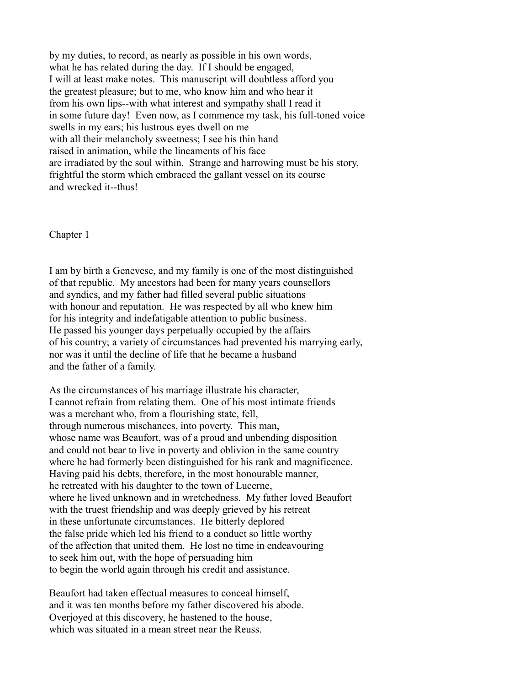by my duties, to record, as nearly as possible in his own words, what he has related during the day. If I should be engaged, I will at least make notes. This manuscript will doubtless afford you the greatest pleasure; but to me, who know him and who hear it from his own lips--with what interest and sympathy shall I read it in some future day! Even now, as I commence my task, his full-toned voice swells in my ears; his lustrous eyes dwell on me with all their melancholy sweetness; I see his thin hand raised in animation, while the lineaments of his face are irradiated by the soul within. Strange and harrowing must be his story, frightful the storm which embraced the gallant vessel on its course and wrecked it--thus!

Chapter 1

I am by birth a Genevese, and my family is one of the most distinguished of that republic. My ancestors had been for many years counsellors and syndics, and my father had filled several public situations with honour and reputation. He was respected by all who knew him for his integrity and indefatigable attention to public business. He passed his younger days perpetually occupied by the affairs of his country; a variety of circumstances had prevented his marrying early, nor was it until the decline of life that he became a husband and the father of a family.

As the circumstances of his marriage illustrate his character, I cannot refrain from relating them. One of his most intimate friends was a merchant who, from a flourishing state, fell, through numerous mischances, into poverty. This man, whose name was Beaufort, was of a proud and unbending disposition and could not bear to live in poverty and oblivion in the same country where he had formerly been distinguished for his rank and magnificence. Having paid his debts, therefore, in the most honourable manner, he retreated with his daughter to the town of Lucerne, where he lived unknown and in wretchedness. My father loved Beaufort with the truest friendship and was deeply grieved by his retreat in these unfortunate circumstances. He bitterly deplored the false pride which led his friend to a conduct so little worthy of the affection that united them. He lost no time in endeavouring to seek him out, with the hope of persuading him to begin the world again through his credit and assistance.

Beaufort had taken effectual measures to conceal himself, and it was ten months before my father discovered his abode. Overjoyed at this discovery, he hastened to the house, which was situated in a mean street near the Reuss.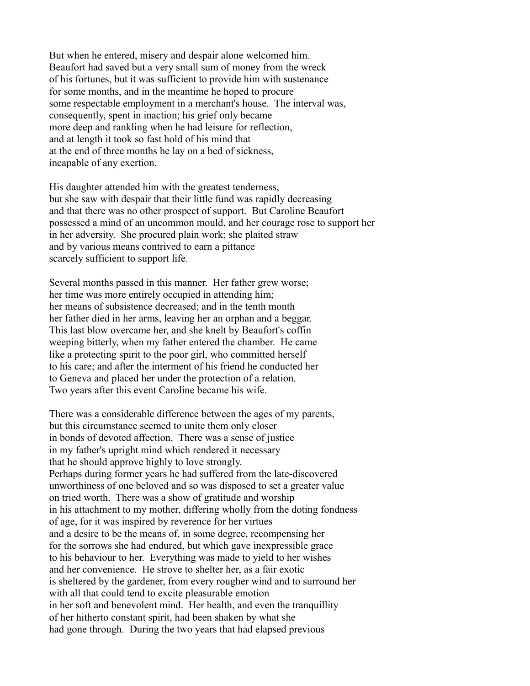But when he entered, misery and despair alone welcomed him. Beaufort had saved but a very small sum of money from the wreck of his fortunes, but it was sufficient to provide him with sustenance for some months, and in the meantime he hoped to procure some respectable employment in a merchant's house. The interval was, consequently, spent in inaction; his grief only became more deep and rankling when he had leisure for reflection, and at length it took so fast hold of his mind that at the end of three months he lay on a bed of sickness, incapable of any exertion.

His daughter attended him with the greatest tenderness, but she saw with despair that their little fund was rapidly decreasing and that there was no other prospect of support. But Caroline Beaufort possessed a mind of an uncommon mould, and her courage rose to support her in her adversity. She procured plain work; she plaited straw and by various means contrived to earn a pittance scarcely sufficient to support life.

Several months passed in this manner. Her father grew worse; her time was more entirely occupied in attending him; her means of subsistence decreased; and in the tenth month her father died in her arms, leaving her an orphan and a beggar. This last blow overcame her, and she knelt by Beaufort's coffin weeping bitterly, when my father entered the chamber. He came like a protecting spirit to the poor girl, who committed herself to his care; and after the interment of his friend he conducted her to Geneva and placed her under the protection of a relation. Two years after this event Caroline became his wife.

There was a considerable difference between the ages of my parents, but this circumstance seemed to unite them only closer in bonds of devoted affection. There was a sense of justice in my father's upright mind which rendered it necessary that he should approve highly to love strongly. Perhaps during former years he had suffered from the late-discovered unworthiness of one beloved and so was disposed to set a greater value on tried worth. There was a show of gratitude and worship in his attachment to my mother, differing wholly from the doting fondness of age, for it was inspired by reverence for her virtues and a desire to be the means of, in some degree, recompensing her for the sorrows she had endured, but which gave inexpressible grace to his behaviour to her. Everything was made to yield to her wishes and her convenience. He strove to shelter her, as a fair exotic is sheltered by the gardener, from every rougher wind and to surround her with all that could tend to excite pleasurable emotion in her soft and benevolent mind. Her health, and even the tranquillity of her hitherto constant spirit, had been shaken by what she had gone through. During the two years that had elapsed previous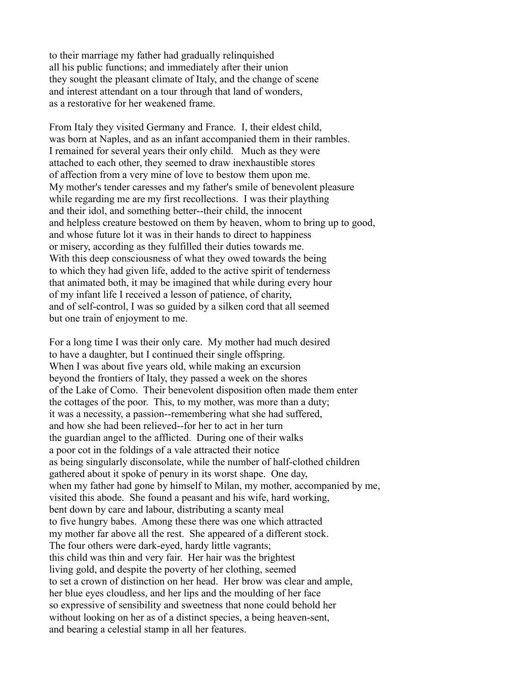to their marriage my father had gradually relinquished all his public functions; and immediately after their union they sought the pleasant climate of Italy, and the change of scene and interest attendant on a tour through that land of wonders, as a restorative for her weakened frame.

From Italy they visited Germany and France. I, their eldest child, was born at Naples, and as an infant accompanied them in their rambles. I remained for several years their only child. Much as they were attached to each other, they seemed to draw inexhaustible stores of affection from a very mine of love to bestow them upon me. My mother's tender caresses and my father's smile of benevolent pleasure while regarding me are my first recollections. I was their plaything and their idol, and something better--their child, the innocent and helpless creature bestowed on them by heaven, whom to bring up to good, and whose future lot it was in their hands to direct to happiness or misery, according as they fulfilled their duties towards me. With this deep consciousness of what they owed towards the being to which they had given life, added to the active spirit of tenderness that animated both, it may be imagined that while during every hour of my infant life I received a lesson of patience, of charity, and of self-control, I was so guided by a silken cord that all seemed but one train of enjoyment to me.

For a long time I was their only care. My mother had much desired to have a daughter, but I continued their single offspring. When I was about five years old, while making an excursion beyond the frontiers of Italy, they passed a week on the shores of the Lake of Como. Their benevolent disposition often made them enter the cottages of the poor. This, to my mother, was more than a duty; it was a necessity, a passion--remembering what she had suffered, and how she had been relieved--for her to act in her turn the guardian angel to the afflicted. During one of their walks a poor cot in the foldings of a vale attracted their notice as being singularly disconsolate, while the number of half-clothed children gathered about it spoke of penury in its worst shape. One day, when my father had gone by himself to Milan, my mother, accompanied by me, visited this abode. She found a peasant and his wife, hard working, bent down by care and labour, distributing a scanty meal to five hungry babes. Among these there was one which attracted my mother far above all the rest. She appeared of a different stock. The four others were dark-eyed, hardy little vagrants; this child was thin and very fair. Her hair was the brightest living gold, and despite the poverty of her clothing, seemed to set a crown of distinction on her head. Her brow was clear and ample, her blue eyes cloudless, and her lips and the moulding of her face so expressive of sensibility and sweetness that none could behold her without looking on her as of a distinct species, a being heaven-sent, and bearing a celestial stamp in all her features.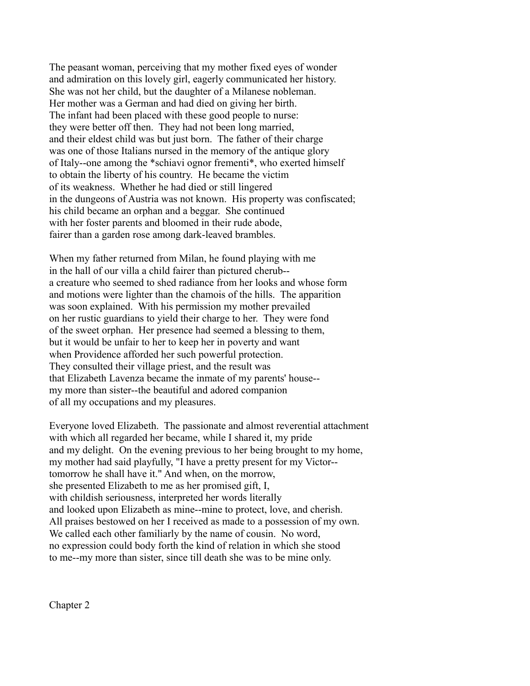The peasant woman, perceiving that my mother fixed eyes of wonder and admiration on this lovely girl, eagerly communicated her history. She was not her child, but the daughter of a Milanese nobleman. Her mother was a German and had died on giving her birth. The infant had been placed with these good people to nurse: they were better off then. They had not been long married, and their eldest child was but just born. The father of their charge was one of those Italians nursed in the memory of the antique glory of Italy--one among the \*schiavi ognor frementi\*, who exerted himself to obtain the liberty of his country. He became the victim of its weakness. Whether he had died or still lingered in the dungeons of Austria was not known. His property was confiscated; his child became an orphan and a beggar. She continued with her foster parents and bloomed in their rude abode, fairer than a garden rose among dark-leaved brambles.

When my father returned from Milan, he found playing with me in the hall of our villa a child fairer than pictured cherub- a creature who seemed to shed radiance from her looks and whose form and motions were lighter than the chamois of the hills. The apparition was soon explained. With his permission my mother prevailed on her rustic guardians to yield their charge to her. They were fond of the sweet orphan. Her presence had seemed a blessing to them, but it would be unfair to her to keep her in poverty and want when Providence afforded her such powerful protection. They consulted their village priest, and the result was that Elizabeth Lavenza became the inmate of my parents' house- my more than sister--the beautiful and adored companion of all my occupations and my pleasures.

Everyone loved Elizabeth. The passionate and almost reverential attachment with which all regarded her became, while I shared it, my pride and my delight. On the evening previous to her being brought to my home, my mother had said playfully, "I have a pretty present for my Victor- tomorrow he shall have it." And when, on the morrow, she presented Elizabeth to me as her promised gift, I, with childish seriousness, interpreted her words literally and looked upon Elizabeth as mine--mine to protect, love, and cherish. All praises bestowed on her I received as made to a possession of my own. We called each other familiarly by the name of cousin. No word, no expression could body forth the kind of relation in which she stood to me--my more than sister, since till death she was to be mine only.

Chapter 2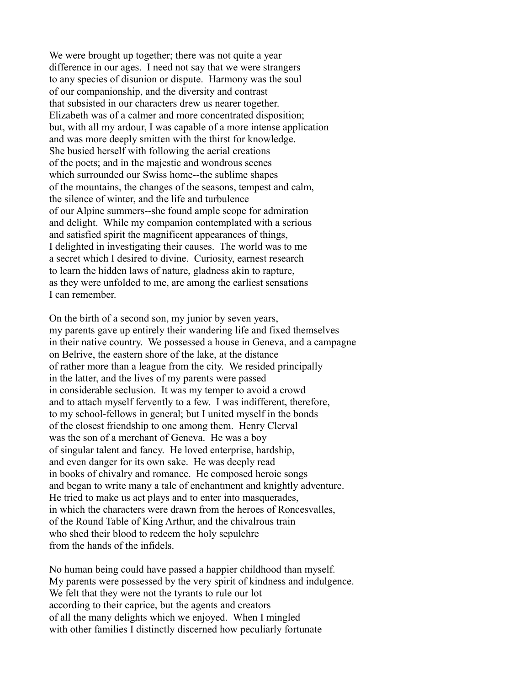We were brought up together; there was not quite a year difference in our ages. I need not say that we were strangers to any species of disunion or dispute. Harmony was the soul of our companionship, and the diversity and contrast that subsisted in our characters drew us nearer together. Elizabeth was of a calmer and more concentrated disposition; but, with all my ardour, I was capable of a more intense application and was more deeply smitten with the thirst for knowledge. She busied herself with following the aerial creations of the poets; and in the majestic and wondrous scenes which surrounded our Swiss home--the sublime shapes of the mountains, the changes of the seasons, tempest and calm, the silence of winter, and the life and turbulence of our Alpine summers--she found ample scope for admiration and delight. While my companion contemplated with a serious and satisfied spirit the magnificent appearances of things, I delighted in investigating their causes. The world was to me a secret which I desired to divine. Curiosity, earnest research to learn the hidden laws of nature, gladness akin to rapture, as they were unfolded to me, are among the earliest sensations I can remember.

On the birth of a second son, my junior by seven years, my parents gave up entirely their wandering life and fixed themselves in their native country. We possessed a house in Geneva, and a campagne on Belrive, the eastern shore of the lake, at the distance of rather more than a league from the city. We resided principally in the latter, and the lives of my parents were passed in considerable seclusion. It was my temper to avoid a crowd and to attach myself fervently to a few. I was indifferent, therefore, to my school-fellows in general; but I united myself in the bonds of the closest friendship to one among them. Henry Clerval was the son of a merchant of Geneva. He was a boy of singular talent and fancy. He loved enterprise, hardship, and even danger for its own sake. He was deeply read in books of chivalry and romance. He composed heroic songs and began to write many a tale of enchantment and knightly adventure. He tried to make us act plays and to enter into masquerades, in which the characters were drawn from the heroes of Roncesvalles, of the Round Table of King Arthur, and the chivalrous train who shed their blood to redeem the holy sepulchre from the hands of the infidels.

No human being could have passed a happier childhood than myself. My parents were possessed by the very spirit of kindness and indulgence. We felt that they were not the tyrants to rule our lot according to their caprice, but the agents and creators of all the many delights which we enjoyed. When I mingled with other families I distinctly discerned how peculiarly fortunate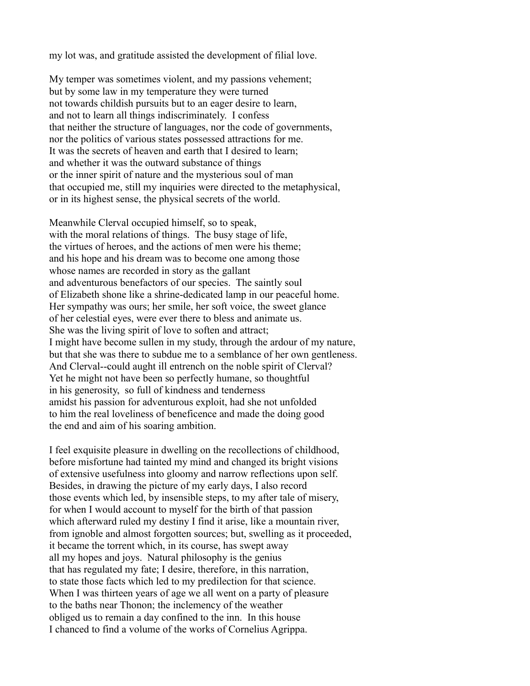my lot was, and gratitude assisted the development of filial love.

My temper was sometimes violent, and my passions vehement; but by some law in my temperature they were turned not towards childish pursuits but to an eager desire to learn, and not to learn all things indiscriminately. I confess that neither the structure of languages, nor the code of governments, nor the politics of various states possessed attractions for me. It was the secrets of heaven and earth that I desired to learn; and whether it was the outward substance of things or the inner spirit of nature and the mysterious soul of man that occupied me, still my inquiries were directed to the metaphysical, or in its highest sense, the physical secrets of the world.

Meanwhile Clerval occupied himself, so to speak, with the moral relations of things. The busy stage of life, the virtues of heroes, and the actions of men were his theme; and his hope and his dream was to become one among those whose names are recorded in story as the gallant and adventurous benefactors of our species. The saintly soul of Elizabeth shone like a shrine-dedicated lamp in our peaceful home. Her sympathy was ours; her smile, her soft voice, the sweet glance of her celestial eyes, were ever there to bless and animate us. She was the living spirit of love to soften and attract; I might have become sullen in my study, through the ardour of my nature, but that she was there to subdue me to a semblance of her own gentleness. And Clerval--could aught ill entrench on the noble spirit of Clerval? Yet he might not have been so perfectly humane, so thoughtful in his generosity, so full of kindness and tenderness amidst his passion for adventurous exploit, had she not unfolded to him the real loveliness of beneficence and made the doing good the end and aim of his soaring ambition.

I feel exquisite pleasure in dwelling on the recollections of childhood, before misfortune had tainted my mind and changed its bright visions of extensive usefulness into gloomy and narrow reflections upon self. Besides, in drawing the picture of my early days, I also record those events which led, by insensible steps, to my after tale of misery, for when I would account to myself for the birth of that passion which afterward ruled my destiny I find it arise, like a mountain river, from ignoble and almost forgotten sources; but, swelling as it proceeded, it became the torrent which, in its course, has swept away all my hopes and joys. Natural philosophy is the genius that has regulated my fate; I desire, therefore, in this narration, to state those facts which led to my predilection for that science. When I was thirteen years of age we all went on a party of pleasure to the baths near Thonon; the inclemency of the weather obliged us to remain a day confined to the inn. In this house I chanced to find a volume of the works of Cornelius Agrippa.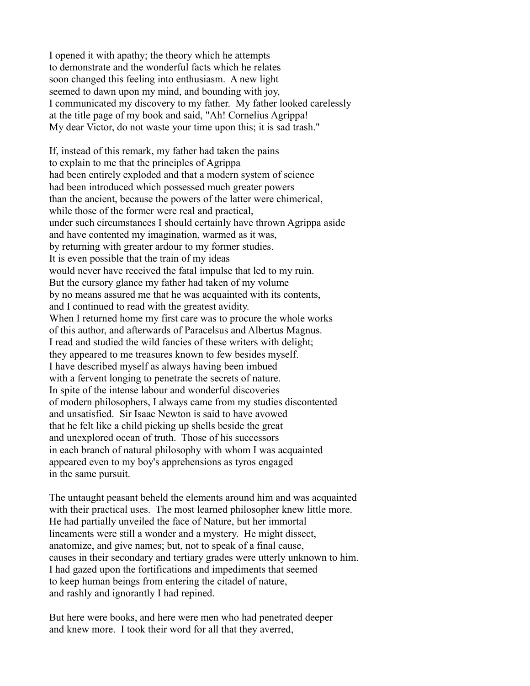I opened it with apathy; the theory which he attempts to demonstrate and the wonderful facts which he relates soon changed this feeling into enthusiasm. A new light seemed to dawn upon my mind, and bounding with joy, I communicated my discovery to my father. My father looked carelessly at the title page of my book and said, "Ah! Cornelius Agrippa! My dear Victor, do not waste your time upon this; it is sad trash."

If, instead of this remark, my father had taken the pains to explain to me that the principles of Agrippa had been entirely exploded and that a modern system of science had been introduced which possessed much greater powers than the ancient, because the powers of the latter were chimerical, while those of the former were real and practical, under such circumstances I should certainly have thrown Agrippa aside and have contented my imagination, warmed as it was, by returning with greater ardour to my former studies. It is even possible that the train of my ideas would never have received the fatal impulse that led to my ruin. But the cursory glance my father had taken of my volume by no means assured me that he was acquainted with its contents, and I continued to read with the greatest avidity. When I returned home my first care was to procure the whole works of this author, and afterwards of Paracelsus and Albertus Magnus. I read and studied the wild fancies of these writers with delight; they appeared to me treasures known to few besides myself. I have described myself as always having been imbued with a fervent longing to penetrate the secrets of nature. In spite of the intense labour and wonderful discoveries of modern philosophers, I always came from my studies discontented and unsatisfied. Sir Isaac Newton is said to have avowed that he felt like a child picking up shells beside the great and unexplored ocean of truth. Those of his successors in each branch of natural philosophy with whom I was acquainted appeared even to my boy's apprehensions as tyros engaged in the same pursuit.

The untaught peasant beheld the elements around him and was acquainted with their practical uses. The most learned philosopher knew little more. He had partially unveiled the face of Nature, but her immortal lineaments were still a wonder and a mystery. He might dissect, anatomize, and give names; but, not to speak of a final cause, causes in their secondary and tertiary grades were utterly unknown to him. I had gazed upon the fortifications and impediments that seemed to keep human beings from entering the citadel of nature, and rashly and ignorantly I had repined.

But here were books, and here were men who had penetrated deeper and knew more. I took their word for all that they averred,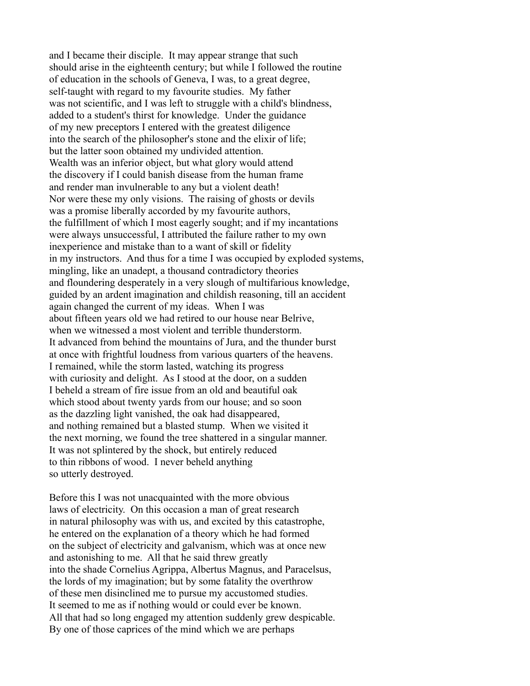and I became their disciple. It may appear strange that such should arise in the eighteenth century; but while I followed the routine of education in the schools of Geneva, I was, to a great degree, self-taught with regard to my favourite studies. My father was not scientific, and I was left to struggle with a child's blindness, added to a student's thirst for knowledge. Under the guidance of my new preceptors I entered with the greatest diligence into the search of the philosopher's stone and the elixir of life; but the latter soon obtained my undivided attention. Wealth was an inferior object, but what glory would attend the discovery if I could banish disease from the human frame and render man invulnerable to any but a violent death! Nor were these my only visions. The raising of ghosts or devils was a promise liberally accorded by my favourite authors, the fulfillment of which I most eagerly sought; and if my incantations were always unsuccessful, I attributed the failure rather to my own inexperience and mistake than to a want of skill or fidelity in my instructors. And thus for a time I was occupied by exploded systems, mingling, like an unadept, a thousand contradictory theories and floundering desperately in a very slough of multifarious knowledge, guided by an ardent imagination and childish reasoning, till an accident again changed the current of my ideas. When I was about fifteen years old we had retired to our house near Belrive, when we witnessed a most violent and terrible thunderstorm. It advanced from behind the mountains of Jura, and the thunder burst at once with frightful loudness from various quarters of the heavens. I remained, while the storm lasted, watching its progress with curiosity and delight. As I stood at the door, on a sudden I beheld a stream of fire issue from an old and beautiful oak which stood about twenty yards from our house; and so soon as the dazzling light vanished, the oak had disappeared, and nothing remained but a blasted stump. When we visited it the next morning, we found the tree shattered in a singular manner. It was not splintered by the shock, but entirely reduced to thin ribbons of wood. I never beheld anything so utterly destroyed.

Before this I was not unacquainted with the more obvious laws of electricity. On this occasion a man of great research in natural philosophy was with us, and excited by this catastrophe, he entered on the explanation of a theory which he had formed on the subject of electricity and galvanism, which was at once new and astonishing to me. All that he said threw greatly into the shade Cornelius Agrippa, Albertus Magnus, and Paracelsus, the lords of my imagination; but by some fatality the overthrow of these men disinclined me to pursue my accustomed studies. It seemed to me as if nothing would or could ever be known. All that had so long engaged my attention suddenly grew despicable. By one of those caprices of the mind which we are perhaps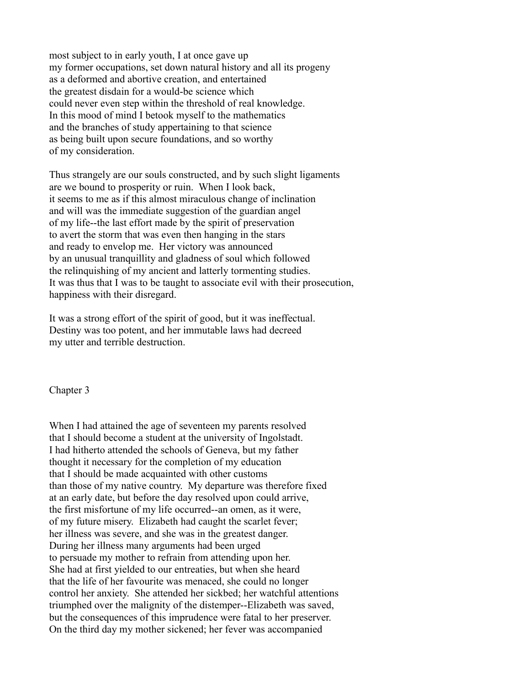most subject to in early youth, I at once gave up my former occupations, set down natural history and all its progeny as a deformed and abortive creation, and entertained the greatest disdain for a would-be science which could never even step within the threshold of real knowledge. In this mood of mind I betook myself to the mathematics and the branches of study appertaining to that science as being built upon secure foundations, and so worthy of my consideration.

Thus strangely are our souls constructed, and by such slight ligaments are we bound to prosperity or ruin. When I look back, it seems to me as if this almost miraculous change of inclination and will was the immediate suggestion of the guardian angel of my life--the last effort made by the spirit of preservation to avert the storm that was even then hanging in the stars and ready to envelop me. Her victory was announced by an unusual tranquillity and gladness of soul which followed the relinquishing of my ancient and latterly tormenting studies. It was thus that I was to be taught to associate evil with their prosecution, happiness with their disregard.

It was a strong effort of the spirit of good, but it was ineffectual. Destiny was too potent, and her immutable laws had decreed my utter and terrible destruction.

Chapter 3

When I had attained the age of seventeen my parents resolved that I should become a student at the university of Ingolstadt. I had hitherto attended the schools of Geneva, but my father thought it necessary for the completion of my education that I should be made acquainted with other customs than those of my native country. My departure was therefore fixed at an early date, but before the day resolved upon could arrive, the first misfortune of my life occurred--an omen, as it were, of my future misery. Elizabeth had caught the scarlet fever; her illness was severe, and she was in the greatest danger. During her illness many arguments had been urged to persuade my mother to refrain from attending upon her. She had at first yielded to our entreaties, but when she heard that the life of her favourite was menaced, she could no longer control her anxiety. She attended her sickbed; her watchful attentions triumphed over the malignity of the distemper--Elizabeth was saved, but the consequences of this imprudence were fatal to her preserver. On the third day my mother sickened; her fever was accompanied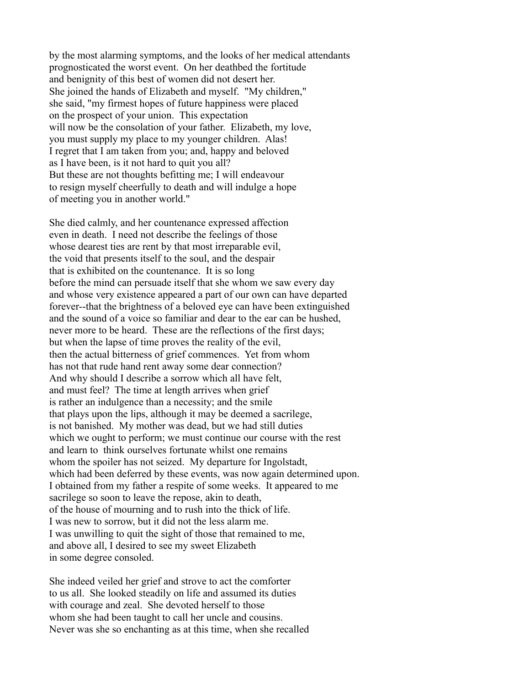by the most alarming symptoms, and the looks of her medical attendants prognosticated the worst event. On her deathbed the fortitude and benignity of this best of women did not desert her. She joined the hands of Elizabeth and myself. "My children," she said, "my firmest hopes of future happiness were placed on the prospect of your union. This expectation will now be the consolation of your father. Elizabeth, my love, you must supply my place to my younger children. Alas! I regret that I am taken from you; and, happy and beloved as I have been, is it not hard to quit you all? But these are not thoughts befitting me; I will endeavour to resign myself cheerfully to death and will indulge a hope of meeting you in another world."

She died calmly, and her countenance expressed affection even in death. I need not describe the feelings of those whose dearest ties are rent by that most irreparable evil, the void that presents itself to the soul, and the despair that is exhibited on the countenance. It is so long before the mind can persuade itself that she whom we saw every day and whose very existence appeared a part of our own can have departed forever--that the brightness of a beloved eye can have been extinguished and the sound of a voice so familiar and dear to the ear can be hushed, never more to be heard. These are the reflections of the first days; but when the lapse of time proves the reality of the evil, then the actual bitterness of grief commences. Yet from whom has not that rude hand rent away some dear connection? And why should I describe a sorrow which all have felt, and must feel? The time at length arrives when grief is rather an indulgence than a necessity; and the smile that plays upon the lips, although it may be deemed a sacrilege, is not banished. My mother was dead, but we had still duties which we ought to perform; we must continue our course with the rest and learn to think ourselves fortunate whilst one remains whom the spoiler has not seized. My departure for Ingolstadt, which had been deferred by these events, was now again determined upon. I obtained from my father a respite of some weeks. It appeared to me sacrilege so soon to leave the repose, akin to death, of the house of mourning and to rush into the thick of life. I was new to sorrow, but it did not the less alarm me. I was unwilling to quit the sight of those that remained to me, and above all, I desired to see my sweet Elizabeth in some degree consoled.

She indeed veiled her grief and strove to act the comforter to us all. She looked steadily on life and assumed its duties with courage and zeal. She devoted herself to those whom she had been taught to call her uncle and cousins. Never was she so enchanting as at this time, when she recalled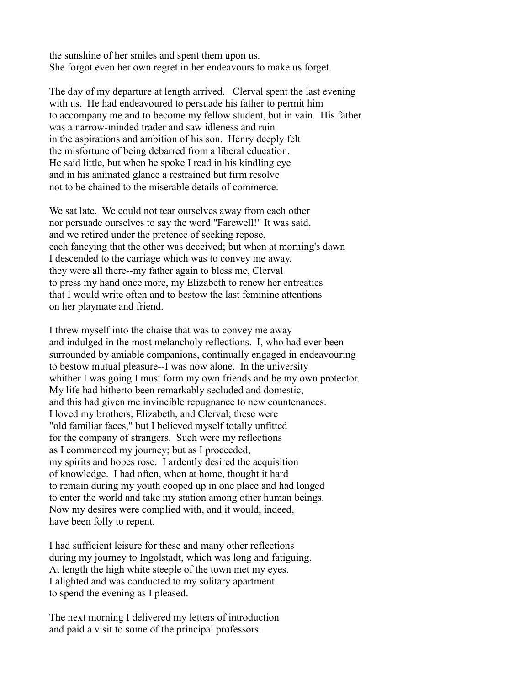the sunshine of her smiles and spent them upon us. She forgot even her own regret in her endeavours to make us forget.

The day of my departure at length arrived. Clerval spent the last evening with us. He had endeavoured to persuade his father to permit him to accompany me and to become my fellow student, but in vain. His father was a narrow-minded trader and saw idleness and ruin in the aspirations and ambition of his son. Henry deeply felt the misfortune of being debarred from a liberal education. He said little, but when he spoke I read in his kindling eye and in his animated glance a restrained but firm resolve not to be chained to the miserable details of commerce.

We sat late. We could not tear ourselves away from each other nor persuade ourselves to say the word "Farewell!" It was said, and we retired under the pretence of seeking repose, each fancying that the other was deceived; but when at morning's dawn I descended to the carriage which was to convey me away, they were all there--my father again to bless me, Clerval to press my hand once more, my Elizabeth to renew her entreaties that I would write often and to bestow the last feminine attentions on her playmate and friend.

I threw myself into the chaise that was to convey me away and indulged in the most melancholy reflections. I, who had ever been surrounded by amiable companions, continually engaged in endeavouring to bestow mutual pleasure--I was now alone. In the university whither I was going I must form my own friends and be my own protector. My life had hitherto been remarkably secluded and domestic, and this had given me invincible repugnance to new countenances. I loved my brothers, Elizabeth, and Clerval; these were "old familiar faces," but I believed myself totally unfitted for the company of strangers. Such were my reflections as I commenced my journey; but as I proceeded, my spirits and hopes rose. I ardently desired the acquisition of knowledge. I had often, when at home, thought it hard to remain during my youth cooped up in one place and had longed to enter the world and take my station among other human beings. Now my desires were complied with, and it would, indeed, have been folly to repent.

I had sufficient leisure for these and many other reflections during my journey to Ingolstadt, which was long and fatiguing. At length the high white steeple of the town met my eyes. I alighted and was conducted to my solitary apartment to spend the evening as I pleased.

The next morning I delivered my letters of introduction and paid a visit to some of the principal professors.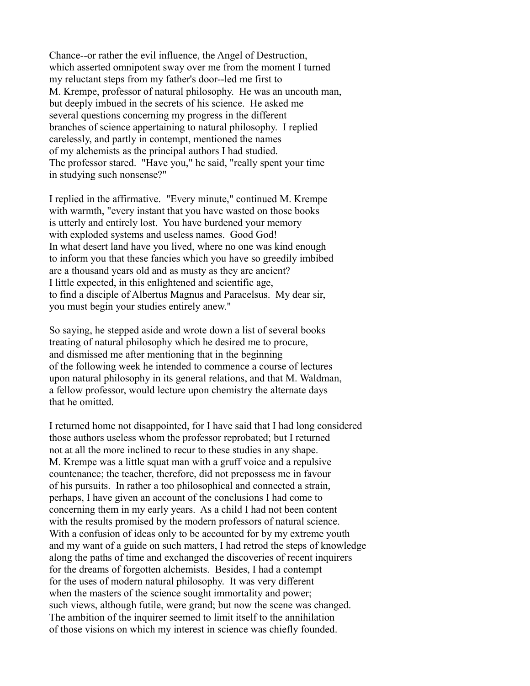Chance--or rather the evil influence, the Angel of Destruction, which asserted omnipotent sway over me from the moment I turned my reluctant steps from my father's door--led me first to M. Krempe, professor of natural philosophy. He was an uncouth man, but deeply imbued in the secrets of his science. He asked me several questions concerning my progress in the different branches of science appertaining to natural philosophy. I replied carelessly, and partly in contempt, mentioned the names of my alchemists as the principal authors I had studied. The professor stared. "Have you," he said, "really spent your time in studying such nonsense?"

I replied in the affirmative. "Every minute," continued M. Krempe with warmth, "every instant that you have wasted on those books is utterly and entirely lost. You have burdened your memory with exploded systems and useless names. Good God! In what desert land have you lived, where no one was kind enough to inform you that these fancies which you have so greedily imbibed are a thousand years old and as musty as they are ancient? I little expected, in this enlightened and scientific age, to find a disciple of Albertus Magnus and Paracelsus. My dear sir, you must begin your studies entirely anew."

So saying, he stepped aside and wrote down a list of several books treating of natural philosophy which he desired me to procure, and dismissed me after mentioning that in the beginning of the following week he intended to commence a course of lectures upon natural philosophy in its general relations, and that M. Waldman, a fellow professor, would lecture upon chemistry the alternate days that he omitted.

I returned home not disappointed, for I have said that I had long considered those authors useless whom the professor reprobated; but I returned not at all the more inclined to recur to these studies in any shape. M. Krempe was a little squat man with a gruff voice and a repulsive countenance; the teacher, therefore, did not prepossess me in favour of his pursuits. In rather a too philosophical and connected a strain, perhaps, I have given an account of the conclusions I had come to concerning them in my early years. As a child I had not been content with the results promised by the modern professors of natural science. With a confusion of ideas only to be accounted for by my extreme youth and my want of a guide on such matters, I had retrod the steps of knowledge along the paths of time and exchanged the discoveries of recent inquirers for the dreams of forgotten alchemists. Besides, I had a contempt for the uses of modern natural philosophy. It was very different when the masters of the science sought immortality and power; such views, although futile, were grand; but now the scene was changed. The ambition of the inquirer seemed to limit itself to the annihilation of those visions on which my interest in science was chiefly founded.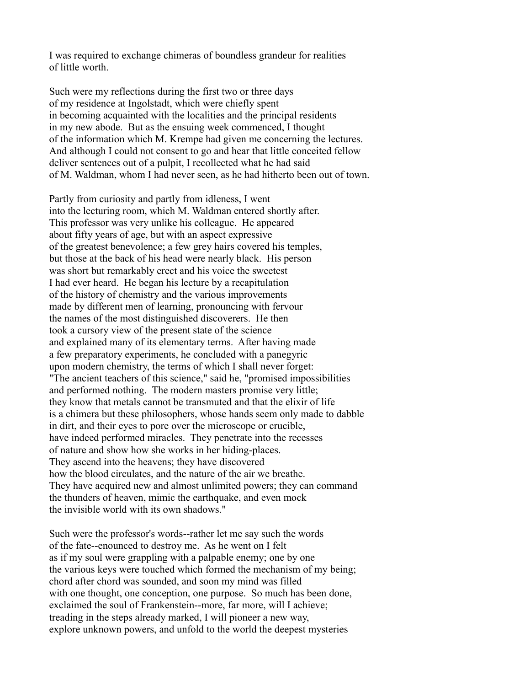I was required to exchange chimeras of boundless grandeur for realities of little worth.

Such were my reflections during the first two or three days of my residence at Ingolstadt, which were chiefly spent in becoming acquainted with the localities and the principal residents in my new abode. But as the ensuing week commenced, I thought of the information which M. Krempe had given me concerning the lectures. And although I could not consent to go and hear that little conceited fellow deliver sentences out of a pulpit, I recollected what he had said of M. Waldman, whom I had never seen, as he had hitherto been out of town.

Partly from curiosity and partly from idleness, I went into the lecturing room, which M. Waldman entered shortly after. This professor was very unlike his colleague. He appeared about fifty years of age, but with an aspect expressive of the greatest benevolence; a few grey hairs covered his temples, but those at the back of his head were nearly black. His person was short but remarkably erect and his voice the sweetest I had ever heard. He began his lecture by a recapitulation of the history of chemistry and the various improvements made by different men of learning, pronouncing with fervour the names of the most distinguished discoverers. He then took a cursory view of the present state of the science and explained many of its elementary terms. After having made a few preparatory experiments, he concluded with a panegyric upon modern chemistry, the terms of which I shall never forget: "The ancient teachers of this science," said he, "promised impossibilities and performed nothing. The modern masters promise very little; they know that metals cannot be transmuted and that the elixir of life is a chimera but these philosophers, whose hands seem only made to dabble in dirt, and their eyes to pore over the microscope or crucible, have indeed performed miracles. They penetrate into the recesses of nature and show how she works in her hiding-places. They ascend into the heavens; they have discovered how the blood circulates, and the nature of the air we breathe. They have acquired new and almost unlimited powers; they can command the thunders of heaven, mimic the earthquake, and even mock the invisible world with its own shadows."

Such were the professor's words--rather let me say such the words of the fate--enounced to destroy me. As he went on I felt as if my soul were grappling with a palpable enemy; one by one the various keys were touched which formed the mechanism of my being; chord after chord was sounded, and soon my mind was filled with one thought, one conception, one purpose. So much has been done, exclaimed the soul of Frankenstein--more, far more, will I achieve; treading in the steps already marked, I will pioneer a new way, explore unknown powers, and unfold to the world the deepest mysteries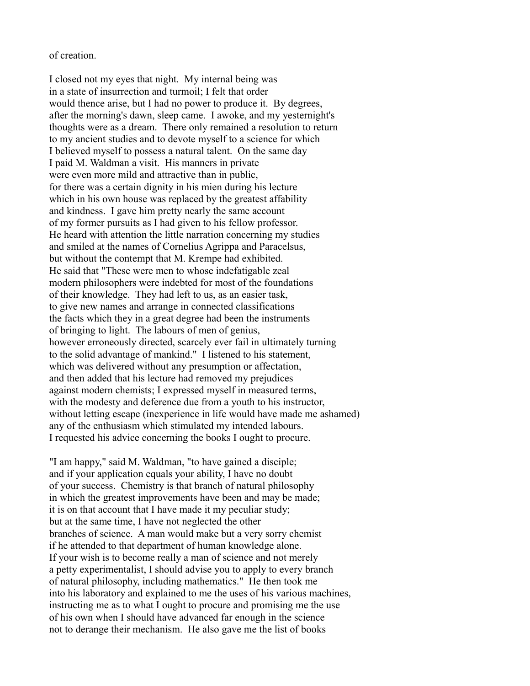## of creation.

I closed not my eyes that night. My internal being was in a state of insurrection and turmoil; I felt that order would thence arise, but I had no power to produce it. By degrees, after the morning's dawn, sleep came. I awoke, and my yesternight's thoughts were as a dream. There only remained a resolution to return to my ancient studies and to devote myself to a science for which I believed myself to possess a natural talent. On the same day I paid M. Waldman a visit. His manners in private were even more mild and attractive than in public, for there was a certain dignity in his mien during his lecture which in his own house was replaced by the greatest affability and kindness. I gave him pretty nearly the same account of my former pursuits as I had given to his fellow professor. He heard with attention the little narration concerning my studies and smiled at the names of Cornelius Agrippa and Paracelsus, but without the contempt that M. Krempe had exhibited. He said that "These were men to whose indefatigable zeal modern philosophers were indebted for most of the foundations of their knowledge. They had left to us, as an easier task, to give new names and arrange in connected classifications the facts which they in a great degree had been the instruments of bringing to light. The labours of men of genius, however erroneously directed, scarcely ever fail in ultimately turning to the solid advantage of mankind." I listened to his statement, which was delivered without any presumption or affectation, and then added that his lecture had removed my prejudices against modern chemists; I expressed myself in measured terms, with the modesty and deference due from a youth to his instructor, without letting escape (inexperience in life would have made me ashamed) any of the enthusiasm which stimulated my intended labours. I requested his advice concerning the books I ought to procure.

"I am happy," said M. Waldman, "to have gained a disciple; and if your application equals your ability, I have no doubt of your success. Chemistry is that branch of natural philosophy in which the greatest improvements have been and may be made; it is on that account that I have made it my peculiar study; but at the same time, I have not neglected the other branches of science. A man would make but a very sorry chemist if he attended to that department of human knowledge alone. If your wish is to become really a man of science and not merely a petty experimentalist, I should advise you to apply to every branch of natural philosophy, including mathematics." He then took me into his laboratory and explained to me the uses of his various machines, instructing me as to what I ought to procure and promising me the use of his own when I should have advanced far enough in the science not to derange their mechanism. He also gave me the list of books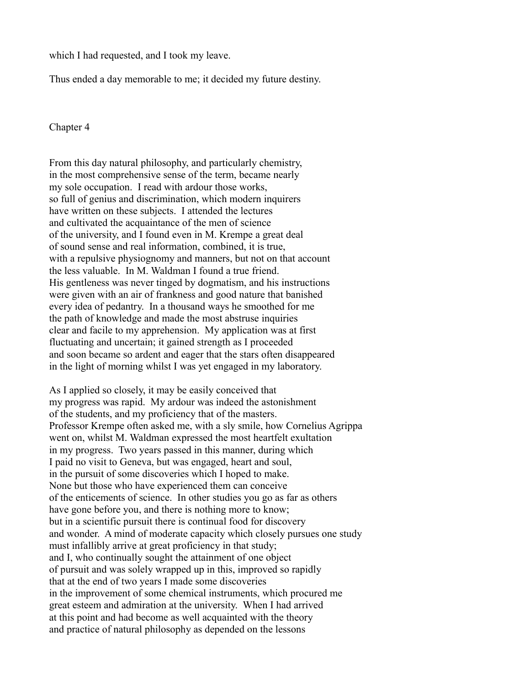which I had requested, and I took my leave.

Thus ended a day memorable to me; it decided my future destiny.

## Chapter 4

From this day natural philosophy, and particularly chemistry, in the most comprehensive sense of the term, became nearly my sole occupation. I read with ardour those works, so full of genius and discrimination, which modern inquirers have written on these subjects. I attended the lectures and cultivated the acquaintance of the men of science of the university, and I found even in M. Krempe a great deal of sound sense and real information, combined, it is true, with a repulsive physiognomy and manners, but not on that account the less valuable. In M. Waldman I found a true friend. His gentleness was never tinged by dogmatism, and his instructions were given with an air of frankness and good nature that banished every idea of pedantry. In a thousand ways he smoothed for me the path of knowledge and made the most abstruse inquiries clear and facile to my apprehension. My application was at first fluctuating and uncertain; it gained strength as I proceeded and soon became so ardent and eager that the stars often disappeared in the light of morning whilst I was yet engaged in my laboratory.

As I applied so closely, it may be easily conceived that my progress was rapid. My ardour was indeed the astonishment of the students, and my proficiency that of the masters. Professor Krempe often asked me, with a sly smile, how Cornelius Agrippa went on, whilst M. Waldman expressed the most heartfelt exultation in my progress. Two years passed in this manner, during which I paid no visit to Geneva, but was engaged, heart and soul, in the pursuit of some discoveries which I hoped to make. None but those who have experienced them can conceive of the enticements of science. In other studies you go as far as others have gone before you, and there is nothing more to know; but in a scientific pursuit there is continual food for discovery and wonder. A mind of moderate capacity which closely pursues one study must infallibly arrive at great proficiency in that study; and I, who continually sought the attainment of one object of pursuit and was solely wrapped up in this, improved so rapidly that at the end of two years I made some discoveries in the improvement of some chemical instruments, which procured me great esteem and admiration at the university. When I had arrived at this point and had become as well acquainted with the theory and practice of natural philosophy as depended on the lessons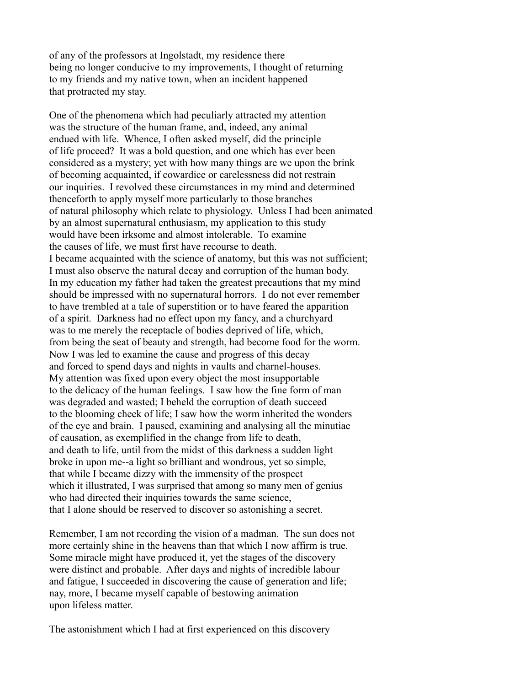of any of the professors at Ingolstadt, my residence there being no longer conducive to my improvements, I thought of returning to my friends and my native town, when an incident happened that protracted my stay.

One of the phenomena which had peculiarly attracted my attention was the structure of the human frame, and, indeed, any animal endued with life. Whence, I often asked myself, did the principle of life proceed? It was a bold question, and one which has ever been considered as a mystery; yet with how many things are we upon the brink of becoming acquainted, if cowardice or carelessness did not restrain our inquiries. I revolved these circumstances in my mind and determined thenceforth to apply myself more particularly to those branches of natural philosophy which relate to physiology. Unless I had been animated by an almost supernatural enthusiasm, my application to this study would have been irksome and almost intolerable. To examine the causes of life, we must first have recourse to death. I became acquainted with the science of anatomy, but this was not sufficient; I must also observe the natural decay and corruption of the human body. In my education my father had taken the greatest precautions that my mind should be impressed with no supernatural horrors. I do not ever remember to have trembled at a tale of superstition or to have feared the apparition of a spirit. Darkness had no effect upon my fancy, and a churchyard was to me merely the receptacle of bodies deprived of life, which, from being the seat of beauty and strength, had become food for the worm. Now I was led to examine the cause and progress of this decay and forced to spend days and nights in vaults and charnel-houses. My attention was fixed upon every object the most insupportable to the delicacy of the human feelings. I saw how the fine form of man was degraded and wasted; I beheld the corruption of death succeed to the blooming cheek of life; I saw how the worm inherited the wonders of the eye and brain. I paused, examining and analysing all the minutiae of causation, as exemplified in the change from life to death, and death to life, until from the midst of this darkness a sudden light broke in upon me--a light so brilliant and wondrous, yet so simple, that while I became dizzy with the immensity of the prospect which it illustrated, I was surprised that among so many men of genius who had directed their inquiries towards the same science, that I alone should be reserved to discover so astonishing a secret.

Remember, I am not recording the vision of a madman. The sun does not more certainly shine in the heavens than that which I now affirm is true. Some miracle might have produced it, yet the stages of the discovery were distinct and probable. After days and nights of incredible labour and fatigue, I succeeded in discovering the cause of generation and life; nay, more, I became myself capable of bestowing animation upon lifeless matter.

The astonishment which I had at first experienced on this discovery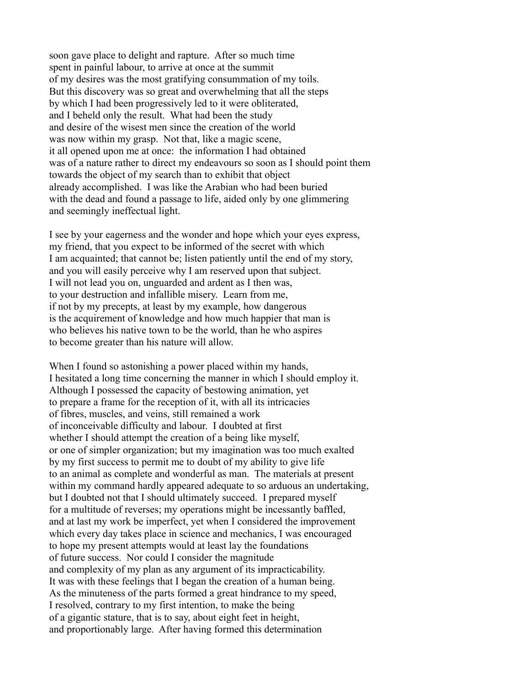soon gave place to delight and rapture. After so much time spent in painful labour, to arrive at once at the summit of my desires was the most gratifying consummation of my toils. But this discovery was so great and overwhelming that all the steps by which I had been progressively led to it were obliterated, and I beheld only the result. What had been the study and desire of the wisest men since the creation of the world was now within my grasp. Not that, like a magic scene, it all opened upon me at once: the information I had obtained was of a nature rather to direct my endeavours so soon as I should point them towards the object of my search than to exhibit that object already accomplished. I was like the Arabian who had been buried with the dead and found a passage to life, aided only by one glimmering and seemingly ineffectual light.

I see by your eagerness and the wonder and hope which your eyes express, my friend, that you expect to be informed of the secret with which I am acquainted; that cannot be; listen patiently until the end of my story, and you will easily perceive why I am reserved upon that subject. I will not lead you on, unguarded and ardent as I then was, to your destruction and infallible misery. Learn from me, if not by my precepts, at least by my example, how dangerous is the acquirement of knowledge and how much happier that man is who believes his native town to be the world, than he who aspires to become greater than his nature will allow.

When I found so astonishing a power placed within my hands, I hesitated a long time concerning the manner in which I should employ it. Although I possessed the capacity of bestowing animation, yet to prepare a frame for the reception of it, with all its intricacies of fibres, muscles, and veins, still remained a work of inconceivable difficulty and labour. I doubted at first whether I should attempt the creation of a being like myself, or one of simpler organization; but my imagination was too much exalted by my first success to permit me to doubt of my ability to give life to an animal as complete and wonderful as man. The materials at present within my command hardly appeared adequate to so arduous an undertaking, but I doubted not that I should ultimately succeed. I prepared myself for a multitude of reverses; my operations might be incessantly baffled, and at last my work be imperfect, yet when I considered the improvement which every day takes place in science and mechanics, I was encouraged to hope my present attempts would at least lay the foundations of future success. Nor could I consider the magnitude and complexity of my plan as any argument of its impracticability. It was with these feelings that I began the creation of a human being. As the minuteness of the parts formed a great hindrance to my speed, I resolved, contrary to my first intention, to make the being of a gigantic stature, that is to say, about eight feet in height, and proportionably large. After having formed this determination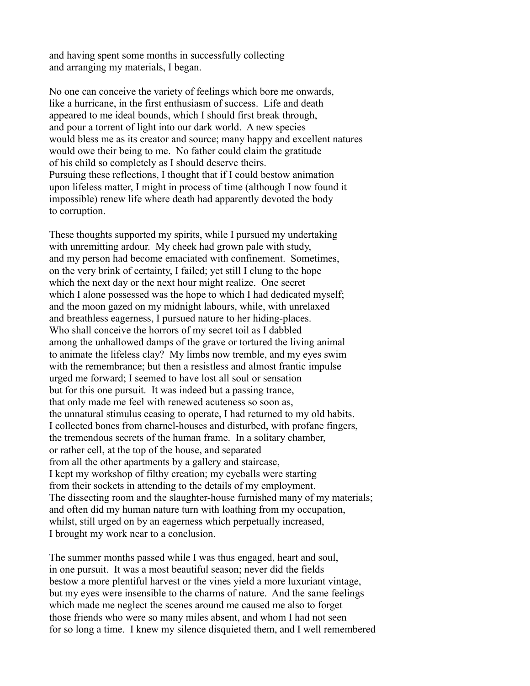and having spent some months in successfully collecting and arranging my materials, I began.

No one can conceive the variety of feelings which bore me onwards, like a hurricane, in the first enthusiasm of success. Life and death appeared to me ideal bounds, which I should first break through, and pour a torrent of light into our dark world. A new species would bless me as its creator and source; many happy and excellent natures would owe their being to me. No father could claim the gratitude of his child so completely as I should deserve theirs. Pursuing these reflections, I thought that if I could bestow animation upon lifeless matter, I might in process of time (although I now found it impossible) renew life where death had apparently devoted the body to corruption.

These thoughts supported my spirits, while I pursued my undertaking with unremitting ardour. My cheek had grown pale with study, and my person had become emaciated with confinement. Sometimes, on the very brink of certainty, I failed; yet still I clung to the hope which the next day or the next hour might realize. One secret which I alone possessed was the hope to which I had dedicated myself; and the moon gazed on my midnight labours, while, with unrelaxed and breathless eagerness, I pursued nature to her hiding-places. Who shall conceive the horrors of my secret toil as I dabbled among the unhallowed damps of the grave or tortured the living animal to animate the lifeless clay? My limbs now tremble, and my eyes swim with the remembrance; but then a resistless and almost frantic impulse urged me forward; I seemed to have lost all soul or sensation but for this one pursuit. It was indeed but a passing trance, that only made me feel with renewed acuteness so soon as, the unnatural stimulus ceasing to operate, I had returned to my old habits. I collected bones from charnel-houses and disturbed, with profane fingers, the tremendous secrets of the human frame. In a solitary chamber, or rather cell, at the top of the house, and separated from all the other apartments by a gallery and staircase, I kept my workshop of filthy creation; my eyeballs were starting from their sockets in attending to the details of my employment. The dissecting room and the slaughter-house furnished many of my materials; and often did my human nature turn with loathing from my occupation, whilst, still urged on by an eagerness which perpetually increased, I brought my work near to a conclusion.

The summer months passed while I was thus engaged, heart and soul, in one pursuit. It was a most beautiful season; never did the fields bestow a more plentiful harvest or the vines yield a more luxuriant vintage, but my eyes were insensible to the charms of nature. And the same feelings which made me neglect the scenes around me caused me also to forget those friends who were so many miles absent, and whom I had not seen for so long a time. I knew my silence disquieted them, and I well remembered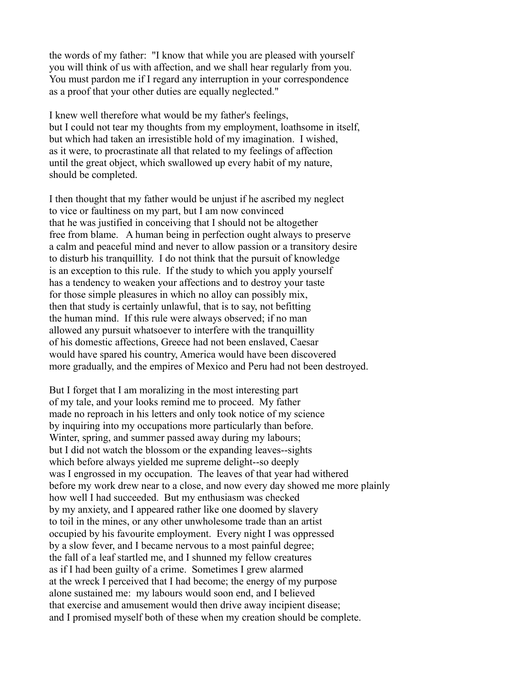the words of my father: "I know that while you are pleased with yourself you will think of us with affection, and we shall hear regularly from you. You must pardon me if I regard any interruption in your correspondence as a proof that your other duties are equally neglected."

I knew well therefore what would be my father's feelings, but I could not tear my thoughts from my employment, loathsome in itself, but which had taken an irresistible hold of my imagination. I wished, as it were, to procrastinate all that related to my feelings of affection until the great object, which swallowed up every habit of my nature, should be completed.

I then thought that my father would be unjust if he ascribed my neglect to vice or faultiness on my part, but I am now convinced that he was justified in conceiving that I should not be altogether free from blame. A human being in perfection ought always to preserve a calm and peaceful mind and never to allow passion or a transitory desire to disturb his tranquillity. I do not think that the pursuit of knowledge is an exception to this rule. If the study to which you apply yourself has a tendency to weaken your affections and to destroy your taste for those simple pleasures in which no alloy can possibly mix, then that study is certainly unlawful, that is to say, not befitting the human mind. If this rule were always observed; if no man allowed any pursuit whatsoever to interfere with the tranquillity of his domestic affections, Greece had not been enslaved, Caesar would have spared his country, America would have been discovered more gradually, and the empires of Mexico and Peru had not been destroyed.

But I forget that I am moralizing in the most interesting part of my tale, and your looks remind me to proceed. My father made no reproach in his letters and only took notice of my science by inquiring into my occupations more particularly than before. Winter, spring, and summer passed away during my labours; but I did not watch the blossom or the expanding leaves--sights which before always yielded me supreme delight--so deeply was I engrossed in my occupation. The leaves of that year had withered before my work drew near to a close, and now every day showed me more plainly how well I had succeeded. But my enthusiasm was checked by my anxiety, and I appeared rather like one doomed by slavery to toil in the mines, or any other unwholesome trade than an artist occupied by his favourite employment. Every night I was oppressed by a slow fever, and I became nervous to a most painful degree; the fall of a leaf startled me, and I shunned my fellow creatures as if I had been guilty of a crime. Sometimes I grew alarmed at the wreck I perceived that I had become; the energy of my purpose alone sustained me: my labours would soon end, and I believed that exercise and amusement would then drive away incipient disease; and I promised myself both of these when my creation should be complete.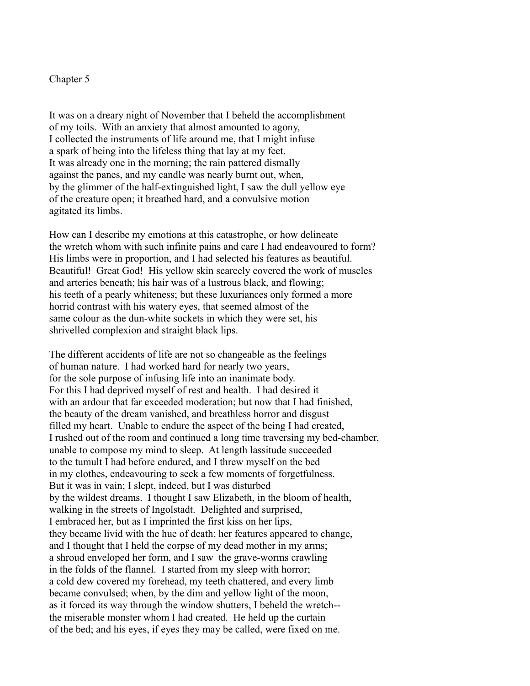## Chapter 5

It was on a dreary night of November that I beheld the accomplishment of my toils. With an anxiety that almost amounted to agony, I collected the instruments of life around me, that I might infuse a spark of being into the lifeless thing that lay at my feet. It was already one in the morning; the rain pattered dismally against the panes, and my candle was nearly burnt out, when, by the glimmer of the half-extinguished light, I saw the dull yellow eye of the creature open; it breathed hard, and a convulsive motion agitated its limbs.

How can I describe my emotions at this catastrophe, or how delineate the wretch whom with such infinite pains and care I had endeavoured to form? His limbs were in proportion, and I had selected his features as beautiful. Beautiful! Great God! His yellow skin scarcely covered the work of muscles and arteries beneath; his hair was of a lustrous black, and flowing; his teeth of a pearly whiteness; but these luxuriances only formed a more horrid contrast with his watery eyes, that seemed almost of the same colour as the dun-white sockets in which they were set, his shrivelled complexion and straight black lips.

The different accidents of life are not so changeable as the feelings of human nature. I had worked hard for nearly two years, for the sole purpose of infusing life into an inanimate body. For this I had deprived myself of rest and health. I had desired it with an ardour that far exceeded moderation; but now that I had finished, the beauty of the dream vanished, and breathless horror and disgust filled my heart. Unable to endure the aspect of the being I had created, I rushed out of the room and continued a long time traversing my bed-chamber, unable to compose my mind to sleep. At length lassitude succeeded to the tumult I had before endured, and I threw myself on the bed in my clothes, endeavouring to seek a few moments of forgetfulness. But it was in vain; I slept, indeed, but I was disturbed by the wildest dreams. I thought I saw Elizabeth, in the bloom of health, walking in the streets of Ingolstadt. Delighted and surprised, I embraced her, but as I imprinted the first kiss on her lips, they became livid with the hue of death; her features appeared to change, and I thought that I held the corpse of my dead mother in my arms; a shroud enveloped her form, and I saw the grave-worms crawling in the folds of the flannel. I started from my sleep with horror; a cold dew covered my forehead, my teeth chattered, and every limb became convulsed; when, by the dim and yellow light of the moon, as it forced its way through the window shutters, I beheld the wretch- the miserable monster whom I had created. He held up the curtain of the bed; and his eyes, if eyes they may be called, were fixed on me.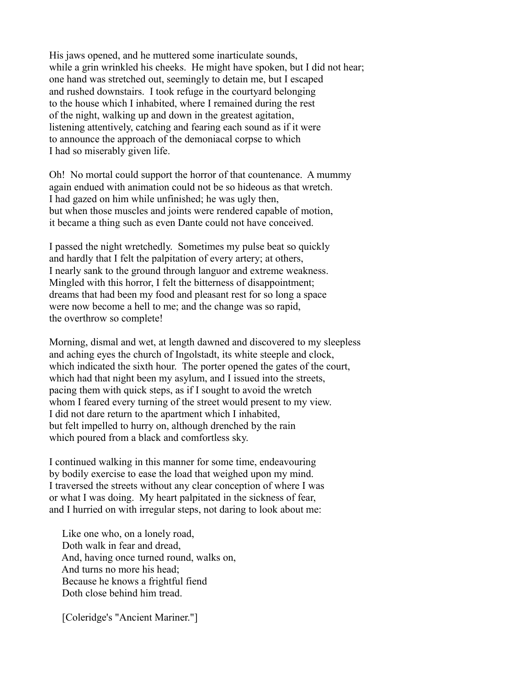His jaws opened, and he muttered some inarticulate sounds, while a grin wrinkled his cheeks. He might have spoken, but I did not hear; one hand was stretched out, seemingly to detain me, but I escaped and rushed downstairs. I took refuge in the courtyard belonging to the house which I inhabited, where I remained during the rest of the night, walking up and down in the greatest agitation, listening attentively, catching and fearing each sound as if it were to announce the approach of the demoniacal corpse to which I had so miserably given life.

Oh! No mortal could support the horror of that countenance. A mummy again endued with animation could not be so hideous as that wretch. I had gazed on him while unfinished; he was ugly then, but when those muscles and joints were rendered capable of motion, it became a thing such as even Dante could not have conceived.

I passed the night wretchedly. Sometimes my pulse beat so quickly and hardly that I felt the palpitation of every artery; at others, I nearly sank to the ground through languor and extreme weakness. Mingled with this horror, I felt the bitterness of disappointment; dreams that had been my food and pleasant rest for so long a space were now become a hell to me; and the change was so rapid, the overthrow so complete!

Morning, dismal and wet, at length dawned and discovered to my sleepless and aching eyes the church of Ingolstadt, its white steeple and clock, which indicated the sixth hour. The porter opened the gates of the court, which had that night been my asylum, and I issued into the streets, pacing them with quick steps, as if I sought to avoid the wretch whom I feared every turning of the street would present to my view. I did not dare return to the apartment which I inhabited, but felt impelled to hurry on, although drenched by the rain which poured from a black and comfortless sky.

I continued walking in this manner for some time, endeavouring by bodily exercise to ease the load that weighed upon my mind. I traversed the streets without any clear conception of where I was or what I was doing. My heart palpitated in the sickness of fear, and I hurried on with irregular steps, not daring to look about me:

 Like one who, on a lonely road, Doth walk in fear and dread, And, having once turned round, walks on, And turns no more his head; Because he knows a frightful fiend Doth close behind him tread.

[Coleridge's "Ancient Mariner."]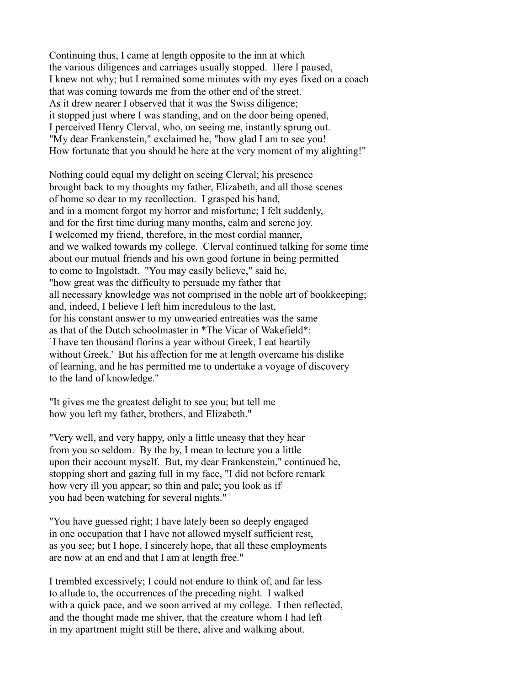Continuing thus, I came at length opposite to the inn at which the various diligences and carriages usually stopped. Here I paused, I knew not why; but I remained some minutes with my eyes fixed on a coach that was coming towards me from the other end of the street. As it drew nearer I observed that it was the Swiss diligence; it stopped just where I was standing, and on the door being opened, I perceived Henry Clerval, who, on seeing me, instantly sprung out. "My dear Frankenstein," exclaimed he, "how glad I am to see you! How fortunate that you should be here at the very moment of my alighting!"

Nothing could equal my delight on seeing Clerval; his presence brought back to my thoughts my father, Elizabeth, and all those scenes of home so dear to my recollection. I grasped his hand, and in a moment forgot my horror and misfortune; I felt suddenly, and for the first time during many months, calm and serene joy. I welcomed my friend, therefore, in the most cordial manner, and we walked towards my college. Clerval continued talking for some time about our mutual friends and his own good fortune in being permitted to come to Ingolstadt. "You may easily believe," said he, "how great was the difficulty to persuade my father that all necessary knowledge was not comprised in the noble art of bookkeeping; and, indeed, I believe I left him incredulous to the last, for his constant answer to my unwearied entreaties was the same as that of the Dutch schoolmaster in \*The Vicar of Wakefield\*: `I have ten thousand florins a year without Greek, I eat heartily without Greek.' But his affection for me at length overcame his dislike of learning, and he has permitted me to undertake a voyage of discovery to the land of knowledge."

"It gives me the greatest delight to see you; but tell me how you left my father, brothers, and Elizabeth."

"Very well, and very happy, only a little uneasy that they hear from you so seldom. By the by, I mean to lecture you a little upon their account myself. But, my dear Frankenstein," continued he, stopping short and gazing full in my face, "I did not before remark how very ill you appear; so thin and pale; you look as if you had been watching for several nights."

"You have guessed right; I have lately been so deeply engaged in one occupation that I have not allowed myself sufficient rest, as you see; but I hope, I sincerely hope, that all these employments are now at an end and that I am at length free."

I trembled excessively; I could not endure to think of, and far less to allude to, the occurrences of the preceding night. I walked with a quick pace, and we soon arrived at my college. I then reflected, and the thought made me shiver, that the creature whom I had left in my apartment might still be there, alive and walking about.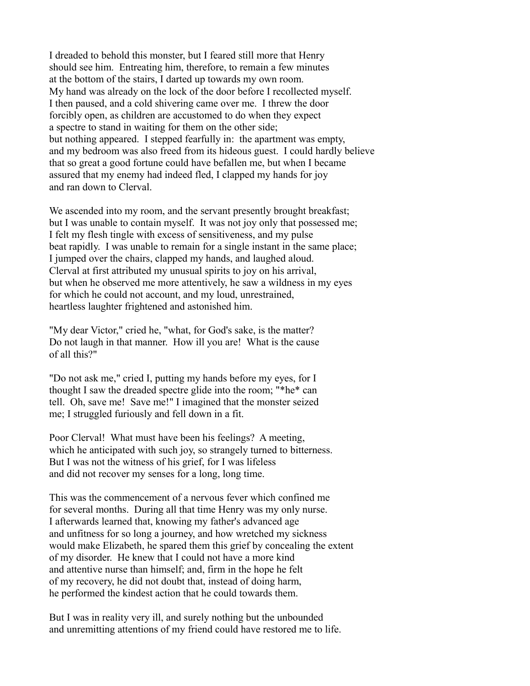I dreaded to behold this monster, but I feared still more that Henry should see him. Entreating him, therefore, to remain a few minutes at the bottom of the stairs, I darted up towards my own room. My hand was already on the lock of the door before I recollected myself. I then paused, and a cold shivering came over me. I threw the door forcibly open, as children are accustomed to do when they expect a spectre to stand in waiting for them on the other side; but nothing appeared. I stepped fearfully in: the apartment was empty, and my bedroom was also freed from its hideous guest. I could hardly believe that so great a good fortune could have befallen me, but when I became assured that my enemy had indeed fled, I clapped my hands for joy and ran down to Clerval.

We ascended into my room, and the servant presently brought breakfast; but I was unable to contain myself. It was not joy only that possessed me; I felt my flesh tingle with excess of sensitiveness, and my pulse beat rapidly. I was unable to remain for a single instant in the same place; I jumped over the chairs, clapped my hands, and laughed aloud. Clerval at first attributed my unusual spirits to joy on his arrival, but when he observed me more attentively, he saw a wildness in my eyes for which he could not account, and my loud, unrestrained, heartless laughter frightened and astonished him.

"My dear Victor," cried he, "what, for God's sake, is the matter? Do not laugh in that manner. How ill you are! What is the cause of all this?"

"Do not ask me," cried I, putting my hands before my eyes, for I thought I saw the dreaded spectre glide into the room; "\*he\* can tell. Oh, save me! Save me!" I imagined that the monster seized me; I struggled furiously and fell down in a fit.

Poor Clerval! What must have been his feelings? A meeting, which he anticipated with such joy, so strangely turned to bitterness. But I was not the witness of his grief, for I was lifeless and did not recover my senses for a long, long time.

This was the commencement of a nervous fever which confined me for several months. During all that time Henry was my only nurse. I afterwards learned that, knowing my father's advanced age and unfitness for so long a journey, and how wretched my sickness would make Elizabeth, he spared them this grief by concealing the extent of my disorder. He knew that I could not have a more kind and attentive nurse than himself; and, firm in the hope he felt of my recovery, he did not doubt that, instead of doing harm, he performed the kindest action that he could towards them.

But I was in reality very ill, and surely nothing but the unbounded and unremitting attentions of my friend could have restored me to life.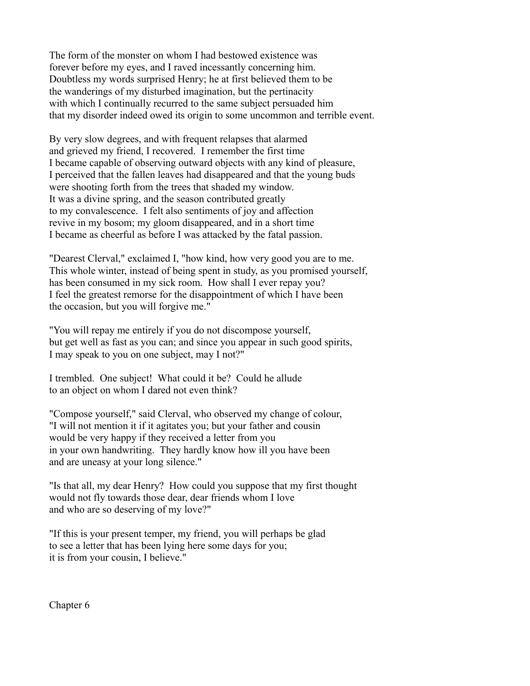The form of the monster on whom I had bestowed existence was forever before my eyes, and I raved incessantly concerning him. Doubtless my words surprised Henry; he at first believed them to be the wanderings of my disturbed imagination, but the pertinacity with which I continually recurred to the same subject persuaded him that my disorder indeed owed its origin to some uncommon and terrible event.

By very slow degrees, and with frequent relapses that alarmed and grieved my friend, I recovered. I remember the first time I became capable of observing outward objects with any kind of pleasure, I perceived that the fallen leaves had disappeared and that the young buds were shooting forth from the trees that shaded my window. It was a divine spring, and the season contributed greatly to my convalescence. I felt also sentiments of joy and affection revive in my bosom; my gloom disappeared, and in a short time I became as cheerful as before I was attacked by the fatal passion.

"Dearest Clerval," exclaimed I, "how kind, how very good you are to me. This whole winter, instead of being spent in study, as you promised yourself, has been consumed in my sick room. How shall I ever repay you? I feel the greatest remorse for the disappointment of which I have been the occasion, but you will forgive me."

"You will repay me entirely if you do not discompose yourself, but get well as fast as you can; and since you appear in such good spirits, I may speak to you on one subject, may I not?"

I trembled. One subject! What could it be? Could he allude to an object on whom I dared not even think?

"Compose yourself," said Clerval, who observed my change of colour, "I will not mention it if it agitates you; but your father and cousin would be very happy if they received a letter from you in your own handwriting. They hardly know how ill you have been and are uneasy at your long silence."

"Is that all, my dear Henry? How could you suppose that my first thought would not fly towards those dear, dear friends whom I love and who are so deserving of my love?"

"If this is your present temper, my friend, you will perhaps be glad to see a letter that has been lying here some days for you; it is from your cousin, I believe."

Chapter 6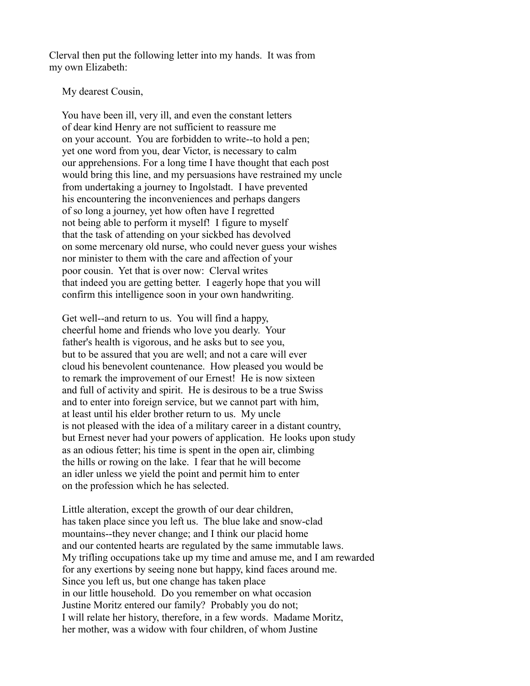Clerval then put the following letter into my hands. It was from my own Elizabeth:

My dearest Cousin,

 You have been ill, very ill, and even the constant letters of dear kind Henry are not sufficient to reassure me on your account. You are forbidden to write--to hold a pen; yet one word from you, dear Victor, is necessary to calm our apprehensions. For a long time I have thought that each post would bring this line, and my persuasions have restrained my uncle from undertaking a journey to Ingolstadt. I have prevented his encountering the inconveniences and perhaps dangers of so long a journey, yet how often have I regretted not being able to perform it myself! I figure to myself that the task of attending on your sickbed has devolved on some mercenary old nurse, who could never guess your wishes nor minister to them with the care and affection of your poor cousin. Yet that is over now: Clerval writes that indeed you are getting better. I eagerly hope that you will confirm this intelligence soon in your own handwriting.

 Get well--and return to us. You will find a happy, cheerful home and friends who love you dearly. Your father's health is vigorous, and he asks but to see you, but to be assured that you are well; and not a care will ever cloud his benevolent countenance. How pleased you would be to remark the improvement of our Ernest! He is now sixteen and full of activity and spirit. He is desirous to be a true Swiss and to enter into foreign service, but we cannot part with him, at least until his elder brother return to us. My uncle is not pleased with the idea of a military career in a distant country, but Ernest never had your powers of application. He looks upon study as an odious fetter; his time is spent in the open air, climbing the hills or rowing on the lake. I fear that he will become an idler unless we yield the point and permit him to enter on the profession which he has selected.

 Little alteration, except the growth of our dear children, has taken place since you left us. The blue lake and snow-clad mountains--they never change; and I think our placid home and our contented hearts are regulated by the same immutable laws. My trifling occupations take up my time and amuse me, and I am rewarded for any exertions by seeing none but happy, kind faces around me. Since you left us, but one change has taken place in our little household. Do you remember on what occasion Justine Moritz entered our family? Probably you do not; I will relate her history, therefore, in a few words. Madame Moritz, her mother, was a widow with four children, of whom Justine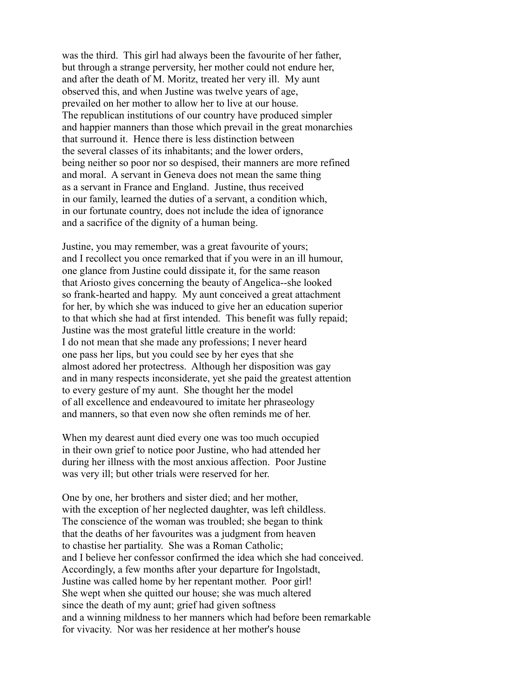was the third. This girl had always been the favourite of her father, but through a strange perversity, her mother could not endure her, and after the death of M. Moritz, treated her very ill. My aunt observed this, and when Justine was twelve years of age, prevailed on her mother to allow her to live at our house. The republican institutions of our country have produced simpler and happier manners than those which prevail in the great monarchies that surround it. Hence there is less distinction between the several classes of its inhabitants; and the lower orders, being neither so poor nor so despised, their manners are more refined and moral. A servant in Geneva does not mean the same thing as a servant in France and England. Justine, thus received in our family, learned the duties of a servant, a condition which, in our fortunate country, does not include the idea of ignorance and a sacrifice of the dignity of a human being.

 Justine, you may remember, was a great favourite of yours; and I recollect you once remarked that if you were in an ill humour, one glance from Justine could dissipate it, for the same reason that Ariosto gives concerning the beauty of Angelica--she looked so frank-hearted and happy. My aunt conceived a great attachment for her, by which she was induced to give her an education superior to that which she had at first intended. This benefit was fully repaid; Justine was the most grateful little creature in the world: I do not mean that she made any professions; I never heard one pass her lips, but you could see by her eyes that she almost adored her protectress. Although her disposition was gay and in many respects inconsiderate, yet she paid the greatest attention to every gesture of my aunt. She thought her the model of all excellence and endeavoured to imitate her phraseology and manners, so that even now she often reminds me of her.

 When my dearest aunt died every one was too much occupied in their own grief to notice poor Justine, who had attended her during her illness with the most anxious affection. Poor Justine was very ill; but other trials were reserved for her.

 One by one, her brothers and sister died; and her mother, with the exception of her neglected daughter, was left childless. The conscience of the woman was troubled; she began to think that the deaths of her favourites was a judgment from heaven to chastise her partiality. She was a Roman Catholic; and I believe her confessor confirmed the idea which she had conceived. Accordingly, a few months after your departure for Ingolstadt, Justine was called home by her repentant mother. Poor girl! She wept when she quitted our house; she was much altered since the death of my aunt; grief had given softness and a winning mildness to her manners which had before been remarkable for vivacity. Nor was her residence at her mother's house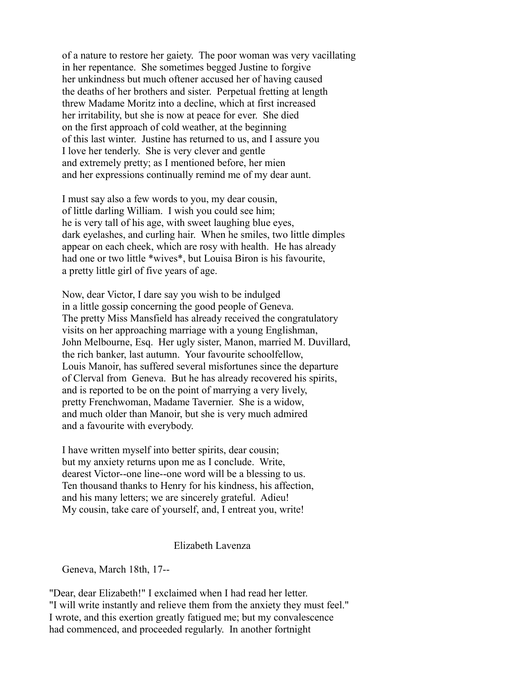of a nature to restore her gaiety. The poor woman was very vacillating in her repentance. She sometimes begged Justine to forgive her unkindness but much oftener accused her of having caused the deaths of her brothers and sister. Perpetual fretting at length threw Madame Moritz into a decline, which at first increased her irritability, but she is now at peace for ever. She died on the first approach of cold weather, at the beginning of this last winter. Justine has returned to us, and I assure you I love her tenderly. She is very clever and gentle and extremely pretty; as I mentioned before, her mien and her expressions continually remind me of my dear aunt.

 I must say also a few words to you, my dear cousin, of little darling William. I wish you could see him; he is very tall of his age, with sweet laughing blue eyes, dark eyelashes, and curling hair. When he smiles, two little dimples appear on each cheek, which are rosy with health. He has already had one or two little \*wives\*, but Louisa Biron is his favourite, a pretty little girl of five years of age.

 Now, dear Victor, I dare say you wish to be indulged in a little gossip concerning the good people of Geneva. The pretty Miss Mansfield has already received the congratulatory visits on her approaching marriage with a young Englishman, John Melbourne, Esq. Her ugly sister, Manon, married M. Duvillard, the rich banker, last autumn. Your favourite schoolfellow, Louis Manoir, has suffered several misfortunes since the departure of Clerval from Geneva. But he has already recovered his spirits, and is reported to be on the point of marrying a very lively, pretty Frenchwoman, Madame Tavernier. She is a widow, and much older than Manoir, but she is very much admired and a favourite with everybody.

 I have written myself into better spirits, dear cousin; but my anxiety returns upon me as I conclude. Write, dearest Victor--one line--one word will be a blessing to us. Ten thousand thanks to Henry for his kindness, his affection, and his many letters; we are sincerely grateful. Adieu! My cousin, take care of yourself, and, I entreat you, write!

## Elizabeth Lavenza

Geneva, March 18th, 17--

"Dear, dear Elizabeth!" I exclaimed when I had read her letter. "I will write instantly and relieve them from the anxiety they must feel." I wrote, and this exertion greatly fatigued me; but my convalescence had commenced, and proceeded regularly. In another fortnight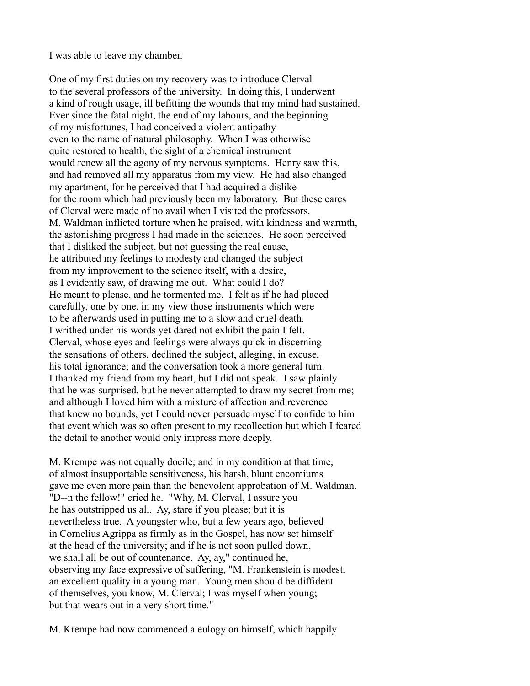I was able to leave my chamber.

One of my first duties on my recovery was to introduce Clerval to the several professors of the university. In doing this, I underwent a kind of rough usage, ill befitting the wounds that my mind had sustained. Ever since the fatal night, the end of my labours, and the beginning of my misfortunes, I had conceived a violent antipathy even to the name of natural philosophy. When I was otherwise quite restored to health, the sight of a chemical instrument would renew all the agony of my nervous symptoms. Henry saw this, and had removed all my apparatus from my view. He had also changed my apartment, for he perceived that I had acquired a dislike for the room which had previously been my laboratory. But these cares of Clerval were made of no avail when I visited the professors. M. Waldman inflicted torture when he praised, with kindness and warmth, the astonishing progress I had made in the sciences. He soon perceived that I disliked the subject, but not guessing the real cause, he attributed my feelings to modesty and changed the subject from my improvement to the science itself, with a desire, as I evidently saw, of drawing me out. What could I do? He meant to please, and he tormented me. I felt as if he had placed carefully, one by one, in my view those instruments which were to be afterwards used in putting me to a slow and cruel death. I writhed under his words yet dared not exhibit the pain I felt. Clerval, whose eyes and feelings were always quick in discerning the sensations of others, declined the subject, alleging, in excuse, his total ignorance; and the conversation took a more general turn. I thanked my friend from my heart, but I did not speak. I saw plainly that he was surprised, but he never attempted to draw my secret from me; and although I loved him with a mixture of affection and reverence that knew no bounds, yet I could never persuade myself to confide to him that event which was so often present to my recollection but which I feared the detail to another would only impress more deeply.

M. Krempe was not equally docile; and in my condition at that time, of almost insupportable sensitiveness, his harsh, blunt encomiums gave me even more pain than the benevolent approbation of M. Waldman. "D--n the fellow!" cried he. "Why, M. Clerval, I assure you he has outstripped us all. Ay, stare if you please; but it is nevertheless true. A youngster who, but a few years ago, believed in Cornelius Agrippa as firmly as in the Gospel, has now set himself at the head of the university; and if he is not soon pulled down, we shall all be out of countenance. Ay, ay," continued he, observing my face expressive of suffering, "M. Frankenstein is modest, an excellent quality in a young man. Young men should be diffident of themselves, you know, M. Clerval; I was myself when young; but that wears out in a very short time."

M. Krempe had now commenced a eulogy on himself, which happily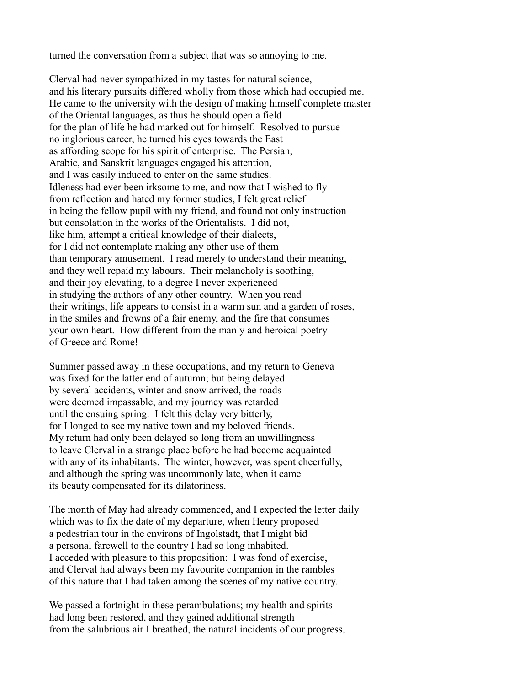turned the conversation from a subject that was so annoying to me.

Clerval had never sympathized in my tastes for natural science, and his literary pursuits differed wholly from those which had occupied me. He came to the university with the design of making himself complete master of the Oriental languages, as thus he should open a field for the plan of life he had marked out for himself. Resolved to pursue no inglorious career, he turned his eyes towards the East as affording scope for his spirit of enterprise. The Persian, Arabic, and Sanskrit languages engaged his attention, and I was easily induced to enter on the same studies. Idleness had ever been irksome to me, and now that I wished to fly from reflection and hated my former studies, I felt great relief in being the fellow pupil with my friend, and found not only instruction but consolation in the works of the Orientalists. I did not, like him, attempt a critical knowledge of their dialects, for I did not contemplate making any other use of them than temporary amusement. I read merely to understand their meaning, and they well repaid my labours. Their melancholy is soothing, and their joy elevating, to a degree I never experienced in studying the authors of any other country. When you read their writings, life appears to consist in a warm sun and a garden of roses, in the smiles and frowns of a fair enemy, and the fire that consumes your own heart. How different from the manly and heroical poetry of Greece and Rome!

Summer passed away in these occupations, and my return to Geneva was fixed for the latter end of autumn; but being delayed by several accidents, winter and snow arrived, the roads were deemed impassable, and my journey was retarded until the ensuing spring. I felt this delay very bitterly, for I longed to see my native town and my beloved friends. My return had only been delayed so long from an unwillingness to leave Clerval in a strange place before he had become acquainted with any of its inhabitants. The winter, however, was spent cheerfully, and although the spring was uncommonly late, when it came its beauty compensated for its dilatoriness.

The month of May had already commenced, and I expected the letter daily which was to fix the date of my departure, when Henry proposed a pedestrian tour in the environs of Ingolstadt, that I might bid a personal farewell to the country I had so long inhabited. I acceded with pleasure to this proposition: I was fond of exercise, and Clerval had always been my favourite companion in the rambles of this nature that I had taken among the scenes of my native country.

We passed a fortnight in these perambulations; my health and spirits had long been restored, and they gained additional strength from the salubrious air I breathed, the natural incidents of our progress,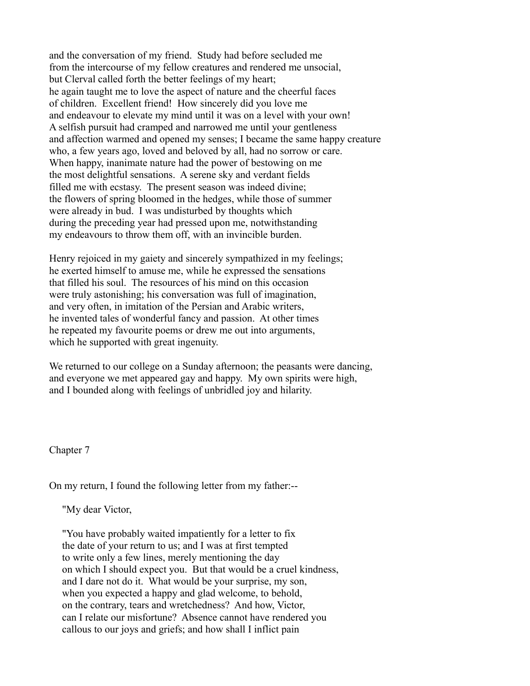and the conversation of my friend. Study had before secluded me from the intercourse of my fellow creatures and rendered me unsocial, but Clerval called forth the better feelings of my heart; he again taught me to love the aspect of nature and the cheerful faces of children. Excellent friend! How sincerely did you love me and endeavour to elevate my mind until it was on a level with your own! A selfish pursuit had cramped and narrowed me until your gentleness and affection warmed and opened my senses; I became the same happy creature who, a few years ago, loved and beloved by all, had no sorrow or care. When happy, inanimate nature had the power of bestowing on me the most delightful sensations. A serene sky and verdant fields filled me with ecstasy. The present season was indeed divine; the flowers of spring bloomed in the hedges, while those of summer were already in bud. I was undisturbed by thoughts which during the preceding year had pressed upon me, notwithstanding my endeavours to throw them off, with an invincible burden.

Henry rejoiced in my gaiety and sincerely sympathized in my feelings; he exerted himself to amuse me, while he expressed the sensations that filled his soul. The resources of his mind on this occasion were truly astonishing; his conversation was full of imagination, and very often, in imitation of the Persian and Arabic writers, he invented tales of wonderful fancy and passion. At other times he repeated my favourite poems or drew me out into arguments, which he supported with great ingenuity.

We returned to our college on a Sunday afternoon; the peasants were dancing, and everyone we met appeared gay and happy. My own spirits were high, and I bounded along with feelings of unbridled joy and hilarity.

Chapter 7

On my return, I found the following letter from my father:--

"My dear Victor,

 "You have probably waited impatiently for a letter to fix the date of your return to us; and I was at first tempted to write only a few lines, merely mentioning the day on which I should expect you. But that would be a cruel kindness, and I dare not do it. What would be your surprise, my son, when you expected a happy and glad welcome, to behold, on the contrary, tears and wretchedness? And how, Victor, can I relate our misfortune? Absence cannot have rendered you callous to our joys and griefs; and how shall I inflict pain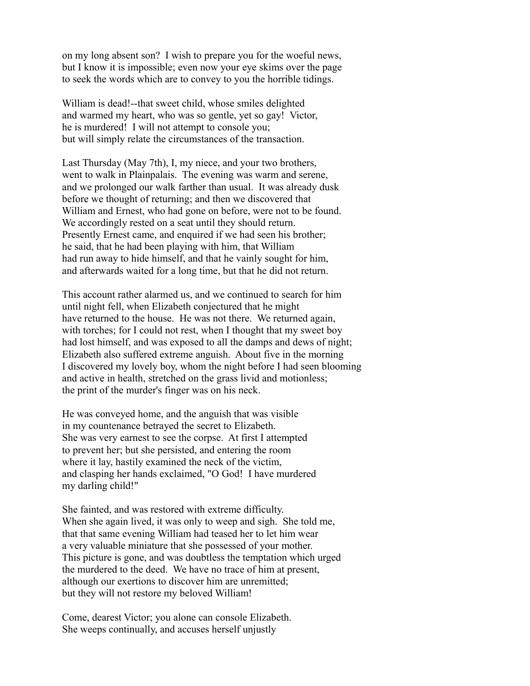on my long absent son? I wish to prepare you for the woeful news, but I know it is impossible; even now your eye skims over the page to seek the words which are to convey to you the horrible tidings.

 William is dead!--that sweet child, whose smiles delighted and warmed my heart, who was so gentle, yet so gay! Victor, he is murdered! I will not attempt to console you; but will simply relate the circumstances of the transaction.

 Last Thursday (May 7th), I, my niece, and your two brothers, went to walk in Plainpalais. The evening was warm and serene, and we prolonged our walk farther than usual. It was already dusk before we thought of returning; and then we discovered that William and Ernest, who had gone on before, were not to be found. We accordingly rested on a seat until they should return. Presently Ernest came, and enquired if we had seen his brother; he said, that he had been playing with him, that William had run away to hide himself, and that he vainly sought for him, and afterwards waited for a long time, but that he did not return.

 This account rather alarmed us, and we continued to search for him until night fell, when Elizabeth conjectured that he might have returned to the house. He was not there. We returned again, with torches; for I could not rest, when I thought that my sweet boy had lost himself, and was exposed to all the damps and dews of night; Elizabeth also suffered extreme anguish. About five in the morning I discovered my lovely boy, whom the night before I had seen blooming and active in health, stretched on the grass livid and motionless; the print of the murder's finger was on his neck.

 He was conveyed home, and the anguish that was visible in my countenance betrayed the secret to Elizabeth. She was very earnest to see the corpse. At first I attempted to prevent her; but she persisted, and entering the room where it lay, hastily examined the neck of the victim, and clasping her hands exclaimed, "O God! I have murdered my darling child!"

 She fainted, and was restored with extreme difficulty. When she again lived, it was only to weep and sigh. She told me, that that same evening William had teased her to let him wear a very valuable miniature that she possessed of your mother. This picture is gone, and was doubtless the temptation which urged the murdered to the deed. We have no trace of him at present, although our exertions to discover him are unremitted; but they will not restore my beloved William!

 Come, dearest Victor; you alone can console Elizabeth. She weeps continually, and accuses herself unjustly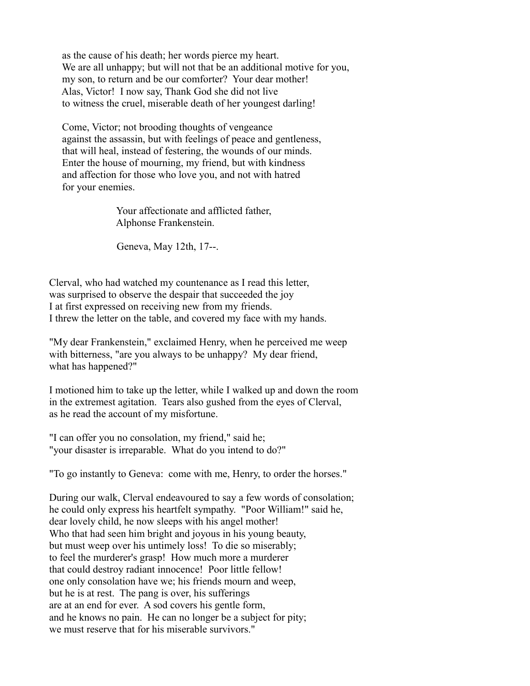as the cause of his death; her words pierce my heart. We are all unhappy; but will not that be an additional motive for you, my son, to return and be our comforter? Your dear mother! Alas, Victor! I now say, Thank God she did not live to witness the cruel, miserable death of her youngest darling!

 Come, Victor; not brooding thoughts of vengeance against the assassin, but with feelings of peace and gentleness, that will heal, instead of festering, the wounds of our minds. Enter the house of mourning, my friend, but with kindness and affection for those who love you, and not with hatred for your enemies.

> Your affectionate and afflicted father, Alphonse Frankenstein.

Geneva, May 12th, 17--.

Clerval, who had watched my countenance as I read this letter, was surprised to observe the despair that succeeded the joy I at first expressed on receiving new from my friends. I threw the letter on the table, and covered my face with my hands.

"My dear Frankenstein," exclaimed Henry, when he perceived me weep with bitterness, "are you always to be unhappy? My dear friend, what has happened?"

I motioned him to take up the letter, while I walked up and down the room in the extremest agitation. Tears also gushed from the eyes of Clerval, as he read the account of my misfortune.

"I can offer you no consolation, my friend," said he; "your disaster is irreparable. What do you intend to do?"

"To go instantly to Geneva: come with me, Henry, to order the horses."

During our walk, Clerval endeavoured to say a few words of consolation; he could only express his heartfelt sympathy. "Poor William!" said he, dear lovely child, he now sleeps with his angel mother! Who that had seen him bright and joyous in his young beauty, but must weep over his untimely loss! To die so miserably; to feel the murderer's grasp! How much more a murderer that could destroy radiant innocence! Poor little fellow! one only consolation have we; his friends mourn and weep, but he is at rest. The pang is over, his sufferings are at an end for ever. A sod covers his gentle form, and he knows no pain. He can no longer be a subject for pity; we must reserve that for his miserable survivors."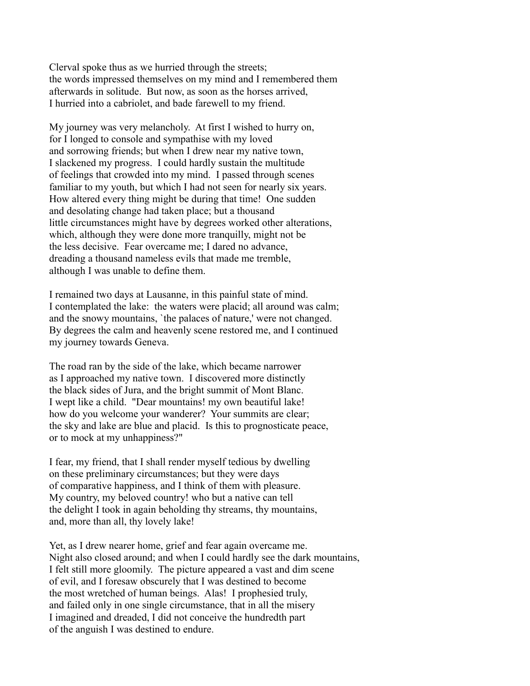Clerval spoke thus as we hurried through the streets; the words impressed themselves on my mind and I remembered them afterwards in solitude. But now, as soon as the horses arrived, I hurried into a cabriolet, and bade farewell to my friend.

My journey was very melancholy. At first I wished to hurry on, for I longed to console and sympathise with my loved and sorrowing friends; but when I drew near my native town, I slackened my progress. I could hardly sustain the multitude of feelings that crowded into my mind. I passed through scenes familiar to my youth, but which I had not seen for nearly six years. How altered every thing might be during that time! One sudden and desolating change had taken place; but a thousand little circumstances might have by degrees worked other alterations, which, although they were done more tranquilly, might not be the less decisive. Fear overcame me; I dared no advance, dreading a thousand nameless evils that made me tremble, although I was unable to define them.

I remained two days at Lausanne, in this painful state of mind. I contemplated the lake: the waters were placid; all around was calm; and the snowy mountains, `the palaces of nature,' were not changed. By degrees the calm and heavenly scene restored me, and I continued my journey towards Geneva.

The road ran by the side of the lake, which became narrower as I approached my native town. I discovered more distinctly the black sides of Jura, and the bright summit of Mont Blanc. I wept like a child. "Dear mountains! my own beautiful lake! how do you welcome your wanderer? Your summits are clear; the sky and lake are blue and placid. Is this to prognosticate peace, or to mock at my unhappiness?"

I fear, my friend, that I shall render myself tedious by dwelling on these preliminary circumstances; but they were days of comparative happiness, and I think of them with pleasure. My country, my beloved country! who but a native can tell the delight I took in again beholding thy streams, thy mountains, and, more than all, thy lovely lake!

Yet, as I drew nearer home, grief and fear again overcame me. Night also closed around; and when I could hardly see the dark mountains, I felt still more gloomily. The picture appeared a vast and dim scene of evil, and I foresaw obscurely that I was destined to become the most wretched of human beings. Alas! I prophesied truly, and failed only in one single circumstance, that in all the misery I imagined and dreaded, I did not conceive the hundredth part of the anguish I was destined to endure.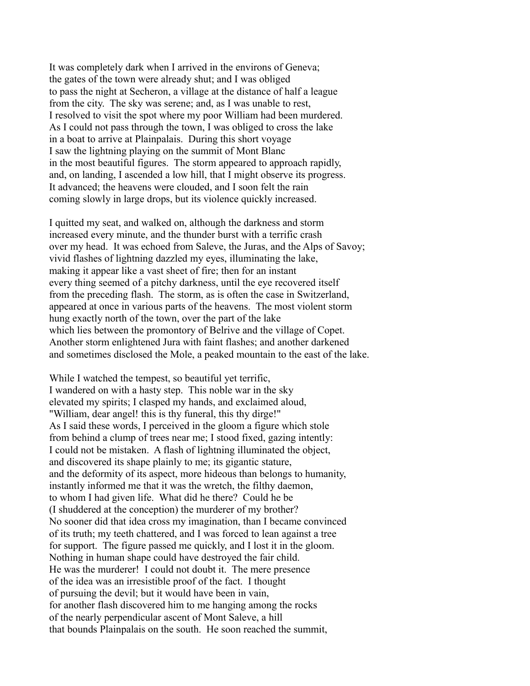It was completely dark when I arrived in the environs of Geneva; the gates of the town were already shut; and I was obliged to pass the night at Secheron, a village at the distance of half a league from the city. The sky was serene; and, as I was unable to rest, I resolved to visit the spot where my poor William had been murdered. As I could not pass through the town, I was obliged to cross the lake in a boat to arrive at Plainpalais. During this short voyage I saw the lightning playing on the summit of Mont Blanc in the most beautiful figures. The storm appeared to approach rapidly, and, on landing, I ascended a low hill, that I might observe its progress. It advanced; the heavens were clouded, and I soon felt the rain coming slowly in large drops, but its violence quickly increased.

I quitted my seat, and walked on, although the darkness and storm increased every minute, and the thunder burst with a terrific crash over my head. It was echoed from Saleve, the Juras, and the Alps of Savoy; vivid flashes of lightning dazzled my eyes, illuminating the lake, making it appear like a vast sheet of fire; then for an instant every thing seemed of a pitchy darkness, until the eye recovered itself from the preceding flash. The storm, as is often the case in Switzerland, appeared at once in various parts of the heavens. The most violent storm hung exactly north of the town, over the part of the lake which lies between the promontory of Belrive and the village of Copet. Another storm enlightened Jura with faint flashes; and another darkened and sometimes disclosed the Mole, a peaked mountain to the east of the lake.

While I watched the tempest, so beautiful yet terrific, I wandered on with a hasty step. This noble war in the sky elevated my spirits; I clasped my hands, and exclaimed aloud, "William, dear angel! this is thy funeral, this thy dirge!" As I said these words, I perceived in the gloom a figure which stole from behind a clump of trees near me; I stood fixed, gazing intently: I could not be mistaken. A flash of lightning illuminated the object, and discovered its shape plainly to me; its gigantic stature, and the deformity of its aspect, more hideous than belongs to humanity, instantly informed me that it was the wretch, the filthy daemon, to whom I had given life. What did he there? Could he be (I shuddered at the conception) the murderer of my brother? No sooner did that idea cross my imagination, than I became convinced of its truth; my teeth chattered, and I was forced to lean against a tree for support. The figure passed me quickly, and I lost it in the gloom. Nothing in human shape could have destroyed the fair child. He was the murderer! I could not doubt it. The mere presence of the idea was an irresistible proof of the fact. I thought of pursuing the devil; but it would have been in vain, for another flash discovered him to me hanging among the rocks of the nearly perpendicular ascent of Mont Saleve, a hill that bounds Plainpalais on the south. He soon reached the summit,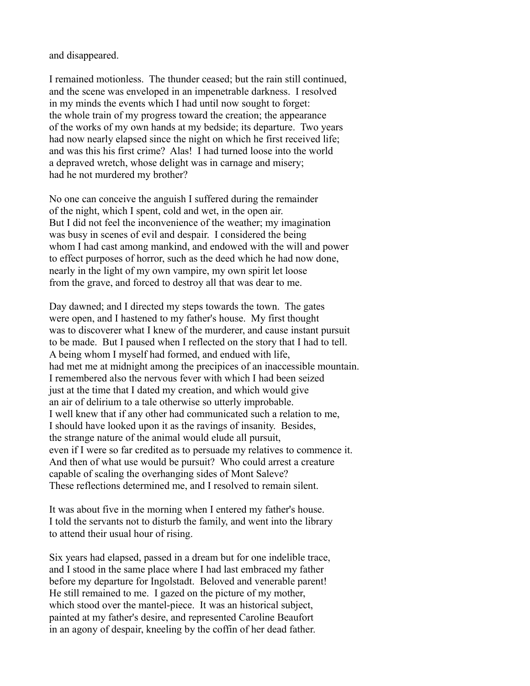and disappeared.

I remained motionless. The thunder ceased; but the rain still continued, and the scene was enveloped in an impenetrable darkness. I resolved in my minds the events which I had until now sought to forget: the whole train of my progress toward the creation; the appearance of the works of my own hands at my bedside; its departure. Two years had now nearly elapsed since the night on which he first received life; and was this his first crime? Alas! I had turned loose into the world a depraved wretch, whose delight was in carnage and misery; had he not murdered my brother?

No one can conceive the anguish I suffered during the remainder of the night, which I spent, cold and wet, in the open air. But I did not feel the inconvenience of the weather; my imagination was busy in scenes of evil and despair. I considered the being whom I had cast among mankind, and endowed with the will and power to effect purposes of horror, such as the deed which he had now done, nearly in the light of my own vampire, my own spirit let loose from the grave, and forced to destroy all that was dear to me.

Day dawned; and I directed my steps towards the town. The gates were open, and I hastened to my father's house. My first thought was to discoverer what I knew of the murderer, and cause instant pursuit to be made. But I paused when I reflected on the story that I had to tell. A being whom I myself had formed, and endued with life, had met me at midnight among the precipices of an inaccessible mountain. I remembered also the nervous fever with which I had been seized just at the time that I dated my creation, and which would give an air of delirium to a tale otherwise so utterly improbable. I well knew that if any other had communicated such a relation to me, I should have looked upon it as the ravings of insanity. Besides, the strange nature of the animal would elude all pursuit, even if I were so far credited as to persuade my relatives to commence it. And then of what use would be pursuit? Who could arrest a creature capable of scaling the overhanging sides of Mont Saleve? These reflections determined me, and I resolved to remain silent.

It was about five in the morning when I entered my father's house. I told the servants not to disturb the family, and went into the library to attend their usual hour of rising.

Six years had elapsed, passed in a dream but for one indelible trace, and I stood in the same place where I had last embraced my father before my departure for Ingolstadt. Beloved and venerable parent! He still remained to me. I gazed on the picture of my mother, which stood over the mantel-piece. It was an historical subject, painted at my father's desire, and represented Caroline Beaufort in an agony of despair, kneeling by the coffin of her dead father.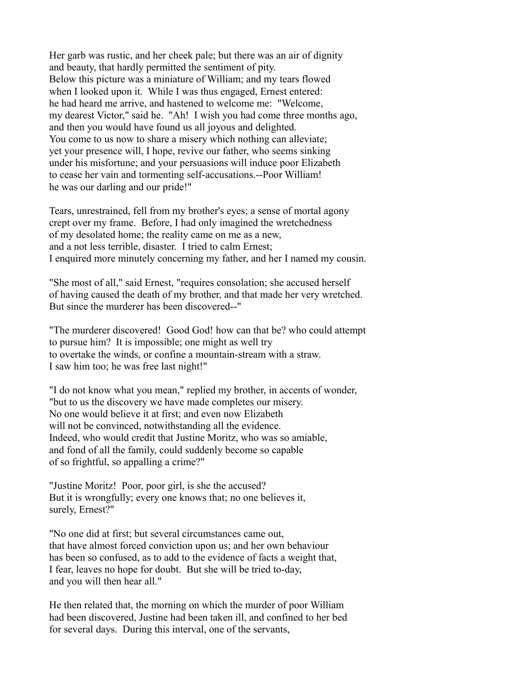Her garb was rustic, and her cheek pale; but there was an air of dignity and beauty, that hardly permitted the sentiment of pity. Below this picture was a miniature of William; and my tears flowed when I looked upon it. While I was thus engaged, Ernest entered: he had heard me arrive, and hastened to welcome me: "Welcome, my dearest Victor," said he. "Ah! I wish you had come three months ago, and then you would have found us all joyous and delighted. You come to us now to share a misery which nothing can alleviate; yet your presence will, I hope, revive our father, who seems sinking under his misfortune; and your persuasions will induce poor Elizabeth to cease her vain and tormenting self-accusations.--Poor William! he was our darling and our pride!"

Tears, unrestrained, fell from my brother's eyes; a sense of mortal agony crept over my frame. Before, I had only imagined the wretchedness of my desolated home; the reality came on me as a new, and a not less terrible, disaster. I tried to calm Ernest; I enquired more minutely concerning my father, and her I named my cousin.

"She most of all," said Ernest, "requires consolation; she accused herself of having caused the death of my brother, and that made her very wretched. But since the murderer has been discovered--"

"The murderer discovered! Good God! how can that be? who could attempt to pursue him? It is impossible; one might as well try to overtake the winds, or confine a mountain-stream with a straw. I saw him too; he was free last night!"

"I do not know what you mean," replied my brother, in accents of wonder, "but to us the discovery we have made completes our misery. No one would believe it at first; and even now Elizabeth will not be convinced, notwithstanding all the evidence. Indeed, who would credit that Justine Moritz, who was so amiable, and fond of all the family, could suddenly become so capable of so frightful, so appalling a crime?"

"Justine Moritz! Poor, poor girl, is she the accused? But it is wrongfully; every one knows that; no one believes it, surely, Ernest?"

"No one did at first; but several circumstances came out, that have almost forced conviction upon us; and her own behaviour has been so confused, as to add to the evidence of facts a weight that, I fear, leaves no hope for doubt. But she will be tried to-day, and you will then hear all."

He then related that, the morning on which the murder of poor William had been discovered, Justine had been taken ill, and confined to her bed for several days. During this interval, one of the servants,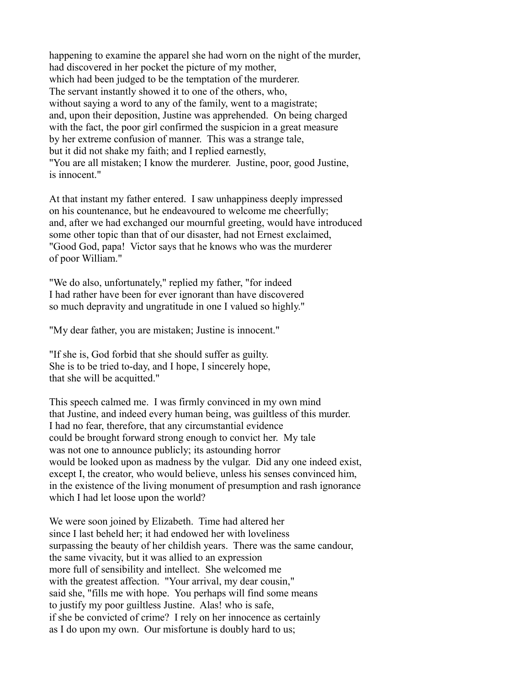happening to examine the apparel she had worn on the night of the murder, had discovered in her pocket the picture of my mother, which had been judged to be the temptation of the murderer. The servant instantly showed it to one of the others, who, without saying a word to any of the family, went to a magistrate; and, upon their deposition, Justine was apprehended. On being charged with the fact, the poor girl confirmed the suspicion in a great measure by her extreme confusion of manner. This was a strange tale, but it did not shake my faith; and I replied earnestly, "You are all mistaken; I know the murderer. Justine, poor, good Justine, is innocent."

At that instant my father entered. I saw unhappiness deeply impressed on his countenance, but he endeavoured to welcome me cheerfully; and, after we had exchanged our mournful greeting, would have introduced some other topic than that of our disaster, had not Ernest exclaimed, "Good God, papa! Victor says that he knows who was the murderer of poor William."

"We do also, unfortunately," replied my father, "for indeed I had rather have been for ever ignorant than have discovered so much depravity and ungratitude in one I valued so highly."

"My dear father, you are mistaken; Justine is innocent."

"If she is, God forbid that she should suffer as guilty. She is to be tried to-day, and I hope, I sincerely hope, that she will be acquitted."

This speech calmed me. I was firmly convinced in my own mind that Justine, and indeed every human being, was guiltless of this murder. I had no fear, therefore, that any circumstantial evidence could be brought forward strong enough to convict her. My tale was not one to announce publicly; its astounding horror would be looked upon as madness by the vulgar. Did any one indeed exist, except I, the creator, who would believe, unless his senses convinced him, in the existence of the living monument of presumption and rash ignorance which I had let loose upon the world?

We were soon joined by Elizabeth. Time had altered her since I last beheld her; it had endowed her with loveliness surpassing the beauty of her childish years. There was the same candour, the same vivacity, but it was allied to an expression more full of sensibility and intellect. She welcomed me with the greatest affection. "Your arrival, my dear cousin," said she, "fills me with hope. You perhaps will find some means to justify my poor guiltless Justine. Alas! who is safe, if she be convicted of crime? I rely on her innocence as certainly as I do upon my own. Our misfortune is doubly hard to us;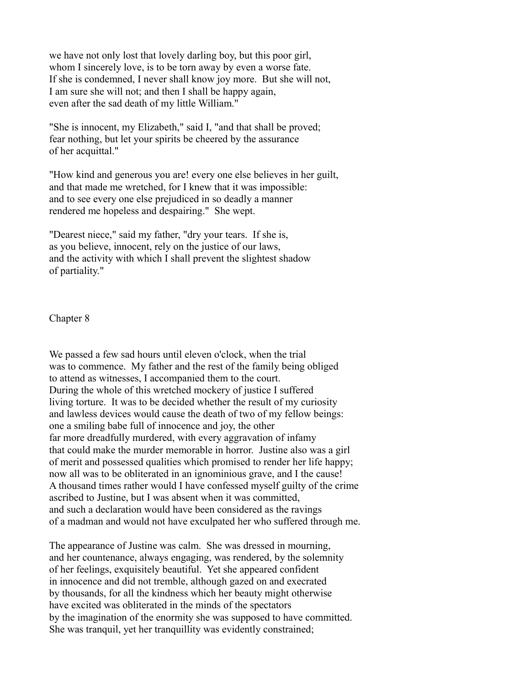we have not only lost that lovely darling boy, but this poor girl, whom I sincerely love, is to be torn away by even a worse fate. If she is condemned, I never shall know joy more. But she will not, I am sure she will not; and then I shall be happy again, even after the sad death of my little William."

"She is innocent, my Elizabeth," said I, "and that shall be proved; fear nothing, but let your spirits be cheered by the assurance of her acquittal."

"How kind and generous you are! every one else believes in her guilt, and that made me wretched, for I knew that it was impossible: and to see every one else prejudiced in so deadly a manner rendered me hopeless and despairing." She wept.

"Dearest niece," said my father, "dry your tears. If she is, as you believe, innocent, rely on the justice of our laws, and the activity with which I shall prevent the slightest shadow of partiality."

Chapter 8

We passed a few sad hours until eleven o'clock, when the trial was to commence. My father and the rest of the family being obliged to attend as witnesses, I accompanied them to the court. During the whole of this wretched mockery of justice I suffered living torture. It was to be decided whether the result of my curiosity and lawless devices would cause the death of two of my fellow beings: one a smiling babe full of innocence and joy, the other far more dreadfully murdered, with every aggravation of infamy that could make the murder memorable in horror. Justine also was a girl of merit and possessed qualities which promised to render her life happy; now all was to be obliterated in an ignominious grave, and I the cause! A thousand times rather would I have confessed myself guilty of the crime ascribed to Justine, but I was absent when it was committed, and such a declaration would have been considered as the ravings of a madman and would not have exculpated her who suffered through me.

The appearance of Justine was calm. She was dressed in mourning, and her countenance, always engaging, was rendered, by the solemnity of her feelings, exquisitely beautiful. Yet she appeared confident in innocence and did not tremble, although gazed on and execrated by thousands, for all the kindness which her beauty might otherwise have excited was obliterated in the minds of the spectators by the imagination of the enormity she was supposed to have committed. She was tranquil, yet her tranquillity was evidently constrained;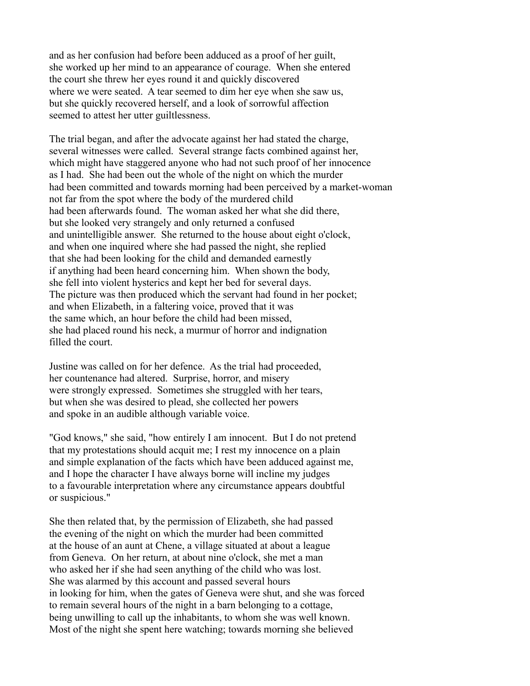and as her confusion had before been adduced as a proof of her guilt, she worked up her mind to an appearance of courage. When she entered the court she threw her eyes round it and quickly discovered where we were seated. A tear seemed to dim her eye when she saw us, but she quickly recovered herself, and a look of sorrowful affection seemed to attest her utter guiltlessness.

The trial began, and after the advocate against her had stated the charge, several witnesses were called. Several strange facts combined against her, which might have staggered anyone who had not such proof of her innocence as I had. She had been out the whole of the night on which the murder had been committed and towards morning had been perceived by a market-woman not far from the spot where the body of the murdered child had been afterwards found. The woman asked her what she did there, but she looked very strangely and only returned a confused and unintelligible answer. She returned to the house about eight o'clock, and when one inquired where she had passed the night, she replied that she had been looking for the child and demanded earnestly if anything had been heard concerning him. When shown the body, she fell into violent hysterics and kept her bed for several days. The picture was then produced which the servant had found in her pocket; and when Elizabeth, in a faltering voice, proved that it was the same which, an hour before the child had been missed, she had placed round his neck, a murmur of horror and indignation filled the court.

Justine was called on for her defence. As the trial had proceeded, her countenance had altered. Surprise, horror, and misery were strongly expressed. Sometimes she struggled with her tears, but when she was desired to plead, she collected her powers and spoke in an audible although variable voice.

"God knows," she said, "how entirely I am innocent. But I do not pretend that my protestations should acquit me; I rest my innocence on a plain and simple explanation of the facts which have been adduced against me, and I hope the character I have always borne will incline my judges to a favourable interpretation where any circumstance appears doubtful or suspicious."

She then related that, by the permission of Elizabeth, she had passed the evening of the night on which the murder had been committed at the house of an aunt at Chene, a village situated at about a league from Geneva. On her return, at about nine o'clock, she met a man who asked her if she had seen anything of the child who was lost. She was alarmed by this account and passed several hours in looking for him, when the gates of Geneva were shut, and she was forced to remain several hours of the night in a barn belonging to a cottage, being unwilling to call up the inhabitants, to whom she was well known. Most of the night she spent here watching; towards morning she believed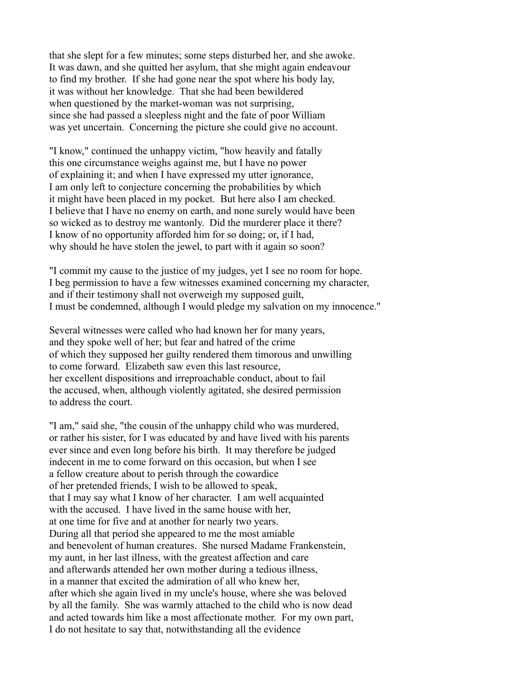that she slept for a few minutes; some steps disturbed her, and she awoke. It was dawn, and she quitted her asylum, that she might again endeavour to find my brother. If she had gone near the spot where his body lay, it was without her knowledge. That she had been bewildered when questioned by the market-woman was not surprising, since she had passed a sleepless night and the fate of poor William was yet uncertain. Concerning the picture she could give no account.

"I know," continued the unhappy victim, "how heavily and fatally this one circumstance weighs against me, but I have no power of explaining it; and when I have expressed my utter ignorance, I am only left to conjecture concerning the probabilities by which it might have been placed in my pocket. But here also I am checked. I believe that I have no enemy on earth, and none surely would have been so wicked as to destroy me wantonly. Did the murderer place it there? I know of no opportunity afforded him for so doing; or, if I had, why should he have stolen the jewel, to part with it again so soon?

"I commit my cause to the justice of my judges, yet I see no room for hope. I beg permission to have a few witnesses examined concerning my character, and if their testimony shall not overweigh my supposed guilt, I must be condemned, although I would pledge my salvation on my innocence."

Several witnesses were called who had known her for many years, and they spoke well of her; but fear and hatred of the crime of which they supposed her guilty rendered them timorous and unwilling to come forward. Elizabeth saw even this last resource, her excellent dispositions and irreproachable conduct, about to fail the accused, when, although violently agitated, she desired permission to address the court.

"I am," said she, "the cousin of the unhappy child who was murdered, or rather his sister, for I was educated by and have lived with his parents ever since and even long before his birth. It may therefore be judged indecent in me to come forward on this occasion, but when I see a fellow creature about to perish through the cowardice of her pretended friends, I wish to be allowed to speak, that I may say what I know of her character. I am well acquainted with the accused. I have lived in the same house with her, at one time for five and at another for nearly two years. During all that period she appeared to me the most amiable and benevolent of human creatures. She nursed Madame Frankenstein, my aunt, in her last illness, with the greatest affection and care and afterwards attended her own mother during a tedious illness, in a manner that excited the admiration of all who knew her, after which she again lived in my uncle's house, where she was beloved by all the family. She was warmly attached to the child who is now dead and acted towards him like a most affectionate mother. For my own part, I do not hesitate to say that, notwithstanding all the evidence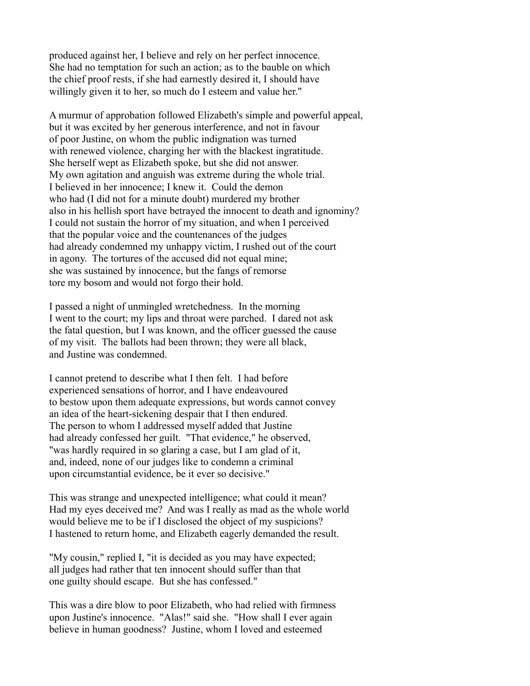produced against her, I believe and rely on her perfect innocence. She had no temptation for such an action; as to the bauble on which the chief proof rests, if she had earnestly desired it, I should have willingly given it to her, so much do I esteem and value her."

A murmur of approbation followed Elizabeth's simple and powerful appeal, but it was excited by her generous interference, and not in favour of poor Justine, on whom the public indignation was turned with renewed violence, charging her with the blackest ingratitude. She herself wept as Elizabeth spoke, but she did not answer. My own agitation and anguish was extreme during the whole trial. I believed in her innocence; I knew it. Could the demon who had (I did not for a minute doubt) murdered my brother also in his hellish sport have betrayed the innocent to death and ignominy? I could not sustain the horror of my situation, and when I perceived that the popular voice and the countenances of the judges had already condemned my unhappy victim, I rushed out of the court in agony. The tortures of the accused did not equal mine; she was sustained by innocence, but the fangs of remorse tore my bosom and would not forgo their hold.

I passed a night of unmingled wretchedness. In the morning I went to the court; my lips and throat were parched. I dared not ask the fatal question, but I was known, and the officer guessed the cause of my visit. The ballots had been thrown; they were all black, and Justine was condemned.

I cannot pretend to describe what I then felt. I had before experienced sensations of horror, and I have endeavoured to bestow upon them adequate expressions, but words cannot convey an idea of the heart-sickening despair that I then endured. The person to whom I addressed myself added that Justine had already confessed her guilt. "That evidence," he observed, "was hardly required in so glaring a case, but I am glad of it, and, indeed, none of our judges like to condemn a criminal upon circumstantial evidence, be it ever so decisive."

This was strange and unexpected intelligence; what could it mean? Had my eyes deceived me? And was I really as mad as the whole world would believe me to be if I disclosed the object of my suspicions? I hastened to return home, and Elizabeth eagerly demanded the result.

"My cousin," replied I, "it is decided as you may have expected; all judges had rather that ten innocent should suffer than that one guilty should escape. But she has confessed."

This was a dire blow to poor Elizabeth, who had relied with firmness upon Justine's innocence. "Alas!" said she. "How shall I ever again believe in human goodness? Justine, whom I loved and esteemed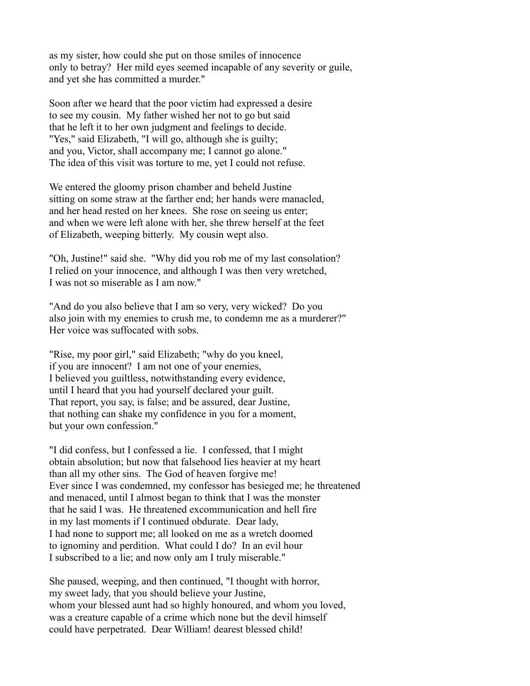as my sister, how could she put on those smiles of innocence only to betray? Her mild eyes seemed incapable of any severity or guile, and yet she has committed a murder."

Soon after we heard that the poor victim had expressed a desire to see my cousin. My father wished her not to go but said that he left it to her own judgment and feelings to decide. "Yes," said Elizabeth, "I will go, although she is guilty; and you, Victor, shall accompany me; I cannot go alone." The idea of this visit was torture to me, yet I could not refuse.

We entered the gloomy prison chamber and beheld Justine sitting on some straw at the farther end; her hands were manacled, and her head rested on her knees. She rose on seeing us enter; and when we were left alone with her, she threw herself at the feet of Elizabeth, weeping bitterly. My cousin wept also.

"Oh, Justine!" said she. "Why did you rob me of my last consolation? I relied on your innocence, and although I was then very wretched, I was not so miserable as I am now."

"And do you also believe that I am so very, very wicked? Do you also join with my enemies to crush me, to condemn me as a murderer?" Her voice was suffocated with sobs.

"Rise, my poor girl," said Elizabeth; "why do you kneel, if you are innocent? I am not one of your enemies, I believed you guiltless, notwithstanding every evidence, until I heard that you had yourself declared your guilt. That report, you say, is false; and be assured, dear Justine, that nothing can shake my confidence in you for a moment, but your own confession."

"I did confess, but I confessed a lie. I confessed, that I might obtain absolution; but now that falsehood lies heavier at my heart than all my other sins. The God of heaven forgive me! Ever since I was condemned, my confessor has besieged me; he threatened and menaced, until I almost began to think that I was the monster that he said I was. He threatened excommunication and hell fire in my last moments if I continued obdurate. Dear lady, I had none to support me; all looked on me as a wretch doomed to ignominy and perdition. What could I do? In an evil hour I subscribed to a lie; and now only am I truly miserable."

She paused, weeping, and then continued, "I thought with horror, my sweet lady, that you should believe your Justine, whom your blessed aunt had so highly honoured, and whom you loved, was a creature capable of a crime which none but the devil himself could have perpetrated. Dear William! dearest blessed child!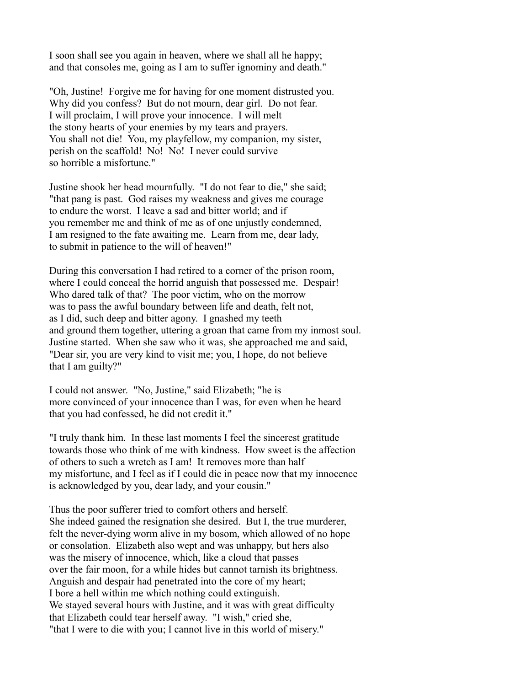I soon shall see you again in heaven, where we shall all he happy; and that consoles me, going as I am to suffer ignominy and death."

"Oh, Justine! Forgive me for having for one moment distrusted you. Why did you confess? But do not mourn, dear girl. Do not fear. I will proclaim, I will prove your innocence. I will melt the stony hearts of your enemies by my tears and prayers. You shall not die! You, my playfellow, my companion, my sister, perish on the scaffold! No! No! I never could survive so horrible a misfortune."

Justine shook her head mournfully. "I do not fear to die," she said; "that pang is past. God raises my weakness and gives me courage to endure the worst. I leave a sad and bitter world; and if you remember me and think of me as of one unjustly condemned, I am resigned to the fate awaiting me. Learn from me, dear lady, to submit in patience to the will of heaven!"

During this conversation I had retired to a corner of the prison room, where I could conceal the horrid anguish that possessed me. Despair! Who dared talk of that? The poor victim, who on the morrow was to pass the awful boundary between life and death, felt not, as I did, such deep and bitter agony. I gnashed my teeth and ground them together, uttering a groan that came from my inmost soul. Justine started. When she saw who it was, she approached me and said, "Dear sir, you are very kind to visit me; you, I hope, do not believe that I am guilty?"

I could not answer. "No, Justine," said Elizabeth; "he is more convinced of your innocence than I was, for even when he heard that you had confessed, he did not credit it."

"I truly thank him. In these last moments I feel the sincerest gratitude towards those who think of me with kindness. How sweet is the affection of others to such a wretch as I am! It removes more than half my misfortune, and I feel as if I could die in peace now that my innocence is acknowledged by you, dear lady, and your cousin."

Thus the poor sufferer tried to comfort others and herself. She indeed gained the resignation she desired. But I, the true murderer, felt the never-dying worm alive in my bosom, which allowed of no hope or consolation. Elizabeth also wept and was unhappy, but hers also was the misery of innocence, which, like a cloud that passes over the fair moon, for a while hides but cannot tarnish its brightness. Anguish and despair had penetrated into the core of my heart; I bore a hell within me which nothing could extinguish. We stayed several hours with Justine, and it was with great difficulty that Elizabeth could tear herself away. "I wish," cried she, "that I were to die with you; I cannot live in this world of misery."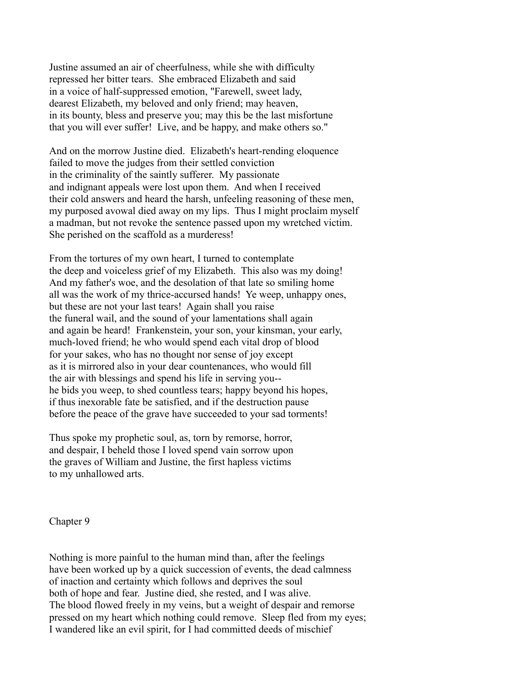Justine assumed an air of cheerfulness, while she with difficulty repressed her bitter tears. She embraced Elizabeth and said in a voice of half-suppressed emotion, "Farewell, sweet lady, dearest Elizabeth, my beloved and only friend; may heaven, in its bounty, bless and preserve you; may this be the last misfortune that you will ever suffer! Live, and be happy, and make others so."

And on the morrow Justine died. Elizabeth's heart-rending eloquence failed to move the judges from their settled conviction in the criminality of the saintly sufferer. My passionate and indignant appeals were lost upon them. And when I received their cold answers and heard the harsh, unfeeling reasoning of these men, my purposed avowal died away on my lips. Thus I might proclaim myself a madman, but not revoke the sentence passed upon my wretched victim. She perished on the scaffold as a murderess!

From the tortures of my own heart, I turned to contemplate the deep and voiceless grief of my Elizabeth. This also was my doing! And my father's woe, and the desolation of that late so smiling home all was the work of my thrice-accursed hands! Ye weep, unhappy ones, but these are not your last tears! Again shall you raise the funeral wail, and the sound of your lamentations shall again and again be heard! Frankenstein, your son, your kinsman, your early, much-loved friend; he who would spend each vital drop of blood for your sakes, who has no thought nor sense of joy except as it is mirrored also in your dear countenances, who would fill the air with blessings and spend his life in serving you- he bids you weep, to shed countless tears; happy beyond his hopes, if thus inexorable fate be satisfied, and if the destruction pause before the peace of the grave have succeeded to your sad torments!

Thus spoke my prophetic soul, as, torn by remorse, horror, and despair, I beheld those I loved spend vain sorrow upon the graves of William and Justine, the first hapless victims to my unhallowed arts.

Chapter 9

Nothing is more painful to the human mind than, after the feelings have been worked up by a quick succession of events, the dead calmness of inaction and certainty which follows and deprives the soul both of hope and fear. Justine died, she rested, and I was alive. The blood flowed freely in my veins, but a weight of despair and remorse pressed on my heart which nothing could remove. Sleep fled from my eyes; I wandered like an evil spirit, for I had committed deeds of mischief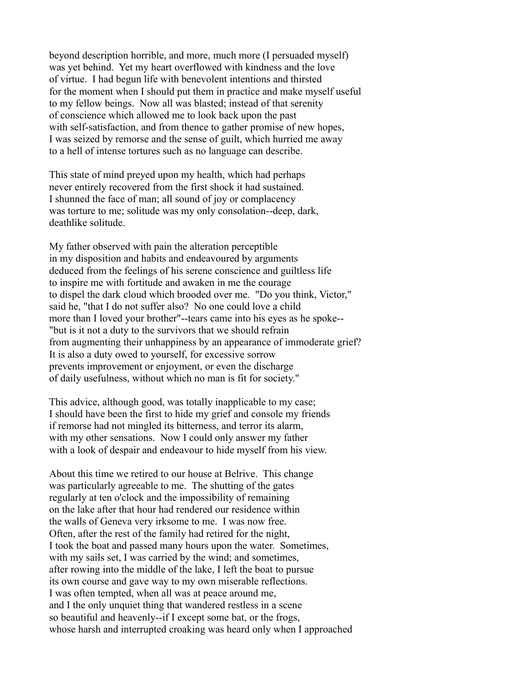beyond description horrible, and more, much more (I persuaded myself) was yet behind. Yet my heart overflowed with kindness and the love of virtue. I had begun life with benevolent intentions and thirsted for the moment when I should put them in practice and make myself useful to my fellow beings. Now all was blasted; instead of that serenity of conscience which allowed me to look back upon the past with self-satisfaction, and from thence to gather promise of new hopes, I was seized by remorse and the sense of guilt, which hurried me away to a hell of intense tortures such as no language can describe.

This state of mind preyed upon my health, which had perhaps never entirely recovered from the first shock it had sustained. I shunned the face of man; all sound of joy or complacency was torture to me; solitude was my only consolation--deep, dark, deathlike solitude.

My father observed with pain the alteration perceptible in my disposition and habits and endeavoured by arguments deduced from the feelings of his serene conscience and guiltless life to inspire me with fortitude and awaken in me the courage to dispel the dark cloud which brooded over me. "Do you think, Victor," said he, "that I do not suffer also? No one could love a child more than I loved your brother"--tears came into his eyes as he spoke-- "but is it not a duty to the survivors that we should refrain from augmenting their unhappiness by an appearance of immoderate grief? It is also a duty owed to yourself, for excessive sorrow prevents improvement or enjoyment, or even the discharge of daily usefulness, without which no man is fit for society."

This advice, although good, was totally inapplicable to my case; I should have been the first to hide my grief and console my friends if remorse had not mingled its bitterness, and terror its alarm, with my other sensations. Now I could only answer my father with a look of despair and endeavour to hide myself from his view.

About this time we retired to our house at Belrive. This change was particularly agreeable to me. The shutting of the gates regularly at ten o'clock and the impossibility of remaining on the lake after that hour had rendered our residence within the walls of Geneva very irksome to me. I was now free. Often, after the rest of the family had retired for the night, I took the boat and passed many hours upon the water. Sometimes, with my sails set, I was carried by the wind; and sometimes, after rowing into the middle of the lake, I left the boat to pursue its own course and gave way to my own miserable reflections. I was often tempted, when all was at peace around me, and I the only unquiet thing that wandered restless in a scene so beautiful and heavenly--if I except some bat, or the frogs, whose harsh and interrupted croaking was heard only when I approached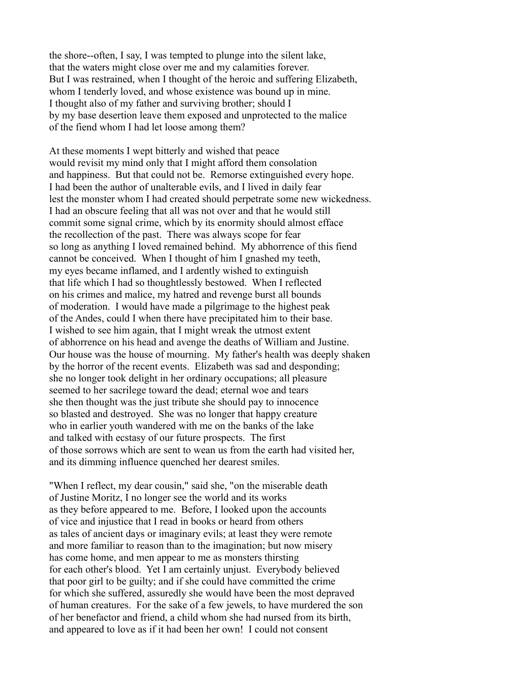the shore--often, I say, I was tempted to plunge into the silent lake, that the waters might close over me and my calamities forever. But I was restrained, when I thought of the heroic and suffering Elizabeth, whom I tenderly loved, and whose existence was bound up in mine. I thought also of my father and surviving brother; should I by my base desertion leave them exposed and unprotected to the malice of the fiend whom I had let loose among them?

At these moments I wept bitterly and wished that peace would revisit my mind only that I might afford them consolation and happiness. But that could not be. Remorse extinguished every hope. I had been the author of unalterable evils, and I lived in daily fear lest the monster whom I had created should perpetrate some new wickedness. I had an obscure feeling that all was not over and that he would still commit some signal crime, which by its enormity should almost efface the recollection of the past. There was always scope for fear so long as anything I loved remained behind. My abhorrence of this fiend cannot be conceived. When I thought of him I gnashed my teeth, my eyes became inflamed, and I ardently wished to extinguish that life which I had so thoughtlessly bestowed. When I reflected on his crimes and malice, my hatred and revenge burst all bounds of moderation. I would have made a pilgrimage to the highest peak of the Andes, could I when there have precipitated him to their base. I wished to see him again, that I might wreak the utmost extent of abhorrence on his head and avenge the deaths of William and Justine. Our house was the house of mourning. My father's health was deeply shaken by the horror of the recent events. Elizabeth was sad and desponding; she no longer took delight in her ordinary occupations; all pleasure seemed to her sacrilege toward the dead; eternal woe and tears she then thought was the just tribute she should pay to innocence so blasted and destroyed. She was no longer that happy creature who in earlier youth wandered with me on the banks of the lake and talked with ecstasy of our future prospects. The first of those sorrows which are sent to wean us from the earth had visited her, and its dimming influence quenched her dearest smiles.

"When I reflect, my dear cousin," said she, "on the miserable death of Justine Moritz, I no longer see the world and its works as they before appeared to me. Before, I looked upon the accounts of vice and injustice that I read in books or heard from others as tales of ancient days or imaginary evils; at least they were remote and more familiar to reason than to the imagination; but now misery has come home, and men appear to me as monsters thirsting for each other's blood. Yet I am certainly unjust. Everybody believed that poor girl to be guilty; and if she could have committed the crime for which she suffered, assuredly she would have been the most depraved of human creatures. For the sake of a few jewels, to have murdered the son of her benefactor and friend, a child whom she had nursed from its birth, and appeared to love as if it had been her own! I could not consent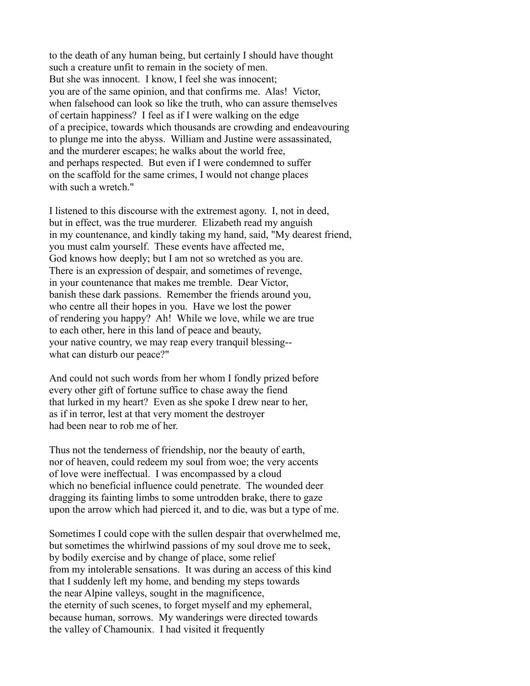to the death of any human being, but certainly I should have thought such a creature unfit to remain in the society of men. But she was innocent. I know, I feel she was innocent; you are of the same opinion, and that confirms me. Alas! Victor, when falsehood can look so like the truth, who can assure themselves of certain happiness? I feel as if I were walking on the edge of a precipice, towards which thousands are crowding and endeavouring to plunge me into the abyss. William and Justine were assassinated, and the murderer escapes; he walks about the world free, and perhaps respected. But even if I were condemned to suffer on the scaffold for the same crimes, I would not change places with such a wretch."

I listened to this discourse with the extremest agony. I, not in deed, but in effect, was the true murderer. Elizabeth read my anguish in my countenance, and kindly taking my hand, said, "My dearest friend, you must calm yourself. These events have affected me, God knows how deeply; but I am not so wretched as you are. There is an expression of despair, and sometimes of revenge, in your countenance that makes me tremble. Dear Victor, banish these dark passions. Remember the friends around you, who centre all their hopes in you. Have we lost the power of rendering you happy? Ah! While we love, while we are true to each other, here in this land of peace and beauty, your native country, we may reap every tranquil blessing- what can disturb our peace?"

And could not such words from her whom I fondly prized before every other gift of fortune suffice to chase away the fiend that lurked in my heart? Even as she spoke I drew near to her, as if in terror, lest at that very moment the destroyer had been near to rob me of her.

Thus not the tenderness of friendship, nor the beauty of earth, nor of heaven, could redeem my soul from woe; the very accents of love were ineffectual. I was encompassed by a cloud which no beneficial influence could penetrate. The wounded deer dragging its fainting limbs to some untrodden brake, there to gaze upon the arrow which had pierced it, and to die, was but a type of me.

Sometimes I could cope with the sullen despair that overwhelmed me, but sometimes the whirlwind passions of my soul drove me to seek, by bodily exercise and by change of place, some relief from my intolerable sensations. It was during an access of this kind that I suddenly left my home, and bending my steps towards the near Alpine valleys, sought in the magnificence, the eternity of such scenes, to forget myself and my ephemeral, because human, sorrows. My wanderings were directed towards the valley of Chamounix. I had visited it frequently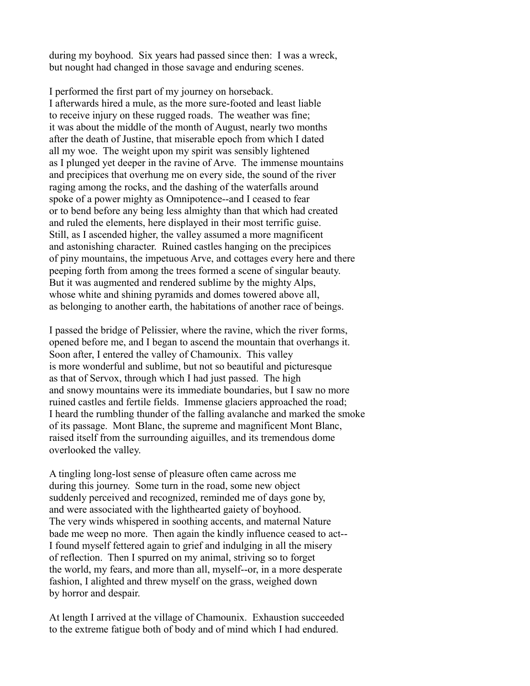during my boyhood. Six years had passed since then: I was a wreck, but nought had changed in those savage and enduring scenes.

I performed the first part of my journey on horseback. I afterwards hired a mule, as the more sure-footed and least liable to receive injury on these rugged roads. The weather was fine; it was about the middle of the month of August, nearly two months after the death of Justine, that miserable epoch from which I dated all my woe. The weight upon my spirit was sensibly lightened as I plunged yet deeper in the ravine of Arve. The immense mountains and precipices that overhung me on every side, the sound of the river raging among the rocks, and the dashing of the waterfalls around spoke of a power mighty as Omnipotence--and I ceased to fear or to bend before any being less almighty than that which had created and ruled the elements, here displayed in their most terrific guise. Still, as I ascended higher, the valley assumed a more magnificent and astonishing character. Ruined castles hanging on the precipices of piny mountains, the impetuous Arve, and cottages every here and there peeping forth from among the trees formed a scene of singular beauty. But it was augmented and rendered sublime by the mighty Alps, whose white and shining pyramids and domes towered above all, as belonging to another earth, the habitations of another race of beings.

I passed the bridge of Pelissier, where the ravine, which the river forms, opened before me, and I began to ascend the mountain that overhangs it. Soon after, I entered the valley of Chamounix. This valley is more wonderful and sublime, but not so beautiful and picturesque as that of Servox, through which I had just passed. The high and snowy mountains were its immediate boundaries, but I saw no more ruined castles and fertile fields. Immense glaciers approached the road; I heard the rumbling thunder of the falling avalanche and marked the smoke of its passage. Mont Blanc, the supreme and magnificent Mont Blanc, raised itself from the surrounding aiguilles, and its tremendous dome overlooked the valley.

A tingling long-lost sense of pleasure often came across me during this journey. Some turn in the road, some new object suddenly perceived and recognized, reminded me of days gone by, and were associated with the lighthearted gaiety of boyhood. The very winds whispered in soothing accents, and maternal Nature bade me weep no more. Then again the kindly influence ceased to act-- I found myself fettered again to grief and indulging in all the misery of reflection. Then I spurred on my animal, striving so to forget the world, my fears, and more than all, myself--or, in a more desperate fashion, I alighted and threw myself on the grass, weighed down by horror and despair.

At length I arrived at the village of Chamounix. Exhaustion succeeded to the extreme fatigue both of body and of mind which I had endured.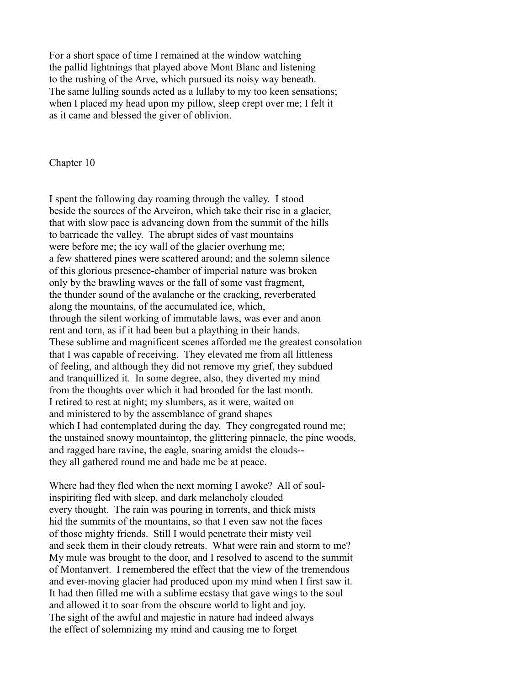For a short space of time I remained at the window watching the pallid lightnings that played above Mont Blanc and listening to the rushing of the Arve, which pursued its noisy way beneath. The same lulling sounds acted as a lullaby to my too keen sensations; when I placed my head upon my pillow, sleep crept over me; I felt it as it came and blessed the giver of oblivion.

Chapter 10

I spent the following day roaming through the valley. I stood beside the sources of the Arveiron, which take their rise in a glacier, that with slow pace is advancing down from the summit of the hills to barricade the valley. The abrupt sides of vast mountains were before me; the icy wall of the glacier overhung me; a few shattered pines were scattered around; and the solemn silence of this glorious presence-chamber of imperial nature was broken only by the brawling waves or the fall of some vast fragment, the thunder sound of the avalanche or the cracking, reverberated along the mountains, of the accumulated ice, which, through the silent working of immutable laws, was ever and anon rent and torn, as if it had been but a plaything in their hands. These sublime and magnificent scenes afforded me the greatest consolation that I was capable of receiving. They elevated me from all littleness of feeling, and although they did not remove my grief, they subdued and tranquillized it. In some degree, also, they diverted my mind from the thoughts over which it had brooded for the last month. I retired to rest at night; my slumbers, as it were, waited on and ministered to by the assemblance of grand shapes which I had contemplated during the day. They congregated round me; the unstained snowy mountaintop, the glittering pinnacle, the pine woods, and ragged bare ravine, the eagle, soaring amidst the clouds- they all gathered round me and bade me be at peace.

Where had they fled when the next morning I awoke? All of soulinspiriting fled with sleep, and dark melancholy clouded every thought. The rain was pouring in torrents, and thick mists hid the summits of the mountains, so that I even saw not the faces of those mighty friends. Still I would penetrate their misty veil and seek them in their cloudy retreats. What were rain and storm to me? My mule was brought to the door, and I resolved to ascend to the summit of Montanvert. I remembered the effect that the view of the tremendous and ever-moving glacier had produced upon my mind when I first saw it. It had then filled me with a sublime ecstasy that gave wings to the soul and allowed it to soar from the obscure world to light and joy. The sight of the awful and majestic in nature had indeed always the effect of solemnizing my mind and causing me to forget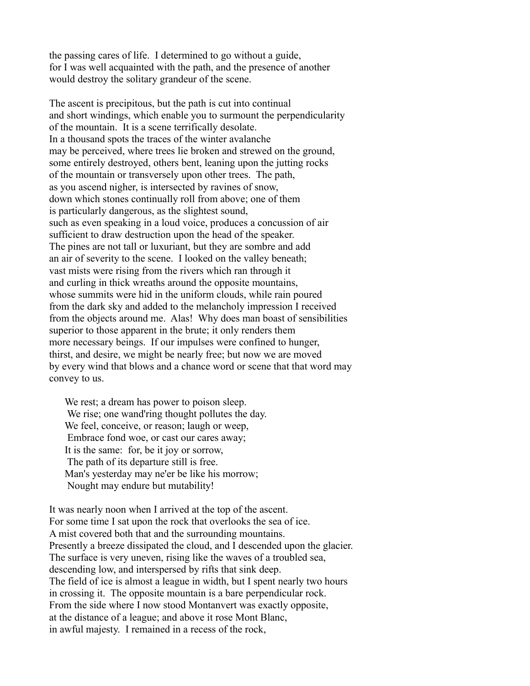the passing cares of life. I determined to go without a guide, for I was well acquainted with the path, and the presence of another would destroy the solitary grandeur of the scene.

The ascent is precipitous, but the path is cut into continual and short windings, which enable you to surmount the perpendicularity of the mountain. It is a scene terrifically desolate. In a thousand spots the traces of the winter avalanche may be perceived, where trees lie broken and strewed on the ground, some entirely destroyed, others bent, leaning upon the jutting rocks of the mountain or transversely upon other trees. The path, as you ascend nigher, is intersected by ravines of snow, down which stones continually roll from above; one of them is particularly dangerous, as the slightest sound, such as even speaking in a loud voice, produces a concussion of air sufficient to draw destruction upon the head of the speaker. The pines are not tall or luxuriant, but they are sombre and add an air of severity to the scene. I looked on the valley beneath; vast mists were rising from the rivers which ran through it and curling in thick wreaths around the opposite mountains, whose summits were hid in the uniform clouds, while rain poured from the dark sky and added to the melancholy impression I received from the objects around me. Alas! Why does man boast of sensibilities superior to those apparent in the brute; it only renders them more necessary beings. If our impulses were confined to hunger, thirst, and desire, we might be nearly free; but now we are moved by every wind that blows and a chance word or scene that that word may convey to us.

We rest; a dream has power to poison sleep. We rise; one wand'ring thought pollutes the day. We feel, conceive, or reason; laugh or weep, Embrace fond woe, or cast our cares away; It is the same: for, be it joy or sorrow, The path of its departure still is free. Man's yesterday may ne'er be like his morrow; Nought may endure but mutability!

It was nearly noon when I arrived at the top of the ascent. For some time I sat upon the rock that overlooks the sea of ice. A mist covered both that and the surrounding mountains. Presently a breeze dissipated the cloud, and I descended upon the glacier. The surface is very uneven, rising like the waves of a troubled sea, descending low, and interspersed by rifts that sink deep. The field of ice is almost a league in width, but I spent nearly two hours in crossing it. The opposite mountain is a bare perpendicular rock. From the side where I now stood Montanvert was exactly opposite, at the distance of a league; and above it rose Mont Blanc, in awful majesty. I remained in a recess of the rock,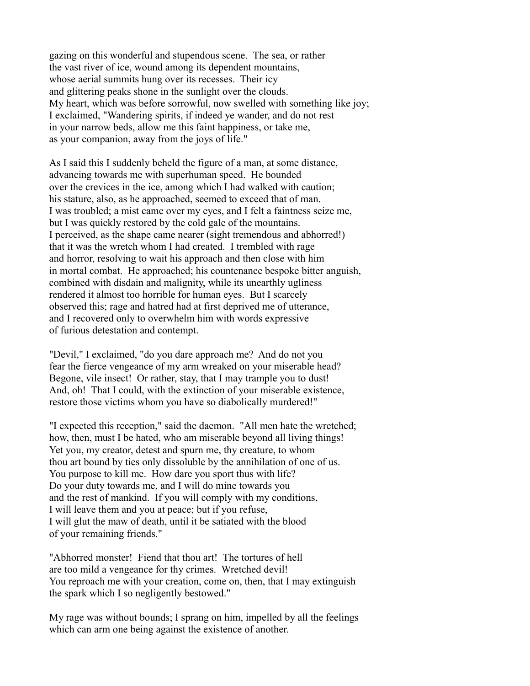gazing on this wonderful and stupendous scene. The sea, or rather the vast river of ice, wound among its dependent mountains, whose aerial summits hung over its recesses. Their icy and glittering peaks shone in the sunlight over the clouds. My heart, which was before sorrowful, now swelled with something like joy; I exclaimed, "Wandering spirits, if indeed ye wander, and do not rest in your narrow beds, allow me this faint happiness, or take me, as your companion, away from the joys of life."

As I said this I suddenly beheld the figure of a man, at some distance, advancing towards me with superhuman speed. He bounded over the crevices in the ice, among which I had walked with caution; his stature, also, as he approached, seemed to exceed that of man. I was troubled; a mist came over my eyes, and I felt a faintness seize me, but I was quickly restored by the cold gale of the mountains. I perceived, as the shape came nearer (sight tremendous and abhorred!) that it was the wretch whom I had created. I trembled with rage and horror, resolving to wait his approach and then close with him in mortal combat. He approached; his countenance bespoke bitter anguish, combined with disdain and malignity, while its unearthly ugliness rendered it almost too horrible for human eyes. But I scarcely observed this; rage and hatred had at first deprived me of utterance, and I recovered only to overwhelm him with words expressive of furious detestation and contempt.

"Devil," I exclaimed, "do you dare approach me? And do not you fear the fierce vengeance of my arm wreaked on your miserable head? Begone, vile insect! Or rather, stay, that I may trample you to dust! And, oh! That I could, with the extinction of your miserable existence, restore those victims whom you have so diabolically murdered!"

"I expected this reception," said the daemon. "All men hate the wretched; how, then, must I be hated, who am miserable beyond all living things! Yet you, my creator, detest and spurn me, thy creature, to whom thou art bound by ties only dissoluble by the annihilation of one of us. You purpose to kill me. How dare you sport thus with life? Do your duty towards me, and I will do mine towards you and the rest of mankind. If you will comply with my conditions, I will leave them and you at peace; but if you refuse, I will glut the maw of death, until it be satiated with the blood of your remaining friends."

"Abhorred monster! Fiend that thou art! The tortures of hell are too mild a vengeance for thy crimes. Wretched devil! You reproach me with your creation, come on, then, that I may extinguish the spark which I so negligently bestowed."

My rage was without bounds; I sprang on him, impelled by all the feelings which can arm one being against the existence of another.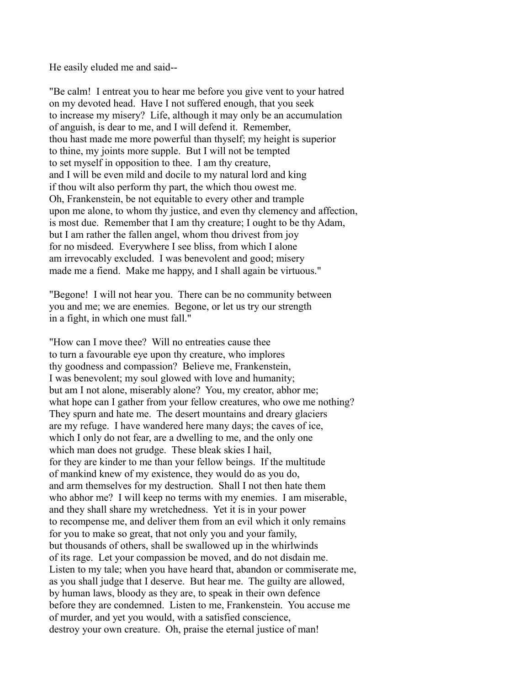He easily eluded me and said--

"Be calm! I entreat you to hear me before you give vent to your hatred on my devoted head. Have I not suffered enough, that you seek to increase my misery? Life, although it may only be an accumulation of anguish, is dear to me, and I will defend it. Remember, thou hast made me more powerful than thyself; my height is superior to thine, my joints more supple. But I will not be tempted to set myself in opposition to thee. I am thy creature, and I will be even mild and docile to my natural lord and king if thou wilt also perform thy part, the which thou owest me. Oh, Frankenstein, be not equitable to every other and trample upon me alone, to whom thy justice, and even thy clemency and affection, is most due. Remember that I am thy creature; I ought to be thy Adam, but I am rather the fallen angel, whom thou drivest from joy for no misdeed. Everywhere I see bliss, from which I alone am irrevocably excluded. I was benevolent and good; misery made me a fiend. Make me happy, and I shall again be virtuous."

"Begone! I will not hear you. There can be no community between you and me; we are enemies. Begone, or let us try our strength in a fight, in which one must fall."

"How can I move thee? Will no entreaties cause thee to turn a favourable eye upon thy creature, who implores thy goodness and compassion? Believe me, Frankenstein, I was benevolent; my soul glowed with love and humanity; but am I not alone, miserably alone? You, my creator, abhor me; what hope can I gather from your fellow creatures, who owe me nothing? They spurn and hate me. The desert mountains and dreary glaciers are my refuge. I have wandered here many days; the caves of ice, which I only do not fear, are a dwelling to me, and the only one which man does not grudge. These bleak skies I hail, for they are kinder to me than your fellow beings. If the multitude of mankind knew of my existence, they would do as you do, and arm themselves for my destruction. Shall I not then hate them who abhor me? I will keep no terms with my enemies. I am miserable, and they shall share my wretchedness. Yet it is in your power to recompense me, and deliver them from an evil which it only remains for you to make so great, that not only you and your family, but thousands of others, shall be swallowed up in the whirlwinds of its rage. Let your compassion be moved, and do not disdain me. Listen to my tale; when you have heard that, abandon or commiserate me, as you shall judge that I deserve. But hear me. The guilty are allowed, by human laws, bloody as they are, to speak in their own defence before they are condemned. Listen to me, Frankenstein. You accuse me of murder, and yet you would, with a satisfied conscience, destroy your own creature. Oh, praise the eternal justice of man!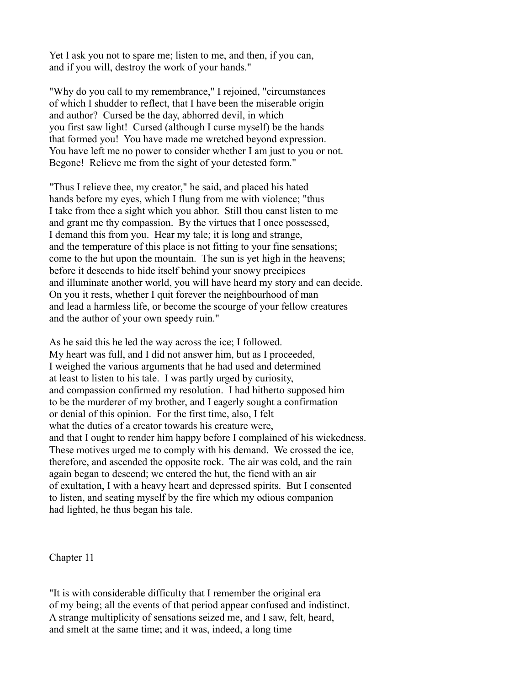Yet I ask you not to spare me; listen to me, and then, if you can, and if you will, destroy the work of your hands."

"Why do you call to my remembrance," I rejoined, "circumstances of which I shudder to reflect, that I have been the miserable origin and author? Cursed be the day, abhorred devil, in which you first saw light! Cursed (although I curse myself) be the hands that formed you! You have made me wretched beyond expression. You have left me no power to consider whether I am just to you or not. Begone! Relieve me from the sight of your detested form."

"Thus I relieve thee, my creator," he said, and placed his hated hands before my eyes, which I flung from me with violence; "thus I take from thee a sight which you abhor. Still thou canst listen to me and grant me thy compassion. By the virtues that I once possessed, I demand this from you. Hear my tale; it is long and strange, and the temperature of this place is not fitting to your fine sensations; come to the hut upon the mountain. The sun is yet high in the heavens; before it descends to hide itself behind your snowy precipices and illuminate another world, you will have heard my story and can decide. On you it rests, whether I quit forever the neighbourhood of man and lead a harmless life, or become the scourge of your fellow creatures and the author of your own speedy ruin."

As he said this he led the way across the ice; I followed. My heart was full, and I did not answer him, but as I proceeded, I weighed the various arguments that he had used and determined at least to listen to his tale. I was partly urged by curiosity, and compassion confirmed my resolution. I had hitherto supposed him to be the murderer of my brother, and I eagerly sought a confirmation or denial of this opinion. For the first time, also, I felt what the duties of a creator towards his creature were, and that I ought to render him happy before I complained of his wickedness. These motives urged me to comply with his demand. We crossed the ice, therefore, and ascended the opposite rock. The air was cold, and the rain again began to descend; we entered the hut, the fiend with an air of exultation, I with a heavy heart and depressed spirits. But I consented to listen, and seating myself by the fire which my odious companion had lighted, he thus began his tale.

Chapter 11

"It is with considerable difficulty that I remember the original era of my being; all the events of that period appear confused and indistinct. A strange multiplicity of sensations seized me, and I saw, felt, heard, and smelt at the same time; and it was, indeed, a long time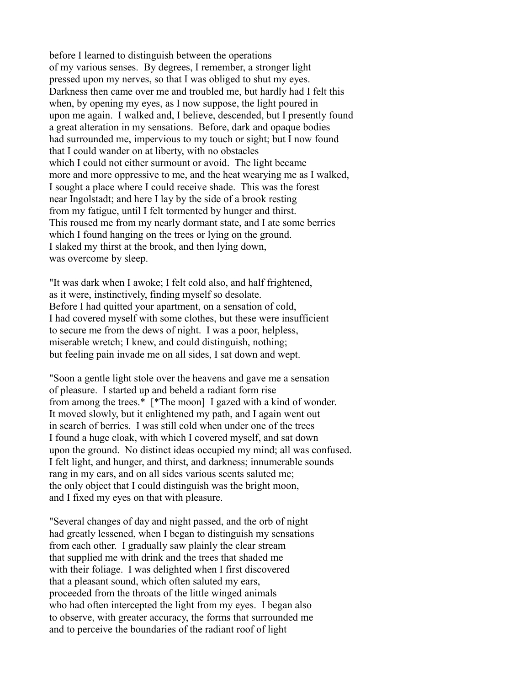before I learned to distinguish between the operations of my various senses. By degrees, I remember, a stronger light pressed upon my nerves, so that I was obliged to shut my eyes. Darkness then came over me and troubled me, but hardly had I felt this when, by opening my eyes, as I now suppose, the light poured in upon me again. I walked and, I believe, descended, but I presently found a great alteration in my sensations. Before, dark and opaque bodies had surrounded me, impervious to my touch or sight; but I now found that I could wander on at liberty, with no obstacles which I could not either surmount or avoid. The light became more and more oppressive to me, and the heat wearying me as I walked, I sought a place where I could receive shade. This was the forest near Ingolstadt; and here I lay by the side of a brook resting from my fatigue, until I felt tormented by hunger and thirst. This roused me from my nearly dormant state, and I ate some berries which I found hanging on the trees or lying on the ground. I slaked my thirst at the brook, and then lying down, was overcome by sleep.

"It was dark when I awoke; I felt cold also, and half frightened, as it were, instinctively, finding myself so desolate. Before I had quitted your apartment, on a sensation of cold, I had covered myself with some clothes, but these were insufficient to secure me from the dews of night. I was a poor, helpless, miserable wretch; I knew, and could distinguish, nothing; but feeling pain invade me on all sides, I sat down and wept.

"Soon a gentle light stole over the heavens and gave me a sensation of pleasure. I started up and beheld a radiant form rise from among the trees.\* [\*The moon] I gazed with a kind of wonder. It moved slowly, but it enlightened my path, and I again went out in search of berries. I was still cold when under one of the trees I found a huge cloak, with which I covered myself, and sat down upon the ground. No distinct ideas occupied my mind; all was confused. I felt light, and hunger, and thirst, and darkness; innumerable sounds rang in my ears, and on all sides various scents saluted me; the only object that I could distinguish was the bright moon, and I fixed my eyes on that with pleasure.

"Several changes of day and night passed, and the orb of night had greatly lessened, when I began to distinguish my sensations from each other. I gradually saw plainly the clear stream that supplied me with drink and the trees that shaded me with their foliage. I was delighted when I first discovered that a pleasant sound, which often saluted my ears, proceeded from the throats of the little winged animals who had often intercepted the light from my eyes. I began also to observe, with greater accuracy, the forms that surrounded me and to perceive the boundaries of the radiant roof of light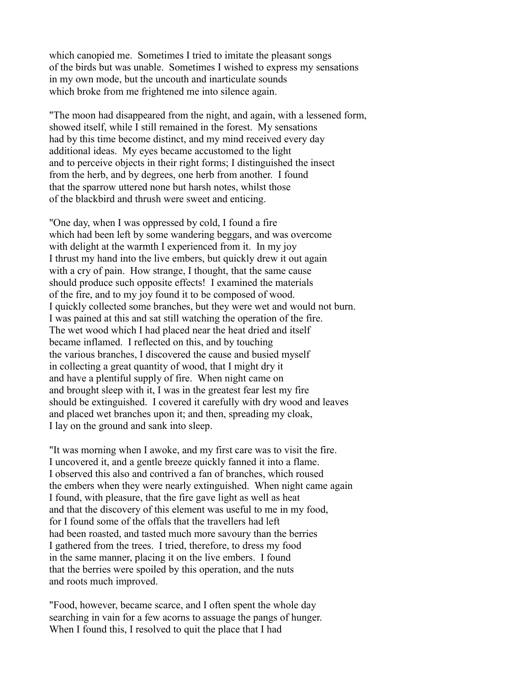which canopied me. Sometimes I tried to imitate the pleasant songs of the birds but was unable. Sometimes I wished to express my sensations in my own mode, but the uncouth and inarticulate sounds which broke from me frightened me into silence again.

"The moon had disappeared from the night, and again, with a lessened form, showed itself, while I still remained in the forest. My sensations had by this time become distinct, and my mind received every day additional ideas. My eyes became accustomed to the light and to perceive objects in their right forms; I distinguished the insect from the herb, and by degrees, one herb from another. I found that the sparrow uttered none but harsh notes, whilst those of the blackbird and thrush were sweet and enticing.

"One day, when I was oppressed by cold, I found a fire which had been left by some wandering beggars, and was overcome with delight at the warmth I experienced from it. In my joy I thrust my hand into the live embers, but quickly drew it out again with a cry of pain. How strange, I thought, that the same cause should produce such opposite effects! I examined the materials of the fire, and to my joy found it to be composed of wood. I quickly collected some branches, but they were wet and would not burn. I was pained at this and sat still watching the operation of the fire. The wet wood which I had placed near the heat dried and itself became inflamed. I reflected on this, and by touching the various branches, I discovered the cause and busied myself in collecting a great quantity of wood, that I might dry it and have a plentiful supply of fire. When night came on and brought sleep with it, I was in the greatest fear lest my fire should be extinguished. I covered it carefully with dry wood and leaves and placed wet branches upon it; and then, spreading my cloak, I lay on the ground and sank into sleep.

"It was morning when I awoke, and my first care was to visit the fire. I uncovered it, and a gentle breeze quickly fanned it into a flame. I observed this also and contrived a fan of branches, which roused the embers when they were nearly extinguished. When night came again I found, with pleasure, that the fire gave light as well as heat and that the discovery of this element was useful to me in my food, for I found some of the offals that the travellers had left had been roasted, and tasted much more savoury than the berries I gathered from the trees. I tried, therefore, to dress my food in the same manner, placing it on the live embers. I found that the berries were spoiled by this operation, and the nuts and roots much improved.

"Food, however, became scarce, and I often spent the whole day searching in vain for a few acorns to assuage the pangs of hunger. When I found this, I resolved to quit the place that I had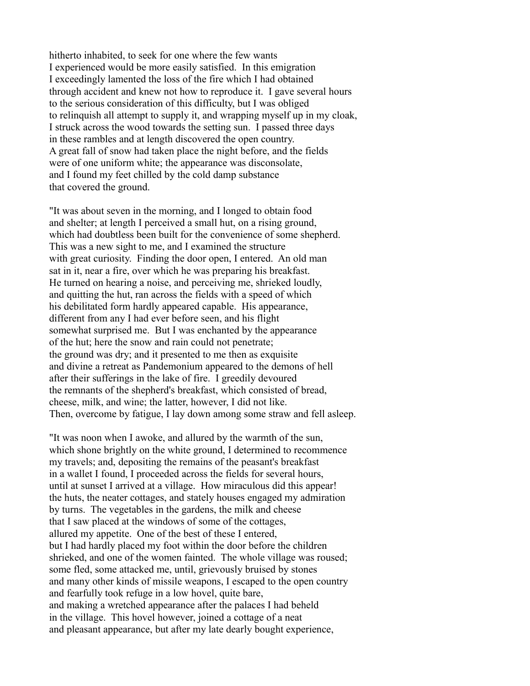hitherto inhabited, to seek for one where the few wants I experienced would be more easily satisfied. In this emigration I exceedingly lamented the loss of the fire which I had obtained through accident and knew not how to reproduce it. I gave several hours to the serious consideration of this difficulty, but I was obliged to relinquish all attempt to supply it, and wrapping myself up in my cloak, I struck across the wood towards the setting sun. I passed three days in these rambles and at length discovered the open country. A great fall of snow had taken place the night before, and the fields were of one uniform white; the appearance was disconsolate, and I found my feet chilled by the cold damp substance that covered the ground.

"It was about seven in the morning, and I longed to obtain food and shelter; at length I perceived a small hut, on a rising ground, which had doubtless been built for the convenience of some shepherd. This was a new sight to me, and I examined the structure with great curiosity. Finding the door open, I entered. An old man sat in it, near a fire, over which he was preparing his breakfast. He turned on hearing a noise, and perceiving me, shrieked loudly, and quitting the hut, ran across the fields with a speed of which his debilitated form hardly appeared capable. His appearance, different from any I had ever before seen, and his flight somewhat surprised me. But I was enchanted by the appearance of the hut; here the snow and rain could not penetrate; the ground was dry; and it presented to me then as exquisite and divine a retreat as Pandemonium appeared to the demons of hell after their sufferings in the lake of fire. I greedily devoured the remnants of the shepherd's breakfast, which consisted of bread, cheese, milk, and wine; the latter, however, I did not like. Then, overcome by fatigue, I lay down among some straw and fell asleep.

"It was noon when I awoke, and allured by the warmth of the sun, which shone brightly on the white ground, I determined to recommence my travels; and, depositing the remains of the peasant's breakfast in a wallet I found, I proceeded across the fields for several hours, until at sunset I arrived at a village. How miraculous did this appear! the huts, the neater cottages, and stately houses engaged my admiration by turns. The vegetables in the gardens, the milk and cheese that I saw placed at the windows of some of the cottages, allured my appetite. One of the best of these I entered, but I had hardly placed my foot within the door before the children shrieked, and one of the women fainted. The whole village was roused; some fled, some attacked me, until, grievously bruised by stones and many other kinds of missile weapons, I escaped to the open country and fearfully took refuge in a low hovel, quite bare, and making a wretched appearance after the palaces I had beheld in the village. This hovel however, joined a cottage of a neat and pleasant appearance, but after my late dearly bought experience,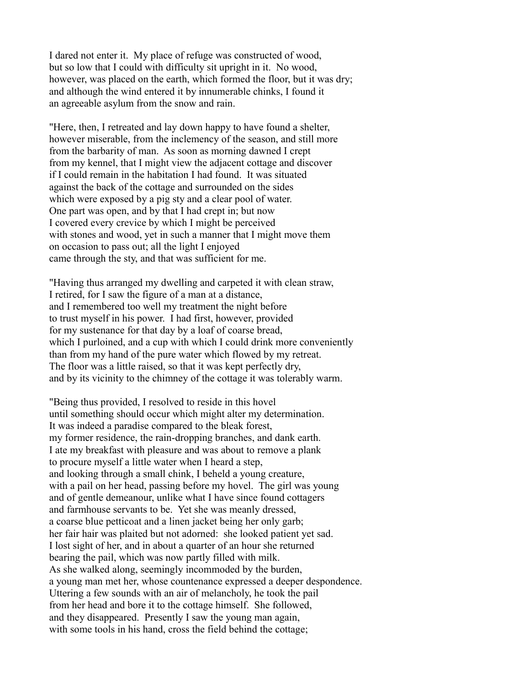I dared not enter it. My place of refuge was constructed of wood, but so low that I could with difficulty sit upright in it. No wood, however, was placed on the earth, which formed the floor, but it was dry; and although the wind entered it by innumerable chinks, I found it an agreeable asylum from the snow and rain.

"Here, then, I retreated and lay down happy to have found a shelter, however miserable, from the inclemency of the season, and still more from the barbarity of man. As soon as morning dawned I crept from my kennel, that I might view the adjacent cottage and discover if I could remain in the habitation I had found. It was situated against the back of the cottage and surrounded on the sides which were exposed by a pig sty and a clear pool of water. One part was open, and by that I had crept in; but now I covered every crevice by which I might be perceived with stones and wood, yet in such a manner that I might move them on occasion to pass out; all the light I enjoyed came through the sty, and that was sufficient for me.

"Having thus arranged my dwelling and carpeted it with clean straw, I retired, for I saw the figure of a man at a distance, and I remembered too well my treatment the night before to trust myself in his power. I had first, however, provided for my sustenance for that day by a loaf of coarse bread, which I purloined, and a cup with which I could drink more conveniently than from my hand of the pure water which flowed by my retreat. The floor was a little raised, so that it was kept perfectly dry, and by its vicinity to the chimney of the cottage it was tolerably warm.

"Being thus provided, I resolved to reside in this hovel until something should occur which might alter my determination. It was indeed a paradise compared to the bleak forest, my former residence, the rain-dropping branches, and dank earth. I ate my breakfast with pleasure and was about to remove a plank to procure myself a little water when I heard a step, and looking through a small chink, I beheld a young creature, with a pail on her head, passing before my hovel. The girl was young and of gentle demeanour, unlike what I have since found cottagers and farmhouse servants to be. Yet she was meanly dressed, a coarse blue petticoat and a linen jacket being her only garb; her fair hair was plaited but not adorned: she looked patient yet sad. I lost sight of her, and in about a quarter of an hour she returned bearing the pail, which was now partly filled with milk. As she walked along, seemingly incommoded by the burden, a young man met her, whose countenance expressed a deeper despondence. Uttering a few sounds with an air of melancholy, he took the pail from her head and bore it to the cottage himself. She followed, and they disappeared. Presently I saw the young man again, with some tools in his hand, cross the field behind the cottage;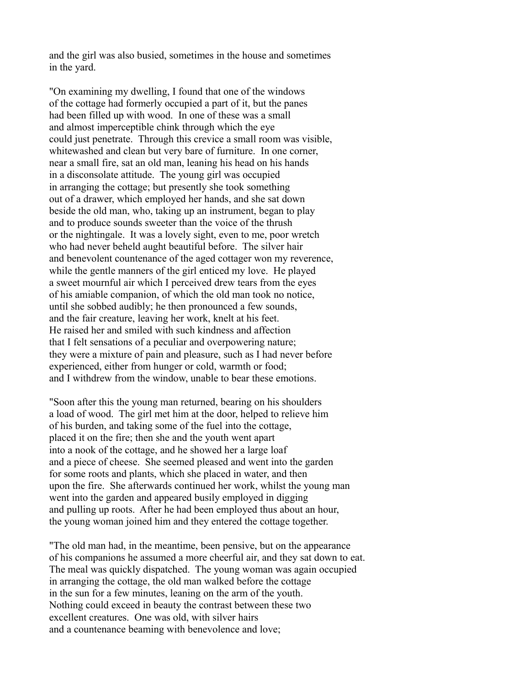and the girl was also busied, sometimes in the house and sometimes in the yard.

"On examining my dwelling, I found that one of the windows of the cottage had formerly occupied a part of it, but the panes had been filled up with wood. In one of these was a small and almost imperceptible chink through which the eye could just penetrate. Through this crevice a small room was visible, whitewashed and clean but very bare of furniture. In one corner, near a small fire, sat an old man, leaning his head on his hands in a disconsolate attitude. The young girl was occupied in arranging the cottage; but presently she took something out of a drawer, which employed her hands, and she sat down beside the old man, who, taking up an instrument, began to play and to produce sounds sweeter than the voice of the thrush or the nightingale. It was a lovely sight, even to me, poor wretch who had never beheld aught beautiful before. The silver hair and benevolent countenance of the aged cottager won my reverence, while the gentle manners of the girl enticed my love. He played a sweet mournful air which I perceived drew tears from the eyes of his amiable companion, of which the old man took no notice, until she sobbed audibly; he then pronounced a few sounds, and the fair creature, leaving her work, knelt at his feet. He raised her and smiled with such kindness and affection that I felt sensations of a peculiar and overpowering nature; they were a mixture of pain and pleasure, such as I had never before experienced, either from hunger or cold, warmth or food; and I withdrew from the window, unable to bear these emotions.

"Soon after this the young man returned, bearing on his shoulders a load of wood. The girl met him at the door, helped to relieve him of his burden, and taking some of the fuel into the cottage, placed it on the fire; then she and the youth went apart into a nook of the cottage, and he showed her a large loaf and a piece of cheese. She seemed pleased and went into the garden for some roots and plants, which she placed in water, and then upon the fire. She afterwards continued her work, whilst the young man went into the garden and appeared busily employed in digging and pulling up roots. After he had been employed thus about an hour, the young woman joined him and they entered the cottage together.

"The old man had, in the meantime, been pensive, but on the appearance of his companions he assumed a more cheerful air, and they sat down to eat. The meal was quickly dispatched. The young woman was again occupied in arranging the cottage, the old man walked before the cottage in the sun for a few minutes, leaning on the arm of the youth. Nothing could exceed in beauty the contrast between these two excellent creatures. One was old, with silver hairs and a countenance beaming with benevolence and love;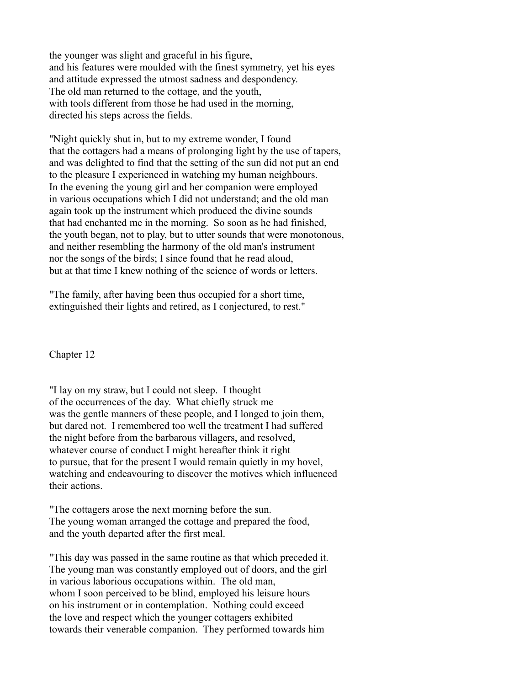the younger was slight and graceful in his figure, and his features were moulded with the finest symmetry, yet his eyes and attitude expressed the utmost sadness and despondency. The old man returned to the cottage, and the youth, with tools different from those he had used in the morning, directed his steps across the fields.

"Night quickly shut in, but to my extreme wonder, I found that the cottagers had a means of prolonging light by the use of tapers, and was delighted to find that the setting of the sun did not put an end to the pleasure I experienced in watching my human neighbours. In the evening the young girl and her companion were employed in various occupations which I did not understand; and the old man again took up the instrument which produced the divine sounds that had enchanted me in the morning. So soon as he had finished, the youth began, not to play, but to utter sounds that were monotonous, and neither resembling the harmony of the old man's instrument nor the songs of the birds; I since found that he read aloud, but at that time I knew nothing of the science of words or letters.

"The family, after having been thus occupied for a short time, extinguished their lights and retired, as I conjectured, to rest."

Chapter 12

"I lay on my straw, but I could not sleep. I thought of the occurrences of the day. What chiefly struck me was the gentle manners of these people, and I longed to join them, but dared not. I remembered too well the treatment I had suffered the night before from the barbarous villagers, and resolved, whatever course of conduct I might hereafter think it right to pursue, that for the present I would remain quietly in my hovel, watching and endeavouring to discover the motives which influenced their actions.

"The cottagers arose the next morning before the sun. The young woman arranged the cottage and prepared the food, and the youth departed after the first meal.

"This day was passed in the same routine as that which preceded it. The young man was constantly employed out of doors, and the girl in various laborious occupations within. The old man, whom I soon perceived to be blind, employed his leisure hours on his instrument or in contemplation. Nothing could exceed the love and respect which the younger cottagers exhibited towards their venerable companion. They performed towards him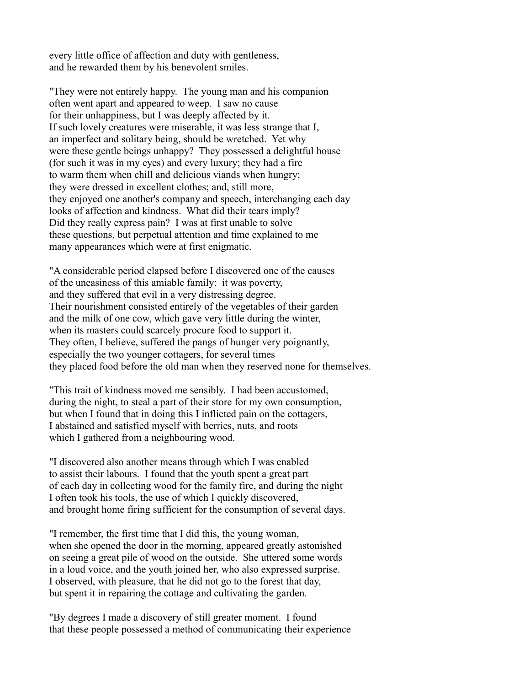every little office of affection and duty with gentleness, and he rewarded them by his benevolent smiles.

"They were not entirely happy. The young man and his companion often went apart and appeared to weep. I saw no cause for their unhappiness, but I was deeply affected by it. If such lovely creatures were miserable, it was less strange that I, an imperfect and solitary being, should be wretched. Yet why were these gentle beings unhappy? They possessed a delightful house (for such it was in my eyes) and every luxury; they had a fire to warm them when chill and delicious viands when hungry; they were dressed in excellent clothes; and, still more, they enjoyed one another's company and speech, interchanging each day looks of affection and kindness. What did their tears imply? Did they really express pain? I was at first unable to solve these questions, but perpetual attention and time explained to me many appearances which were at first enigmatic.

"A considerable period elapsed before I discovered one of the causes of the uneasiness of this amiable family: it was poverty, and they suffered that evil in a very distressing degree. Their nourishment consisted entirely of the vegetables of their garden and the milk of one cow, which gave very little during the winter, when its masters could scarcely procure food to support it. They often, I believe, suffered the pangs of hunger very poignantly, especially the two younger cottagers, for several times they placed food before the old man when they reserved none for themselves.

"This trait of kindness moved me sensibly. I had been accustomed, during the night, to steal a part of their store for my own consumption, but when I found that in doing this I inflicted pain on the cottagers, I abstained and satisfied myself with berries, nuts, and roots which I gathered from a neighbouring wood.

"I discovered also another means through which I was enabled to assist their labours. I found that the youth spent a great part of each day in collecting wood for the family fire, and during the night I often took his tools, the use of which I quickly discovered, and brought home firing sufficient for the consumption of several days.

"I remember, the first time that I did this, the young woman, when she opened the door in the morning, appeared greatly astonished on seeing a great pile of wood on the outside. She uttered some words in a loud voice, and the youth joined her, who also expressed surprise. I observed, with pleasure, that he did not go to the forest that day, but spent it in repairing the cottage and cultivating the garden.

"By degrees I made a discovery of still greater moment. I found that these people possessed a method of communicating their experience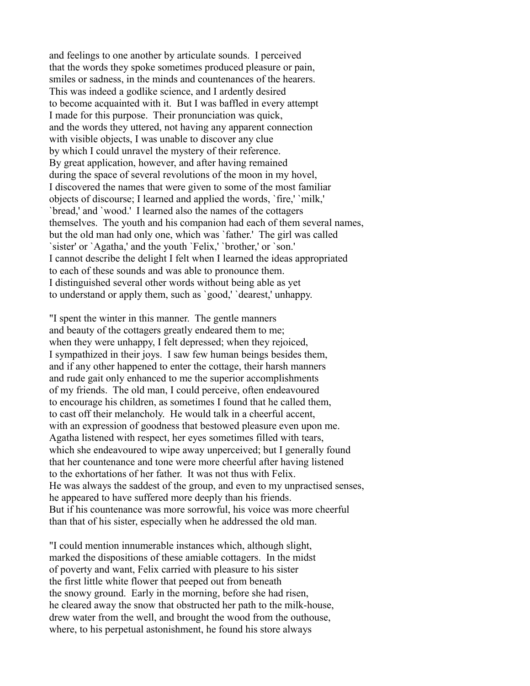and feelings to one another by articulate sounds. I perceived that the words they spoke sometimes produced pleasure or pain, smiles or sadness, in the minds and countenances of the hearers. This was indeed a godlike science, and I ardently desired to become acquainted with it. But I was baffled in every attempt I made for this purpose. Their pronunciation was quick, and the words they uttered, not having any apparent connection with visible objects. I was unable to discover any clue by which I could unravel the mystery of their reference. By great application, however, and after having remained during the space of several revolutions of the moon in my hovel, I discovered the names that were given to some of the most familiar objects of discourse; I learned and applied the words, `fire,' `milk,' `bread,' and `wood.' I learned also the names of the cottagers themselves. The youth and his companion had each of them several names, but the old man had only one, which was `father.' The girl was called `sister' or `Agatha,' and the youth `Felix,' `brother,' or `son.' I cannot describe the delight I felt when I learned the ideas appropriated to each of these sounds and was able to pronounce them. I distinguished several other words without being able as yet to understand or apply them, such as `good,' `dearest,' unhappy.

"I spent the winter in this manner. The gentle manners and beauty of the cottagers greatly endeared them to me; when they were unhappy, I felt depressed; when they rejoiced, I sympathized in their joys. I saw few human beings besides them, and if any other happened to enter the cottage, their harsh manners and rude gait only enhanced to me the superior accomplishments of my friends. The old man, I could perceive, often endeavoured to encourage his children, as sometimes I found that he called them, to cast off their melancholy. He would talk in a cheerful accent, with an expression of goodness that bestowed pleasure even upon me. Agatha listened with respect, her eyes sometimes filled with tears, which she endeavoured to wipe away unperceived; but I generally found that her countenance and tone were more cheerful after having listened to the exhortations of her father. It was not thus with Felix. He was always the saddest of the group, and even to my unpractised senses, he appeared to have suffered more deeply than his friends. But if his countenance was more sorrowful, his voice was more cheerful than that of his sister, especially when he addressed the old man.

"I could mention innumerable instances which, although slight, marked the dispositions of these amiable cottagers. In the midst of poverty and want, Felix carried with pleasure to his sister the first little white flower that peeped out from beneath the snowy ground. Early in the morning, before she had risen, he cleared away the snow that obstructed her path to the milk-house, drew water from the well, and brought the wood from the outhouse, where, to his perpetual astonishment, he found his store always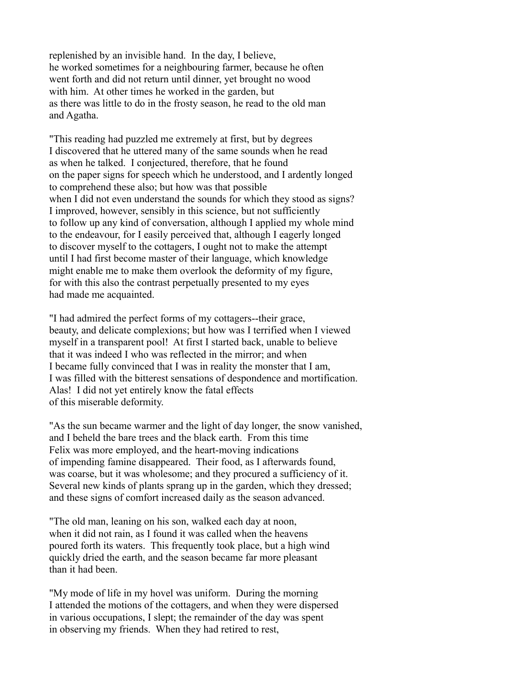replenished by an invisible hand. In the day, I believe, he worked sometimes for a neighbouring farmer, because he often went forth and did not return until dinner, yet brought no wood with him. At other times he worked in the garden, but as there was little to do in the frosty season, he read to the old man and Agatha.

"This reading had puzzled me extremely at first, but by degrees I discovered that he uttered many of the same sounds when he read as when he talked. I conjectured, therefore, that he found on the paper signs for speech which he understood, and I ardently longed to comprehend these also; but how was that possible when I did not even understand the sounds for which they stood as signs? I improved, however, sensibly in this science, but not sufficiently to follow up any kind of conversation, although I applied my whole mind to the endeavour, for I easily perceived that, although I eagerly longed to discover myself to the cottagers, I ought not to make the attempt until I had first become master of their language, which knowledge might enable me to make them overlook the deformity of my figure, for with this also the contrast perpetually presented to my eyes had made me acquainted.

"I had admired the perfect forms of my cottagers--their grace, beauty, and delicate complexions; but how was I terrified when I viewed myself in a transparent pool! At first I started back, unable to believe that it was indeed I who was reflected in the mirror; and when I became fully convinced that I was in reality the monster that I am, I was filled with the bitterest sensations of despondence and mortification. Alas! I did not yet entirely know the fatal effects of this miserable deformity.

"As the sun became warmer and the light of day longer, the snow vanished, and I beheld the bare trees and the black earth. From this time Felix was more employed, and the heart-moving indications of impending famine disappeared. Their food, as I afterwards found, was coarse, but it was wholesome; and they procured a sufficiency of it. Several new kinds of plants sprang up in the garden, which they dressed; and these signs of comfort increased daily as the season advanced.

"The old man, leaning on his son, walked each day at noon, when it did not rain, as I found it was called when the heavens poured forth its waters. This frequently took place, but a high wind quickly dried the earth, and the season became far more pleasant than it had been.

"My mode of life in my hovel was uniform. During the morning I attended the motions of the cottagers, and when they were dispersed in various occupations, I slept; the remainder of the day was spent in observing my friends. When they had retired to rest,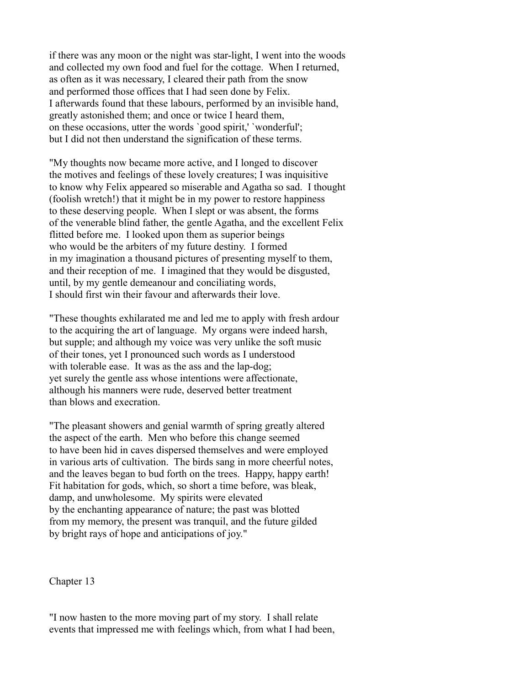if there was any moon or the night was star-light, I went into the woods and collected my own food and fuel for the cottage. When I returned, as often as it was necessary, I cleared their path from the snow and performed those offices that I had seen done by Felix. I afterwards found that these labours, performed by an invisible hand, greatly astonished them; and once or twice I heard them, on these occasions, utter the words `good spirit,' `wonderful'; but I did not then understand the signification of these terms.

"My thoughts now became more active, and I longed to discover the motives and feelings of these lovely creatures; I was inquisitive to know why Felix appeared so miserable and Agatha so sad. I thought (foolish wretch!) that it might be in my power to restore happiness to these deserving people. When I slept or was absent, the forms of the venerable blind father, the gentle Agatha, and the excellent Felix flitted before me. I looked upon them as superior beings who would be the arbiters of my future destiny. I formed in my imagination a thousand pictures of presenting myself to them, and their reception of me. I imagined that they would be disgusted, until, by my gentle demeanour and conciliating words, I should first win their favour and afterwards their love.

"These thoughts exhilarated me and led me to apply with fresh ardour to the acquiring the art of language. My organs were indeed harsh, but supple; and although my voice was very unlike the soft music of their tones, yet I pronounced such words as I understood with tolerable ease. It was as the ass and the lap-dog; yet surely the gentle ass whose intentions were affectionate, although his manners were rude, deserved better treatment than blows and execration.

"The pleasant showers and genial warmth of spring greatly altered the aspect of the earth. Men who before this change seemed to have been hid in caves dispersed themselves and were employed in various arts of cultivation. The birds sang in more cheerful notes, and the leaves began to bud forth on the trees. Happy, happy earth! Fit habitation for gods, which, so short a time before, was bleak, damp, and unwholesome. My spirits were elevated by the enchanting appearance of nature; the past was blotted from my memory, the present was tranquil, and the future gilded by bright rays of hope and anticipations of joy."

Chapter 13

"I now hasten to the more moving part of my story. I shall relate events that impressed me with feelings which, from what I had been,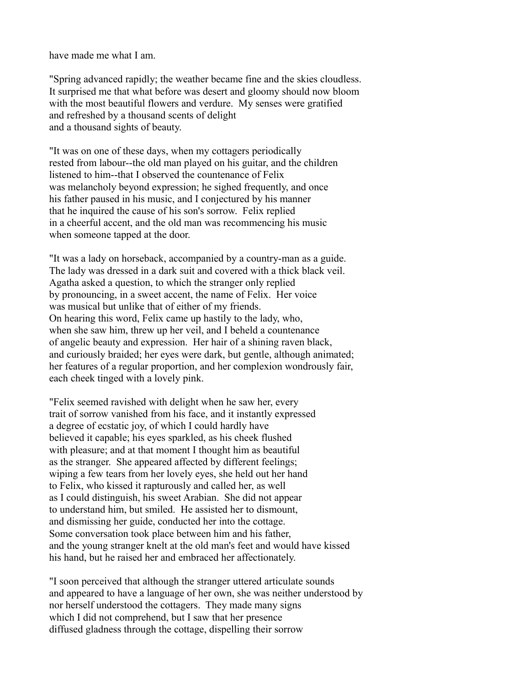have made me what I am.

"Spring advanced rapidly; the weather became fine and the skies cloudless. It surprised me that what before was desert and gloomy should now bloom with the most beautiful flowers and verdure. My senses were gratified and refreshed by a thousand scents of delight and a thousand sights of beauty.

"It was on one of these days, when my cottagers periodically rested from labour--the old man played on his guitar, and the children listened to him--that I observed the countenance of Felix was melancholy beyond expression; he sighed frequently, and once his father paused in his music, and I conjectured by his manner that he inquired the cause of his son's sorrow. Felix replied in a cheerful accent, and the old man was recommencing his music when someone tapped at the door.

"It was a lady on horseback, accompanied by a country-man as a guide. The lady was dressed in a dark suit and covered with a thick black veil. Agatha asked a question, to which the stranger only replied by pronouncing, in a sweet accent, the name of Felix. Her voice was musical but unlike that of either of my friends. On hearing this word, Felix came up hastily to the lady, who, when she saw him, threw up her veil, and I beheld a countenance of angelic beauty and expression. Her hair of a shining raven black, and curiously braided; her eyes were dark, but gentle, although animated; her features of a regular proportion, and her complexion wondrously fair, each cheek tinged with a lovely pink.

"Felix seemed ravished with delight when he saw her, every trait of sorrow vanished from his face, and it instantly expressed a degree of ecstatic joy, of which I could hardly have believed it capable; his eyes sparkled, as his cheek flushed with pleasure; and at that moment I thought him as beautiful as the stranger. She appeared affected by different feelings; wiping a few tears from her lovely eyes, she held out her hand to Felix, who kissed it rapturously and called her, as well as I could distinguish, his sweet Arabian. She did not appear to understand him, but smiled. He assisted her to dismount, and dismissing her guide, conducted her into the cottage. Some conversation took place between him and his father, and the young stranger knelt at the old man's feet and would have kissed his hand, but he raised her and embraced her affectionately.

"I soon perceived that although the stranger uttered articulate sounds and appeared to have a language of her own, she was neither understood by nor herself understood the cottagers. They made many signs which I did not comprehend, but I saw that her presence diffused gladness through the cottage, dispelling their sorrow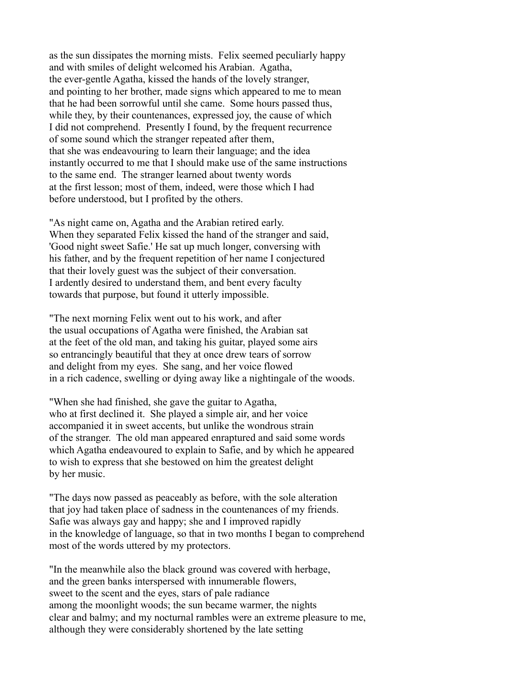as the sun dissipates the morning mists. Felix seemed peculiarly happy and with smiles of delight welcomed his Arabian. Agatha, the ever-gentle Agatha, kissed the hands of the lovely stranger, and pointing to her brother, made signs which appeared to me to mean that he had been sorrowful until she came. Some hours passed thus, while they, by their countenances, expressed joy, the cause of which I did not comprehend. Presently I found, by the frequent recurrence of some sound which the stranger repeated after them, that she was endeavouring to learn their language; and the idea instantly occurred to me that I should make use of the same instructions to the same end. The stranger learned about twenty words at the first lesson; most of them, indeed, were those which I had before understood, but I profited by the others.

"As night came on, Agatha and the Arabian retired early. When they separated Felix kissed the hand of the stranger and said, 'Good night sweet Safie.' He sat up much longer, conversing with his father, and by the frequent repetition of her name I conjectured that their lovely guest was the subject of their conversation. I ardently desired to understand them, and bent every faculty towards that purpose, but found it utterly impossible.

"The next morning Felix went out to his work, and after the usual occupations of Agatha were finished, the Arabian sat at the feet of the old man, and taking his guitar, played some airs so entrancingly beautiful that they at once drew tears of sorrow and delight from my eyes. She sang, and her voice flowed in a rich cadence, swelling or dying away like a nightingale of the woods.

"When she had finished, she gave the guitar to Agatha, who at first declined it. She played a simple air, and her voice accompanied it in sweet accents, but unlike the wondrous strain of the stranger. The old man appeared enraptured and said some words which Agatha endeavoured to explain to Safie, and by which he appeared to wish to express that she bestowed on him the greatest delight by her music.

"The days now passed as peaceably as before, with the sole alteration that joy had taken place of sadness in the countenances of my friends. Safie was always gay and happy; she and I improved rapidly in the knowledge of language, so that in two months I began to comprehend most of the words uttered by my protectors.

"In the meanwhile also the black ground was covered with herbage, and the green banks interspersed with innumerable flowers, sweet to the scent and the eyes, stars of pale radiance among the moonlight woods; the sun became warmer, the nights clear and balmy; and my nocturnal rambles were an extreme pleasure to me, although they were considerably shortened by the late setting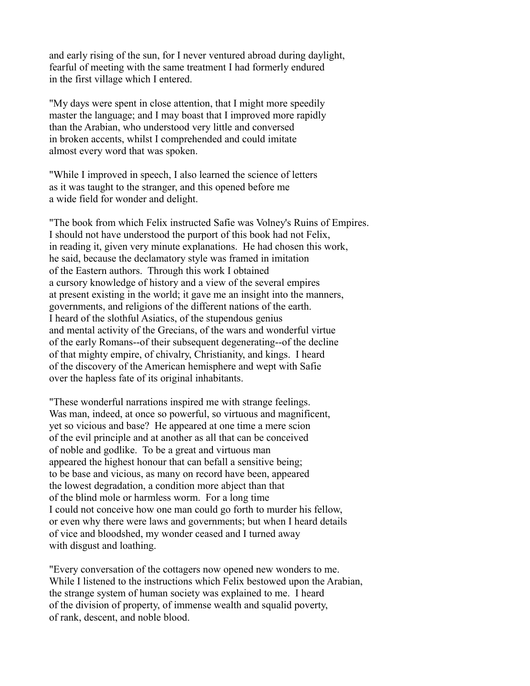and early rising of the sun, for I never ventured abroad during daylight, fearful of meeting with the same treatment I had formerly endured in the first village which I entered.

"My days were spent in close attention, that I might more speedily master the language; and I may boast that I improved more rapidly than the Arabian, who understood very little and conversed in broken accents, whilst I comprehended and could imitate almost every word that was spoken.

"While I improved in speech, I also learned the science of letters as it was taught to the stranger, and this opened before me a wide field for wonder and delight.

"The book from which Felix instructed Safie was Volney's Ruins of Empires. I should not have understood the purport of this book had not Felix, in reading it, given very minute explanations. He had chosen this work, he said, because the declamatory style was framed in imitation of the Eastern authors. Through this work I obtained a cursory knowledge of history and a view of the several empires at present existing in the world; it gave me an insight into the manners, governments, and religions of the different nations of the earth. I heard of the slothful Asiatics, of the stupendous genius and mental activity of the Grecians, of the wars and wonderful virtue of the early Romans--of their subsequent degenerating--of the decline of that mighty empire, of chivalry, Christianity, and kings. I heard of the discovery of the American hemisphere and wept with Safie over the hapless fate of its original inhabitants.

"These wonderful narrations inspired me with strange feelings. Was man, indeed, at once so powerful, so virtuous and magnificent, yet so vicious and base? He appeared at one time a mere scion of the evil principle and at another as all that can be conceived of noble and godlike. To be a great and virtuous man appeared the highest honour that can befall a sensitive being; to be base and vicious, as many on record have been, appeared the lowest degradation, a condition more abject than that of the blind mole or harmless worm. For a long time I could not conceive how one man could go forth to murder his fellow, or even why there were laws and governments; but when I heard details of vice and bloodshed, my wonder ceased and I turned away with disgust and loathing.

"Every conversation of the cottagers now opened new wonders to me. While I listened to the instructions which Felix bestowed upon the Arabian, the strange system of human society was explained to me. I heard of the division of property, of immense wealth and squalid poverty, of rank, descent, and noble blood.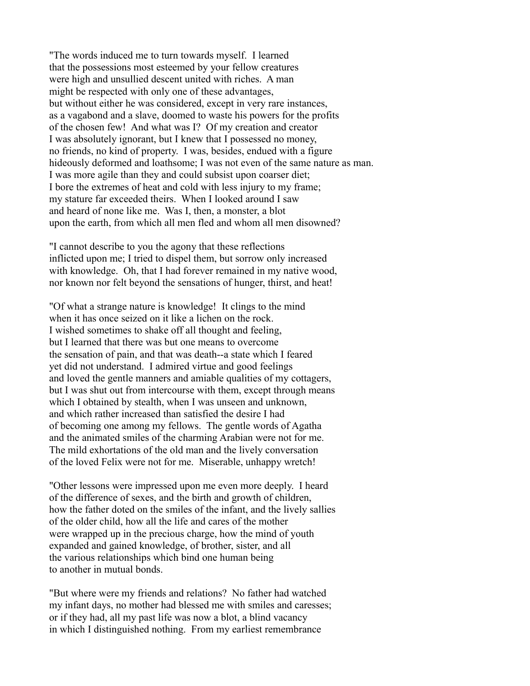"The words induced me to turn towards myself. I learned that the possessions most esteemed by your fellow creatures were high and unsullied descent united with riches. A man might be respected with only one of these advantages, but without either he was considered, except in very rare instances, as a vagabond and a slave, doomed to waste his powers for the profits of the chosen few! And what was I? Of my creation and creator I was absolutely ignorant, but I knew that I possessed no money, no friends, no kind of property. I was, besides, endued with a figure hideously deformed and loathsome; I was not even of the same nature as man. I was more agile than they and could subsist upon coarser diet; I bore the extremes of heat and cold with less injury to my frame; my stature far exceeded theirs. When I looked around I saw and heard of none like me. Was I, then, a monster, a blot upon the earth, from which all men fled and whom all men disowned?

"I cannot describe to you the agony that these reflections inflicted upon me; I tried to dispel them, but sorrow only increased with knowledge. Oh, that I had forever remained in my native wood, nor known nor felt beyond the sensations of hunger, thirst, and heat!

"Of what a strange nature is knowledge! It clings to the mind when it has once seized on it like a lichen on the rock. I wished sometimes to shake off all thought and feeling, but I learned that there was but one means to overcome the sensation of pain, and that was death--a state which I feared yet did not understand. I admired virtue and good feelings and loved the gentle manners and amiable qualities of my cottagers, but I was shut out from intercourse with them, except through means which I obtained by stealth, when I was unseen and unknown, and which rather increased than satisfied the desire I had of becoming one among my fellows. The gentle words of Agatha and the animated smiles of the charming Arabian were not for me. The mild exhortations of the old man and the lively conversation of the loved Felix were not for me. Miserable, unhappy wretch!

"Other lessons were impressed upon me even more deeply. I heard of the difference of sexes, and the birth and growth of children, how the father doted on the smiles of the infant, and the lively sallies of the older child, how all the life and cares of the mother were wrapped up in the precious charge, how the mind of youth expanded and gained knowledge, of brother, sister, and all the various relationships which bind one human being to another in mutual bonds.

"But where were my friends and relations? No father had watched my infant days, no mother had blessed me with smiles and caresses; or if they had, all my past life was now a blot, a blind vacancy in which I distinguished nothing. From my earliest remembrance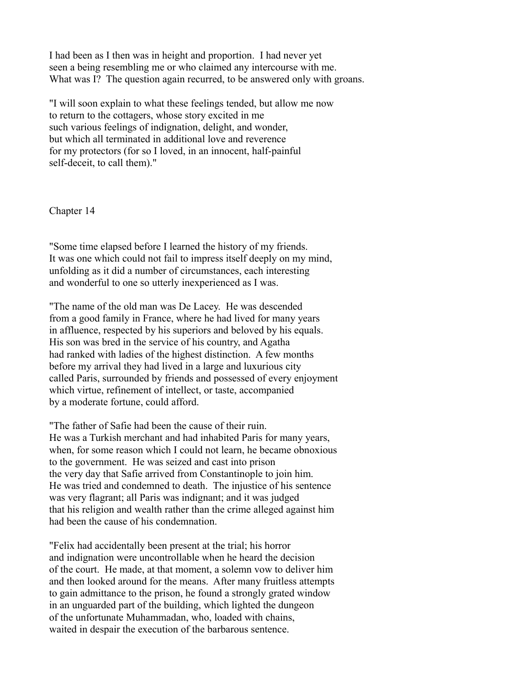I had been as I then was in height and proportion. I had never yet seen a being resembling me or who claimed any intercourse with me. What was I? The question again recurred, to be answered only with groans.

"I will soon explain to what these feelings tended, but allow me now to return to the cottagers, whose story excited in me such various feelings of indignation, delight, and wonder, but which all terminated in additional love and reverence for my protectors (for so I loved, in an innocent, half-painful self-deceit, to call them)."

Chapter 14

"Some time elapsed before I learned the history of my friends. It was one which could not fail to impress itself deeply on my mind, unfolding as it did a number of circumstances, each interesting and wonderful to one so utterly inexperienced as I was.

"The name of the old man was De Lacey. He was descended from a good family in France, where he had lived for many years in affluence, respected by his superiors and beloved by his equals. His son was bred in the service of his country, and Agatha had ranked with ladies of the highest distinction. A few months before my arrival they had lived in a large and luxurious city called Paris, surrounded by friends and possessed of every enjoyment which virtue, refinement of intellect, or taste, accompanied by a moderate fortune, could afford.

"The father of Safie had been the cause of their ruin. He was a Turkish merchant and had inhabited Paris for many years, when, for some reason which I could not learn, he became obnoxious to the government. He was seized and cast into prison the very day that Safie arrived from Constantinople to join him. He was tried and condemned to death. The injustice of his sentence was very flagrant; all Paris was indignant; and it was judged that his religion and wealth rather than the crime alleged against him had been the cause of his condemnation.

"Felix had accidentally been present at the trial; his horror and indignation were uncontrollable when he heard the decision of the court. He made, at that moment, a solemn vow to deliver him and then looked around for the means. After many fruitless attempts to gain admittance to the prison, he found a strongly grated window in an unguarded part of the building, which lighted the dungeon of the unfortunate Muhammadan, who, loaded with chains, waited in despair the execution of the barbarous sentence.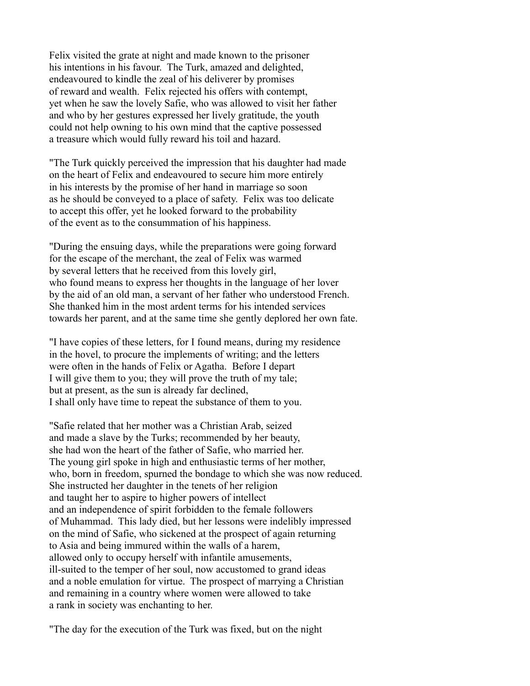Felix visited the grate at night and made known to the prisoner his intentions in his favour. The Turk, amazed and delighted, endeavoured to kindle the zeal of his deliverer by promises of reward and wealth. Felix rejected his offers with contempt, yet when he saw the lovely Safie, who was allowed to visit her father and who by her gestures expressed her lively gratitude, the youth could not help owning to his own mind that the captive possessed a treasure which would fully reward his toil and hazard.

"The Turk quickly perceived the impression that his daughter had made on the heart of Felix and endeavoured to secure him more entirely in his interests by the promise of her hand in marriage so soon as he should be conveyed to a place of safety. Felix was too delicate to accept this offer, yet he looked forward to the probability of the event as to the consummation of his happiness.

"During the ensuing days, while the preparations were going forward for the escape of the merchant, the zeal of Felix was warmed by several letters that he received from this lovely girl, who found means to express her thoughts in the language of her lover by the aid of an old man, a servant of her father who understood French. She thanked him in the most ardent terms for his intended services towards her parent, and at the same time she gently deplored her own fate.

"I have copies of these letters, for I found means, during my residence in the hovel, to procure the implements of writing; and the letters were often in the hands of Felix or Agatha. Before I depart I will give them to you; they will prove the truth of my tale; but at present, as the sun is already far declined, I shall only have time to repeat the substance of them to you.

"Safie related that her mother was a Christian Arab, seized and made a slave by the Turks; recommended by her beauty, she had won the heart of the father of Safie, who married her. The young girl spoke in high and enthusiastic terms of her mother, who, born in freedom, spurned the bondage to which she was now reduced. She instructed her daughter in the tenets of her religion and taught her to aspire to higher powers of intellect and an independence of spirit forbidden to the female followers of Muhammad. This lady died, but her lessons were indelibly impressed on the mind of Safie, who sickened at the prospect of again returning to Asia and being immured within the walls of a harem, allowed only to occupy herself with infantile amusements, ill-suited to the temper of her soul, now accustomed to grand ideas and a noble emulation for virtue. The prospect of marrying a Christian and remaining in a country where women were allowed to take a rank in society was enchanting to her.

"The day for the execution of the Turk was fixed, but on the night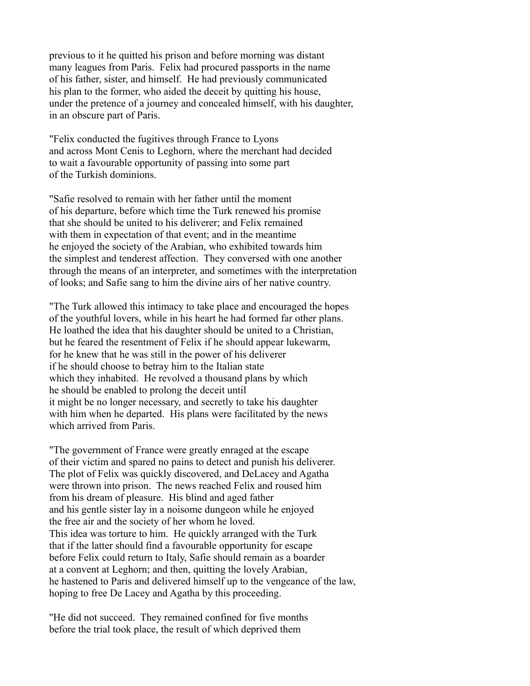previous to it he quitted his prison and before morning was distant many leagues from Paris. Felix had procured passports in the name of his father, sister, and himself. He had previously communicated his plan to the former, who aided the deceit by quitting his house, under the pretence of a journey and concealed himself, with his daughter, in an obscure part of Paris.

"Felix conducted the fugitives through France to Lyons and across Mont Cenis to Leghorn, where the merchant had decided to wait a favourable opportunity of passing into some part of the Turkish dominions.

"Safie resolved to remain with her father until the moment of his departure, before which time the Turk renewed his promise that she should be united to his deliverer; and Felix remained with them in expectation of that event; and in the meantime he enjoyed the society of the Arabian, who exhibited towards him the simplest and tenderest affection. They conversed with one another through the means of an interpreter, and sometimes with the interpretation of looks; and Safie sang to him the divine airs of her native country.

"The Turk allowed this intimacy to take place and encouraged the hopes of the youthful lovers, while in his heart he had formed far other plans. He loathed the idea that his daughter should be united to a Christian, but he feared the resentment of Felix if he should appear lukewarm, for he knew that he was still in the power of his deliverer if he should choose to betray him to the Italian state which they inhabited. He revolved a thousand plans by which he should be enabled to prolong the deceit until it might be no longer necessary, and secretly to take his daughter with him when he departed. His plans were facilitated by the news which arrived from Paris.

"The government of France were greatly enraged at the escape of their victim and spared no pains to detect and punish his deliverer. The plot of Felix was quickly discovered, and DeLacey and Agatha were thrown into prison. The news reached Felix and roused him from his dream of pleasure. His blind and aged father and his gentle sister lay in a noisome dungeon while he enjoyed the free air and the society of her whom he loved. This idea was torture to him. He quickly arranged with the Turk that if the latter should find a favourable opportunity for escape before Felix could return to Italy, Safie should remain as a boarder at a convent at Leghorn; and then, quitting the lovely Arabian, he hastened to Paris and delivered himself up to the vengeance of the law, hoping to free De Lacey and Agatha by this proceeding.

"He did not succeed. They remained confined for five months before the trial took place, the result of which deprived them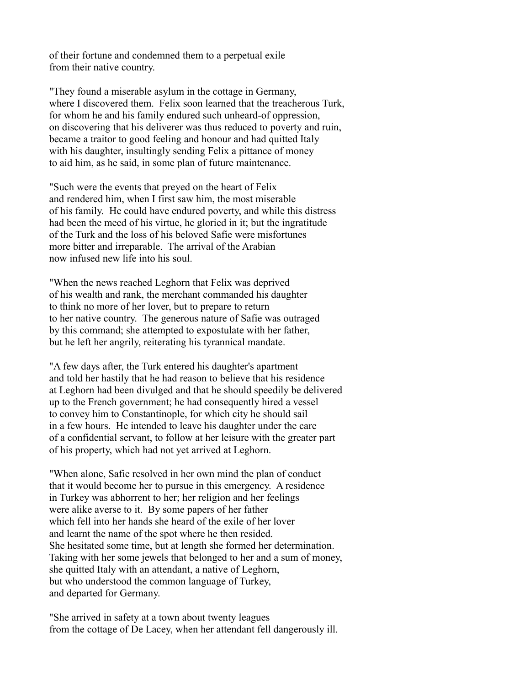of their fortune and condemned them to a perpetual exile from their native country.

"They found a miserable asylum in the cottage in Germany, where I discovered them. Felix soon learned that the treacherous Turk, for whom he and his family endured such unheard-of oppression, on discovering that his deliverer was thus reduced to poverty and ruin, became a traitor to good feeling and honour and had quitted Italy with his daughter, insultingly sending Felix a pittance of money to aid him, as he said, in some plan of future maintenance.

"Such were the events that preyed on the heart of Felix and rendered him, when I first saw him, the most miserable of his family. He could have endured poverty, and while this distress had been the meed of his virtue, he gloried in it; but the ingratitude of the Turk and the loss of his beloved Safie were misfortunes more bitter and irreparable. The arrival of the Arabian now infused new life into his soul.

"When the news reached Leghorn that Felix was deprived of his wealth and rank, the merchant commanded his daughter to think no more of her lover, but to prepare to return to her native country. The generous nature of Safie was outraged by this command; she attempted to expostulate with her father, but he left her angrily, reiterating his tyrannical mandate.

"A few days after, the Turk entered his daughter's apartment and told her hastily that he had reason to believe that his residence at Leghorn had been divulged and that he should speedily be delivered up to the French government; he had consequently hired a vessel to convey him to Constantinople, for which city he should sail in a few hours. He intended to leave his daughter under the care of a confidential servant, to follow at her leisure with the greater part of his property, which had not yet arrived at Leghorn.

"When alone, Safie resolved in her own mind the plan of conduct that it would become her to pursue in this emergency. A residence in Turkey was abhorrent to her; her religion and her feelings were alike averse to it. By some papers of her father which fell into her hands she heard of the exile of her lover and learnt the name of the spot where he then resided. She hesitated some time, but at length she formed her determination. Taking with her some jewels that belonged to her and a sum of money, she quitted Italy with an attendant, a native of Leghorn, but who understood the common language of Turkey, and departed for Germany.

"She arrived in safety at a town about twenty leagues from the cottage of De Lacey, when her attendant fell dangerously ill.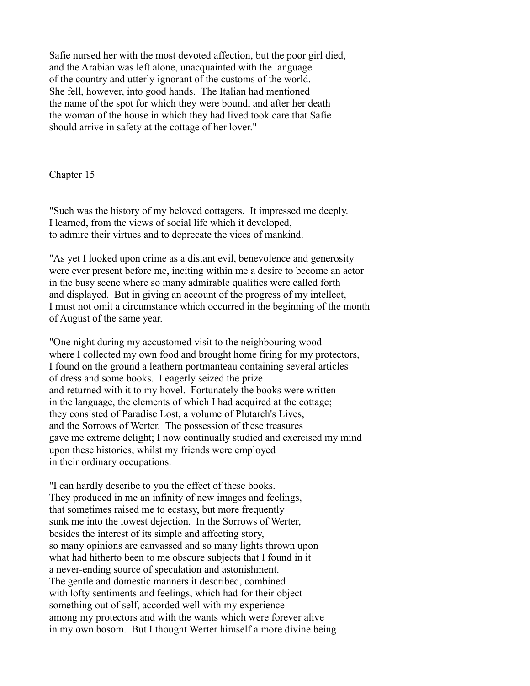Safie nursed her with the most devoted affection, but the poor girl died, and the Arabian was left alone, unacquainted with the language of the country and utterly ignorant of the customs of the world. She fell, however, into good hands. The Italian had mentioned the name of the spot for which they were bound, and after her death the woman of the house in which they had lived took care that Safie should arrive in safety at the cottage of her lover."

Chapter 15

"Such was the history of my beloved cottagers. It impressed me deeply. I learned, from the views of social life which it developed, to admire their virtues and to deprecate the vices of mankind.

"As yet I looked upon crime as a distant evil, benevolence and generosity were ever present before me, inciting within me a desire to become an actor in the busy scene where so many admirable qualities were called forth and displayed. But in giving an account of the progress of my intellect, I must not omit a circumstance which occurred in the beginning of the month of August of the same year.

"One night during my accustomed visit to the neighbouring wood where I collected my own food and brought home firing for my protectors, I found on the ground a leathern portmanteau containing several articles of dress and some books. I eagerly seized the prize and returned with it to my hovel. Fortunately the books were written in the language, the elements of which I had acquired at the cottage; they consisted of Paradise Lost, a volume of Plutarch's Lives, and the Sorrows of Werter. The possession of these treasures gave me extreme delight; I now continually studied and exercised my mind upon these histories, whilst my friends were employed in their ordinary occupations.

"I can hardly describe to you the effect of these books. They produced in me an infinity of new images and feelings, that sometimes raised me to ecstasy, but more frequently sunk me into the lowest dejection. In the Sorrows of Werter, besides the interest of its simple and affecting story, so many opinions are canvassed and so many lights thrown upon what had hitherto been to me obscure subjects that I found in it a never-ending source of speculation and astonishment. The gentle and domestic manners it described, combined with lofty sentiments and feelings, which had for their object something out of self, accorded well with my experience among my protectors and with the wants which were forever alive in my own bosom. But I thought Werter himself a more divine being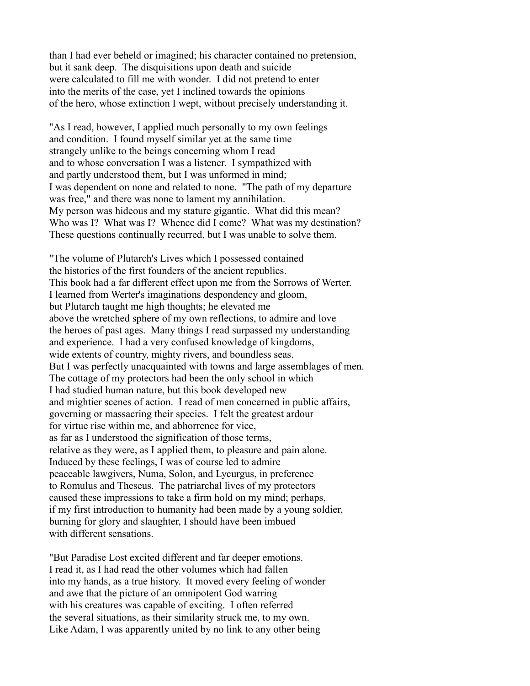than I had ever beheld or imagined; his character contained no pretension, but it sank deep. The disquisitions upon death and suicide were calculated to fill me with wonder. I did not pretend to enter into the merits of the case, yet I inclined towards the opinions of the hero, whose extinction I wept, without precisely understanding it.

"As I read, however, I applied much personally to my own feelings and condition. I found myself similar yet at the same time strangely unlike to the beings concerning whom I read and to whose conversation I was a listener. I sympathized with and partly understood them, but I was unformed in mind; I was dependent on none and related to none. "The path of my departure was free," and there was none to lament my annihilation. My person was hideous and my stature gigantic. What did this mean? Who was I? What was I? Whence did I come? What was my destination? These questions continually recurred, but I was unable to solve them.

"The volume of Plutarch's Lives which I possessed contained the histories of the first founders of the ancient republics. This book had a far different effect upon me from the Sorrows of Werter. I learned from Werter's imaginations despondency and gloom, but Plutarch taught me high thoughts; he elevated me above the wretched sphere of my own reflections, to admire and love the heroes of past ages. Many things I read surpassed my understanding and experience. I had a very confused knowledge of kingdoms, wide extents of country, mighty rivers, and boundless seas. But I was perfectly unacquainted with towns and large assemblages of men. The cottage of my protectors had been the only school in which I had studied human nature, but this book developed new and mightier scenes of action. I read of men concerned in public affairs, governing or massacring their species. I felt the greatest ardour for virtue rise within me, and abhorrence for vice, as far as I understood the signification of those terms, relative as they were, as I applied them, to pleasure and pain alone. Induced by these feelings, I was of course led to admire peaceable lawgivers, Numa, Solon, and Lycurgus, in preference to Romulus and Theseus. The patriarchal lives of my protectors caused these impressions to take a firm hold on my mind; perhaps, if my first introduction to humanity had been made by a young soldier, burning for glory and slaughter, I should have been imbued with different sensations.

"But Paradise Lost excited different and far deeper emotions. I read it, as I had read the other volumes which had fallen into my hands, as a true history. It moved every feeling of wonder and awe that the picture of an omnipotent God warring with his creatures was capable of exciting. I often referred the several situations, as their similarity struck me, to my own. Like Adam, I was apparently united by no link to any other being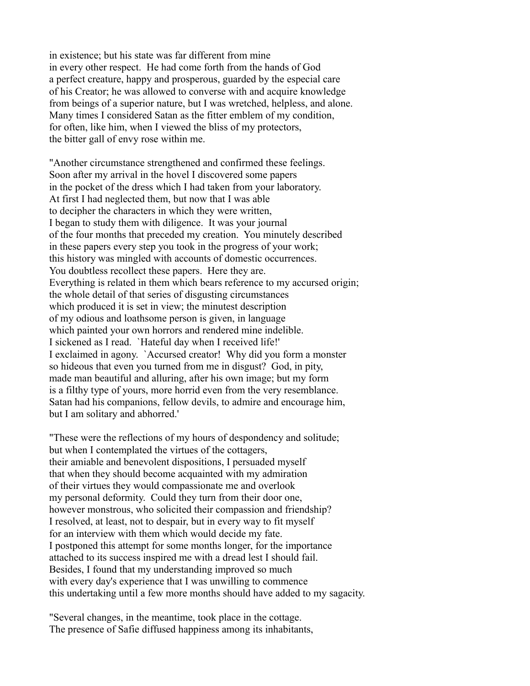in existence; but his state was far different from mine in every other respect. He had come forth from the hands of God a perfect creature, happy and prosperous, guarded by the especial care of his Creator; he was allowed to converse with and acquire knowledge from beings of a superior nature, but I was wretched, helpless, and alone. Many times I considered Satan as the fitter emblem of my condition, for often, like him, when I viewed the bliss of my protectors, the bitter gall of envy rose within me.

"Another circumstance strengthened and confirmed these feelings. Soon after my arrival in the hovel I discovered some papers in the pocket of the dress which I had taken from your laboratory. At first I had neglected them, but now that I was able to decipher the characters in which they were written, I began to study them with diligence. It was your journal of the four months that preceded my creation. You minutely described in these papers every step you took in the progress of your work; this history was mingled with accounts of domestic occurrences. You doubtless recollect these papers. Here they are. Everything is related in them which bears reference to my accursed origin; the whole detail of that series of disgusting circumstances which produced it is set in view; the minutest description of my odious and loathsome person is given, in language which painted your own horrors and rendered mine indelible. I sickened as I read. `Hateful day when I received life!' I exclaimed in agony. `Accursed creator! Why did you form a monster so hideous that even you turned from me in disgust? God, in pity, made man beautiful and alluring, after his own image; but my form is a filthy type of yours, more horrid even from the very resemblance. Satan had his companions, fellow devils, to admire and encourage him, but I am solitary and abhorred.'

"These were the reflections of my hours of despondency and solitude; but when I contemplated the virtues of the cottagers, their amiable and benevolent dispositions, I persuaded myself that when they should become acquainted with my admiration of their virtues they would compassionate me and overlook my personal deformity. Could they turn from their door one, however monstrous, who solicited their compassion and friendship? I resolved, at least, not to despair, but in every way to fit myself for an interview with them which would decide my fate. I postponed this attempt for some months longer, for the importance attached to its success inspired me with a dread lest I should fail. Besides, I found that my understanding improved so much with every day's experience that I was unwilling to commence this undertaking until a few more months should have added to my sagacity.

"Several changes, in the meantime, took place in the cottage. The presence of Safie diffused happiness among its inhabitants,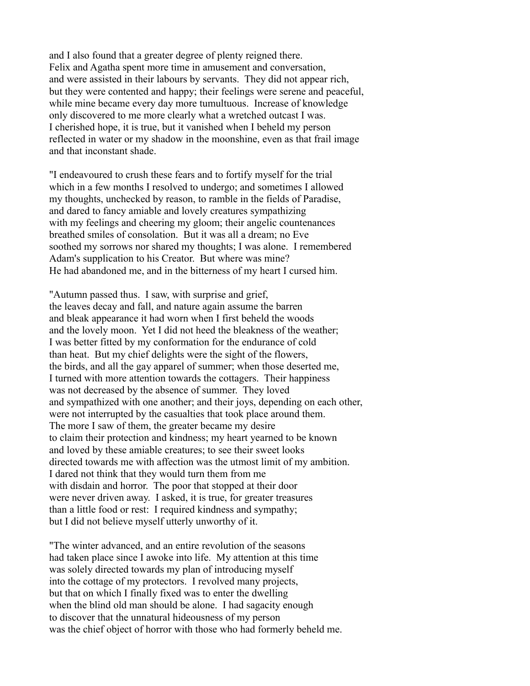and I also found that a greater degree of plenty reigned there. Felix and Agatha spent more time in amusement and conversation, and were assisted in their labours by servants. They did not appear rich, but they were contented and happy; their feelings were serene and peaceful, while mine became every day more tumultuous. Increase of knowledge only discovered to me more clearly what a wretched outcast I was. I cherished hope, it is true, but it vanished when I beheld my person reflected in water or my shadow in the moonshine, even as that frail image and that inconstant shade.

"I endeavoured to crush these fears and to fortify myself for the trial which in a few months I resolved to undergo; and sometimes I allowed my thoughts, unchecked by reason, to ramble in the fields of Paradise, and dared to fancy amiable and lovely creatures sympathizing with my feelings and cheering my gloom; their angelic countenances breathed smiles of consolation. But it was all a dream; no Eve soothed my sorrows nor shared my thoughts; I was alone. I remembered Adam's supplication to his Creator. But where was mine? He had abandoned me, and in the bitterness of my heart I cursed him.

"Autumn passed thus. I saw, with surprise and grief, the leaves decay and fall, and nature again assume the barren and bleak appearance it had worn when I first beheld the woods and the lovely moon. Yet I did not heed the bleakness of the weather; I was better fitted by my conformation for the endurance of cold than heat. But my chief delights were the sight of the flowers, the birds, and all the gay apparel of summer; when those deserted me, I turned with more attention towards the cottagers. Their happiness was not decreased by the absence of summer. They loved and sympathized with one another; and their joys, depending on each other, were not interrupted by the casualties that took place around them. The more I saw of them, the greater became my desire to claim their protection and kindness; my heart yearned to be known and loved by these amiable creatures; to see their sweet looks directed towards me with affection was the utmost limit of my ambition. I dared not think that they would turn them from me with disdain and horror. The poor that stopped at their door were never driven away. I asked, it is true, for greater treasures than a little food or rest: I required kindness and sympathy; but I did not believe myself utterly unworthy of it.

"The winter advanced, and an entire revolution of the seasons had taken place since I awoke into life. My attention at this time was solely directed towards my plan of introducing myself into the cottage of my protectors. I revolved many projects, but that on which I finally fixed was to enter the dwelling when the blind old man should be alone. I had sagacity enough to discover that the unnatural hideousness of my person was the chief object of horror with those who had formerly beheld me.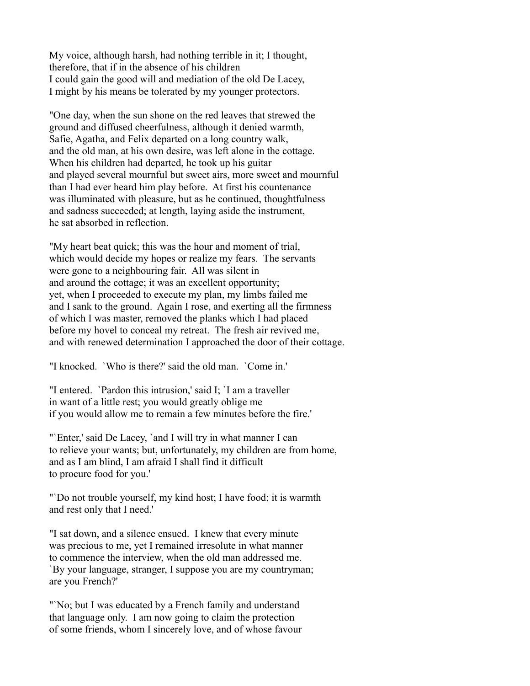My voice, although harsh, had nothing terrible in it; I thought, therefore, that if in the absence of his children I could gain the good will and mediation of the old De Lacey, I might by his means be tolerated by my younger protectors.

"One day, when the sun shone on the red leaves that strewed the ground and diffused cheerfulness, although it denied warmth, Safie, Agatha, and Felix departed on a long country walk, and the old man, at his own desire, was left alone in the cottage. When his children had departed, he took up his guitar and played several mournful but sweet airs, more sweet and mournful than I had ever heard him play before. At first his countenance was illuminated with pleasure, but as he continued, thoughtfulness and sadness succeeded; at length, laying aside the instrument, he sat absorbed in reflection.

"My heart beat quick; this was the hour and moment of trial, which would decide my hopes or realize my fears. The servants were gone to a neighbouring fair. All was silent in and around the cottage; it was an excellent opportunity; yet, when I proceeded to execute my plan, my limbs failed me and I sank to the ground. Again I rose, and exerting all the firmness of which I was master, removed the planks which I had placed before my hovel to conceal my retreat. The fresh air revived me, and with renewed determination I approached the door of their cottage.

"I knocked. `Who is there?' said the old man. `Come in.'

"I entered. `Pardon this intrusion,' said I; `I am a traveller in want of a little rest; you would greatly oblige me if you would allow me to remain a few minutes before the fire.'

"'Enter,' said De Lacey, 'and I will try in what manner I can to relieve your wants; but, unfortunately, my children are from home, and as I am blind, I am afraid I shall find it difficult to procure food for you.'

"`Do not trouble yourself, my kind host; I have food; it is warmth and rest only that I need.'

"I sat down, and a silence ensued. I knew that every minute was precious to me, yet I remained irresolute in what manner to commence the interview, when the old man addressed me. `By your language, stranger, I suppose you are my countryman; are you French?'

"No; but I was educated by a French family and understand that language only. I am now going to claim the protection of some friends, whom I sincerely love, and of whose favour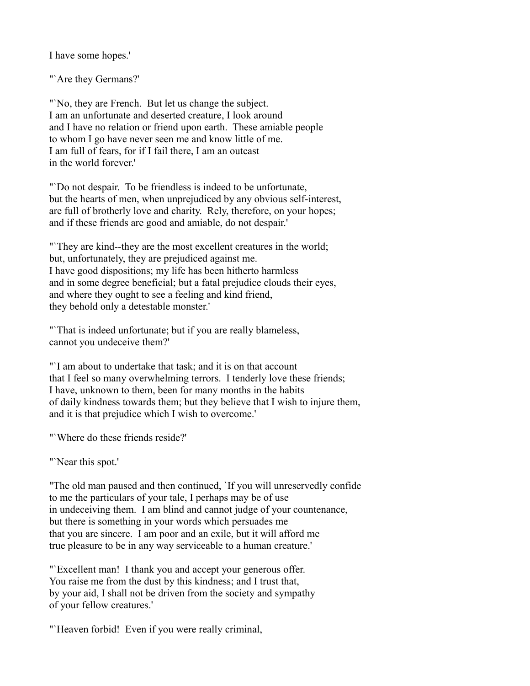I have some hopes.'

"`Are they Germans?'

"No, they are French. But let us change the subject. I am an unfortunate and deserted creature, I look around and I have no relation or friend upon earth. These amiable people to whom I go have never seen me and know little of me. I am full of fears, for if I fail there, I am an outcast in the world forever.'

"`Do not despair. To be friendless is indeed to be unfortunate, but the hearts of men, when unprejudiced by any obvious self-interest, are full of brotherly love and charity. Rely, therefore, on your hopes; and if these friends are good and amiable, do not despair.'

"`They are kind--they are the most excellent creatures in the world; but, unfortunately, they are prejudiced against me. I have good dispositions; my life has been hitherto harmless and in some degree beneficial; but a fatal prejudice clouds their eyes, and where they ought to see a feeling and kind friend, they behold only a detestable monster.'

"That is indeed unfortunate; but if you are really blameless, cannot you undeceive them?'

"`I am about to undertake that task; and it is on that account that I feel so many overwhelming terrors. I tenderly love these friends; I have, unknown to them, been for many months in the habits of daily kindness towards them; but they believe that I wish to injure them, and it is that prejudice which I wish to overcome.'

"`Where do these friends reside?'

"Near this spot."

"The old man paused and then continued, `If you will unreservedly confide to me the particulars of your tale, I perhaps may be of use in undeceiving them. I am blind and cannot judge of your countenance, but there is something in your words which persuades me that you are sincere. I am poor and an exile, but it will afford me true pleasure to be in any way serviceable to a human creature.'

"Excellent man! I thank you and accept your generous offer. You raise me from the dust by this kindness; and I trust that, by your aid, I shall not be driven from the society and sympathy of your fellow creatures.'

"Heaven forbid! Even if you were really criminal,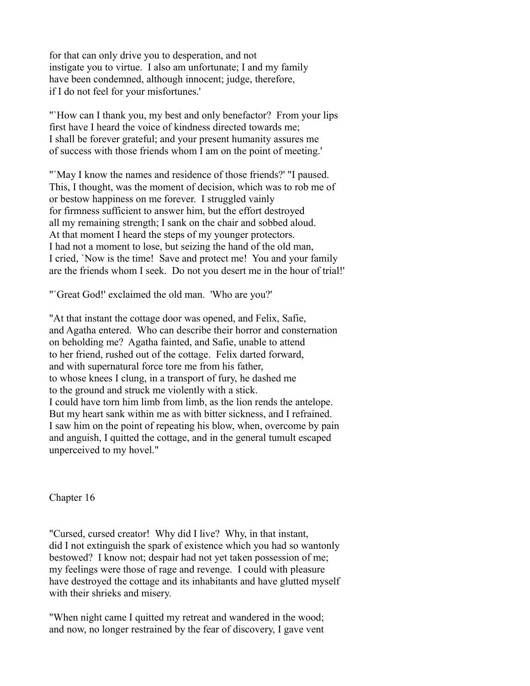for that can only drive you to desperation, and not instigate you to virtue. I also am unfortunate; I and my family have been condemned, although innocent; judge, therefore, if I do not feel for your misfortunes.'

"`How can I thank you, my best and only benefactor? From your lips first have I heard the voice of kindness directed towards me; I shall be forever grateful; and your present humanity assures me of success with those friends whom I am on the point of meeting.'

"`May I know the names and residence of those friends?' "I paused. This, I thought, was the moment of decision, which was to rob me of or bestow happiness on me forever. I struggled vainly for firmness sufficient to answer him, but the effort destroyed all my remaining strength; I sank on the chair and sobbed aloud. At that moment I heard the steps of my younger protectors. I had not a moment to lose, but seizing the hand of the old man, I cried, `Now is the time! Save and protect me! You and your family are the friends whom I seek. Do not you desert me in the hour of trial!'

"`Great God!' exclaimed the old man. 'Who are you?'

"At that instant the cottage door was opened, and Felix, Safie, and Agatha entered. Who can describe their horror and consternation on beholding me? Agatha fainted, and Safie, unable to attend to her friend, rushed out of the cottage. Felix darted forward, and with supernatural force tore me from his father, to whose knees I clung, in a transport of fury, he dashed me to the ground and struck me violently with a stick. I could have torn him limb from limb, as the lion rends the antelope. But my heart sank within me as with bitter sickness, and I refrained. I saw him on the point of repeating his blow, when, overcome by pain and anguish, I quitted the cottage, and in the general tumult escaped unperceived to my hovel."

Chapter 16

"Cursed, cursed creator! Why did I live? Why, in that instant, did I not extinguish the spark of existence which you had so wantonly bestowed? I know not; despair had not yet taken possession of me; my feelings were those of rage and revenge. I could with pleasure have destroyed the cottage and its inhabitants and have glutted myself with their shrieks and misery.

"When night came I quitted my retreat and wandered in the wood; and now, no longer restrained by the fear of discovery, I gave vent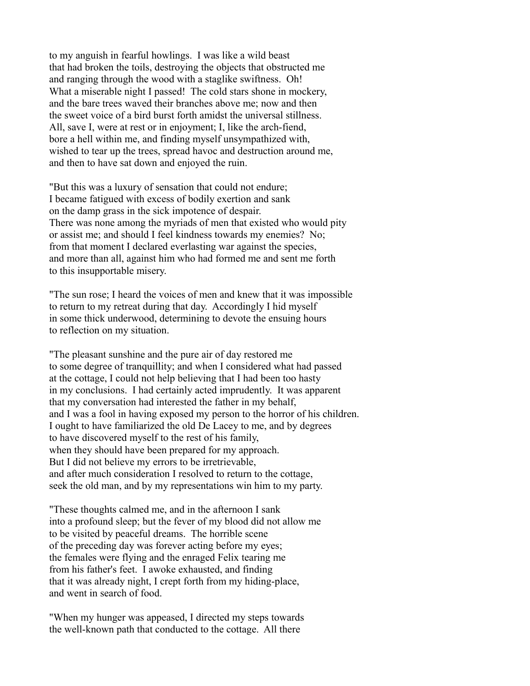to my anguish in fearful howlings. I was like a wild beast that had broken the toils, destroying the objects that obstructed me and ranging through the wood with a staglike swiftness. Oh! What a miserable night I passed! The cold stars shone in mockery, and the bare trees waved their branches above me; now and then the sweet voice of a bird burst forth amidst the universal stillness. All, save I, were at rest or in enjoyment; I, like the arch-fiend, bore a hell within me, and finding myself unsympathized with, wished to tear up the trees, spread havoc and destruction around me, and then to have sat down and enjoyed the ruin.

"But this was a luxury of sensation that could not endure; I became fatigued with excess of bodily exertion and sank on the damp grass in the sick impotence of despair. There was none among the myriads of men that existed who would pity or assist me; and should I feel kindness towards my enemies? No; from that moment I declared everlasting war against the species, and more than all, against him who had formed me and sent me forth to this insupportable misery.

"The sun rose; I heard the voices of men and knew that it was impossible to return to my retreat during that day. Accordingly I hid myself in some thick underwood, determining to devote the ensuing hours to reflection on my situation.

"The pleasant sunshine and the pure air of day restored me to some degree of tranquillity; and when I considered what had passed at the cottage, I could not help believing that I had been too hasty in my conclusions. I had certainly acted imprudently. It was apparent that my conversation had interested the father in my behalf, and I was a fool in having exposed my person to the horror of his children. I ought to have familiarized the old De Lacey to me, and by degrees to have discovered myself to the rest of his family, when they should have been prepared for my approach. But I did not believe my errors to be irretrievable, and after much consideration I resolved to return to the cottage, seek the old man, and by my representations win him to my party.

"These thoughts calmed me, and in the afternoon I sank into a profound sleep; but the fever of my blood did not allow me to be visited by peaceful dreams. The horrible scene of the preceding day was forever acting before my eyes; the females were flying and the enraged Felix tearing me from his father's feet. I awoke exhausted, and finding that it was already night, I crept forth from my hiding-place, and went in search of food.

"When my hunger was appeased, I directed my steps towards the well-known path that conducted to the cottage. All there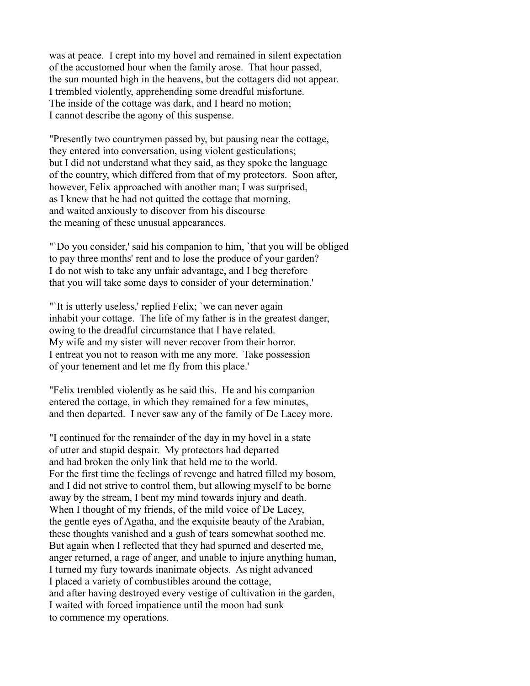was at peace. I crept into my hovel and remained in silent expectation of the accustomed hour when the family arose. That hour passed, the sun mounted high in the heavens, but the cottagers did not appear. I trembled violently, apprehending some dreadful misfortune. The inside of the cottage was dark, and I heard no motion; I cannot describe the agony of this suspense.

"Presently two countrymen passed by, but pausing near the cottage, they entered into conversation, using violent gesticulations; but I did not understand what they said, as they spoke the language of the country, which differed from that of my protectors. Soon after, however, Felix approached with another man; I was surprised. as I knew that he had not quitted the cottage that morning, and waited anxiously to discover from his discourse the meaning of these unusual appearances.

"`Do you consider,' said his companion to him, `that you will be obliged to pay three months' rent and to lose the produce of your garden? I do not wish to take any unfair advantage, and I beg therefore that you will take some days to consider of your determination.'

"`It is utterly useless,' replied Felix; `we can never again inhabit your cottage. The life of my father is in the greatest danger, owing to the dreadful circumstance that I have related. My wife and my sister will never recover from their horror. I entreat you not to reason with me any more. Take possession of your tenement and let me fly from this place.'

"Felix trembled violently as he said this. He and his companion entered the cottage, in which they remained for a few minutes, and then departed. I never saw any of the family of De Lacey more.

"I continued for the remainder of the day in my hovel in a state of utter and stupid despair. My protectors had departed and had broken the only link that held me to the world. For the first time the feelings of revenge and hatred filled my bosom, and I did not strive to control them, but allowing myself to be borne away by the stream, I bent my mind towards injury and death. When I thought of my friends, of the mild voice of De Lacey, the gentle eyes of Agatha, and the exquisite beauty of the Arabian, these thoughts vanished and a gush of tears somewhat soothed me. But again when I reflected that they had spurned and deserted me, anger returned, a rage of anger, and unable to injure anything human, I turned my fury towards inanimate objects. As night advanced I placed a variety of combustibles around the cottage, and after having destroyed every vestige of cultivation in the garden, I waited with forced impatience until the moon had sunk to commence my operations.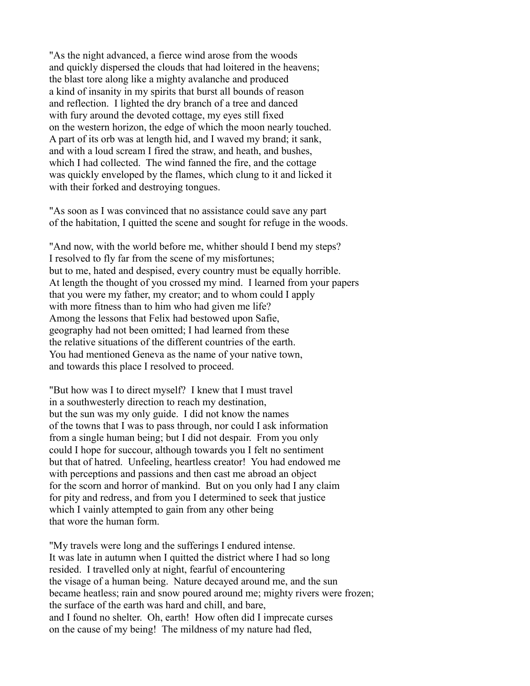"As the night advanced, a fierce wind arose from the woods and quickly dispersed the clouds that had loitered in the heavens; the blast tore along like a mighty avalanche and produced a kind of insanity in my spirits that burst all bounds of reason and reflection. I lighted the dry branch of a tree and danced with fury around the devoted cottage, my eyes still fixed on the western horizon, the edge of which the moon nearly touched. A part of its orb was at length hid, and I waved my brand; it sank, and with a loud scream I fired the straw, and heath, and bushes, which I had collected. The wind fanned the fire, and the cottage was quickly enveloped by the flames, which clung to it and licked it with their forked and destroying tongues.

"As soon as I was convinced that no assistance could save any part of the habitation, I quitted the scene and sought for refuge in the woods.

"And now, with the world before me, whither should I bend my steps? I resolved to fly far from the scene of my misfortunes; but to me, hated and despised, every country must be equally horrible. At length the thought of you crossed my mind. I learned from your papers that you were my father, my creator; and to whom could I apply with more fitness than to him who had given me life? Among the lessons that Felix had bestowed upon Safie, geography had not been omitted; I had learned from these the relative situations of the different countries of the earth. You had mentioned Geneva as the name of your native town, and towards this place I resolved to proceed.

"But how was I to direct myself? I knew that I must travel in a southwesterly direction to reach my destination, but the sun was my only guide. I did not know the names of the towns that I was to pass through, nor could I ask information from a single human being; but I did not despair. From you only could I hope for succour, although towards you I felt no sentiment but that of hatred. Unfeeling, heartless creator! You had endowed me with perceptions and passions and then cast me abroad an object for the scorn and horror of mankind. But on you only had I any claim for pity and redress, and from you I determined to seek that justice which I vainly attempted to gain from any other being that wore the human form.

"My travels were long and the sufferings I endured intense. It was late in autumn when I quitted the district where I had so long resided. I travelled only at night, fearful of encountering the visage of a human being. Nature decayed around me, and the sun became heatless; rain and snow poured around me; mighty rivers were frozen; the surface of the earth was hard and chill, and bare, and I found no shelter. Oh, earth! How often did I imprecate curses on the cause of my being! The mildness of my nature had fled,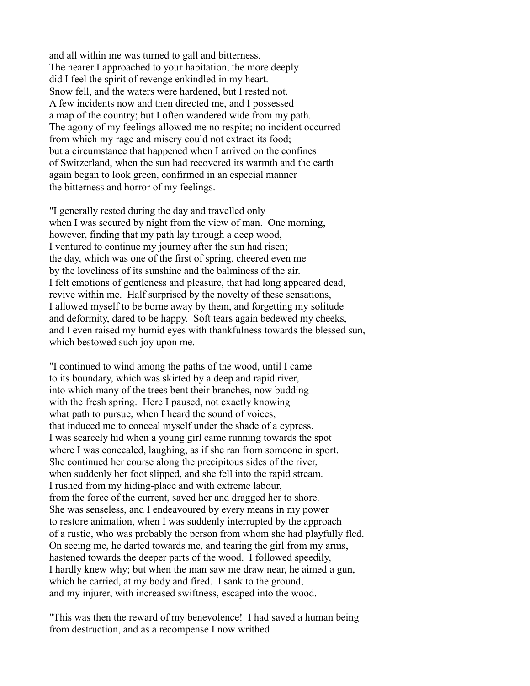and all within me was turned to gall and bitterness. The nearer I approached to your habitation, the more deeply did I feel the spirit of revenge enkindled in my heart. Snow fell, and the waters were hardened, but I rested not. A few incidents now and then directed me, and I possessed a map of the country; but I often wandered wide from my path. The agony of my feelings allowed me no respite; no incident occurred from which my rage and misery could not extract its food; but a circumstance that happened when I arrived on the confines of Switzerland, when the sun had recovered its warmth and the earth again began to look green, confirmed in an especial manner the bitterness and horror of my feelings.

"I generally rested during the day and travelled only when I was secured by night from the view of man. One morning, however, finding that my path lay through a deep wood, I ventured to continue my journey after the sun had risen; the day, which was one of the first of spring, cheered even me by the loveliness of its sunshine and the balminess of the air. I felt emotions of gentleness and pleasure, that had long appeared dead, revive within me. Half surprised by the novelty of these sensations, I allowed myself to be borne away by them, and forgetting my solitude and deformity, dared to be happy. Soft tears again bedewed my cheeks, and I even raised my humid eyes with thankfulness towards the blessed sun, which bestowed such joy upon me.

"I continued to wind among the paths of the wood, until I came to its boundary, which was skirted by a deep and rapid river, into which many of the trees bent their branches, now budding with the fresh spring. Here I paused, not exactly knowing what path to pursue, when I heard the sound of voices, that induced me to conceal myself under the shade of a cypress. I was scarcely hid when a young girl came running towards the spot where I was concealed, laughing, as if she ran from someone in sport. She continued her course along the precipitous sides of the river, when suddenly her foot slipped, and she fell into the rapid stream. I rushed from my hiding-place and with extreme labour, from the force of the current, saved her and dragged her to shore. She was senseless, and I endeavoured by every means in my power to restore animation, when I was suddenly interrupted by the approach of a rustic, who was probably the person from whom she had playfully fled. On seeing me, he darted towards me, and tearing the girl from my arms, hastened towards the deeper parts of the wood. I followed speedily, I hardly knew why; but when the man saw me draw near, he aimed a gun, which he carried, at my body and fired. I sank to the ground, and my injurer, with increased swiftness, escaped into the wood.

"This was then the reward of my benevolence! I had saved a human being from destruction, and as a recompense I now writhed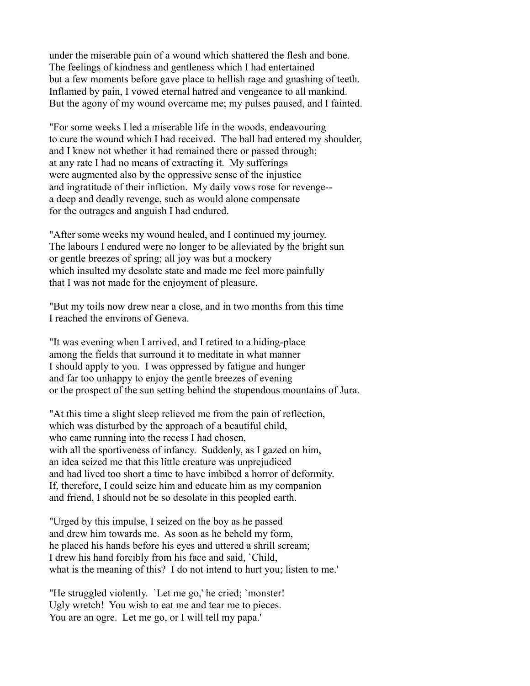under the miserable pain of a wound which shattered the flesh and bone. The feelings of kindness and gentleness which I had entertained but a few moments before gave place to hellish rage and gnashing of teeth. Inflamed by pain, I vowed eternal hatred and vengeance to all mankind. But the agony of my wound overcame me; my pulses paused, and I fainted.

"For some weeks I led a miserable life in the woods, endeavouring to cure the wound which I had received. The ball had entered my shoulder, and I knew not whether it had remained there or passed through; at any rate I had no means of extracting it. My sufferings were augmented also by the oppressive sense of the injustice and ingratitude of their infliction. My daily vows rose for revenge- a deep and deadly revenge, such as would alone compensate for the outrages and anguish I had endured.

"After some weeks my wound healed, and I continued my journey. The labours I endured were no longer to be alleviated by the bright sun or gentle breezes of spring; all joy was but a mockery which insulted my desolate state and made me feel more painfully that I was not made for the enjoyment of pleasure.

"But my toils now drew near a close, and in two months from this time I reached the environs of Geneva.

"It was evening when I arrived, and I retired to a hiding-place among the fields that surround it to meditate in what manner I should apply to you. I was oppressed by fatigue and hunger and far too unhappy to enjoy the gentle breezes of evening or the prospect of the sun setting behind the stupendous mountains of Jura.

"At this time a slight sleep relieved me from the pain of reflection, which was disturbed by the approach of a beautiful child, who came running into the recess I had chosen, with all the sportiveness of infancy. Suddenly, as I gazed on him, an idea seized me that this little creature was unprejudiced and had lived too short a time to have imbibed a horror of deformity. If, therefore, I could seize him and educate him as my companion and friend, I should not be so desolate in this peopled earth.

"Urged by this impulse, I seized on the boy as he passed and drew him towards me. As soon as he beheld my form, he placed his hands before his eyes and uttered a shrill scream; I drew his hand forcibly from his face and said, `Child, what is the meaning of this? I do not intend to hurt you; listen to me.'

"He struggled violently. `Let me go,' he cried; `monster! Ugly wretch! You wish to eat me and tear me to pieces. You are an ogre. Let me go, or I will tell my papa.'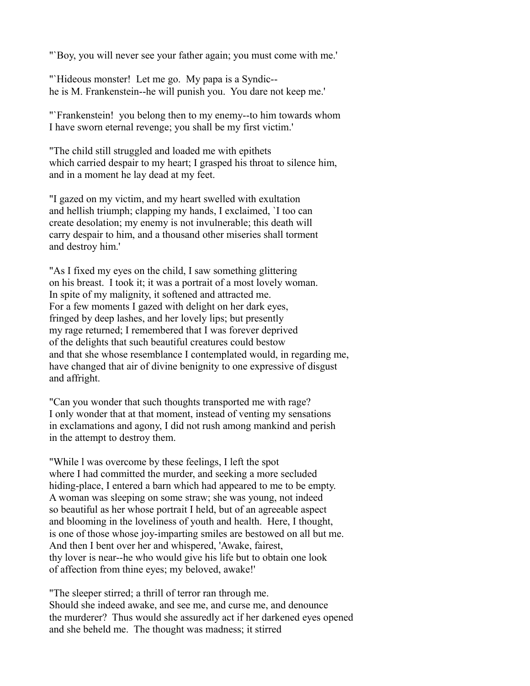"`Boy, you will never see your father again; you must come with me.'

"Hideous monster! Let me go. My papa is a Syndic-he is M. Frankenstein--he will punish you. You dare not keep me.'

"`Frankenstein! you belong then to my enemy--to him towards whom I have sworn eternal revenge; you shall be my first victim.'

"The child still struggled and loaded me with epithets which carried despair to my heart; I grasped his throat to silence him, and in a moment he lay dead at my feet.

"I gazed on my victim, and my heart swelled with exultation and hellish triumph; clapping my hands, I exclaimed, `I too can create desolation; my enemy is not invulnerable; this death will carry despair to him, and a thousand other miseries shall torment and destroy him.'

"As I fixed my eyes on the child, I saw something glittering on his breast. I took it; it was a portrait of a most lovely woman. In spite of my malignity, it softened and attracted me. For a few moments I gazed with delight on her dark eyes, fringed by deep lashes, and her lovely lips; but presently my rage returned; I remembered that I was forever deprived of the delights that such beautiful creatures could bestow and that she whose resemblance I contemplated would, in regarding me, have changed that air of divine benignity to one expressive of disgust and affright.

"Can you wonder that such thoughts transported me with rage? I only wonder that at that moment, instead of venting my sensations in exclamations and agony, I did not rush among mankind and perish in the attempt to destroy them.

"While l was overcome by these feelings, I left the spot where I had committed the murder, and seeking a more secluded hiding-place, I entered a barn which had appeared to me to be empty. A woman was sleeping on some straw; she was young, not indeed so beautiful as her whose portrait I held, but of an agreeable aspect and blooming in the loveliness of youth and health. Here, I thought, is one of those whose joy-imparting smiles are bestowed on all but me. And then I bent over her and whispered, 'Awake, fairest, thy lover is near--he who would give his life but to obtain one look of affection from thine eyes; my beloved, awake!'

"The sleeper stirred; a thrill of terror ran through me. Should she indeed awake, and see me, and curse me, and denounce the murderer? Thus would she assuredly act if her darkened eyes opened and she beheld me. The thought was madness; it stirred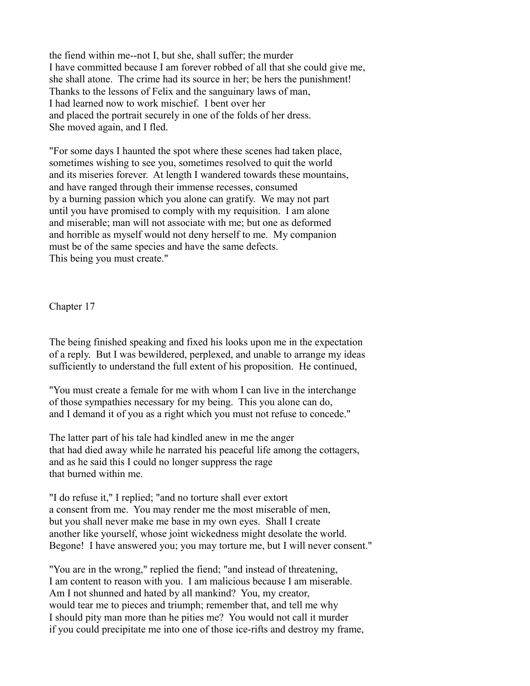the fiend within me--not I, but she, shall suffer; the murder I have committed because I am forever robbed of all that she could give me, she shall atone. The crime had its source in her; be hers the punishment! Thanks to the lessons of Felix and the sanguinary laws of man, I had learned now to work mischief. I bent over her and placed the portrait securely in one of the folds of her dress. She moved again, and I fled.

"For some days I haunted the spot where these scenes had taken place, sometimes wishing to see you, sometimes resolved to quit the world and its miseries forever. At length I wandered towards these mountains, and have ranged through their immense recesses, consumed by a burning passion which you alone can gratify. We may not part until you have promised to comply with my requisition. I am alone and miserable; man will not associate with me; but one as deformed and horrible as myself would not deny herself to me. My companion must be of the same species and have the same defects. This being you must create."

Chapter 17

The being finished speaking and fixed his looks upon me in the expectation of a reply. But I was bewildered, perplexed, and unable to arrange my ideas sufficiently to understand the full extent of his proposition. He continued,

"You must create a female for me with whom I can live in the interchange of those sympathies necessary for my being. This you alone can do, and I demand it of you as a right which you must not refuse to concede."

The latter part of his tale had kindled anew in me the anger that had died away while he narrated his peaceful life among the cottagers, and as he said this I could no longer suppress the rage that burned within me.

"I do refuse it," I replied; "and no torture shall ever extort a consent from me. You may render me the most miserable of men, but you shall never make me base in my own eyes. Shall I create another like yourself, whose joint wickedness might desolate the world. Begone! I have answered you; you may torture me, but I will never consent."

"You are in the wrong," replied the fiend; "and instead of threatening, I am content to reason with you. I am malicious because I am miserable. Am I not shunned and hated by all mankind? You, my creator, would tear me to pieces and triumph; remember that, and tell me why I should pity man more than he pities me? You would not call it murder if you could precipitate me into one of those ice-rifts and destroy my frame,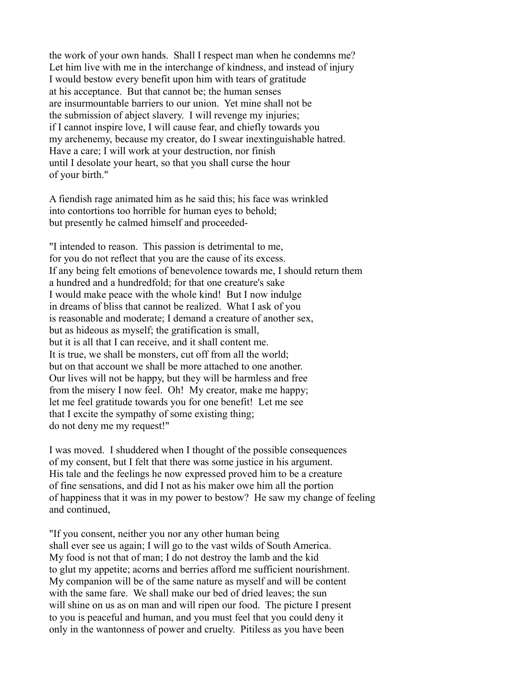the work of your own hands. Shall I respect man when he condemns me? Let him live with me in the interchange of kindness, and instead of injury I would bestow every benefit upon him with tears of gratitude at his acceptance. But that cannot be; the human senses are insurmountable barriers to our union. Yet mine shall not be the submission of abject slavery. I will revenge my injuries; if I cannot inspire love, I will cause fear, and chiefly towards you my archenemy, because my creator, do I swear inextinguishable hatred. Have a care; I will work at your destruction, nor finish until I desolate your heart, so that you shall curse the hour of your birth."

A fiendish rage animated him as he said this; his face was wrinkled into contortions too horrible for human eyes to behold; but presently he calmed himself and proceeded-

"I intended to reason. This passion is detrimental to me, for you do not reflect that you are the cause of its excess. If any being felt emotions of benevolence towards me, I should return them a hundred and a hundredfold; for that one creature's sake I would make peace with the whole kind! But I now indulge in dreams of bliss that cannot be realized. What I ask of you is reasonable and moderate; I demand a creature of another sex, but as hideous as myself; the gratification is small, but it is all that I can receive, and it shall content me. It is true, we shall be monsters, cut off from all the world; but on that account we shall be more attached to one another. Our lives will not be happy, but they will be harmless and free from the misery I now feel. Oh! My creator, make me happy; let me feel gratitude towards you for one benefit! Let me see that I excite the sympathy of some existing thing; do not deny me my request!"

I was moved. I shuddered when I thought of the possible consequences of my consent, but I felt that there was some justice in his argument. His tale and the feelings he now expressed proved him to be a creature of fine sensations, and did I not as his maker owe him all the portion of happiness that it was in my power to bestow? He saw my change of feeling and continued,

"If you consent, neither you nor any other human being shall ever see us again; I will go to the vast wilds of South America. My food is not that of man; I do not destroy the lamb and the kid to glut my appetite; acorns and berries afford me sufficient nourishment. My companion will be of the same nature as myself and will be content with the same fare. We shall make our bed of dried leaves; the sun will shine on us as on man and will ripen our food. The picture I present to you is peaceful and human, and you must feel that you could deny it only in the wantonness of power and cruelty. Pitiless as you have been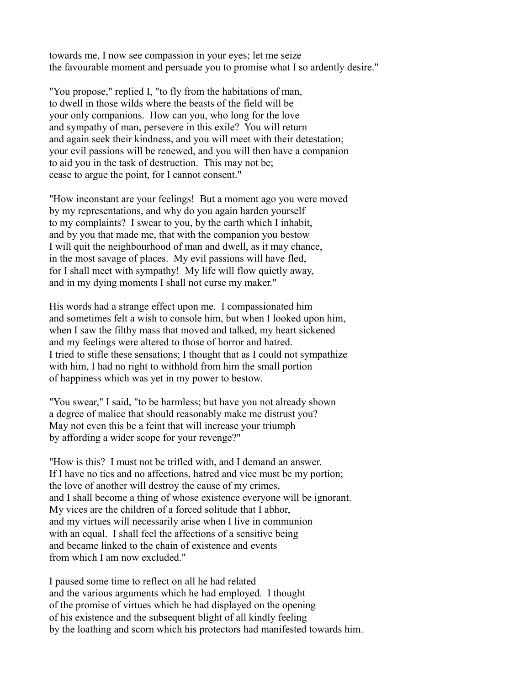towards me, I now see compassion in your eyes; let me seize the favourable moment and persuade you to promise what I so ardently desire."

"You propose," replied I, "to fly from the habitations of man, to dwell in those wilds where the beasts of the field will be your only companions. How can you, who long for the love and sympathy of man, persevere in this exile? You will return and again seek their kindness, and you will meet with their detestation; your evil passions will be renewed, and you will then have a companion to aid you in the task of destruction. This may not be; cease to argue the point, for I cannot consent."

"How inconstant are your feelings! But a moment ago you were moved by my representations, and why do you again harden yourself to my complaints? I swear to you, by the earth which I inhabit, and by you that made me, that with the companion you bestow I will quit the neighbourhood of man and dwell, as it may chance, in the most savage of places. My evil passions will have fled, for I shall meet with sympathy! My life will flow quietly away, and in my dying moments I shall not curse my maker."

His words had a strange effect upon me. I compassionated him and sometimes felt a wish to console him, but when I looked upon him, when I saw the filthy mass that moved and talked, my heart sickened and my feelings were altered to those of horror and hatred. I tried to stifle these sensations; I thought that as I could not sympathize with him, I had no right to withhold from him the small portion of happiness which was yet in my power to bestow.

"You swear," I said, "to be harmless; but have you not already shown a degree of malice that should reasonably make me distrust you? May not even this be a feint that will increase your triumph by affording a wider scope for your revenge?"

"How is this? I must not be trifled with, and I demand an answer. If I have no ties and no affections, hatred and vice must be my portion; the love of another will destroy the cause of my crimes, and I shall become a thing of whose existence everyone will be ignorant. My vices are the children of a forced solitude that I abhor, and my virtues will necessarily arise when I live in communion with an equal. I shall feel the affections of a sensitive being and became linked to the chain of existence and events from which I am now excluded."

I paused some time to reflect on all he had related and the various arguments which he had employed. I thought of the promise of virtues which he had displayed on the opening of his existence and the subsequent blight of all kindly feeling by the loathing and scorn which his protectors had manifested towards him.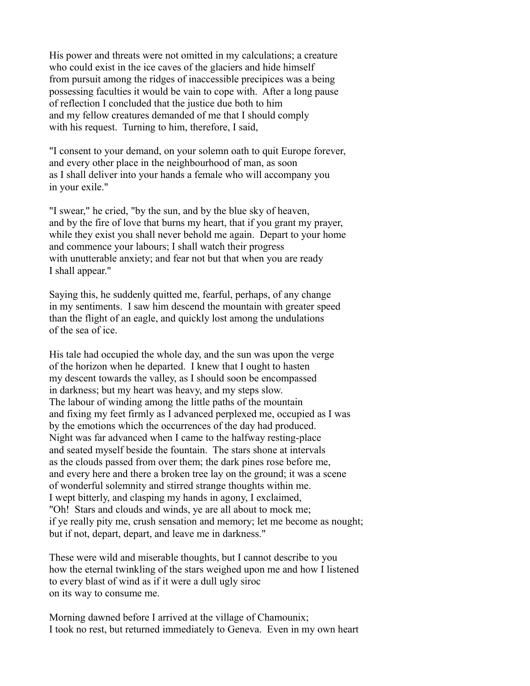His power and threats were not omitted in my calculations; a creature who could exist in the ice caves of the glaciers and hide himself from pursuit among the ridges of inaccessible precipices was a being possessing faculties it would be vain to cope with. After a long pause of reflection I concluded that the justice due both to him and my fellow creatures demanded of me that I should comply with his request. Turning to him, therefore, I said,

"I consent to your demand, on your solemn oath to quit Europe forever, and every other place in the neighbourhood of man, as soon as I shall deliver into your hands a female who will accompany you in your exile."

"I swear," he cried, "by the sun, and by the blue sky of heaven, and by the fire of love that burns my heart, that if you grant my prayer, while they exist you shall never behold me again. Depart to your home and commence your labours; I shall watch their progress with unutterable anxiety; and fear not but that when you are ready I shall appear."

Saying this, he suddenly quitted me, fearful, perhaps, of any change in my sentiments. I saw him descend the mountain with greater speed than the flight of an eagle, and quickly lost among the undulations of the sea of ice.

His tale had occupied the whole day, and the sun was upon the verge of the horizon when he departed. I knew that I ought to hasten my descent towards the valley, as I should soon be encompassed in darkness; but my heart was heavy, and my steps slow. The labour of winding among the little paths of the mountain and fixing my feet firmly as I advanced perplexed me, occupied as I was by the emotions which the occurrences of the day had produced. Night was far advanced when I came to the halfway resting-place and seated myself beside the fountain. The stars shone at intervals as the clouds passed from over them; the dark pines rose before me, and every here and there a broken tree lay on the ground; it was a scene of wonderful solemnity and stirred strange thoughts within me. I wept bitterly, and clasping my hands in agony, I exclaimed, "Oh! Stars and clouds and winds, ye are all about to mock me; if ye really pity me, crush sensation and memory; let me become as nought; but if not, depart, depart, and leave me in darkness."

These were wild and miserable thoughts, but I cannot describe to you how the eternal twinkling of the stars weighed upon me and how I listened to every blast of wind as if it were a dull ugly siroc on its way to consume me.

Morning dawned before I arrived at the village of Chamounix; I took no rest, but returned immediately to Geneva. Even in my own heart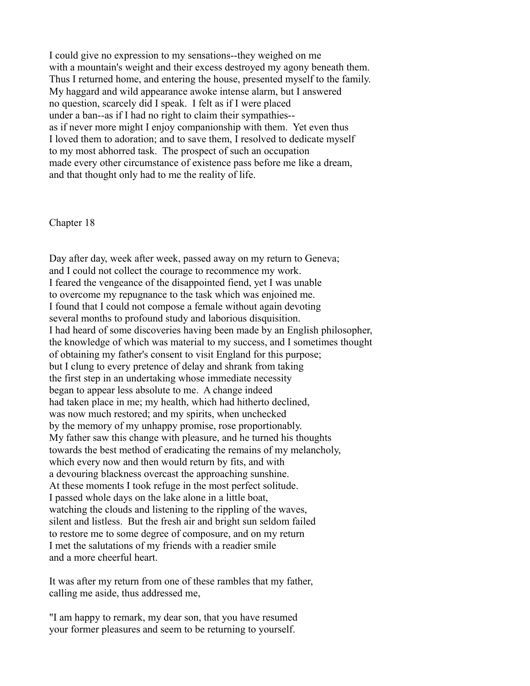I could give no expression to my sensations--they weighed on me with a mountain's weight and their excess destroyed my agony beneath them. Thus I returned home, and entering the house, presented myself to the family. My haggard and wild appearance awoke intense alarm, but I answered no question, scarcely did I speak. I felt as if I were placed under a ban--as if I had no right to claim their sympathies- as if never more might I enjoy companionship with them. Yet even thus I loved them to adoration; and to save them, I resolved to dedicate myself to my most abhorred task. The prospect of such an occupation made every other circumstance of existence pass before me like a dream, and that thought only had to me the reality of life.

Chapter 18

Day after day, week after week, passed away on my return to Geneva; and I could not collect the courage to recommence my work. I feared the vengeance of the disappointed fiend, yet I was unable to overcome my repugnance to the task which was enjoined me. I found that I could not compose a female without again devoting several months to profound study and laborious disquisition. I had heard of some discoveries having been made by an English philosopher, the knowledge of which was material to my success, and I sometimes thought of obtaining my father's consent to visit England for this purpose; but I clung to every pretence of delay and shrank from taking the first step in an undertaking whose immediate necessity began to appear less absolute to me. A change indeed had taken place in me; my health, which had hitherto declined, was now much restored; and my spirits, when unchecked by the memory of my unhappy promise, rose proportionably. My father saw this change with pleasure, and he turned his thoughts towards the best method of eradicating the remains of my melancholy, which every now and then would return by fits, and with a devouring blackness overcast the approaching sunshine. At these moments I took refuge in the most perfect solitude. I passed whole days on the lake alone in a little boat, watching the clouds and listening to the rippling of the waves, silent and listless. But the fresh air and bright sun seldom failed to restore me to some degree of composure, and on my return I met the salutations of my friends with a readier smile and a more cheerful heart.

It was after my return from one of these rambles that my father, calling me aside, thus addressed me,

"I am happy to remark, my dear son, that you have resumed your former pleasures and seem to be returning to yourself.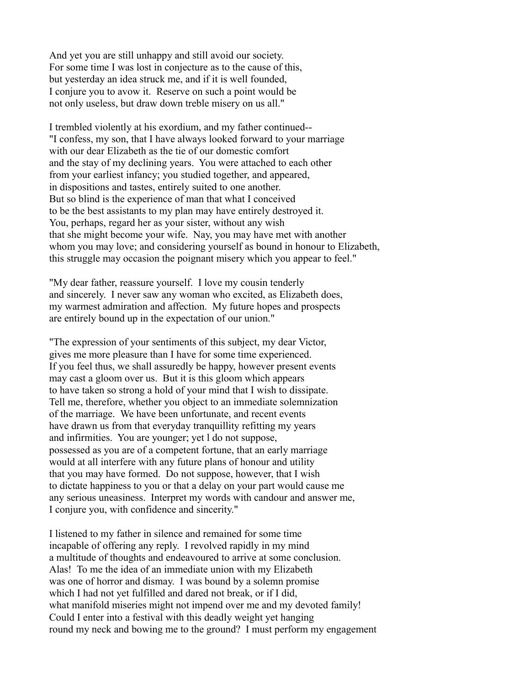And yet you are still unhappy and still avoid our society. For some time I was lost in conjecture as to the cause of this, but yesterday an idea struck me, and if it is well founded, I conjure you to avow it. Reserve on such a point would be not only useless, but draw down treble misery on us all."

I trembled violently at his exordium, and my father continued-- "I confess, my son, that I have always looked forward to your marriage with our dear Elizabeth as the tie of our domestic comfort and the stay of my declining years. You were attached to each other from your earliest infancy; you studied together, and appeared, in dispositions and tastes, entirely suited to one another. But so blind is the experience of man that what I conceived to be the best assistants to my plan may have entirely destroyed it. You, perhaps, regard her as your sister, without any wish that she might become your wife. Nay, you may have met with another whom you may love; and considering yourself as bound in honour to Elizabeth, this struggle may occasion the poignant misery which you appear to feel."

"My dear father, reassure yourself. I love my cousin tenderly and sincerely. I never saw any woman who excited, as Elizabeth does, my warmest admiration and affection. My future hopes and prospects are entirely bound up in the expectation of our union."

"The expression of your sentiments of this subject, my dear Victor, gives me more pleasure than I have for some time experienced. If you feel thus, we shall assuredly be happy, however present events may cast a gloom over us. But it is this gloom which appears to have taken so strong a hold of your mind that I wish to dissipate. Tell me, therefore, whether you object to an immediate solemnization of the marriage. We have been unfortunate, and recent events have drawn us from that everyday tranquillity refitting my years and infirmities. You are younger; yet l do not suppose, possessed as you are of a competent fortune, that an early marriage would at all interfere with any future plans of honour and utility that you may have formed. Do not suppose, however, that I wish to dictate happiness to you or that a delay on your part would cause me any serious uneasiness. Interpret my words with candour and answer me, I conjure you, with confidence and sincerity."

I listened to my father in silence and remained for some time incapable of offering any reply. I revolved rapidly in my mind a multitude of thoughts and endeavoured to arrive at some conclusion. Alas! To me the idea of an immediate union with my Elizabeth was one of horror and dismay. I was bound by a solemn promise which I had not yet fulfilled and dared not break, or if I did, what manifold miseries might not impend over me and my devoted family! Could I enter into a festival with this deadly weight yet hanging round my neck and bowing me to the ground? I must perform my engagement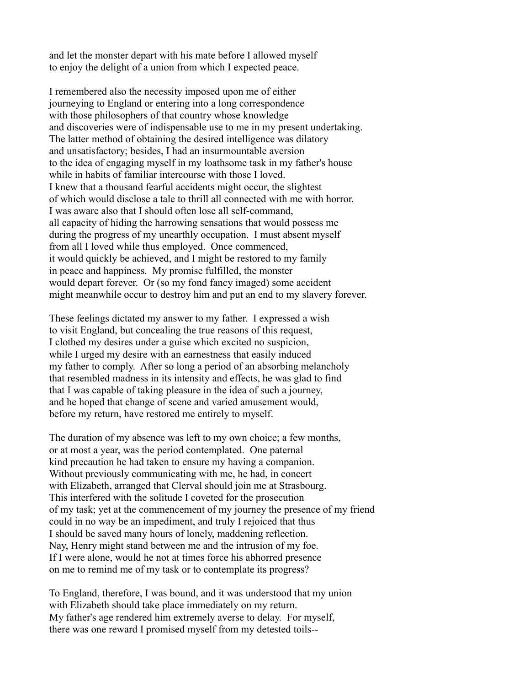and let the monster depart with his mate before I allowed myself to enjoy the delight of a union from which I expected peace.

I remembered also the necessity imposed upon me of either journeying to England or entering into a long correspondence with those philosophers of that country whose knowledge and discoveries were of indispensable use to me in my present undertaking. The latter method of obtaining the desired intelligence was dilatory and unsatisfactory; besides, I had an insurmountable aversion to the idea of engaging myself in my loathsome task in my father's house while in habits of familiar intercourse with those I loved. I knew that a thousand fearful accidents might occur, the slightest of which would disclose a tale to thrill all connected with me with horror. I was aware also that I should often lose all self-command, all capacity of hiding the harrowing sensations that would possess me during the progress of my unearthly occupation. I must absent myself from all I loved while thus employed. Once commenced, it would quickly be achieved, and I might be restored to my family in peace and happiness. My promise fulfilled, the monster would depart forever. Or (so my fond fancy imaged) some accident might meanwhile occur to destroy him and put an end to my slavery forever.

These feelings dictated my answer to my father. I expressed a wish to visit England, but concealing the true reasons of this request, I clothed my desires under a guise which excited no suspicion, while I urged my desire with an earnestness that easily induced my father to comply. After so long a period of an absorbing melancholy that resembled madness in its intensity and effects, he was glad to find that I was capable of taking pleasure in the idea of such a journey, and he hoped that change of scene and varied amusement would, before my return, have restored me entirely to myself.

The duration of my absence was left to my own choice; a few months, or at most a year, was the period contemplated. One paternal kind precaution he had taken to ensure my having a companion. Without previously communicating with me, he had, in concert with Elizabeth, arranged that Clerval should join me at Strasbourg. This interfered with the solitude I coveted for the prosecution of my task; yet at the commencement of my journey the presence of my friend could in no way be an impediment, and truly I rejoiced that thus I should be saved many hours of lonely, maddening reflection. Nay, Henry might stand between me and the intrusion of my foe. If I were alone, would he not at times force his abhorred presence on me to remind me of my task or to contemplate its progress?

To England, therefore, I was bound, and it was understood that my union with Elizabeth should take place immediately on my return. My father's age rendered him extremely averse to delay. For myself, there was one reward I promised myself from my detested toils--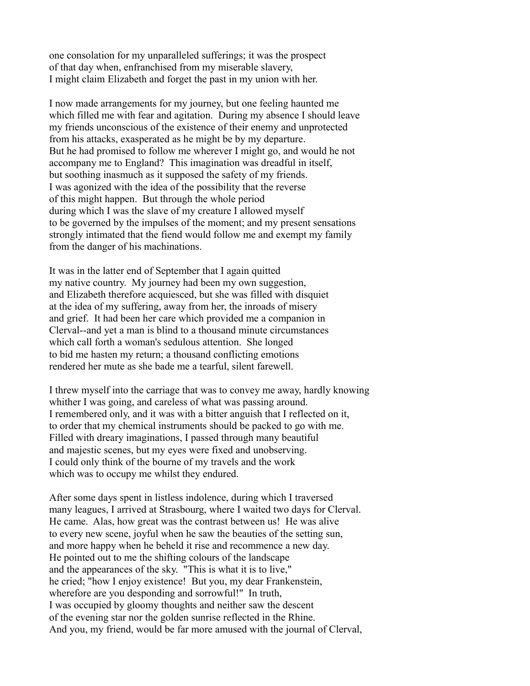one consolation for my unparalleled sufferings; it was the prospect of that day when, enfranchised from my miserable slavery, I might claim Elizabeth and forget the past in my union with her.

I now made arrangements for my journey, but one feeling haunted me which filled me with fear and agitation. During my absence I should leave my friends unconscious of the existence of their enemy and unprotected from his attacks, exasperated as he might be by my departure. But he had promised to follow me wherever I might go, and would he not accompany me to England? This imagination was dreadful in itself, but soothing inasmuch as it supposed the safety of my friends. I was agonized with the idea of the possibility that the reverse of this might happen. But through the whole period during which I was the slave of my creature I allowed myself to be governed by the impulses of the moment; and my present sensations strongly intimated that the fiend would follow me and exempt my family from the danger of his machinations.

It was in the latter end of September that I again quitted my native country. My journey had been my own suggestion, and Elizabeth therefore acquiesced, but she was filled with disquiet at the idea of my suffering, away from her, the inroads of misery and grief. It had been her care which provided me a companion in Clerval--and yet a man is blind to a thousand minute circumstances which call forth a woman's sedulous attention. She longed to bid me hasten my return; a thousand conflicting emotions rendered her mute as she bade me a tearful, silent farewell.

I threw myself into the carriage that was to convey me away, hardly knowing whither I was going, and careless of what was passing around. I remembered only, and it was with a bitter anguish that I reflected on it, to order that my chemical instruments should be packed to go with me. Filled with dreary imaginations, I passed through many beautiful and majestic scenes, but my eyes were fixed and unobserving. I could only think of the bourne of my travels and the work which was to occupy me whilst they endured.

After some days spent in listless indolence, during which I traversed many leagues, I arrived at Strasbourg, where I waited two days for Clerval. He came. Alas, how great was the contrast between us! He was alive to every new scene, joyful when he saw the beauties of the setting sun, and more happy when he beheld it rise and recommence a new day. He pointed out to me the shifting colours of the landscape and the appearances of the sky. "This is what it is to live," he cried; "how I enjoy existence! But you, my dear Frankenstein, wherefore are you desponding and sorrowful!" In truth, I was occupied by gloomy thoughts and neither saw the descent of the evening star nor the golden sunrise reflected in the Rhine. And you, my friend, would be far more amused with the journal of Clerval,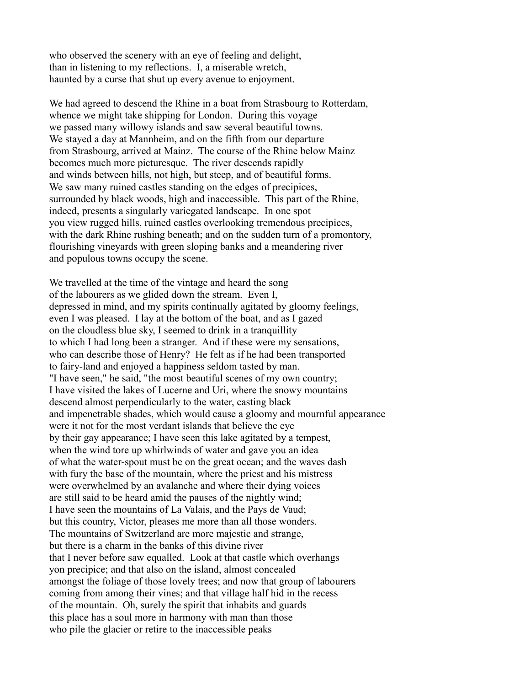who observed the scenery with an eye of feeling and delight, than in listening to my reflections. I, a miserable wretch, haunted by a curse that shut up every avenue to enjoyment.

We had agreed to descend the Rhine in a boat from Strasbourg to Rotterdam, whence we might take shipping for London. During this voyage we passed many willowy islands and saw several beautiful towns. We stayed a day at Mannheim, and on the fifth from our departure from Strasbourg, arrived at Mainz. The course of the Rhine below Mainz becomes much more picturesque. The river descends rapidly and winds between hills, not high, but steep, and of beautiful forms. We saw many ruined castles standing on the edges of precipices. surrounded by black woods, high and inaccessible. This part of the Rhine, indeed, presents a singularly variegated landscape. In one spot you view rugged hills, ruined castles overlooking tremendous precipices, with the dark Rhine rushing beneath; and on the sudden turn of a promontory, flourishing vineyards with green sloping banks and a meandering river and populous towns occupy the scene.

We travelled at the time of the vintage and heard the song of the labourers as we glided down the stream. Even I, depressed in mind, and my spirits continually agitated by gloomy feelings, even I was pleased. I lay at the bottom of the boat, and as I gazed on the cloudless blue sky, I seemed to drink in a tranquillity to which I had long been a stranger. And if these were my sensations, who can describe those of Henry? He felt as if he had been transported to fairy-land and enjoyed a happiness seldom tasted by man. "I have seen," he said, "the most beautiful scenes of my own country; I have visited the lakes of Lucerne and Uri, where the snowy mountains descend almost perpendicularly to the water, casting black and impenetrable shades, which would cause a gloomy and mournful appearance were it not for the most verdant islands that believe the eye by their gay appearance; I have seen this lake agitated by a tempest, when the wind tore up whirlwinds of water and gave you an idea of what the water-spout must be on the great ocean; and the waves dash with fury the base of the mountain, where the priest and his mistress were overwhelmed by an avalanche and where their dying voices are still said to be heard amid the pauses of the nightly wind; I have seen the mountains of La Valais, and the Pays de Vaud; but this country, Victor, pleases me more than all those wonders. The mountains of Switzerland are more majestic and strange, but there is a charm in the banks of this divine river that I never before saw equalled. Look at that castle which overhangs yon precipice; and that also on the island, almost concealed amongst the foliage of those lovely trees; and now that group of labourers coming from among their vines; and that village half hid in the recess of the mountain. Oh, surely the spirit that inhabits and guards this place has a soul more in harmony with man than those who pile the glacier or retire to the inaccessible peaks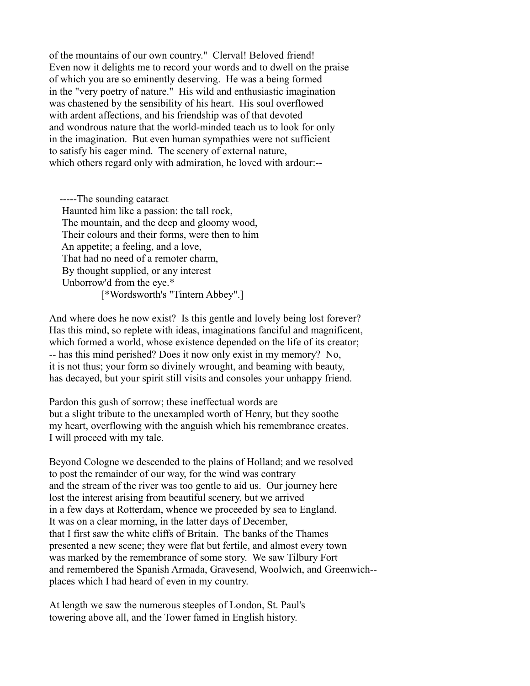of the mountains of our own country." Clerval! Beloved friend! Even now it delights me to record your words and to dwell on the praise of which you are so eminently deserving. He was a being formed in the "very poetry of nature." His wild and enthusiastic imagination was chastened by the sensibility of his heart. His soul overflowed with ardent affections, and his friendship was of that devoted and wondrous nature that the world-minded teach us to look for only in the imagination. But even human sympathies were not sufficient to satisfy his eager mind. The scenery of external nature, which others regard only with admiration, he loved with ardour:--

 -----The sounding cataract Haunted him like a passion: the tall rock, The mountain, and the deep and gloomy wood, Their colours and their forms, were then to him An appetite; a feeling, and a love, That had no need of a remoter charm, By thought supplied, or any interest Unborrow'd from the eye.\* [\*Wordsworth's "Tintern Abbey".]

And where does he now exist? Is this gentle and lovely being lost forever? Has this mind, so replete with ideas, imaginations fanciful and magnificent, which formed a world, whose existence depended on the life of its creator; -- has this mind perished? Does it now only exist in my memory? No, it is not thus; your form so divinely wrought, and beaming with beauty, has decayed, but your spirit still visits and consoles your unhappy friend.

Pardon this gush of sorrow; these ineffectual words are but a slight tribute to the unexampled worth of Henry, but they soothe my heart, overflowing with the anguish which his remembrance creates. I will proceed with my tale.

Beyond Cologne we descended to the plains of Holland; and we resolved to post the remainder of our way, for the wind was contrary and the stream of the river was too gentle to aid us. Our journey here lost the interest arising from beautiful scenery, but we arrived in a few days at Rotterdam, whence we proceeded by sea to England. It was on a clear morning, in the latter days of December, that I first saw the white cliffs of Britain. The banks of the Thames presented a new scene; they were flat but fertile, and almost every town was marked by the remembrance of some story. We saw Tilbury Fort and remembered the Spanish Armada, Gravesend, Woolwich, and Greenwich- places which I had heard of even in my country.

At length we saw the numerous steeples of London, St. Paul's towering above all, and the Tower famed in English history.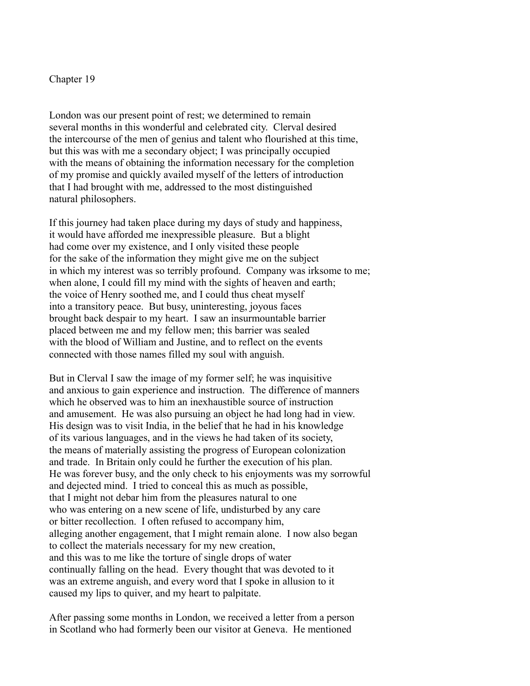## Chapter 19

London was our present point of rest; we determined to remain several months in this wonderful and celebrated city. Clerval desired the intercourse of the men of genius and talent who flourished at this time, but this was with me a secondary object; I was principally occupied with the means of obtaining the information necessary for the completion of my promise and quickly availed myself of the letters of introduction that I had brought with me, addressed to the most distinguished natural philosophers.

If this journey had taken place during my days of study and happiness, it would have afforded me inexpressible pleasure. But a blight had come over my existence, and I only visited these people for the sake of the information they might give me on the subject in which my interest was so terribly profound. Company was irksome to me; when alone, I could fill my mind with the sights of heaven and earth; the voice of Henry soothed me, and I could thus cheat myself into a transitory peace. But busy, uninteresting, joyous faces brought back despair to my heart. I saw an insurmountable barrier placed between me and my fellow men; this barrier was sealed with the blood of William and Justine, and to reflect on the events connected with those names filled my soul with anguish.

But in Clerval I saw the image of my former self; he was inquisitive and anxious to gain experience and instruction. The difference of manners which he observed was to him an inexhaustible source of instruction and amusement. He was also pursuing an object he had long had in view. His design was to visit India, in the belief that he had in his knowledge of its various languages, and in the views he had taken of its society, the means of materially assisting the progress of European colonization and trade. In Britain only could he further the execution of his plan. He was forever busy, and the only check to his enjoyments was my sorrowful and dejected mind. I tried to conceal this as much as possible, that I might not debar him from the pleasures natural to one who was entering on a new scene of life, undisturbed by any care or bitter recollection. I often refused to accompany him, alleging another engagement, that I might remain alone. I now also began to collect the materials necessary for my new creation, and this was to me like the torture of single drops of water continually falling on the head. Every thought that was devoted to it was an extreme anguish, and every word that I spoke in allusion to it caused my lips to quiver, and my heart to palpitate.

After passing some months in London, we received a letter from a person in Scotland who had formerly been our visitor at Geneva. He mentioned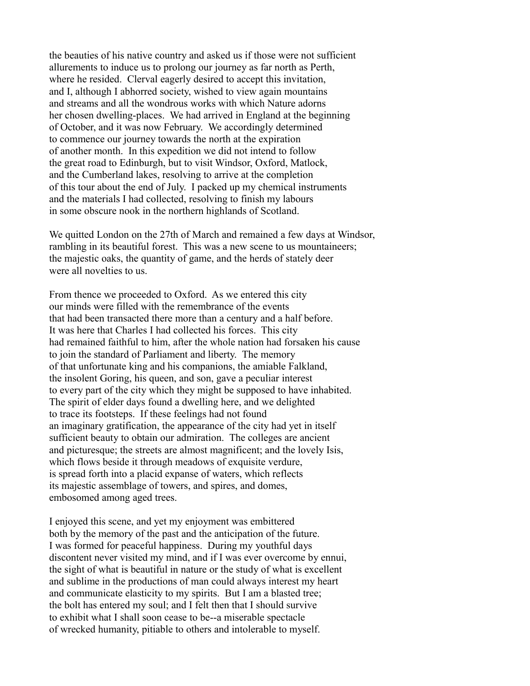the beauties of his native country and asked us if those were not sufficient allurements to induce us to prolong our journey as far north as Perth, where he resided. Clerval eagerly desired to accept this invitation, and I, although I abhorred society, wished to view again mountains and streams and all the wondrous works with which Nature adorns her chosen dwelling-places. We had arrived in England at the beginning of October, and it was now February. We accordingly determined to commence our journey towards the north at the expiration of another month. In this expedition we did not intend to follow the great road to Edinburgh, but to visit Windsor, Oxford, Matlock, and the Cumberland lakes, resolving to arrive at the completion of this tour about the end of July. I packed up my chemical instruments and the materials I had collected, resolving to finish my labours in some obscure nook in the northern highlands of Scotland.

We quitted London on the 27th of March and remained a few days at Windsor, rambling in its beautiful forest. This was a new scene to us mountaineers; the majestic oaks, the quantity of game, and the herds of stately deer were all novelties to us.

From thence we proceeded to Oxford. As we entered this city our minds were filled with the remembrance of the events that had been transacted there more than a century and a half before. It was here that Charles I had collected his forces. This city had remained faithful to him, after the whole nation had forsaken his cause to join the standard of Parliament and liberty. The memory of that unfortunate king and his companions, the amiable Falkland, the insolent Goring, his queen, and son, gave a peculiar interest to every part of the city which they might be supposed to have inhabited. The spirit of elder days found a dwelling here, and we delighted to trace its footsteps. If these feelings had not found an imaginary gratification, the appearance of the city had yet in itself sufficient beauty to obtain our admiration. The colleges are ancient and picturesque; the streets are almost magnificent; and the lovely Isis, which flows beside it through meadows of exquisite verdure, is spread forth into a placid expanse of waters, which reflects its majestic assemblage of towers, and spires, and domes, embosomed among aged trees.

I enjoyed this scene, and yet my enjoyment was embittered both by the memory of the past and the anticipation of the future. I was formed for peaceful happiness. During my youthful days discontent never visited my mind, and if I was ever overcome by ennui, the sight of what is beautiful in nature or the study of what is excellent and sublime in the productions of man could always interest my heart and communicate elasticity to my spirits. But I am a blasted tree; the bolt has entered my soul; and I felt then that I should survive to exhibit what I shall soon cease to be--a miserable spectacle of wrecked humanity, pitiable to others and intolerable to myself.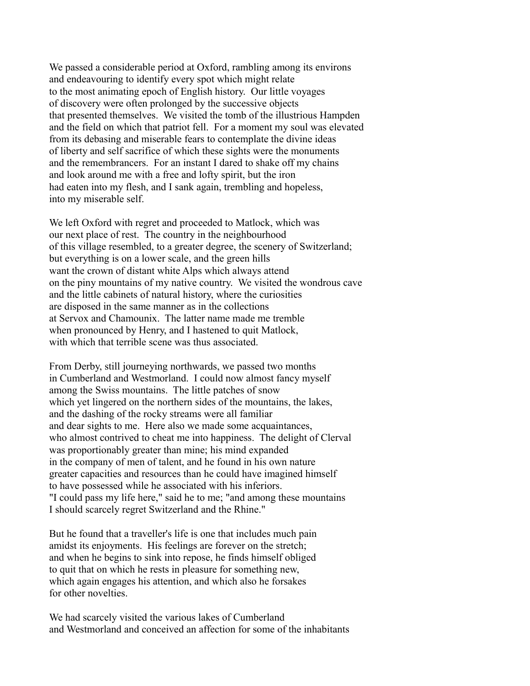We passed a considerable period at Oxford, rambling among its environs and endeavouring to identify every spot which might relate to the most animating epoch of English history. Our little voyages of discovery were often prolonged by the successive objects that presented themselves. We visited the tomb of the illustrious Hampden and the field on which that patriot fell. For a moment my soul was elevated from its debasing and miserable fears to contemplate the divine ideas of liberty and self sacrifice of which these sights were the monuments and the remembrancers. For an instant I dared to shake off my chains and look around me with a free and lofty spirit, but the iron had eaten into my flesh, and I sank again, trembling and hopeless, into my miserable self.

We left Oxford with regret and proceeded to Matlock, which was our next place of rest. The country in the neighbourhood of this village resembled, to a greater degree, the scenery of Switzerland; but everything is on a lower scale, and the green hills want the crown of distant white Alps which always attend on the piny mountains of my native country. We visited the wondrous cave and the little cabinets of natural history, where the curiosities are disposed in the same manner as in the collections at Servox and Chamounix. The latter name made me tremble when pronounced by Henry, and I hastened to quit Matlock, with which that terrible scene was thus associated.

From Derby, still journeying northwards, we passed two months in Cumberland and Westmorland. I could now almost fancy myself among the Swiss mountains. The little patches of snow which yet lingered on the northern sides of the mountains, the lakes, and the dashing of the rocky streams were all familiar and dear sights to me. Here also we made some acquaintances, who almost contrived to cheat me into happiness. The delight of Clerval was proportionably greater than mine; his mind expanded in the company of men of talent, and he found in his own nature greater capacities and resources than he could have imagined himself to have possessed while he associated with his inferiors. "I could pass my life here," said he to me; "and among these mountains I should scarcely regret Switzerland and the Rhine."

But he found that a traveller's life is one that includes much pain amidst its enjoyments. His feelings are forever on the stretch; and when he begins to sink into repose, he finds himself obliged to quit that on which he rests in pleasure for something new, which again engages his attention, and which also he forsakes for other novelties.

We had scarcely visited the various lakes of Cumberland and Westmorland and conceived an affection for some of the inhabitants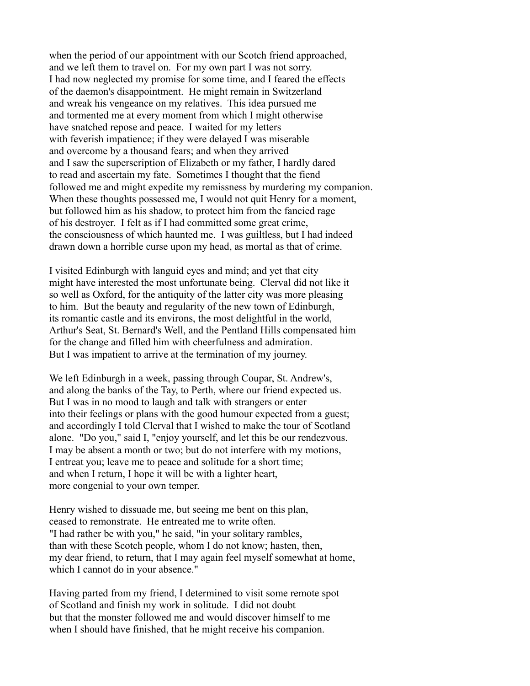when the period of our appointment with our Scotch friend approached, and we left them to travel on. For my own part I was not sorry. I had now neglected my promise for some time, and I feared the effects of the daemon's disappointment. He might remain in Switzerland and wreak his vengeance on my relatives. This idea pursued me and tormented me at every moment from which I might otherwise have snatched repose and peace. I waited for my letters with feverish impatience; if they were delayed I was miserable and overcome by a thousand fears; and when they arrived and I saw the superscription of Elizabeth or my father, I hardly dared to read and ascertain my fate. Sometimes I thought that the fiend followed me and might expedite my remissness by murdering my companion. When these thoughts possessed me, I would not quit Henry for a moment, but followed him as his shadow, to protect him from the fancied rage of his destroyer. I felt as if I had committed some great crime, the consciousness of which haunted me. I was guiltless, but I had indeed drawn down a horrible curse upon my head, as mortal as that of crime.

I visited Edinburgh with languid eyes and mind; and yet that city might have interested the most unfortunate being. Clerval did not like it so well as Oxford, for the antiquity of the latter city was more pleasing to him. But the beauty and regularity of the new town of Edinburgh, its romantic castle and its environs, the most delightful in the world, Arthur's Seat, St. Bernard's Well, and the Pentland Hills compensated him for the change and filled him with cheerfulness and admiration. But I was impatient to arrive at the termination of my journey.

We left Edinburgh in a week, passing through Coupar, St. Andrew's, and along the banks of the Tay, to Perth, where our friend expected us. But I was in no mood to laugh and talk with strangers or enter into their feelings or plans with the good humour expected from a guest; and accordingly I told Clerval that I wished to make the tour of Scotland alone. "Do you," said I, "enjoy yourself, and let this be our rendezvous. I may be absent a month or two; but do not interfere with my motions, I entreat you; leave me to peace and solitude for a short time; and when I return, I hope it will be with a lighter heart, more congenial to your own temper.

Henry wished to dissuade me, but seeing me bent on this plan, ceased to remonstrate. He entreated me to write often. "I had rather be with you," he said, "in your solitary rambles, than with these Scotch people, whom I do not know; hasten, then, my dear friend, to return, that I may again feel myself somewhat at home, which I cannot do in your absence."

Having parted from my friend, I determined to visit some remote spot of Scotland and finish my work in solitude. I did not doubt but that the monster followed me and would discover himself to me when I should have finished, that he might receive his companion.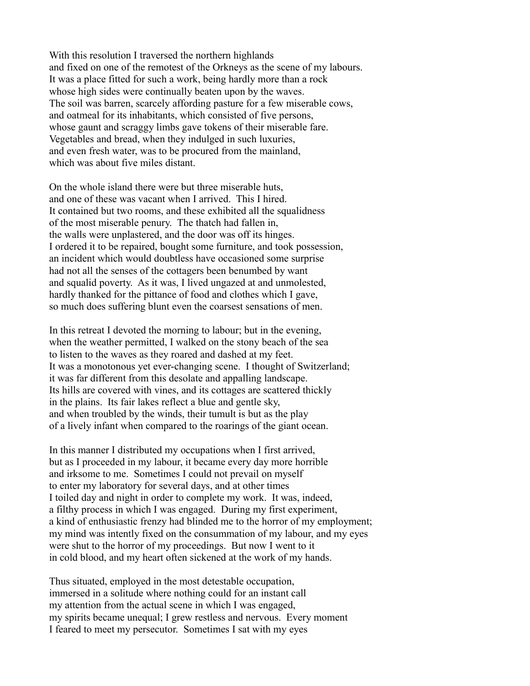With this resolution I traversed the northern highlands and fixed on one of the remotest of the Orkneys as the scene of my labours. It was a place fitted for such a work, being hardly more than a rock whose high sides were continually beaten upon by the waves. The soil was barren, scarcely affording pasture for a few miserable cows, and oatmeal for its inhabitants, which consisted of five persons, whose gaunt and scraggy limbs gave tokens of their miserable fare. Vegetables and bread, when they indulged in such luxuries, and even fresh water, was to be procured from the mainland, which was about five miles distant.

On the whole island there were but three miserable huts, and one of these was vacant when I arrived. This I hired. It contained but two rooms, and these exhibited all the squalidness of the most miserable penury. The thatch had fallen in, the walls were unplastered, and the door was off its hinges. I ordered it to be repaired, bought some furniture, and took possession, an incident which would doubtless have occasioned some surprise had not all the senses of the cottagers been benumbed by want and squalid poverty. As it was, I lived ungazed at and unmolested, hardly thanked for the pittance of food and clothes which I gave, so much does suffering blunt even the coarsest sensations of men.

In this retreat I devoted the morning to labour; but in the evening, when the weather permitted, I walked on the stony beach of the sea to listen to the waves as they roared and dashed at my feet. It was a monotonous yet ever-changing scene. I thought of Switzerland; it was far different from this desolate and appalling landscape. Its hills are covered with vines, and its cottages are scattered thickly in the plains. Its fair lakes reflect a blue and gentle sky, and when troubled by the winds, their tumult is but as the play of a lively infant when compared to the roarings of the giant ocean.

In this manner I distributed my occupations when I first arrived, but as I proceeded in my labour, it became every day more horrible and irksome to me. Sometimes I could not prevail on myself to enter my laboratory for several days, and at other times I toiled day and night in order to complete my work. It was, indeed, a filthy process in which I was engaged. During my first experiment, a kind of enthusiastic frenzy had blinded me to the horror of my employment; my mind was intently fixed on the consummation of my labour, and my eyes were shut to the horror of my proceedings. But now I went to it in cold blood, and my heart often sickened at the work of my hands.

Thus situated, employed in the most detestable occupation, immersed in a solitude where nothing could for an instant call my attention from the actual scene in which I was engaged, my spirits became unequal; I grew restless and nervous. Every moment I feared to meet my persecutor. Sometimes I sat with my eyes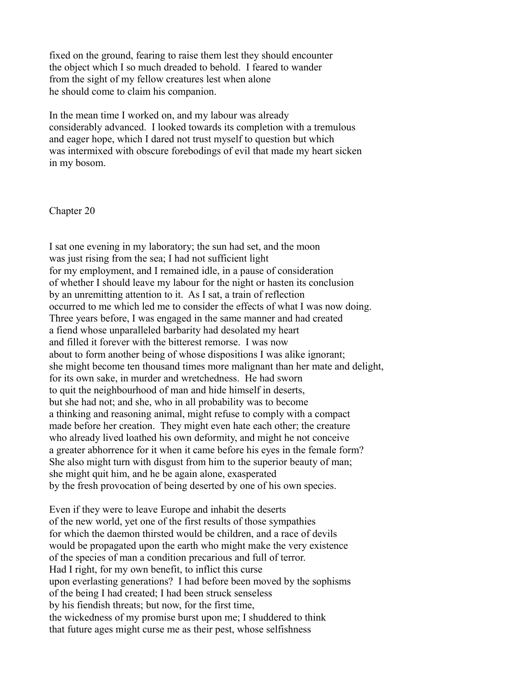fixed on the ground, fearing to raise them lest they should encounter the object which I so much dreaded to behold. I feared to wander from the sight of my fellow creatures lest when alone he should come to claim his companion.

In the mean time I worked on, and my labour was already considerably advanced. I looked towards its completion with a tremulous and eager hope, which I dared not trust myself to question but which was intermixed with obscure forebodings of evil that made my heart sicken in my bosom.

Chapter 20

I sat one evening in my laboratory; the sun had set, and the moon was just rising from the sea; I had not sufficient light for my employment, and I remained idle, in a pause of consideration of whether I should leave my labour for the night or hasten its conclusion by an unremitting attention to it. As I sat, a train of reflection occurred to me which led me to consider the effects of what I was now doing. Three years before, I was engaged in the same manner and had created a fiend whose unparalleled barbarity had desolated my heart and filled it forever with the bitterest remorse. I was now about to form another being of whose dispositions I was alike ignorant; she might become ten thousand times more malignant than her mate and delight, for its own sake, in murder and wretchedness. He had sworn to quit the neighbourhood of man and hide himself in deserts, but she had not; and she, who in all probability was to become a thinking and reasoning animal, might refuse to comply with a compact made before her creation. They might even hate each other; the creature who already lived loathed his own deformity, and might he not conceive a greater abhorrence for it when it came before his eyes in the female form? She also might turn with disgust from him to the superior beauty of man; she might quit him, and he be again alone, exasperated by the fresh provocation of being deserted by one of his own species.

Even if they were to leave Europe and inhabit the deserts of the new world, yet one of the first results of those sympathies for which the daemon thirsted would be children, and a race of devils would be propagated upon the earth who might make the very existence of the species of man a condition precarious and full of terror. Had I right, for my own benefit, to inflict this curse upon everlasting generations? I had before been moved by the sophisms of the being I had created; I had been struck senseless by his fiendish threats; but now, for the first time, the wickedness of my promise burst upon me; I shuddered to think that future ages might curse me as their pest, whose selfishness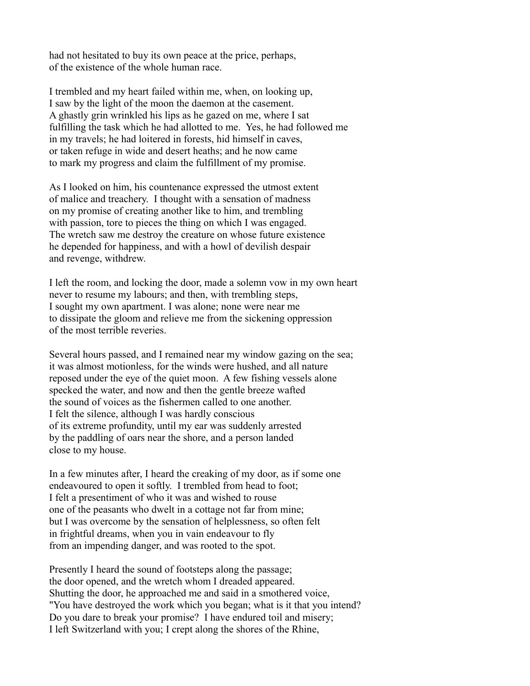had not hesitated to buy its own peace at the price, perhaps, of the existence of the whole human race.

I trembled and my heart failed within me, when, on looking up, I saw by the light of the moon the daemon at the casement. A ghastly grin wrinkled his lips as he gazed on me, where I sat fulfilling the task which he had allotted to me. Yes, he had followed me in my travels; he had loitered in forests, hid himself in caves, or taken refuge in wide and desert heaths; and he now came to mark my progress and claim the fulfillment of my promise.

As I looked on him, his countenance expressed the utmost extent of malice and treachery. I thought with a sensation of madness on my promise of creating another like to him, and trembling with passion, tore to pieces the thing on which I was engaged. The wretch saw me destroy the creature on whose future existence he depended for happiness, and with a howl of devilish despair and revenge, withdrew.

I left the room, and locking the door, made a solemn vow in my own heart never to resume my labours; and then, with trembling steps, I sought my own apartment. I was alone; none were near me to dissipate the gloom and relieve me from the sickening oppression of the most terrible reveries.

Several hours passed, and I remained near my window gazing on the sea; it was almost motionless, for the winds were hushed, and all nature reposed under the eye of the quiet moon. A few fishing vessels alone specked the water, and now and then the gentle breeze wafted the sound of voices as the fishermen called to one another. I felt the silence, although I was hardly conscious of its extreme profundity, until my ear was suddenly arrested by the paddling of oars near the shore, and a person landed close to my house.

In a few minutes after, I heard the creaking of my door, as if some one endeavoured to open it softly. I trembled from head to foot; I felt a presentiment of who it was and wished to rouse one of the peasants who dwelt in a cottage not far from mine; but I was overcome by the sensation of helplessness, so often felt in frightful dreams, when you in vain endeavour to fly from an impending danger, and was rooted to the spot.

Presently I heard the sound of footsteps along the passage; the door opened, and the wretch whom I dreaded appeared. Shutting the door, he approached me and said in a smothered voice, "You have destroyed the work which you began; what is it that you intend? Do you dare to break your promise? I have endured toil and misery; I left Switzerland with you; I crept along the shores of the Rhine,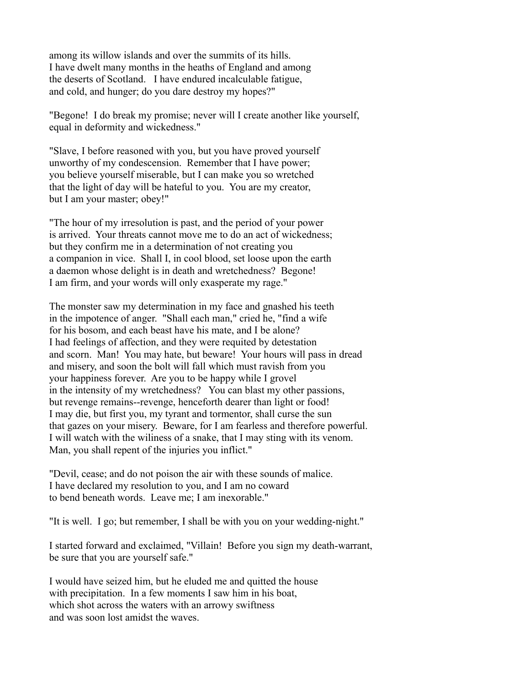among its willow islands and over the summits of its hills. I have dwelt many months in the heaths of England and among the deserts of Scotland. I have endured incalculable fatigue, and cold, and hunger; do you dare destroy my hopes?"

"Begone! I do break my promise; never will I create another like yourself, equal in deformity and wickedness."

"Slave, I before reasoned with you, but you have proved yourself unworthy of my condescension. Remember that I have power; you believe yourself miserable, but I can make you so wretched that the light of day will be hateful to you. You are my creator, but I am your master; obey!"

"The hour of my irresolution is past, and the period of your power is arrived. Your threats cannot move me to do an act of wickedness; but they confirm me in a determination of not creating you a companion in vice. Shall I, in cool blood, set loose upon the earth a daemon whose delight is in death and wretchedness? Begone! I am firm, and your words will only exasperate my rage."

The monster saw my determination in my face and gnashed his teeth in the impotence of anger. "Shall each man," cried he, "find a wife for his bosom, and each beast have his mate, and I be alone? I had feelings of affection, and they were requited by detestation and scorn. Man! You may hate, but beware! Your hours will pass in dread and misery, and soon the bolt will fall which must ravish from you your happiness forever. Are you to be happy while I grovel in the intensity of my wretchedness? You can blast my other passions, but revenge remains--revenge, henceforth dearer than light or food! I may die, but first you, my tyrant and tormentor, shall curse the sun that gazes on your misery. Beware, for I am fearless and therefore powerful. I will watch with the wiliness of a snake, that I may sting with its venom. Man, you shall repent of the injuries you inflict."

"Devil, cease; and do not poison the air with these sounds of malice. I have declared my resolution to you, and I am no coward to bend beneath words. Leave me; I am inexorable."

"It is well. I go; but remember, I shall be with you on your wedding-night."

I started forward and exclaimed, "Villain! Before you sign my death-warrant, be sure that you are yourself safe."

I would have seized him, but he eluded me and quitted the house with precipitation. In a few moments I saw him in his boat, which shot across the waters with an arrowy swiftness and was soon lost amidst the waves.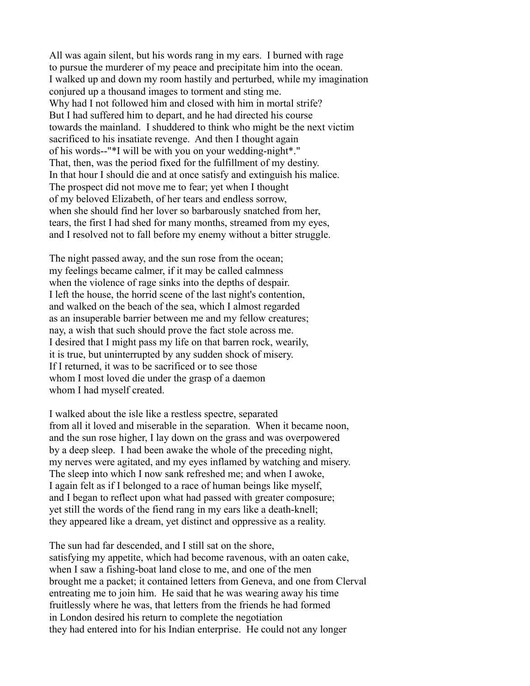All was again silent, but his words rang in my ears. I burned with rage to pursue the murderer of my peace and precipitate him into the ocean. I walked up and down my room hastily and perturbed, while my imagination conjured up a thousand images to torment and sting me. Why had I not followed him and closed with him in mortal strife? But I had suffered him to depart, and he had directed his course towards the mainland. I shuddered to think who might be the next victim sacrificed to his insatiate revenge. And then I thought again of his words--"\*I will be with you on your wedding-night\*." That, then, was the period fixed for the fulfillment of my destiny. In that hour I should die and at once satisfy and extinguish his malice. The prospect did not move me to fear; yet when I thought of my beloved Elizabeth, of her tears and endless sorrow, when she should find her lover so barbarously snatched from her, tears, the first I had shed for many months, streamed from my eyes, and I resolved not to fall before my enemy without a bitter struggle.

The night passed away, and the sun rose from the ocean; my feelings became calmer, if it may be called calmness when the violence of rage sinks into the depths of despair. I left the house, the horrid scene of the last night's contention, and walked on the beach of the sea, which I almost regarded as an insuperable barrier between me and my fellow creatures; nay, a wish that such should prove the fact stole across me. I desired that I might pass my life on that barren rock, wearily, it is true, but uninterrupted by any sudden shock of misery. If I returned, it was to be sacrificed or to see those whom I most loved die under the grasp of a daemon whom I had myself created.

I walked about the isle like a restless spectre, separated from all it loved and miserable in the separation. When it became noon, and the sun rose higher, I lay down on the grass and was overpowered by a deep sleep. I had been awake the whole of the preceding night, my nerves were agitated, and my eyes inflamed by watching and misery. The sleep into which I now sank refreshed me; and when I awoke, I again felt as if I belonged to a race of human beings like myself, and I began to reflect upon what had passed with greater composure; yet still the words of the fiend rang in my ears like a death-knell; they appeared like a dream, yet distinct and oppressive as a reality.

The sun had far descended, and I still sat on the shore, satisfying my appetite, which had become ravenous, with an oaten cake, when I saw a fishing-boat land close to me, and one of the men brought me a packet; it contained letters from Geneva, and one from Clerval entreating me to join him. He said that he was wearing away his time fruitlessly where he was, that letters from the friends he had formed in London desired his return to complete the negotiation they had entered into for his Indian enterprise. He could not any longer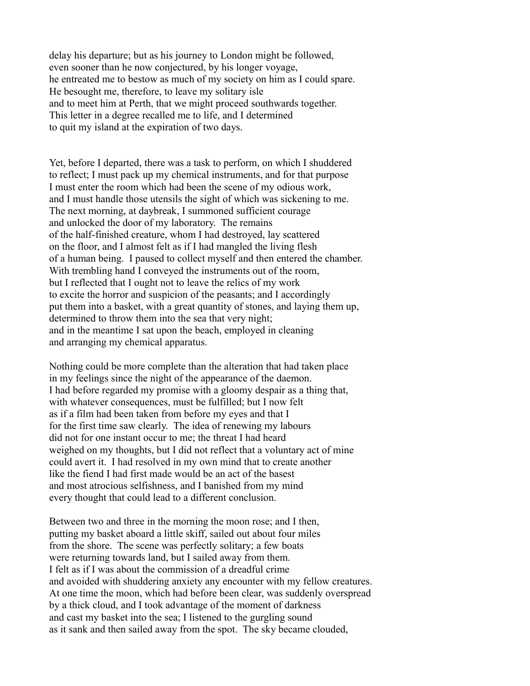delay his departure; but as his journey to London might be followed, even sooner than he now conjectured, by his longer voyage, he entreated me to bestow as much of my society on him as I could spare. He besought me, therefore, to leave my solitary isle and to meet him at Perth, that we might proceed southwards together. This letter in a degree recalled me to life, and I determined to quit my island at the expiration of two days.

Yet, before I departed, there was a task to perform, on which I shuddered to reflect; I must pack up my chemical instruments, and for that purpose I must enter the room which had been the scene of my odious work, and I must handle those utensils the sight of which was sickening to me. The next morning, at daybreak, I summoned sufficient courage and unlocked the door of my laboratory. The remains of the half-finished creature, whom I had destroyed, lay scattered on the floor, and I almost felt as if I had mangled the living flesh of a human being. I paused to collect myself and then entered the chamber. With trembling hand I conveyed the instruments out of the room, but I reflected that I ought not to leave the relics of my work to excite the horror and suspicion of the peasants; and I accordingly put them into a basket, with a great quantity of stones, and laying them up, determined to throw them into the sea that very night; and in the meantime I sat upon the beach, employed in cleaning and arranging my chemical apparatus.

Nothing could be more complete than the alteration that had taken place in my feelings since the night of the appearance of the daemon. I had before regarded my promise with a gloomy despair as a thing that, with whatever consequences, must be fulfilled; but I now felt as if a film had been taken from before my eyes and that I for the first time saw clearly. The idea of renewing my labours did not for one instant occur to me; the threat I had heard weighed on my thoughts, but I did not reflect that a voluntary act of mine could avert it. I had resolved in my own mind that to create another like the fiend I had first made would be an act of the basest and most atrocious selfishness, and I banished from my mind every thought that could lead to a different conclusion.

Between two and three in the morning the moon rose; and I then, putting my basket aboard a little skiff, sailed out about four miles from the shore. The scene was perfectly solitary; a few boats were returning towards land, but I sailed away from them. I felt as if I was about the commission of a dreadful crime and avoided with shuddering anxiety any encounter with my fellow creatures. At one time the moon, which had before been clear, was suddenly overspread by a thick cloud, and I took advantage of the moment of darkness and cast my basket into the sea; I listened to the gurgling sound as it sank and then sailed away from the spot. The sky became clouded,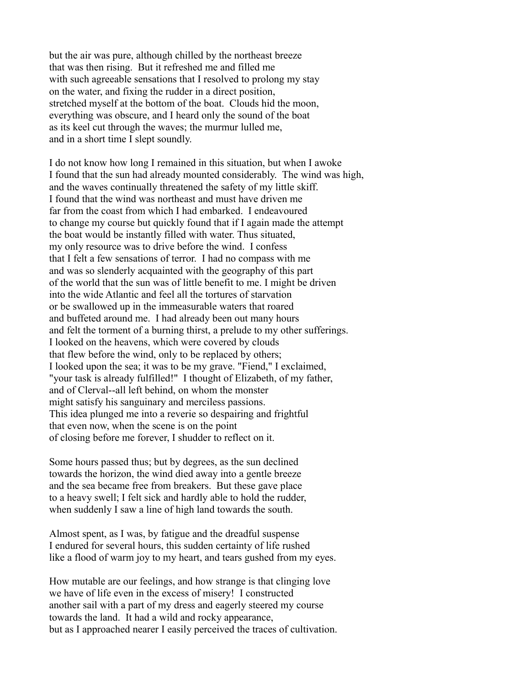but the air was pure, although chilled by the northeast breeze that was then rising. But it refreshed me and filled me with such agreeable sensations that I resolved to prolong my stay on the water, and fixing the rudder in a direct position, stretched myself at the bottom of the boat. Clouds hid the moon, everything was obscure, and I heard only the sound of the boat as its keel cut through the waves; the murmur lulled me, and in a short time I slept soundly.

I do not know how long I remained in this situation, but when I awoke I found that the sun had already mounted considerably. The wind was high, and the waves continually threatened the safety of my little skiff. I found that the wind was northeast and must have driven me far from the coast from which I had embarked. I endeavoured to change my course but quickly found that if I again made the attempt the boat would be instantly filled with water. Thus situated, my only resource was to drive before the wind. I confess that I felt a few sensations of terror. I had no compass with me and was so slenderly acquainted with the geography of this part of the world that the sun was of little benefit to me. I might be driven into the wide Atlantic and feel all the tortures of starvation or be swallowed up in the immeasurable waters that roared and buffeted around me. I had already been out many hours and felt the torment of a burning thirst, a prelude to my other sufferings. I looked on the heavens, which were covered by clouds that flew before the wind, only to be replaced by others; I looked upon the sea; it was to be my grave. "Fiend," I exclaimed, "your task is already fulfilled!" I thought of Elizabeth, of my father, and of Clerval--all left behind, on whom the monster might satisfy his sanguinary and merciless passions. This idea plunged me into a reverie so despairing and frightful that even now, when the scene is on the point of closing before me forever, I shudder to reflect on it.

Some hours passed thus; but by degrees, as the sun declined towards the horizon, the wind died away into a gentle breeze and the sea became free from breakers. But these gave place to a heavy swell; I felt sick and hardly able to hold the rudder, when suddenly I saw a line of high land towards the south.

Almost spent, as I was, by fatigue and the dreadful suspense I endured for several hours, this sudden certainty of life rushed like a flood of warm joy to my heart, and tears gushed from my eyes.

How mutable are our feelings, and how strange is that clinging love we have of life even in the excess of misery! I constructed another sail with a part of my dress and eagerly steered my course towards the land. It had a wild and rocky appearance, but as I approached nearer I easily perceived the traces of cultivation.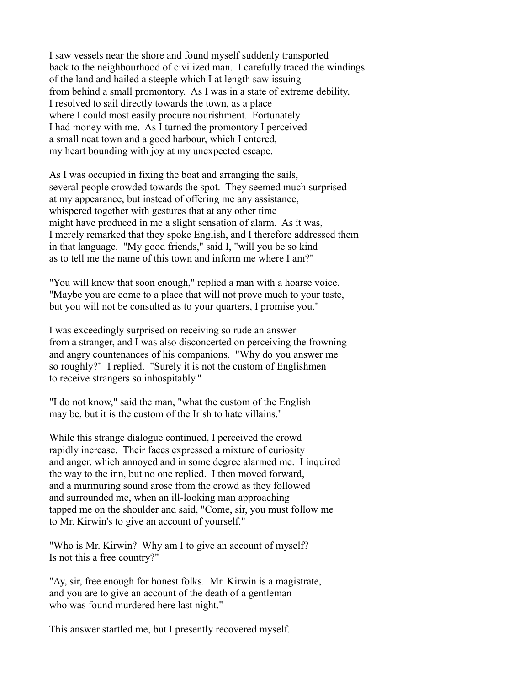I saw vessels near the shore and found myself suddenly transported back to the neighbourhood of civilized man. I carefully traced the windings of the land and hailed a steeple which I at length saw issuing from behind a small promontory. As I was in a state of extreme debility, I resolved to sail directly towards the town, as a place where I could most easily procure nourishment. Fortunately I had money with me. As I turned the promontory I perceived a small neat town and a good harbour, which I entered, my heart bounding with joy at my unexpected escape.

As I was occupied in fixing the boat and arranging the sails, several people crowded towards the spot. They seemed much surprised at my appearance, but instead of offering me any assistance, whispered together with gestures that at any other time might have produced in me a slight sensation of alarm. As it was, I merely remarked that they spoke English, and I therefore addressed them in that language. "My good friends," said I, "will you be so kind as to tell me the name of this town and inform me where I am?"

"You will know that soon enough," replied a man with a hoarse voice. "Maybe you are come to a place that will not prove much to your taste, but you will not be consulted as to your quarters, I promise you."

I was exceedingly surprised on receiving so rude an answer from a stranger, and I was also disconcerted on perceiving the frowning and angry countenances of his companions. "Why do you answer me so roughly?" I replied. "Surely it is not the custom of Englishmen to receive strangers so inhospitably."

"I do not know," said the man, "what the custom of the English may be, but it is the custom of the Irish to hate villains."

While this strange dialogue continued, I perceived the crowd rapidly increase. Their faces expressed a mixture of curiosity and anger, which annoyed and in some degree alarmed me. I inquired the way to the inn, but no one replied. I then moved forward, and a murmuring sound arose from the crowd as they followed and surrounded me, when an ill-looking man approaching tapped me on the shoulder and said, "Come, sir, you must follow me to Mr. Kirwin's to give an account of yourself."

"Who is Mr. Kirwin? Why am I to give an account of myself? Is not this a free country?"

"Ay, sir, free enough for honest folks. Mr. Kirwin is a magistrate, and you are to give an account of the death of a gentleman who was found murdered here last night."

This answer startled me, but I presently recovered myself.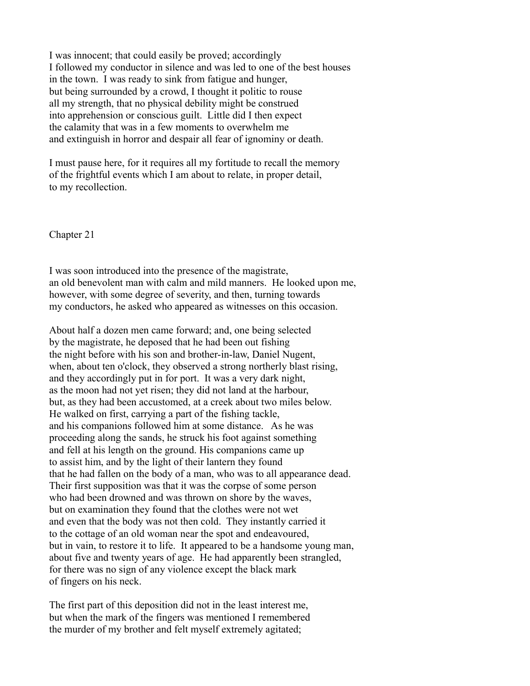I was innocent; that could easily be proved; accordingly I followed my conductor in silence and was led to one of the best houses in the town. I was ready to sink from fatigue and hunger, but being surrounded by a crowd, I thought it politic to rouse all my strength, that no physical debility might be construed into apprehension or conscious guilt. Little did I then expect the calamity that was in a few moments to overwhelm me and extinguish in horror and despair all fear of ignominy or death.

I must pause here, for it requires all my fortitude to recall the memory of the frightful events which I am about to relate, in proper detail, to my recollection.

Chapter 21

I was soon introduced into the presence of the magistrate, an old benevolent man with calm and mild manners. He looked upon me, however, with some degree of severity, and then, turning towards my conductors, he asked who appeared as witnesses on this occasion.

About half a dozen men came forward; and, one being selected by the magistrate, he deposed that he had been out fishing the night before with his son and brother-in-law, Daniel Nugent, when, about ten o'clock, they observed a strong northerly blast rising, and they accordingly put in for port. It was a very dark night, as the moon had not yet risen; they did not land at the harbour, but, as they had been accustomed, at a creek about two miles below. He walked on first, carrying a part of the fishing tackle, and his companions followed him at some distance. As he was proceeding along the sands, he struck his foot against something and fell at his length on the ground. His companions came up to assist him, and by the light of their lantern they found that he had fallen on the body of a man, who was to all appearance dead. Their first supposition was that it was the corpse of some person who had been drowned and was thrown on shore by the waves, but on examination they found that the clothes were not wet and even that the body was not then cold. They instantly carried it to the cottage of an old woman near the spot and endeavoured, but in vain, to restore it to life. It appeared to be a handsome young man, about five and twenty years of age. He had apparently been strangled, for there was no sign of any violence except the black mark of fingers on his neck.

The first part of this deposition did not in the least interest me, but when the mark of the fingers was mentioned I remembered the murder of my brother and felt myself extremely agitated;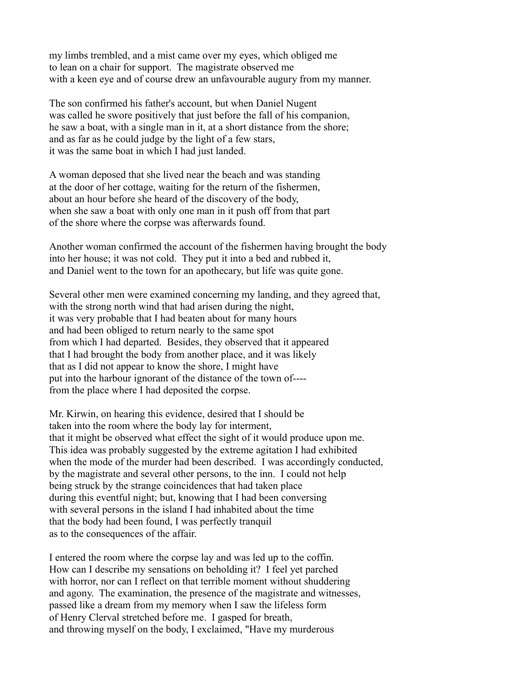my limbs trembled, and a mist came over my eyes, which obliged me to lean on a chair for support. The magistrate observed me with a keen eye and of course drew an unfavourable augury from my manner.

The son confirmed his father's account, but when Daniel Nugent was called he swore positively that just before the fall of his companion, he saw a boat, with a single man in it, at a short distance from the shore; and as far as he could judge by the light of a few stars, it was the same boat in which I had just landed.

A woman deposed that she lived near the beach and was standing at the door of her cottage, waiting for the return of the fishermen, about an hour before she heard of the discovery of the body, when she saw a boat with only one man in it push off from that part of the shore where the corpse was afterwards found.

Another woman confirmed the account of the fishermen having brought the body into her house; it was not cold. They put it into a bed and rubbed it, and Daniel went to the town for an apothecary, but life was quite gone.

Several other men were examined concerning my landing, and they agreed that, with the strong north wind that had arisen during the night, it was very probable that I had beaten about for many hours and had been obliged to return nearly to the same spot from which I had departed. Besides, they observed that it appeared that I had brought the body from another place, and it was likely that as I did not appear to know the shore, I might have put into the harbour ignorant of the distance of the town of--- from the place where I had deposited the corpse.

Mr. Kirwin, on hearing this evidence, desired that I should be taken into the room where the body lay for interment, that it might be observed what effect the sight of it would produce upon me. This idea was probably suggested by the extreme agitation I had exhibited when the mode of the murder had been described. I was accordingly conducted, by the magistrate and several other persons, to the inn. I could not help being struck by the strange coincidences that had taken place during this eventful night; but, knowing that I had been conversing with several persons in the island I had inhabited about the time that the body had been found, I was perfectly tranquil as to the consequences of the affair.

I entered the room where the corpse lay and was led up to the coffin. How can I describe my sensations on beholding it? I feel yet parched with horror, nor can I reflect on that terrible moment without shuddering and agony. The examination, the presence of the magistrate and witnesses, passed like a dream from my memory when I saw the lifeless form of Henry Clerval stretched before me. I gasped for breath, and throwing myself on the body, I exclaimed, "Have my murderous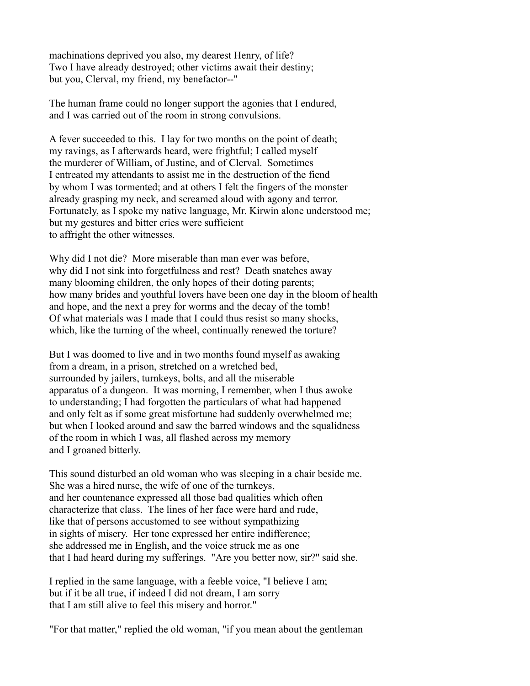machinations deprived you also, my dearest Henry, of life? Two I have already destroyed; other victims await their destiny; but you, Clerval, my friend, my benefactor--"

The human frame could no longer support the agonies that I endured, and I was carried out of the room in strong convulsions.

A fever succeeded to this. I lay for two months on the point of death; my ravings, as I afterwards heard, were frightful; I called myself the murderer of William, of Justine, and of Clerval. Sometimes I entreated my attendants to assist me in the destruction of the fiend by whom I was tormented; and at others I felt the fingers of the monster already grasping my neck, and screamed aloud with agony and terror. Fortunately, as I spoke my native language, Mr. Kirwin alone understood me; but my gestures and bitter cries were sufficient to affright the other witnesses.

Why did I not die? More miserable than man ever was before, why did I not sink into forgetfulness and rest? Death snatches away many blooming children, the only hopes of their doting parents; how many brides and youthful lovers have been one day in the bloom of health and hope, and the next a prey for worms and the decay of the tomb! Of what materials was I made that I could thus resist so many shocks, which, like the turning of the wheel, continually renewed the torture?

But I was doomed to live and in two months found myself as awaking from a dream, in a prison, stretched on a wretched bed, surrounded by jailers, turnkeys, bolts, and all the miserable apparatus of a dungeon. It was morning, I remember, when I thus awoke to understanding; I had forgotten the particulars of what had happened and only felt as if some great misfortune had suddenly overwhelmed me; but when I looked around and saw the barred windows and the squalidness of the room in which I was, all flashed across my memory and I groaned bitterly.

This sound disturbed an old woman who was sleeping in a chair beside me. She was a hired nurse, the wife of one of the turnkeys, and her countenance expressed all those bad qualities which often characterize that class. The lines of her face were hard and rude, like that of persons accustomed to see without sympathizing in sights of misery. Her tone expressed her entire indifference; she addressed me in English, and the voice struck me as one that I had heard during my sufferings. "Are you better now, sir?" said she.

I replied in the same language, with a feeble voice, "I believe I am; but if it be all true, if indeed I did not dream, I am sorry that I am still alive to feel this misery and horror."

"For that matter," replied the old woman, "if you mean about the gentleman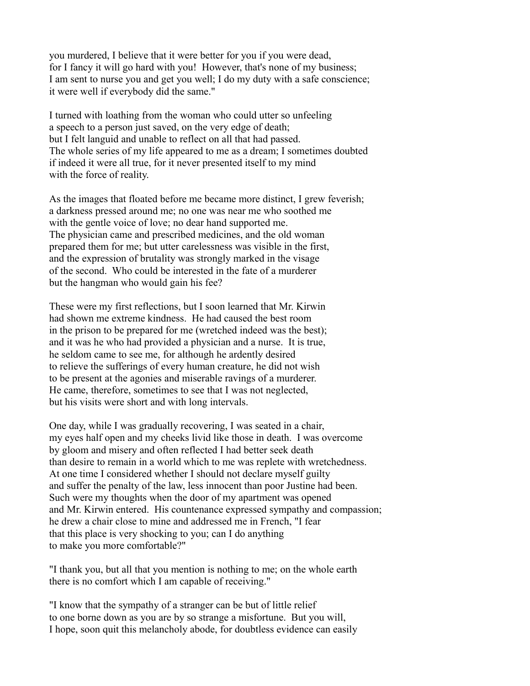you murdered, I believe that it were better for you if you were dead, for I fancy it will go hard with you! However, that's none of my business; I am sent to nurse you and get you well; I do my duty with a safe conscience; it were well if everybody did the same."

I turned with loathing from the woman who could utter so unfeeling a speech to a person just saved, on the very edge of death; but I felt languid and unable to reflect on all that had passed. The whole series of my life appeared to me as a dream; I sometimes doubted if indeed it were all true, for it never presented itself to my mind with the force of reality.

As the images that floated before me became more distinct, I grew feverish; a darkness pressed around me; no one was near me who soothed me with the gentle voice of love; no dear hand supported me. The physician came and prescribed medicines, and the old woman prepared them for me; but utter carelessness was visible in the first, and the expression of brutality was strongly marked in the visage of the second. Who could be interested in the fate of a murderer but the hangman who would gain his fee?

These were my first reflections, but I soon learned that Mr. Kirwin had shown me extreme kindness. He had caused the best room in the prison to be prepared for me (wretched indeed was the best); and it was he who had provided a physician and a nurse. It is true, he seldom came to see me, for although he ardently desired to relieve the sufferings of every human creature, he did not wish to be present at the agonies and miserable ravings of a murderer. He came, therefore, sometimes to see that I was not neglected, but his visits were short and with long intervals.

One day, while I was gradually recovering, I was seated in a chair, my eyes half open and my cheeks livid like those in death. I was overcome by gloom and misery and often reflected I had better seek death than desire to remain in a world which to me was replete with wretchedness. At one time I considered whether I should not declare myself guilty and suffer the penalty of the law, less innocent than poor Justine had been. Such were my thoughts when the door of my apartment was opened and Mr. Kirwin entered. His countenance expressed sympathy and compassion; he drew a chair close to mine and addressed me in French, "I fear that this place is very shocking to you; can I do anything to make you more comfortable?"

"I thank you, but all that you mention is nothing to me; on the whole earth there is no comfort which I am capable of receiving."

"I know that the sympathy of a stranger can be but of little relief to one borne down as you are by so strange a misfortune. But you will, I hope, soon quit this melancholy abode, for doubtless evidence can easily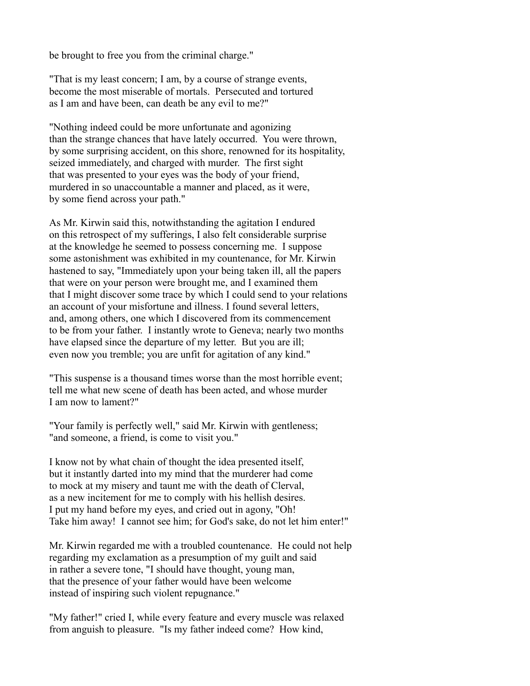be brought to free you from the criminal charge."

"That is my least concern; I am, by a course of strange events, become the most miserable of mortals. Persecuted and tortured as I am and have been, can death be any evil to me?"

"Nothing indeed could be more unfortunate and agonizing than the strange chances that have lately occurred. You were thrown, by some surprising accident, on this shore, renowned for its hospitality, seized immediately, and charged with murder. The first sight that was presented to your eyes was the body of your friend, murdered in so unaccountable a manner and placed, as it were, by some fiend across your path."

As Mr. Kirwin said this, notwithstanding the agitation I endured on this retrospect of my sufferings, I also felt considerable surprise at the knowledge he seemed to possess concerning me. I suppose some astonishment was exhibited in my countenance, for Mr. Kirwin hastened to say, "Immediately upon your being taken ill, all the papers that were on your person were brought me, and I examined them that I might discover some trace by which I could send to your relations an account of your misfortune and illness. I found several letters, and, among others, one which I discovered from its commencement to be from your father. I instantly wrote to Geneva; nearly two months have elapsed since the departure of my letter. But you are ill; even now you tremble; you are unfit for agitation of any kind."

"This suspense is a thousand times worse than the most horrible event; tell me what new scene of death has been acted, and whose murder I am now to lament?"

"Your family is perfectly well," said Mr. Kirwin with gentleness; "and someone, a friend, is come to visit you."

I know not by what chain of thought the idea presented itself, but it instantly darted into my mind that the murderer had come to mock at my misery and taunt me with the death of Clerval, as a new incitement for me to comply with his hellish desires. I put my hand before my eyes, and cried out in agony, "Oh! Take him away! I cannot see him; for God's sake, do not let him enter!"

Mr. Kirwin regarded me with a troubled countenance. He could not help regarding my exclamation as a presumption of my guilt and said in rather a severe tone, "I should have thought, young man, that the presence of your father would have been welcome instead of inspiring such violent repugnance."

"My father!" cried I, while every feature and every muscle was relaxed from anguish to pleasure. "Is my father indeed come? How kind,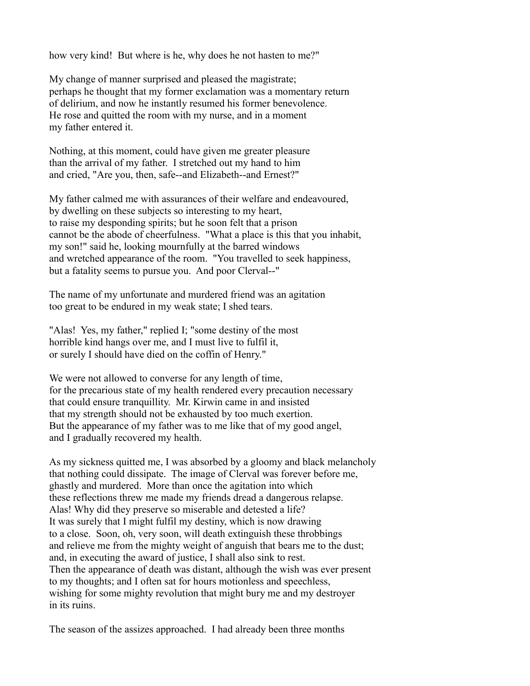how very kind! But where is he, why does he not hasten to me?"

My change of manner surprised and pleased the magistrate; perhaps he thought that my former exclamation was a momentary return of delirium, and now he instantly resumed his former benevolence. He rose and quitted the room with my nurse, and in a moment my father entered it.

Nothing, at this moment, could have given me greater pleasure than the arrival of my father. I stretched out my hand to him and cried, "Are you, then, safe--and Elizabeth--and Ernest?"

My father calmed me with assurances of their welfare and endeavoured, by dwelling on these subjects so interesting to my heart, to raise my desponding spirits; but he soon felt that a prison cannot be the abode of cheerfulness. "What a place is this that you inhabit, my son!" said he, looking mournfully at the barred windows and wretched appearance of the room. "You travelled to seek happiness, but a fatality seems to pursue you. And poor Clerval--"

The name of my unfortunate and murdered friend was an agitation too great to be endured in my weak state; I shed tears.

"Alas! Yes, my father," replied I; "some destiny of the most horrible kind hangs over me, and I must live to fulfil it, or surely I should have died on the coffin of Henry."

We were not allowed to converse for any length of time, for the precarious state of my health rendered every precaution necessary that could ensure tranquillity. Mr. Kirwin came in and insisted that my strength should not be exhausted by too much exertion. But the appearance of my father was to me like that of my good angel, and I gradually recovered my health.

As my sickness quitted me, I was absorbed by a gloomy and black melancholy that nothing could dissipate. The image of Clerval was forever before me, ghastly and murdered. More than once the agitation into which these reflections threw me made my friends dread a dangerous relapse. Alas! Why did they preserve so miserable and detested a life? It was surely that I might fulfil my destiny, which is now drawing to a close. Soon, oh, very soon, will death extinguish these throbbings and relieve me from the mighty weight of anguish that bears me to the dust; and, in executing the award of justice, I shall also sink to rest. Then the appearance of death was distant, although the wish was ever present to my thoughts; and I often sat for hours motionless and speechless, wishing for some mighty revolution that might bury me and my destroyer in its ruins.

The season of the assizes approached. I had already been three months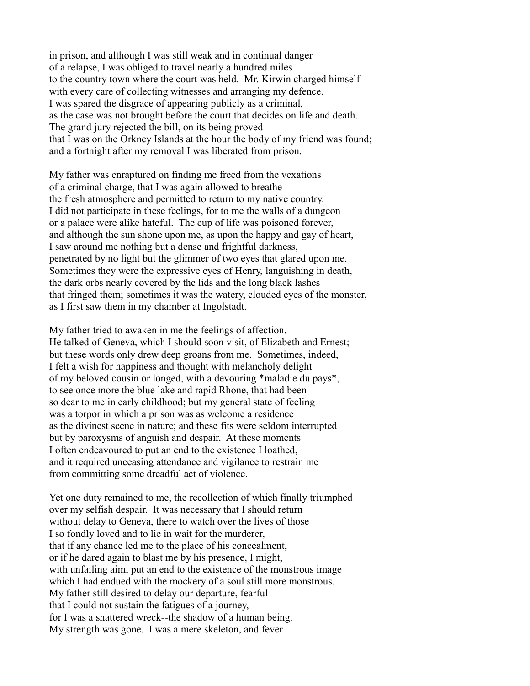in prison, and although I was still weak and in continual danger of a relapse, I was obliged to travel nearly a hundred miles to the country town where the court was held. Mr. Kirwin charged himself with every care of collecting witnesses and arranging my defence. I was spared the disgrace of appearing publicly as a criminal, as the case was not brought before the court that decides on life and death. The grand jury rejected the bill, on its being proved that I was on the Orkney Islands at the hour the body of my friend was found; and a fortnight after my removal I was liberated from prison.

My father was enraptured on finding me freed from the vexations of a criminal charge, that I was again allowed to breathe the fresh atmosphere and permitted to return to my native country. I did not participate in these feelings, for to me the walls of a dungeon or a palace were alike hateful. The cup of life was poisoned forever, and although the sun shone upon me, as upon the happy and gay of heart, I saw around me nothing but a dense and frightful darkness, penetrated by no light but the glimmer of two eyes that glared upon me. Sometimes they were the expressive eyes of Henry, languishing in death, the dark orbs nearly covered by the lids and the long black lashes that fringed them; sometimes it was the watery, clouded eyes of the monster, as I first saw them in my chamber at Ingolstadt.

My father tried to awaken in me the feelings of affection. He talked of Geneva, which I should soon visit, of Elizabeth and Ernest; but these words only drew deep groans from me. Sometimes, indeed, I felt a wish for happiness and thought with melancholy delight of my beloved cousin or longed, with a devouring \*maladie du pays\*, to see once more the blue lake and rapid Rhone, that had been so dear to me in early childhood; but my general state of feeling was a torpor in which a prison was as welcome a residence as the divinest scene in nature; and these fits were seldom interrupted but by paroxysms of anguish and despair. At these moments I often endeavoured to put an end to the existence I loathed, and it required unceasing attendance and vigilance to restrain me from committing some dreadful act of violence.

Yet one duty remained to me, the recollection of which finally triumphed over my selfish despair. It was necessary that I should return without delay to Geneva, there to watch over the lives of those I so fondly loved and to lie in wait for the murderer, that if any chance led me to the place of his concealment, or if he dared again to blast me by his presence, I might, with unfailing aim, put an end to the existence of the monstrous image which I had endued with the mockery of a soul still more monstrous. My father still desired to delay our departure, fearful that I could not sustain the fatigues of a journey, for I was a shattered wreck--the shadow of a human being. My strength was gone. I was a mere skeleton, and fever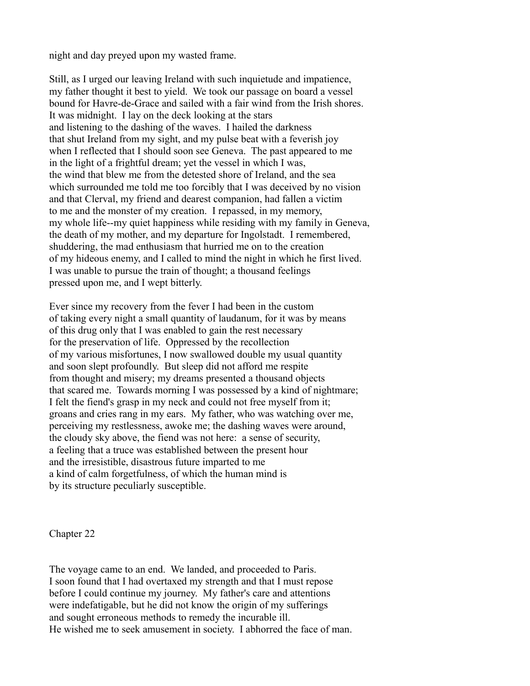night and day preyed upon my wasted frame.

Still, as I urged our leaving Ireland with such inquietude and impatience, my father thought it best to yield. We took our passage on board a vessel bound for Havre-de-Grace and sailed with a fair wind from the Irish shores. It was midnight. I lay on the deck looking at the stars and listening to the dashing of the waves. I hailed the darkness that shut Ireland from my sight, and my pulse beat with a feverish joy when I reflected that I should soon see Geneva. The past appeared to me in the light of a frightful dream; yet the vessel in which I was, the wind that blew me from the detested shore of Ireland, and the sea which surrounded me told me too forcibly that I was deceived by no vision and that Clerval, my friend and dearest companion, had fallen a victim to me and the monster of my creation. I repassed, in my memory, my whole life--my quiet happiness while residing with my family in Geneva, the death of my mother, and my departure for Ingolstadt. I remembered, shuddering, the mad enthusiasm that hurried me on to the creation of my hideous enemy, and I called to mind the night in which he first lived. I was unable to pursue the train of thought; a thousand feelings pressed upon me, and I wept bitterly.

Ever since my recovery from the fever I had been in the custom of taking every night a small quantity of laudanum, for it was by means of this drug only that I was enabled to gain the rest necessary for the preservation of life. Oppressed by the recollection of my various misfortunes, I now swallowed double my usual quantity and soon slept profoundly. But sleep did not afford me respite from thought and misery; my dreams presented a thousand objects that scared me. Towards morning I was possessed by a kind of nightmare; I felt the fiend's grasp in my neck and could not free myself from it; groans and cries rang in my ears. My father, who was watching over me, perceiving my restlessness, awoke me; the dashing waves were around, the cloudy sky above, the fiend was not here: a sense of security, a feeling that a truce was established between the present hour and the irresistible, disastrous future imparted to me a kind of calm forgetfulness, of which the human mind is by its structure peculiarly susceptible.

Chapter 22

The voyage came to an end. We landed, and proceeded to Paris. I soon found that I had overtaxed my strength and that I must repose before I could continue my journey. My father's care and attentions were indefatigable, but he did not know the origin of my sufferings and sought erroneous methods to remedy the incurable ill. He wished me to seek amusement in society. I abhorred the face of man.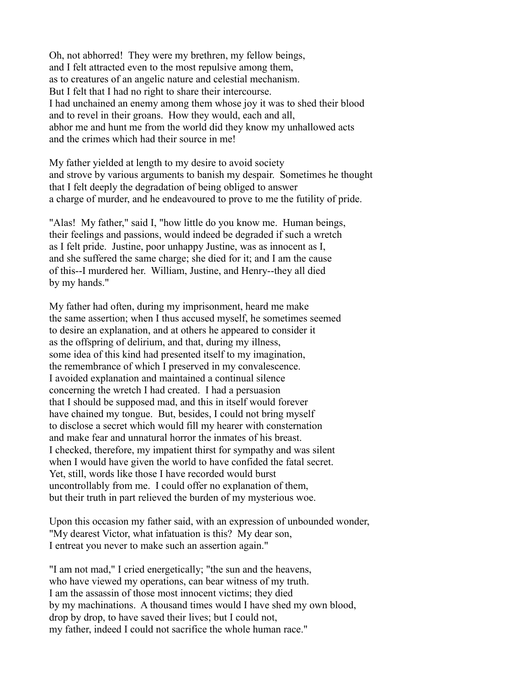Oh, not abhorred! They were my brethren, my fellow beings, and I felt attracted even to the most repulsive among them, as to creatures of an angelic nature and celestial mechanism. But I felt that I had no right to share their intercourse. I had unchained an enemy among them whose joy it was to shed their blood and to revel in their groans. How they would, each and all, abhor me and hunt me from the world did they know my unhallowed acts and the crimes which had their source in me!

My father yielded at length to my desire to avoid society and strove by various arguments to banish my despair. Sometimes he thought that I felt deeply the degradation of being obliged to answer a charge of murder, and he endeavoured to prove to me the futility of pride.

"Alas! My father," said I, "how little do you know me. Human beings, their feelings and passions, would indeed be degraded if such a wretch as I felt pride. Justine, poor unhappy Justine, was as innocent as I, and she suffered the same charge; she died for it; and I am the cause of this--I murdered her. William, Justine, and Henry--they all died by my hands."

My father had often, during my imprisonment, heard me make the same assertion; when I thus accused myself, he sometimes seemed to desire an explanation, and at others he appeared to consider it as the offspring of delirium, and that, during my illness, some idea of this kind had presented itself to my imagination, the remembrance of which I preserved in my convalescence. I avoided explanation and maintained a continual silence concerning the wretch I had created. I had a persuasion that I should be supposed mad, and this in itself would forever have chained my tongue. But, besides, I could not bring myself to disclose a secret which would fill my hearer with consternation and make fear and unnatural horror the inmates of his breast. I checked, therefore, my impatient thirst for sympathy and was silent when I would have given the world to have confided the fatal secret. Yet, still, words like those I have recorded would burst uncontrollably from me. I could offer no explanation of them, but their truth in part relieved the burden of my mysterious woe.

Upon this occasion my father said, with an expression of unbounded wonder, "My dearest Victor, what infatuation is this? My dear son, I entreat you never to make such an assertion again."

"I am not mad," I cried energetically; "the sun and the heavens, who have viewed my operations, can bear witness of my truth. I am the assassin of those most innocent victims; they died by my machinations. A thousand times would I have shed my own blood, drop by drop, to have saved their lives; but I could not, my father, indeed I could not sacrifice the whole human race."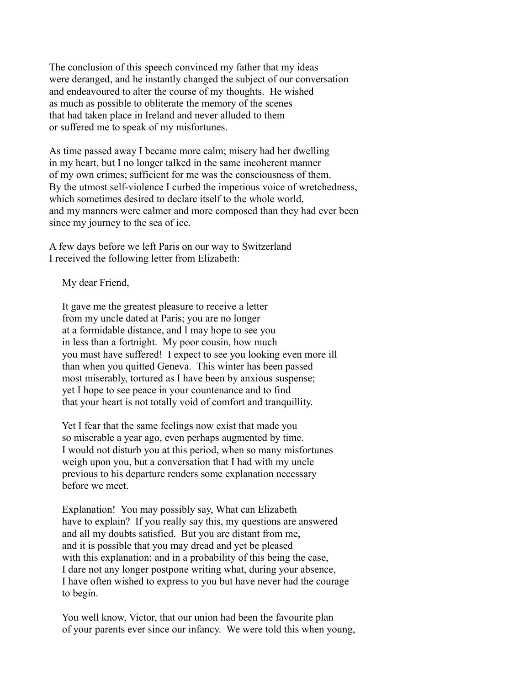The conclusion of this speech convinced my father that my ideas were deranged, and he instantly changed the subject of our conversation and endeavoured to alter the course of my thoughts. He wished as much as possible to obliterate the memory of the scenes that had taken place in Ireland and never alluded to them or suffered me to speak of my misfortunes.

As time passed away I became more calm; misery had her dwelling in my heart, but I no longer talked in the same incoherent manner of my own crimes; sufficient for me was the consciousness of them. By the utmost self-violence I curbed the imperious voice of wretchedness, which sometimes desired to declare itself to the whole world. and my manners were calmer and more composed than they had ever been since my journey to the sea of ice.

A few days before we left Paris on our way to Switzerland I received the following letter from Elizabeth:

My dear Friend,

 It gave me the greatest pleasure to receive a letter from my uncle dated at Paris; you are no longer at a formidable distance, and I may hope to see you in less than a fortnight. My poor cousin, how much you must have suffered! I expect to see you looking even more ill than when you quitted Geneva. This winter has been passed most miserably, tortured as I have been by anxious suspense; yet I hope to see peace in your countenance and to find that your heart is not totally void of comfort and tranquillity.

 Yet I fear that the same feelings now exist that made you so miserable a year ago, even perhaps augmented by time. I would not disturb you at this period, when so many misfortunes weigh upon you, but a conversation that I had with my uncle previous to his departure renders some explanation necessary before we meet.

 Explanation! You may possibly say, What can Elizabeth have to explain? If you really say this, my questions are answered and all my doubts satisfied. But you are distant from me, and it is possible that you may dread and yet be pleased with this explanation; and in a probability of this being the case, I dare not any longer postpone writing what, during your absence, I have often wished to express to you but have never had the courage to begin.

 You well know, Victor, that our union had been the favourite plan of your parents ever since our infancy. We were told this when young,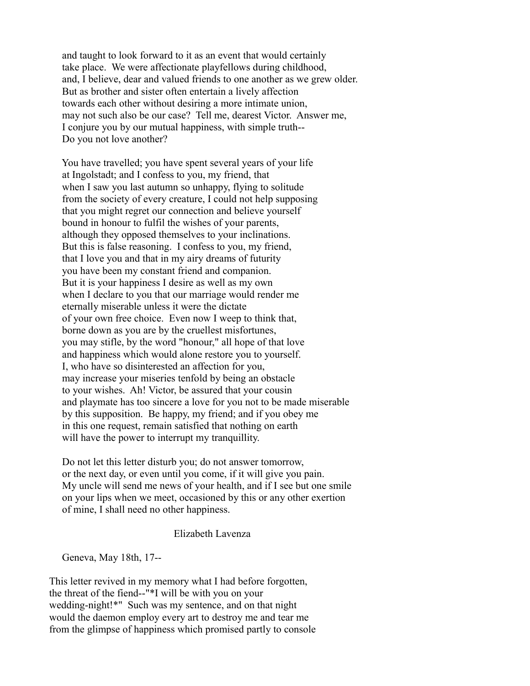and taught to look forward to it as an event that would certainly take place. We were affectionate playfellows during childhood, and, I believe, dear and valued friends to one another as we grew older. But as brother and sister often entertain a lively affection towards each other without desiring a more intimate union, may not such also be our case? Tell me, dearest Victor. Answer me, I conjure you by our mutual happiness, with simple truth-- Do you not love another?

 You have travelled; you have spent several years of your life at Ingolstadt; and I confess to you, my friend, that when I saw you last autumn so unhappy. flying to solitude from the society of every creature, I could not help supposing that you might regret our connection and believe yourself bound in honour to fulfil the wishes of your parents, although they opposed themselves to your inclinations. But this is false reasoning. I confess to you, my friend, that I love you and that in my airy dreams of futurity you have been my constant friend and companion. But it is your happiness I desire as well as my own when I declare to you that our marriage would render me eternally miserable unless it were the dictate of your own free choice. Even now I weep to think that, borne down as you are by the cruellest misfortunes, you may stifle, by the word "honour," all hope of that love and happiness which would alone restore you to yourself. I, who have so disinterested an affection for you, may increase your miseries tenfold by being an obstacle to your wishes. Ah! Victor, be assured that your cousin and playmate has too sincere a love for you not to be made miserable by this supposition. Be happy, my friend; and if you obey me in this one request, remain satisfied that nothing on earth will have the power to interrupt my tranquillity.

 Do not let this letter disturb you; do not answer tomorrow, or the next day, or even until you come, if it will give you pain. My uncle will send me news of your health, and if I see but one smile on your lips when we meet, occasioned by this or any other exertion of mine, I shall need no other happiness.

## Elizabeth Lavenza

Geneva, May 18th, 17--

This letter revived in my memory what I had before forgotten, the threat of the fiend--"\*I will be with you on your wedding-night!\*" Such was my sentence, and on that night would the daemon employ every art to destroy me and tear me from the glimpse of happiness which promised partly to console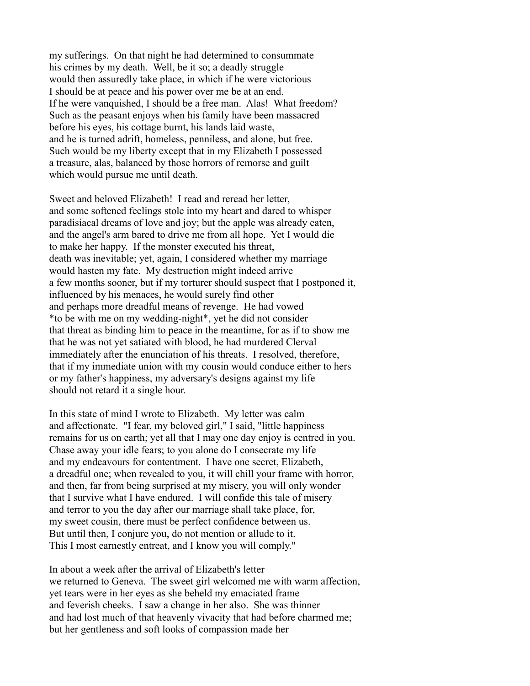my sufferings. On that night he had determined to consummate his crimes by my death. Well, be it so; a deadly struggle would then assuredly take place, in which if he were victorious I should be at peace and his power over me be at an end. If he were vanquished, I should be a free man. Alas! What freedom? Such as the peasant enjoys when his family have been massacred before his eyes, his cottage burnt, his lands laid waste, and he is turned adrift, homeless, penniless, and alone, but free. Such would be my liberty except that in my Elizabeth I possessed a treasure, alas, balanced by those horrors of remorse and guilt which would pursue me until death.

Sweet and beloved Elizabeth! I read and reread her letter, and some softened feelings stole into my heart and dared to whisper paradisiacal dreams of love and joy; but the apple was already eaten, and the angel's arm bared to drive me from all hope. Yet I would die to make her happy. If the monster executed his threat, death was inevitable; yet, again, I considered whether my marriage would hasten my fate. My destruction might indeed arrive a few months sooner, but if my torturer should suspect that I postponed it, influenced by his menaces, he would surely find other and perhaps more dreadful means of revenge. He had vowed \*to be with me on my wedding-night\*, yet he did not consider that threat as binding him to peace in the meantime, for as if to show me that he was not yet satiated with blood, he had murdered Clerval immediately after the enunciation of his threats. I resolved, therefore, that if my immediate union with my cousin would conduce either to hers or my father's happiness, my adversary's designs against my life should not retard it a single hour.

In this state of mind I wrote to Elizabeth. My letter was calm and affectionate. "I fear, my beloved girl," I said, "little happiness remains for us on earth; yet all that I may one day enjoy is centred in you. Chase away your idle fears; to you alone do I consecrate my life and my endeavours for contentment. I have one secret, Elizabeth, a dreadful one; when revealed to you, it will chill your frame with horror, and then, far from being surprised at my misery, you will only wonder that I survive what I have endured. I will confide this tale of misery and terror to you the day after our marriage shall take place, for, my sweet cousin, there must be perfect confidence between us. But until then, I conjure you, do not mention or allude to it. This I most earnestly entreat, and I know you will comply."

In about a week after the arrival of Elizabeth's letter we returned to Geneva. The sweet girl welcomed me with warm affection, yet tears were in her eyes as she beheld my emaciated frame and feverish cheeks. I saw a change in her also. She was thinner and had lost much of that heavenly vivacity that had before charmed me; but her gentleness and soft looks of compassion made her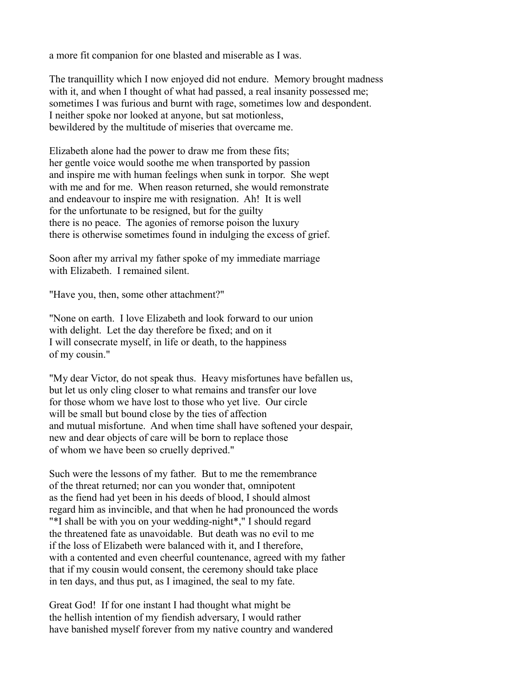a more fit companion for one blasted and miserable as I was.

The tranquillity which I now enjoyed did not endure. Memory brought madness with it, and when I thought of what had passed, a real insanity possessed me; sometimes I was furious and burnt with rage, sometimes low and despondent. I neither spoke nor looked at anyone, but sat motionless, bewildered by the multitude of miseries that overcame me.

Elizabeth alone had the power to draw me from these fits; her gentle voice would soothe me when transported by passion and inspire me with human feelings when sunk in torpor. She wept with me and for me. When reason returned, she would remonstrate and endeavour to inspire me with resignation. Ah! It is well for the unfortunate to be resigned, but for the guilty there is no peace. The agonies of remorse poison the luxury there is otherwise sometimes found in indulging the excess of grief.

Soon after my arrival my father spoke of my immediate marriage with Elizabeth. I remained silent.

"Have you, then, some other attachment?"

"None on earth. I love Elizabeth and look forward to our union with delight. Let the day therefore be fixed; and on it I will consecrate myself, in life or death, to the happiness of my cousin."

"My dear Victor, do not speak thus. Heavy misfortunes have befallen us, but let us only cling closer to what remains and transfer our love for those whom we have lost to those who yet live. Our circle will be small but bound close by the ties of affection and mutual misfortune. And when time shall have softened your despair, new and dear objects of care will be born to replace those of whom we have been so cruelly deprived."

Such were the lessons of my father. But to me the remembrance of the threat returned; nor can you wonder that, omnipotent as the fiend had yet been in his deeds of blood, I should almost regard him as invincible, and that when he had pronounced the words "\*I shall be with you on your wedding-night\*," I should regard the threatened fate as unavoidable. But death was no evil to me if the loss of Elizabeth were balanced with it, and I therefore, with a contented and even cheerful countenance, agreed with my father that if my cousin would consent, the ceremony should take place in ten days, and thus put, as I imagined, the seal to my fate.

Great God! If for one instant I had thought what might be the hellish intention of my fiendish adversary, I would rather have banished myself forever from my native country and wandered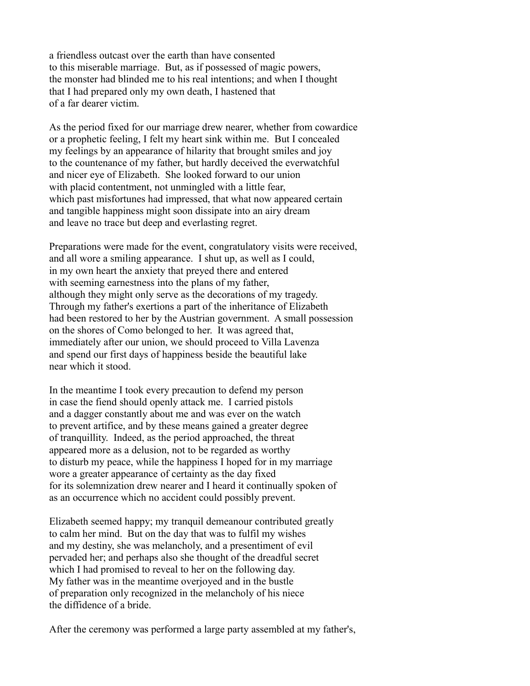a friendless outcast over the earth than have consented to this miserable marriage. But, as if possessed of magic powers, the monster had blinded me to his real intentions; and when I thought that I had prepared only my own death, I hastened that of a far dearer victim.

As the period fixed for our marriage drew nearer, whether from cowardice or a prophetic feeling, I felt my heart sink within me. But I concealed my feelings by an appearance of hilarity that brought smiles and joy to the countenance of my father, but hardly deceived the everwatchful and nicer eye of Elizabeth. She looked forward to our union with placid contentment, not unmingled with a little fear. which past misfortunes had impressed, that what now appeared certain and tangible happiness might soon dissipate into an airy dream and leave no trace but deep and everlasting regret.

Preparations were made for the event, congratulatory visits were received, and all wore a smiling appearance. I shut up, as well as I could, in my own heart the anxiety that preyed there and entered with seeming earnestness into the plans of my father, although they might only serve as the decorations of my tragedy. Through my father's exertions a part of the inheritance of Elizabeth had been restored to her by the Austrian government. A small possession on the shores of Como belonged to her. It was agreed that, immediately after our union, we should proceed to Villa Lavenza and spend our first days of happiness beside the beautiful lake near which it stood.

In the meantime I took every precaution to defend my person in case the fiend should openly attack me. I carried pistols and a dagger constantly about me and was ever on the watch to prevent artifice, and by these means gained a greater degree of tranquillity. Indeed, as the period approached, the threat appeared more as a delusion, not to be regarded as worthy to disturb my peace, while the happiness I hoped for in my marriage wore a greater appearance of certainty as the day fixed for its solemnization drew nearer and I heard it continually spoken of as an occurrence which no accident could possibly prevent.

Elizabeth seemed happy; my tranquil demeanour contributed greatly to calm her mind. But on the day that was to fulfil my wishes and my destiny, she was melancholy, and a presentiment of evil pervaded her; and perhaps also she thought of the dreadful secret which I had promised to reveal to her on the following day. My father was in the meantime overjoyed and in the bustle of preparation only recognized in the melancholy of his niece the diffidence of a bride.

After the ceremony was performed a large party assembled at my father's,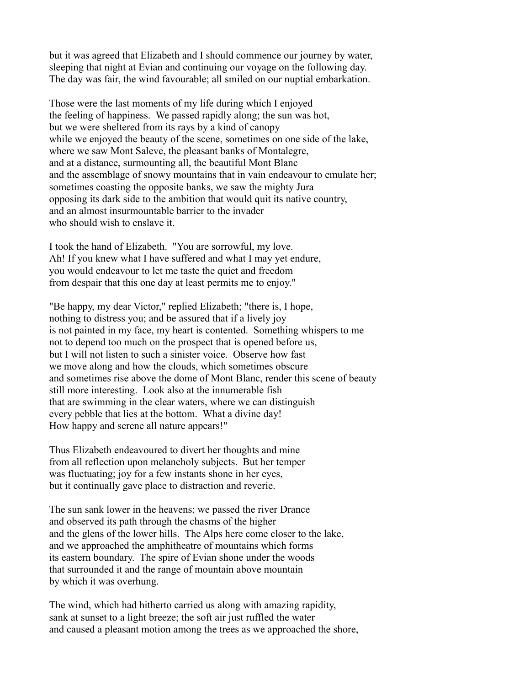but it was agreed that Elizabeth and I should commence our journey by water, sleeping that night at Evian and continuing our voyage on the following day. The day was fair, the wind favourable; all smiled on our nuptial embarkation.

Those were the last moments of my life during which I enjoyed the feeling of happiness. We passed rapidly along; the sun was hot, but we were sheltered from its rays by a kind of canopy while we enjoyed the beauty of the scene, sometimes on one side of the lake, where we saw Mont Saleve, the pleasant banks of Montalegre, and at a distance, surmounting all, the beautiful Mont Blanc and the assemblage of snowy mountains that in vain endeavour to emulate her; sometimes coasting the opposite banks, we saw the mighty Jura opposing its dark side to the ambition that would quit its native country, and an almost insurmountable barrier to the invader who should wish to enslave it.

I took the hand of Elizabeth. "You are sorrowful, my love. Ah! If you knew what I have suffered and what I may yet endure, you would endeavour to let me taste the quiet and freedom from despair that this one day at least permits me to enjoy."

"Be happy, my dear Victor," replied Elizabeth; "there is, I hope, nothing to distress you; and be assured that if a lively joy is not painted in my face, my heart is contented. Something whispers to me not to depend too much on the prospect that is opened before us, but I will not listen to such a sinister voice. Observe how fast we move along and how the clouds, which sometimes obscure and sometimes rise above the dome of Mont Blanc, render this scene of beauty still more interesting. Look also at the innumerable fish that are swimming in the clear waters, where we can distinguish every pebble that lies at the bottom. What a divine day! How happy and serene all nature appears!"

Thus Elizabeth endeavoured to divert her thoughts and mine from all reflection upon melancholy subjects. But her temper was fluctuating; joy for a few instants shone in her eyes, but it continually gave place to distraction and reverie.

The sun sank lower in the heavens; we passed the river Drance and observed its path through the chasms of the higher and the glens of the lower hills. The Alps here come closer to the lake, and we approached the amphitheatre of mountains which forms its eastern boundary. The spire of Evian shone under the woods that surrounded it and the range of mountain above mountain by which it was overhung.

The wind, which had hitherto carried us along with amazing rapidity, sank at sunset to a light breeze; the soft air just ruffled the water and caused a pleasant motion among the trees as we approached the shore,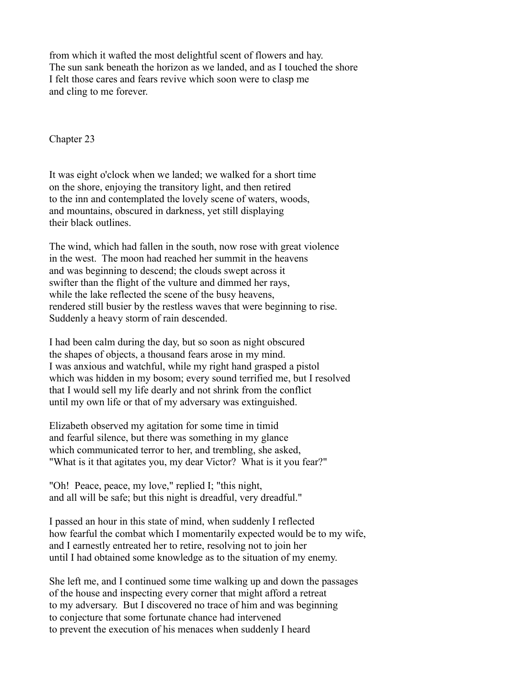from which it wafted the most delightful scent of flowers and hay. The sun sank beneath the horizon as we landed, and as I touched the shore I felt those cares and fears revive which soon were to clasp me and cling to me forever.

Chapter 23

It was eight o'clock when we landed; we walked for a short time on the shore, enjoying the transitory light, and then retired to the inn and contemplated the lovely scene of waters, woods, and mountains, obscured in darkness, yet still displaying their black outlines.

The wind, which had fallen in the south, now rose with great violence in the west. The moon had reached her summit in the heavens and was beginning to descend; the clouds swept across it swifter than the flight of the vulture and dimmed her rays, while the lake reflected the scene of the busy heavens, rendered still busier by the restless waves that were beginning to rise. Suddenly a heavy storm of rain descended.

I had been calm during the day, but so soon as night obscured the shapes of objects, a thousand fears arose in my mind. I was anxious and watchful, while my right hand grasped a pistol which was hidden in my bosom; every sound terrified me, but I resolved that I would sell my life dearly and not shrink from the conflict until my own life or that of my adversary was extinguished.

Elizabeth observed my agitation for some time in timid and fearful silence, but there was something in my glance which communicated terror to her, and trembling, she asked, "What is it that agitates you, my dear Victor? What is it you fear?"

"Oh! Peace, peace, my love," replied I; "this night, and all will be safe; but this night is dreadful, very dreadful."

I passed an hour in this state of mind, when suddenly I reflected how fearful the combat which I momentarily expected would be to my wife, and I earnestly entreated her to retire, resolving not to join her until I had obtained some knowledge as to the situation of my enemy.

She left me, and I continued some time walking up and down the passages of the house and inspecting every corner that might afford a retreat to my adversary. But I discovered no trace of him and was beginning to conjecture that some fortunate chance had intervened to prevent the execution of his menaces when suddenly I heard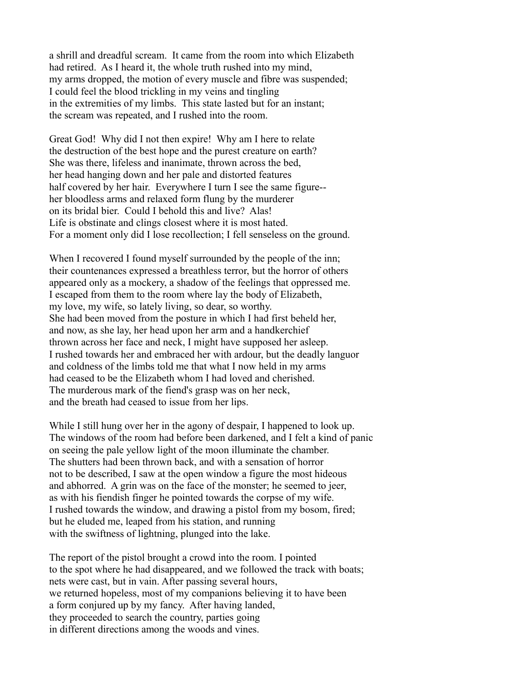a shrill and dreadful scream. It came from the room into which Elizabeth had retired. As I heard it, the whole truth rushed into my mind, my arms dropped, the motion of every muscle and fibre was suspended; I could feel the blood trickling in my veins and tingling in the extremities of my limbs. This state lasted but for an instant; the scream was repeated, and I rushed into the room.

Great God! Why did I not then expire! Why am I here to relate the destruction of the best hope and the purest creature on earth? She was there, lifeless and inanimate, thrown across the bed, her head hanging down and her pale and distorted features half covered by her hair. Everywhere I turn I see the same figure- her bloodless arms and relaxed form flung by the murderer on its bridal bier. Could I behold this and live? Alas! Life is obstinate and clings closest where it is most hated. For a moment only did I lose recollection; I fell senseless on the ground.

When I recovered I found myself surrounded by the people of the inn; their countenances expressed a breathless terror, but the horror of others appeared only as a mockery, a shadow of the feelings that oppressed me. I escaped from them to the room where lay the body of Elizabeth, my love, my wife, so lately living, so dear, so worthy. She had been moved from the posture in which I had first beheld her, and now, as she lay, her head upon her arm and a handkerchief thrown across her face and neck, I might have supposed her asleep. I rushed towards her and embraced her with ardour, but the deadly languor and coldness of the limbs told me that what I now held in my arms had ceased to be the Elizabeth whom I had loved and cherished. The murderous mark of the fiend's grasp was on her neck, and the breath had ceased to issue from her lips.

While I still hung over her in the agony of despair, I happened to look up. The windows of the room had before been darkened, and I felt a kind of panic on seeing the pale yellow light of the moon illuminate the chamber. The shutters had been thrown back, and with a sensation of horror not to be described, I saw at the open window a figure the most hideous and abhorred. A grin was on the face of the monster; he seemed to jeer, as with his fiendish finger he pointed towards the corpse of my wife. I rushed towards the window, and drawing a pistol from my bosom, fired; but he eluded me, leaped from his station, and running with the swiftness of lightning, plunged into the lake.

The report of the pistol brought a crowd into the room. I pointed to the spot where he had disappeared, and we followed the track with boats; nets were cast, but in vain. After passing several hours, we returned hopeless, most of my companions believing it to have been a form conjured up by my fancy. After having landed, they proceeded to search the country, parties going in different directions among the woods and vines.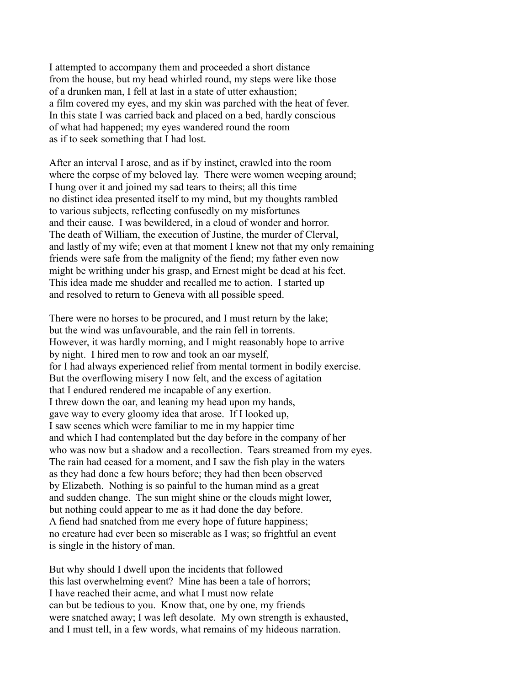I attempted to accompany them and proceeded a short distance from the house, but my head whirled round, my steps were like those of a drunken man, I fell at last in a state of utter exhaustion; a film covered my eyes, and my skin was parched with the heat of fever. In this state I was carried back and placed on a bed, hardly conscious of what had happened; my eyes wandered round the room as if to seek something that I had lost.

After an interval I arose, and as if by instinct, crawled into the room where the corpse of my beloved lay. There were women weeping around; I hung over it and joined my sad tears to theirs; all this time no distinct idea presented itself to my mind, but my thoughts rambled to various subjects, reflecting confusedly on my misfortunes and their cause. I was bewildered, in a cloud of wonder and horror. The death of William, the execution of Justine, the murder of Clerval, and lastly of my wife; even at that moment I knew not that my only remaining friends were safe from the malignity of the fiend; my father even now might be writhing under his grasp, and Ernest might be dead at his feet. This idea made me shudder and recalled me to action. I started up and resolved to return to Geneva with all possible speed.

There were no horses to be procured, and I must return by the lake; but the wind was unfavourable, and the rain fell in torrents. However, it was hardly morning, and I might reasonably hope to arrive by night. I hired men to row and took an oar myself, for I had always experienced relief from mental torment in bodily exercise. But the overflowing misery I now felt, and the excess of agitation that I endured rendered me incapable of any exertion. I threw down the oar, and leaning my head upon my hands, gave way to every gloomy idea that arose. If I looked up, I saw scenes which were familiar to me in my happier time and which I had contemplated but the day before in the company of her who was now but a shadow and a recollection. Tears streamed from my eyes. The rain had ceased for a moment, and I saw the fish play in the waters as they had done a few hours before; they had then been observed by Elizabeth. Nothing is so painful to the human mind as a great and sudden change. The sun might shine or the clouds might lower, but nothing could appear to me as it had done the day before. A fiend had snatched from me every hope of future happiness; no creature had ever been so miserable as I was; so frightful an event is single in the history of man.

But why should I dwell upon the incidents that followed this last overwhelming event? Mine has been a tale of horrors; I have reached their acme, and what I must now relate can but be tedious to you. Know that, one by one, my friends were snatched away; I was left desolate. My own strength is exhausted, and I must tell, in a few words, what remains of my hideous narration.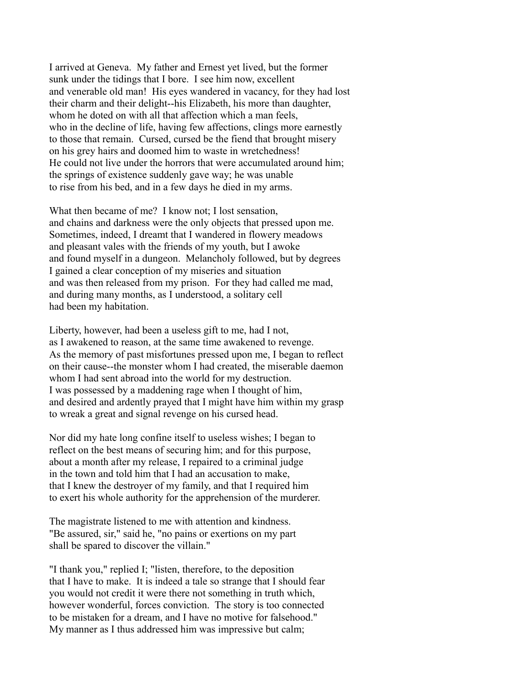I arrived at Geneva. My father and Ernest yet lived, but the former sunk under the tidings that I bore. I see him now, excellent and venerable old man! His eyes wandered in vacancy, for they had lost their charm and their delight--his Elizabeth, his more than daughter, whom he doted on with all that affection which a man feels, who in the decline of life, having few affections, clings more earnestly to those that remain. Cursed, cursed be the fiend that brought misery on his grey hairs and doomed him to waste in wretchedness! He could not live under the horrors that were accumulated around him; the springs of existence suddenly gave way; he was unable to rise from his bed, and in a few days he died in my arms.

What then became of me? I know not; I lost sensation, and chains and darkness were the only objects that pressed upon me. Sometimes, indeed, I dreamt that I wandered in flowery meadows and pleasant vales with the friends of my youth, but I awoke and found myself in a dungeon. Melancholy followed, but by degrees I gained a clear conception of my miseries and situation and was then released from my prison. For they had called me mad, and during many months, as I understood, a solitary cell had been my habitation.

Liberty, however, had been a useless gift to me, had I not, as I awakened to reason, at the same time awakened to revenge. As the memory of past misfortunes pressed upon me, I began to reflect on their cause--the monster whom I had created, the miserable daemon whom I had sent abroad into the world for my destruction. I was possessed by a maddening rage when I thought of him, and desired and ardently prayed that I might have him within my grasp to wreak a great and signal revenge on his cursed head.

Nor did my hate long confine itself to useless wishes; I began to reflect on the best means of securing him; and for this purpose, about a month after my release, I repaired to a criminal judge in the town and told him that I had an accusation to make, that I knew the destroyer of my family, and that I required him to exert his whole authority for the apprehension of the murderer.

The magistrate listened to me with attention and kindness. "Be assured, sir," said he, "no pains or exertions on my part shall be spared to discover the villain."

"I thank you," replied I; "listen, therefore, to the deposition that I have to make. It is indeed a tale so strange that I should fear you would not credit it were there not something in truth which, however wonderful, forces conviction. The story is too connected to be mistaken for a dream, and I have no motive for falsehood." My manner as I thus addressed him was impressive but calm;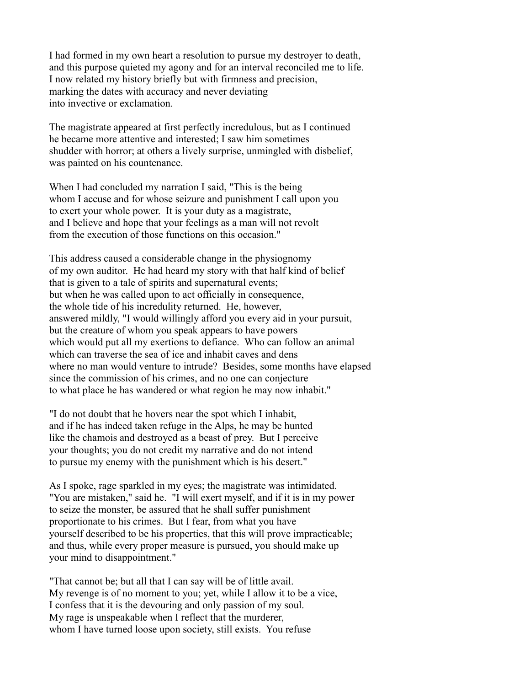I had formed in my own heart a resolution to pursue my destroyer to death, and this purpose quieted my agony and for an interval reconciled me to life. I now related my history briefly but with firmness and precision, marking the dates with accuracy and never deviating into invective or exclamation.

The magistrate appeared at first perfectly incredulous, but as I continued he became more attentive and interested; I saw him sometimes shudder with horror; at others a lively surprise, unmingled with disbelief, was painted on his countenance.

When I had concluded my narration I said, "This is the being whom I accuse and for whose seizure and punishment I call upon you to exert your whole power. It is your duty as a magistrate, and I believe and hope that your feelings as a man will not revolt from the execution of those functions on this occasion."

This address caused a considerable change in the physiognomy of my own auditor. He had heard my story with that half kind of belief that is given to a tale of spirits and supernatural events; but when he was called upon to act officially in consequence, the whole tide of his incredulity returned. He, however, answered mildly, "I would willingly afford you every aid in your pursuit, but the creature of whom you speak appears to have powers which would put all my exertions to defiance. Who can follow an animal which can traverse the sea of ice and inhabit caves and dens where no man would venture to intrude? Besides, some months have elapsed since the commission of his crimes, and no one can conjecture to what place he has wandered or what region he may now inhabit."

"I do not doubt that he hovers near the spot which I inhabit, and if he has indeed taken refuge in the Alps, he may be hunted like the chamois and destroyed as a beast of prey. But I perceive your thoughts; you do not credit my narrative and do not intend to pursue my enemy with the punishment which is his desert."

As I spoke, rage sparkled in my eyes; the magistrate was intimidated. "You are mistaken," said he. "I will exert myself, and if it is in my power to seize the monster, be assured that he shall suffer punishment proportionate to his crimes. But I fear, from what you have yourself described to be his properties, that this will prove impracticable; and thus, while every proper measure is pursued, you should make up your mind to disappointment."

"That cannot be; but all that I can say will be of little avail. My revenge is of no moment to you; yet, while I allow it to be a vice, I confess that it is the devouring and only passion of my soul. My rage is unspeakable when I reflect that the murderer, whom I have turned loose upon society, still exists. You refuse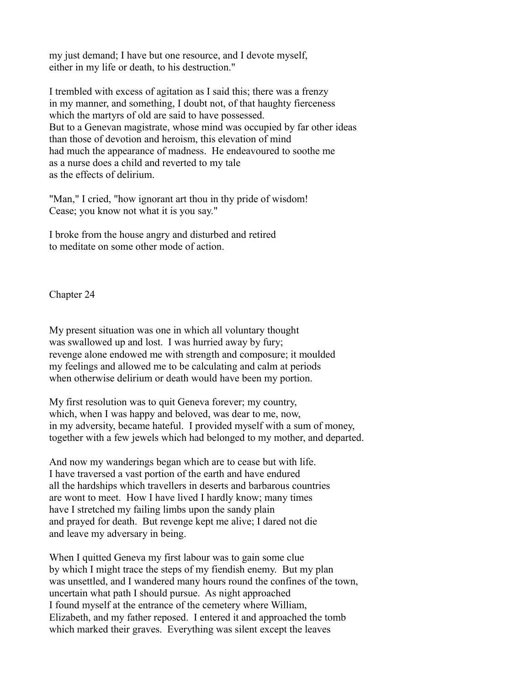my just demand; I have but one resource, and I devote myself, either in my life or death, to his destruction."

I trembled with excess of agitation as I said this; there was a frenzy in my manner, and something, I doubt not, of that haughty fierceness which the martyrs of old are said to have possessed. But to a Genevan magistrate, whose mind was occupied by far other ideas than those of devotion and heroism, this elevation of mind had much the appearance of madness. He endeavoured to soothe me as a nurse does a child and reverted to my tale as the effects of delirium.

"Man," I cried, "how ignorant art thou in thy pride of wisdom! Cease; you know not what it is you say."

I broke from the house angry and disturbed and retired to meditate on some other mode of action.

Chapter 24

My present situation was one in which all voluntary thought was swallowed up and lost. I was hurried away by fury; revenge alone endowed me with strength and composure; it moulded my feelings and allowed me to be calculating and calm at periods when otherwise delirium or death would have been my portion.

My first resolution was to quit Geneva forever; my country, which, when I was happy and beloved, was dear to me, now, in my adversity, became hateful. I provided myself with a sum of money, together with a few jewels which had belonged to my mother, and departed.

And now my wanderings began which are to cease but with life. I have traversed a vast portion of the earth and have endured all the hardships which travellers in deserts and barbarous countries are wont to meet. How I have lived I hardly know; many times have I stretched my failing limbs upon the sandy plain and prayed for death. But revenge kept me alive; I dared not die and leave my adversary in being.

When I quitted Geneva my first labour was to gain some clue by which I might trace the steps of my fiendish enemy. But my plan was unsettled, and I wandered many hours round the confines of the town, uncertain what path I should pursue. As night approached I found myself at the entrance of the cemetery where William, Elizabeth, and my father reposed. I entered it and approached the tomb which marked their graves. Everything was silent except the leaves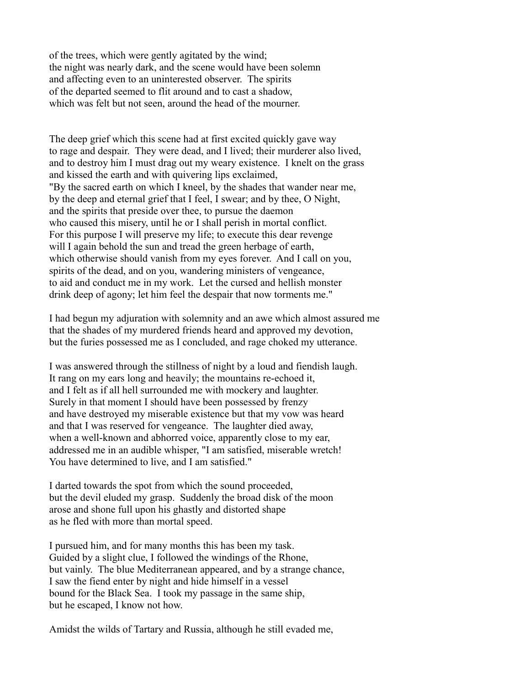of the trees, which were gently agitated by the wind; the night was nearly dark, and the scene would have been solemn and affecting even to an uninterested observer. The spirits of the departed seemed to flit around and to cast a shadow, which was felt but not seen, around the head of the mourner.

The deep grief which this scene had at first excited quickly gave way to rage and despair. They were dead, and I lived; their murderer also lived, and to destroy him I must drag out my weary existence. I knelt on the grass and kissed the earth and with quivering lips exclaimed, "By the sacred earth on which I kneel, by the shades that wander near me, by the deep and eternal grief that I feel, I swear; and by thee, O Night, and the spirits that preside over thee, to pursue the daemon who caused this misery, until he or I shall perish in mortal conflict. For this purpose I will preserve my life; to execute this dear revenge will I again behold the sun and tread the green herbage of earth, which otherwise should vanish from my eyes forever. And I call on you, spirits of the dead, and on you, wandering ministers of vengeance, to aid and conduct me in my work. Let the cursed and hellish monster drink deep of agony; let him feel the despair that now torments me."

I had begun my adjuration with solemnity and an awe which almost assured me that the shades of my murdered friends heard and approved my devotion, but the furies possessed me as I concluded, and rage choked my utterance.

I was answered through the stillness of night by a loud and fiendish laugh. It rang on my ears long and heavily; the mountains re-echoed it, and I felt as if all hell surrounded me with mockery and laughter. Surely in that moment I should have been possessed by frenzy and have destroyed my miserable existence but that my vow was heard and that I was reserved for vengeance. The laughter died away, when a well-known and abhorred voice, apparently close to my ear, addressed me in an audible whisper, "I am satisfied, miserable wretch! You have determined to live, and I am satisfied."

I darted towards the spot from which the sound proceeded, but the devil eluded my grasp. Suddenly the broad disk of the moon arose and shone full upon his ghastly and distorted shape as he fled with more than mortal speed.

I pursued him, and for many months this has been my task. Guided by a slight clue, I followed the windings of the Rhone, but vainly. The blue Mediterranean appeared, and by a strange chance, I saw the fiend enter by night and hide himself in a vessel bound for the Black Sea. I took my passage in the same ship, but he escaped, I know not how.

Amidst the wilds of Tartary and Russia, although he still evaded me,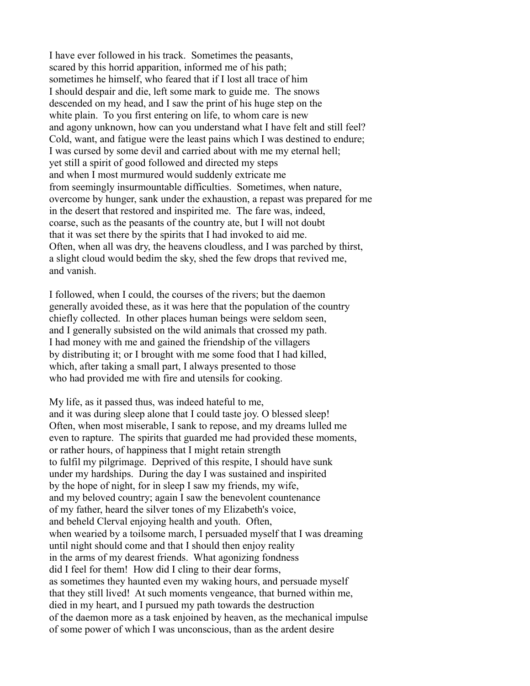I have ever followed in his track. Sometimes the peasants, scared by this horrid apparition, informed me of his path; sometimes he himself, who feared that if I lost all trace of him I should despair and die, left some mark to guide me. The snows descended on my head, and I saw the print of his huge step on the white plain. To you first entering on life, to whom care is new and agony unknown, how can you understand what I have felt and still feel? Cold, want, and fatigue were the least pains which I was destined to endure; I was cursed by some devil and carried about with me my eternal hell; yet still a spirit of good followed and directed my steps and when I most murmured would suddenly extricate me from seemingly insurmountable difficulties. Sometimes, when nature, overcome by hunger, sank under the exhaustion, a repast was prepared for me in the desert that restored and inspirited me. The fare was, indeed, coarse, such as the peasants of the country ate, but I will not doubt that it was set there by the spirits that I had invoked to aid me. Often, when all was dry, the heavens cloudless, and I was parched by thirst, a slight cloud would bedim the sky, shed the few drops that revived me, and vanish.

I followed, when I could, the courses of the rivers; but the daemon generally avoided these, as it was here that the population of the country chiefly collected. In other places human beings were seldom seen, and I generally subsisted on the wild animals that crossed my path. I had money with me and gained the friendship of the villagers by distributing it; or I brought with me some food that I had killed, which, after taking a small part, I always presented to those who had provided me with fire and utensils for cooking.

My life, as it passed thus, was indeed hateful to me, and it was during sleep alone that I could taste joy. O blessed sleep! Often, when most miserable, I sank to repose, and my dreams lulled me even to rapture. The spirits that guarded me had provided these moments, or rather hours, of happiness that I might retain strength to fulfil my pilgrimage. Deprived of this respite, I should have sunk under my hardships. During the day I was sustained and inspirited by the hope of night, for in sleep I saw my friends, my wife, and my beloved country; again I saw the benevolent countenance of my father, heard the silver tones of my Elizabeth's voice, and beheld Clerval enjoying health and youth. Often, when wearied by a toilsome march, I persuaded myself that I was dreaming until night should come and that I should then enjoy reality in the arms of my dearest friends. What agonizing fondness did I feel for them! How did I cling to their dear forms, as sometimes they haunted even my waking hours, and persuade myself that they still lived! At such moments vengeance, that burned within me, died in my heart, and I pursued my path towards the destruction of the daemon more as a task enjoined by heaven, as the mechanical impulse of some power of which I was unconscious, than as the ardent desire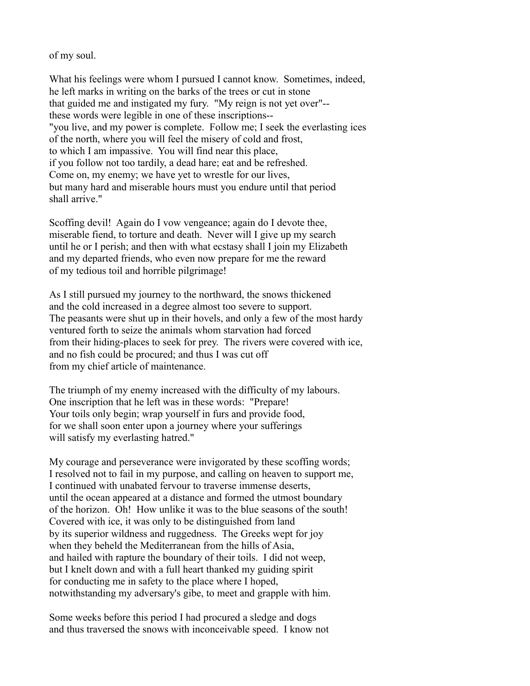of my soul.

What his feelings were whom I pursued I cannot know. Sometimes, indeed, he left marks in writing on the barks of the trees or cut in stone that guided me and instigated my fury. "My reign is not yet over"- these words were legible in one of these inscriptions-- "you live, and my power is complete. Follow me; I seek the everlasting ices of the north, where you will feel the misery of cold and frost, to which I am impassive. You will find near this place, if you follow not too tardily, a dead hare; eat and be refreshed. Come on, my enemy; we have yet to wrestle for our lives, but many hard and miserable hours must you endure until that period shall arrive."

Scoffing devil! Again do I vow vengeance; again do I devote thee, miserable fiend, to torture and death. Never will I give up my search until he or I perish; and then with what ecstasy shall I join my Elizabeth and my departed friends, who even now prepare for me the reward of my tedious toil and horrible pilgrimage!

As I still pursued my journey to the northward, the snows thickened and the cold increased in a degree almost too severe to support. The peasants were shut up in their hovels, and only a few of the most hardy ventured forth to seize the animals whom starvation had forced from their hiding-places to seek for prey. The rivers were covered with ice, and no fish could be procured; and thus I was cut off from my chief article of maintenance.

The triumph of my enemy increased with the difficulty of my labours. One inscription that he left was in these words: "Prepare! Your toils only begin; wrap yourself in furs and provide food, for we shall soon enter upon a journey where your sufferings will satisfy my everlasting hatred."

My courage and perseverance were invigorated by these scoffing words; I resolved not to fail in my purpose, and calling on heaven to support me, I continued with unabated fervour to traverse immense deserts, until the ocean appeared at a distance and formed the utmost boundary of the horizon. Oh! How unlike it was to the blue seasons of the south! Covered with ice, it was only to be distinguished from land by its superior wildness and ruggedness. The Greeks wept for joy when they beheld the Mediterranean from the hills of Asia, and hailed with rapture the boundary of their toils. I did not weep, but I knelt down and with a full heart thanked my guiding spirit for conducting me in safety to the place where I hoped, notwithstanding my adversary's gibe, to meet and grapple with him.

Some weeks before this period I had procured a sledge and dogs and thus traversed the snows with inconceivable speed. I know not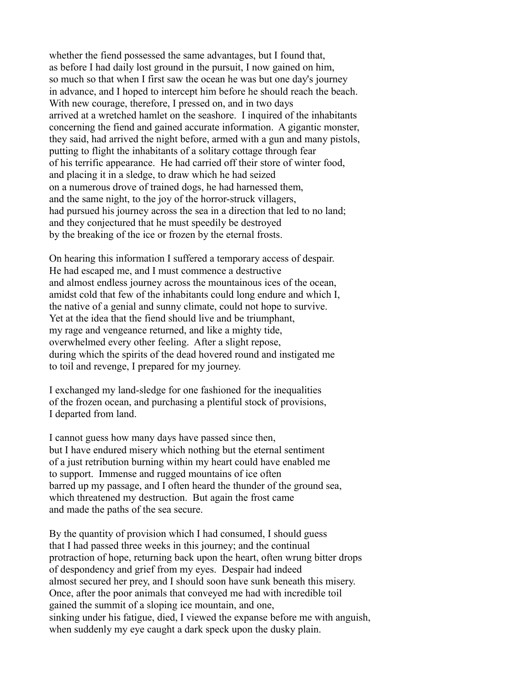whether the fiend possessed the same advantages, but I found that, as before I had daily lost ground in the pursuit, I now gained on him, so much so that when I first saw the ocean he was but one day's journey in advance, and I hoped to intercept him before he should reach the beach. With new courage, therefore, I pressed on, and in two days arrived at a wretched hamlet on the seashore. I inquired of the inhabitants concerning the fiend and gained accurate information. A gigantic monster, they said, had arrived the night before, armed with a gun and many pistols, putting to flight the inhabitants of a solitary cottage through fear of his terrific appearance. He had carried off their store of winter food, and placing it in a sledge, to draw which he had seized on a numerous drove of trained dogs, he had harnessed them, and the same night, to the joy of the horror-struck villagers, had pursued his journey across the sea in a direction that led to no land; and they conjectured that he must speedily be destroyed by the breaking of the ice or frozen by the eternal frosts.

On hearing this information I suffered a temporary access of despair. He had escaped me, and I must commence a destructive and almost endless journey across the mountainous ices of the ocean, amidst cold that few of the inhabitants could long endure and which I, the native of a genial and sunny climate, could not hope to survive. Yet at the idea that the fiend should live and be triumphant, my rage and vengeance returned, and like a mighty tide, overwhelmed every other feeling. After a slight repose, during which the spirits of the dead hovered round and instigated me to toil and revenge, I prepared for my journey.

I exchanged my land-sledge for one fashioned for the inequalities of the frozen ocean, and purchasing a plentiful stock of provisions, I departed from land.

I cannot guess how many days have passed since then, but I have endured misery which nothing but the eternal sentiment of a just retribution burning within my heart could have enabled me to support. Immense and rugged mountains of ice often barred up my passage, and I often heard the thunder of the ground sea, which threatened my destruction. But again the frost came and made the paths of the sea secure.

By the quantity of provision which I had consumed, I should guess that I had passed three weeks in this journey; and the continual protraction of hope, returning back upon the heart, often wrung bitter drops of despondency and grief from my eyes. Despair had indeed almost secured her prey, and I should soon have sunk beneath this misery. Once, after the poor animals that conveyed me had with incredible toil gained the summit of a sloping ice mountain, and one, sinking under his fatigue, died, I viewed the expanse before me with anguish, when suddenly my eye caught a dark speck upon the dusky plain.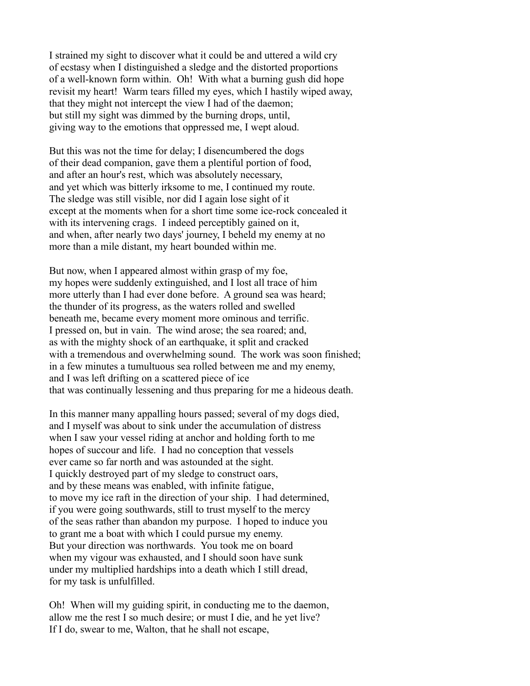I strained my sight to discover what it could be and uttered a wild cry of ecstasy when I distinguished a sledge and the distorted proportions of a well-known form within. Oh! With what a burning gush did hope revisit my heart! Warm tears filled my eyes, which I hastily wiped away, that they might not intercept the view I had of the daemon; but still my sight was dimmed by the burning drops, until, giving way to the emotions that oppressed me, I wept aloud.

But this was not the time for delay; I disencumbered the dogs of their dead companion, gave them a plentiful portion of food, and after an hour's rest, which was absolutely necessary, and yet which was bitterly irksome to me, I continued my route. The sledge was still visible, nor did I again lose sight of it except at the moments when for a short time some ice-rock concealed it with its intervening crags. I indeed perceptibly gained on it, and when, after nearly two days' journey, I beheld my enemy at no more than a mile distant, my heart bounded within me.

But now, when I appeared almost within grasp of my foe, my hopes were suddenly extinguished, and I lost all trace of him more utterly than I had ever done before. A ground sea was heard; the thunder of its progress, as the waters rolled and swelled beneath me, became every moment more ominous and terrific. I pressed on, but in vain. The wind arose; the sea roared; and, as with the mighty shock of an earthquake, it split and cracked with a tremendous and overwhelming sound. The work was soon finished; in a few minutes a tumultuous sea rolled between me and my enemy, and I was left drifting on a scattered piece of ice that was continually lessening and thus preparing for me a hideous death.

In this manner many appalling hours passed; several of my dogs died, and I myself was about to sink under the accumulation of distress when I saw your vessel riding at anchor and holding forth to me hopes of succour and life. I had no conception that vessels ever came so far north and was astounded at the sight. I quickly destroyed part of my sledge to construct oars, and by these means was enabled, with infinite fatigue, to move my ice raft in the direction of your ship. I had determined, if you were going southwards, still to trust myself to the mercy of the seas rather than abandon my purpose. I hoped to induce you to grant me a boat with which I could pursue my enemy. But your direction was northwards. You took me on board when my vigour was exhausted, and I should soon have sunk under my multiplied hardships into a death which I still dread, for my task is unfulfilled.

Oh! When will my guiding spirit, in conducting me to the daemon, allow me the rest I so much desire; or must I die, and he yet live? If I do, swear to me, Walton, that he shall not escape,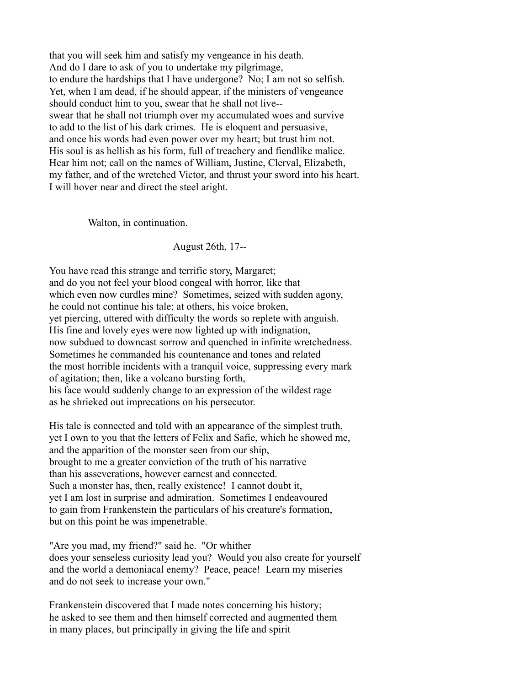that you will seek him and satisfy my vengeance in his death. And do I dare to ask of you to undertake my pilgrimage, to endure the hardships that I have undergone? No; I am not so selfish. Yet, when I am dead, if he should appear, if the ministers of vengeance should conduct him to you, swear that he shall not live- swear that he shall not triumph over my accumulated woes and survive to add to the list of his dark crimes. He is eloquent and persuasive, and once his words had even power over my heart; but trust him not. His soul is as hellish as his form, full of treachery and fiendlike malice. Hear him not; call on the names of William, Justine, Clerval, Elizabeth, my father, and of the wretched Victor, and thrust your sword into his heart. I will hover near and direct the steel aright.

Walton, in continuation.

August 26th, 17--

You have read this strange and terrific story, Margaret; and do you not feel your blood congeal with horror, like that which even now curdles mine? Sometimes, seized with sudden agony, he could not continue his tale; at others, his voice broken, yet piercing, uttered with difficulty the words so replete with anguish. His fine and lovely eyes were now lighted up with indignation, now subdued to downcast sorrow and quenched in infinite wretchedness. Sometimes he commanded his countenance and tones and related the most horrible incidents with a tranquil voice, suppressing every mark of agitation; then, like a volcano bursting forth, his face would suddenly change to an expression of the wildest rage as he shrieked out imprecations on his persecutor.

His tale is connected and told with an appearance of the simplest truth, yet I own to you that the letters of Felix and Safie, which he showed me, and the apparition of the monster seen from our ship, brought to me a greater conviction of the truth of his narrative than his asseverations, however earnest and connected. Such a monster has, then, really existence! I cannot doubt it, yet I am lost in surprise and admiration. Sometimes I endeavoured to gain from Frankenstein the particulars of his creature's formation, but on this point he was impenetrable.

"Are you mad, my friend?" said he. "Or whither does your senseless curiosity lead you? Would you also create for yourself and the world a demoniacal enemy? Peace, peace! Learn my miseries and do not seek to increase your own."

Frankenstein discovered that I made notes concerning his history; he asked to see them and then himself corrected and augmented them in many places, but principally in giving the life and spirit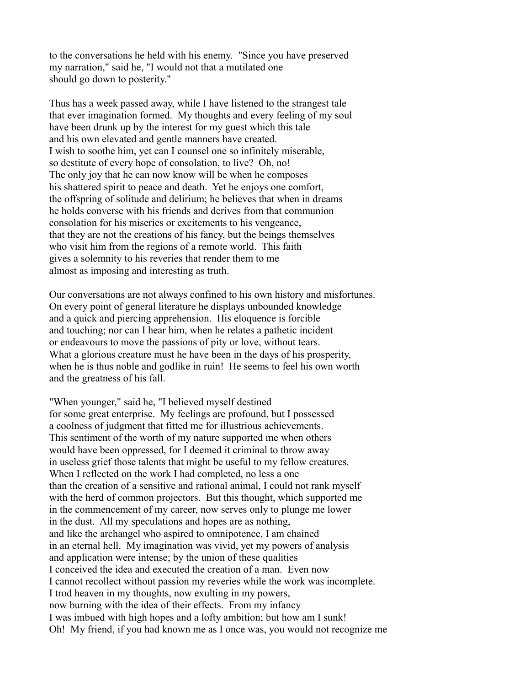to the conversations he held with his enemy. "Since you have preserved my narration," said he, "I would not that a mutilated one should go down to posterity."

Thus has a week passed away, while I have listened to the strangest tale that ever imagination formed. My thoughts and every feeling of my soul have been drunk up by the interest for my guest which this tale and his own elevated and gentle manners have created. I wish to soothe him, yet can I counsel one so infinitely miserable, so destitute of every hope of consolation, to live? Oh, no! The only joy that he can now know will be when he composes his shattered spirit to peace and death. Yet he enjoys one comfort, the offspring of solitude and delirium; he believes that when in dreams he holds converse with his friends and derives from that communion consolation for his miseries or excitements to his vengeance, that they are not the creations of his fancy, but the beings themselves who visit him from the regions of a remote world. This faith gives a solemnity to his reveries that render them to me almost as imposing and interesting as truth.

Our conversations are not always confined to his own history and misfortunes. On every point of general literature he displays unbounded knowledge and a quick and piercing apprehension. His eloquence is forcible and touching; nor can I hear him, when he relates a pathetic incident or endeavours to move the passions of pity or love, without tears. What a glorious creature must he have been in the days of his prosperity, when he is thus noble and godlike in ruin! He seems to feel his own worth and the greatness of his fall.

"When younger," said he, "I believed myself destined for some great enterprise. My feelings are profound, but I possessed a coolness of judgment that fitted me for illustrious achievements. This sentiment of the worth of my nature supported me when others would have been oppressed, for I deemed it criminal to throw away in useless grief those talents that might be useful to my fellow creatures. When I reflected on the work I had completed, no less a one than the creation of a sensitive and rational animal, I could not rank myself with the herd of common projectors. But this thought, which supported me in the commencement of my career, now serves only to plunge me lower in the dust. All my speculations and hopes are as nothing, and like the archangel who aspired to omnipotence, I am chained in an eternal hell. My imagination was vivid, yet my powers of analysis and application were intense; by the union of these qualities I conceived the idea and executed the creation of a man. Even now I cannot recollect without passion my reveries while the work was incomplete. I trod heaven in my thoughts, now exulting in my powers, now burning with the idea of their effects. From my infancy I was imbued with high hopes and a lofty ambition; but how am I sunk! Oh! My friend, if you had known me as I once was, you would not recognize me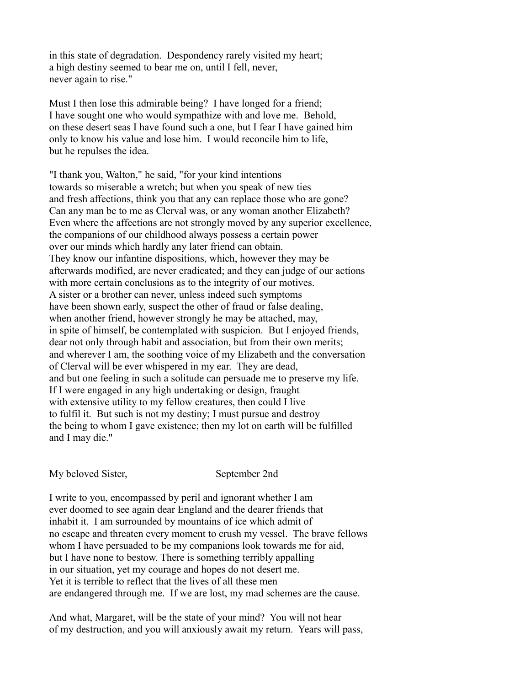in this state of degradation. Despondency rarely visited my heart; a high destiny seemed to bear me on, until I fell, never, never again to rise."

Must I then lose this admirable being? I have longed for a friend; I have sought one who would sympathize with and love me. Behold, on these desert seas I have found such a one, but I fear I have gained him only to know his value and lose him. I would reconcile him to life, but he repulses the idea.

"I thank you, Walton," he said, "for your kind intentions towards so miserable a wretch; but when you speak of new ties and fresh affections, think you that any can replace those who are gone? Can any man be to me as Clerval was, or any woman another Elizabeth? Even where the affections are not strongly moved by any superior excellence, the companions of our childhood always possess a certain power over our minds which hardly any later friend can obtain. They know our infantine dispositions, which, however they may be afterwards modified, are never eradicated; and they can judge of our actions with more certain conclusions as to the integrity of our motives. A sister or a brother can never, unless indeed such symptoms have been shown early, suspect the other of fraud or false dealing, when another friend, however strongly he may be attached, may, in spite of himself, be contemplated with suspicion. But I enjoyed friends, dear not only through habit and association, but from their own merits; and wherever I am, the soothing voice of my Elizabeth and the conversation of Clerval will be ever whispered in my ear. They are dead, and but one feeling in such a solitude can persuade me to preserve my life. If I were engaged in any high undertaking or design, fraught with extensive utility to my fellow creatures, then could I live to fulfil it. But such is not my destiny; I must pursue and destroy the being to whom I gave existence; then my lot on earth will be fulfilled and I may die."

My beloved Sister, September 2nd

I write to you, encompassed by peril and ignorant whether I am ever doomed to see again dear England and the dearer friends that inhabit it. I am surrounded by mountains of ice which admit of no escape and threaten every moment to crush my vessel. The brave fellows whom I have persuaded to be my companions look towards me for aid, but I have none to bestow. There is something terribly appalling in our situation, yet my courage and hopes do not desert me. Yet it is terrible to reflect that the lives of all these men are endangered through me. If we are lost, my mad schemes are the cause.

And what, Margaret, will be the state of your mind? You will not hear of my destruction, and you will anxiously await my return. Years will pass,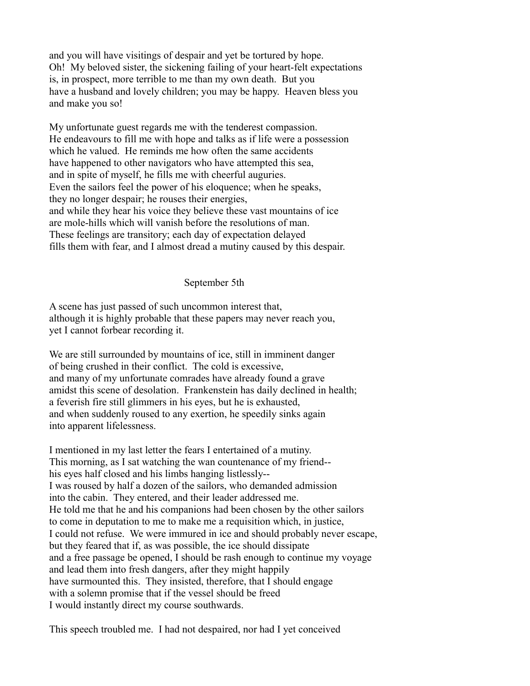and you will have visitings of despair and yet be tortured by hope. Oh! My beloved sister, the sickening failing of your heart-felt expectations is, in prospect, more terrible to me than my own death. But you have a husband and lovely children; you may be happy. Heaven bless you and make you so!

My unfortunate guest regards me with the tenderest compassion. He endeavours to fill me with hope and talks as if life were a possession which he valued. He reminds me how often the same accidents have happened to other navigators who have attempted this sea, and in spite of myself, he fills me with cheerful auguries. Even the sailors feel the power of his eloquence; when he speaks, they no longer despair; he rouses their energies, and while they hear his voice they believe these vast mountains of ice are mole-hills which will vanish before the resolutions of man. These feelings are transitory; each day of expectation delayed fills them with fear, and I almost dread a mutiny caused by this despair.

September 5th

A scene has just passed of such uncommon interest that, although it is highly probable that these papers may never reach you, yet I cannot forbear recording it.

We are still surrounded by mountains of ice, still in imminent danger of being crushed in their conflict. The cold is excessive, and many of my unfortunate comrades have already found a grave amidst this scene of desolation. Frankenstein has daily declined in health; a feverish fire still glimmers in his eyes, but he is exhausted, and when suddenly roused to any exertion, he speedily sinks again into apparent lifelessness.

I mentioned in my last letter the fears I entertained of a mutiny. This morning, as I sat watching the wan countenance of my friend- his eyes half closed and his limbs hanging listlessly-- I was roused by half a dozen of the sailors, who demanded admission into the cabin. They entered, and their leader addressed me. He told me that he and his companions had been chosen by the other sailors to come in deputation to me to make me a requisition which, in justice, I could not refuse. We were immured in ice and should probably never escape, but they feared that if, as was possible, the ice should dissipate and a free passage be opened, I should be rash enough to continue my voyage and lead them into fresh dangers, after they might happily have surmounted this. They insisted, therefore, that I should engage with a solemn promise that if the vessel should be freed I would instantly direct my course southwards.

This speech troubled me. I had not despaired, nor had I yet conceived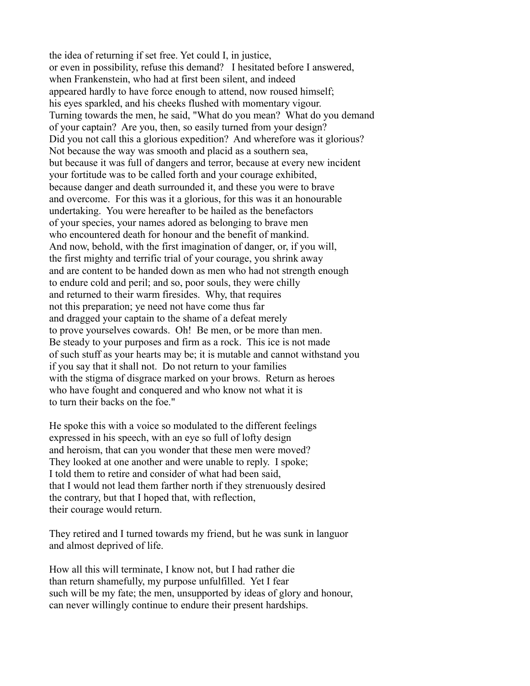the idea of returning if set free. Yet could I, in justice, or even in possibility, refuse this demand? I hesitated before I answered, when Frankenstein, who had at first been silent, and indeed appeared hardly to have force enough to attend, now roused himself; his eyes sparkled, and his cheeks flushed with momentary vigour. Turning towards the men, he said, "What do you mean? What do you demand of your captain? Are you, then, so easily turned from your design? Did you not call this a glorious expedition? And wherefore was it glorious? Not because the way was smooth and placid as a southern sea, but because it was full of dangers and terror, because at every new incident your fortitude was to be called forth and your courage exhibited, because danger and death surrounded it, and these you were to brave and overcome. For this was it a glorious, for this was it an honourable undertaking. You were hereafter to be hailed as the benefactors of your species, your names adored as belonging to brave men who encountered death for honour and the benefit of mankind. And now, behold, with the first imagination of danger, or, if you will, the first mighty and terrific trial of your courage, you shrink away and are content to be handed down as men who had not strength enough to endure cold and peril; and so, poor souls, they were chilly and returned to their warm firesides. Why, that requires not this preparation; ye need not have come thus far and dragged your captain to the shame of a defeat merely to prove yourselves cowards. Oh! Be men, or be more than men. Be steady to your purposes and firm as a rock. This ice is not made of such stuff as your hearts may be; it is mutable and cannot withstand you if you say that it shall not. Do not return to your families with the stigma of disgrace marked on your brows. Return as heroes who have fought and conquered and who know not what it is to turn their backs on the foe."

He spoke this with a voice so modulated to the different feelings expressed in his speech, with an eye so full of lofty design and heroism, that can you wonder that these men were moved? They looked at one another and were unable to reply. I spoke; I told them to retire and consider of what had been said, that I would not lead them farther north if they strenuously desired the contrary, but that I hoped that, with reflection, their courage would return.

They retired and I turned towards my friend, but he was sunk in languor and almost deprived of life.

How all this will terminate, I know not, but I had rather die than return shamefully, my purpose unfulfilled. Yet I fear such will be my fate; the men, unsupported by ideas of glory and honour, can never willingly continue to endure their present hardships.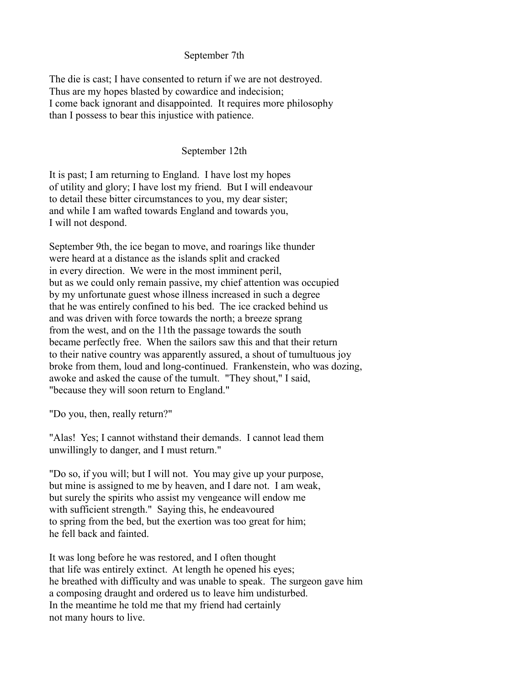## September 7th

The die is cast; I have consented to return if we are not destroyed. Thus are my hopes blasted by cowardice and indecision; I come back ignorant and disappointed. It requires more philosophy than I possess to bear this injustice with patience.

## September 12th

It is past; I am returning to England. I have lost my hopes of utility and glory; I have lost my friend. But I will endeavour to detail these bitter circumstances to you, my dear sister; and while I am wafted towards England and towards you, I will not despond.

September 9th, the ice began to move, and roarings like thunder were heard at a distance as the islands split and cracked in every direction. We were in the most imminent peril, but as we could only remain passive, my chief attention was occupied by my unfortunate guest whose illness increased in such a degree that he was entirely confined to his bed. The ice cracked behind us and was driven with force towards the north; a breeze sprang from the west, and on the 11th the passage towards the south became perfectly free. When the sailors saw this and that their return to their native country was apparently assured, a shout of tumultuous joy broke from them, loud and long-continued. Frankenstein, who was dozing, awoke and asked the cause of the tumult. "They shout," I said, "because they will soon return to England."

"Do you, then, really return?"

"Alas! Yes; I cannot withstand their demands. I cannot lead them unwillingly to danger, and I must return."

"Do so, if you will; but I will not. You may give up your purpose, but mine is assigned to me by heaven, and I dare not. I am weak, but surely the spirits who assist my vengeance will endow me with sufficient strength." Saying this, he endeavoured to spring from the bed, but the exertion was too great for him; he fell back and fainted.

It was long before he was restored, and I often thought that life was entirely extinct. At length he opened his eyes; he breathed with difficulty and was unable to speak. The surgeon gave him a composing draught and ordered us to leave him undisturbed. In the meantime he told me that my friend had certainly not many hours to live.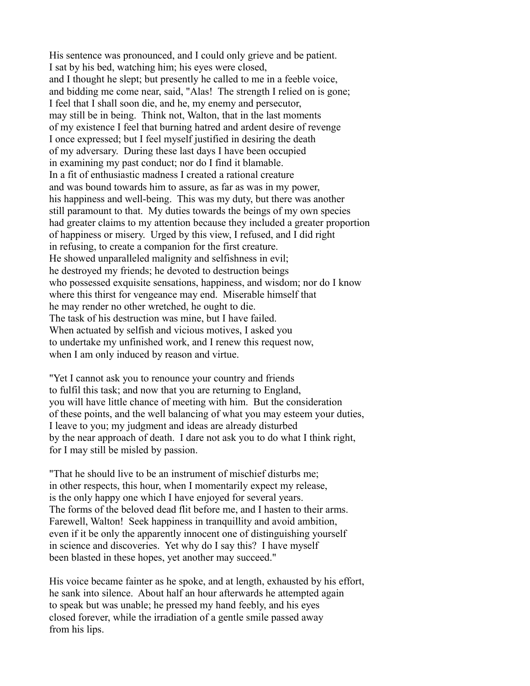His sentence was pronounced, and I could only grieve and be patient. I sat by his bed, watching him; his eyes were closed, and I thought he slept; but presently he called to me in a feeble voice, and bidding me come near, said, "Alas! The strength I relied on is gone; I feel that I shall soon die, and he, my enemy and persecutor, may still be in being. Think not, Walton, that in the last moments of my existence I feel that burning hatred and ardent desire of revenge I once expressed; but I feel myself justified in desiring the death of my adversary. During these last days I have been occupied in examining my past conduct; nor do I find it blamable. In a fit of enthusiastic madness I created a rational creature and was bound towards him to assure, as far as was in my power, his happiness and well-being. This was my duty, but there was another still paramount to that. My duties towards the beings of my own species had greater claims to my attention because they included a greater proportion of happiness or misery. Urged by this view, I refused, and I did right in refusing, to create a companion for the first creature. He showed unparalleled malignity and selfishness in evil; he destroyed my friends; he devoted to destruction beings who possessed exquisite sensations, happiness, and wisdom; nor do I know where this thirst for vengeance may end. Miserable himself that he may render no other wretched, he ought to die. The task of his destruction was mine, but I have failed. When actuated by selfish and vicious motives, I asked you to undertake my unfinished work, and I renew this request now, when I am only induced by reason and virtue.

"Yet I cannot ask you to renounce your country and friends to fulfil this task; and now that you are returning to England, you will have little chance of meeting with him. But the consideration of these points, and the well balancing of what you may esteem your duties, I leave to you; my judgment and ideas are already disturbed by the near approach of death. I dare not ask you to do what I think right, for I may still be misled by passion.

"That he should live to be an instrument of mischief disturbs me; in other respects, this hour, when I momentarily expect my release, is the only happy one which I have enjoyed for several years. The forms of the beloved dead flit before me, and I hasten to their arms. Farewell, Walton! Seek happiness in tranquillity and avoid ambition, even if it be only the apparently innocent one of distinguishing yourself in science and discoveries. Yet why do I say this? I have myself been blasted in these hopes, yet another may succeed."

His voice became fainter as he spoke, and at length, exhausted by his effort, he sank into silence. About half an hour afterwards he attempted again to speak but was unable; he pressed my hand feebly, and his eyes closed forever, while the irradiation of a gentle smile passed away from his lips.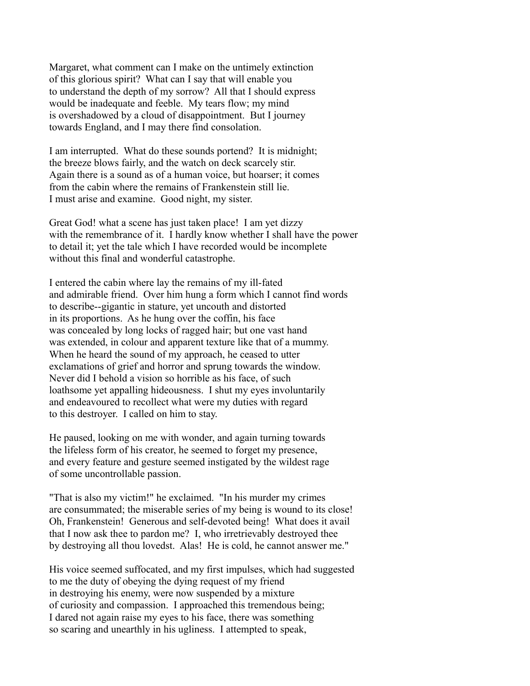Margaret, what comment can I make on the untimely extinction of this glorious spirit? What can I say that will enable you to understand the depth of my sorrow? All that I should express would be inadequate and feeble. My tears flow; my mind is overshadowed by a cloud of disappointment. But I journey towards England, and I may there find consolation.

I am interrupted. What do these sounds portend? It is midnight; the breeze blows fairly, and the watch on deck scarcely stir. Again there is a sound as of a human voice, but hoarser; it comes from the cabin where the remains of Frankenstein still lie. I must arise and examine. Good night, my sister.

Great God! what a scene has just taken place! I am yet dizzy with the remembrance of it. I hardly know whether I shall have the power to detail it; yet the tale which I have recorded would be incomplete without this final and wonderful catastrophe.

I entered the cabin where lay the remains of my ill-fated and admirable friend. Over him hung a form which I cannot find words to describe--gigantic in stature, yet uncouth and distorted in its proportions. As he hung over the coffin, his face was concealed by long locks of ragged hair; but one vast hand was extended, in colour and apparent texture like that of a mummy. When he heard the sound of my approach, he ceased to utter exclamations of grief and horror and sprung towards the window. Never did I behold a vision so horrible as his face, of such loathsome yet appalling hideousness. I shut my eyes involuntarily and endeavoured to recollect what were my duties with regard to this destroyer. I called on him to stay.

He paused, looking on me with wonder, and again turning towards the lifeless form of his creator, he seemed to forget my presence, and every feature and gesture seemed instigated by the wildest rage of some uncontrollable passion.

"That is also my victim!" he exclaimed. "In his murder my crimes are consummated; the miserable series of my being is wound to its close! Oh, Frankenstein! Generous and self-devoted being! What does it avail that I now ask thee to pardon me? I, who irretrievably destroyed thee by destroying all thou lovedst. Alas! He is cold, he cannot answer me."

His voice seemed suffocated, and my first impulses, which had suggested to me the duty of obeying the dying request of my friend in destroying his enemy, were now suspended by a mixture of curiosity and compassion. I approached this tremendous being; I dared not again raise my eyes to his face, there was something so scaring and unearthly in his ugliness. I attempted to speak,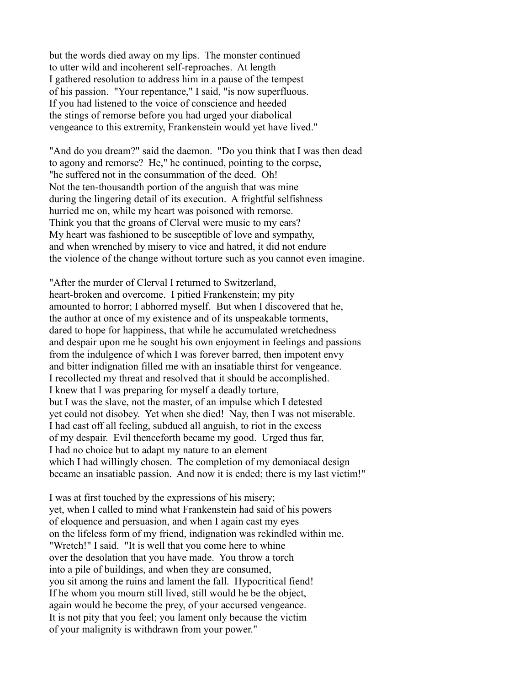but the words died away on my lips. The monster continued to utter wild and incoherent self-reproaches. At length I gathered resolution to address him in a pause of the tempest of his passion. "Your repentance," I said, "is now superfluous. If you had listened to the voice of conscience and heeded the stings of remorse before you had urged your diabolical vengeance to this extremity, Frankenstein would yet have lived."

"And do you dream?" said the daemon. "Do you think that I was then dead to agony and remorse? He," he continued, pointing to the corpse, "he suffered not in the consummation of the deed. Oh! Not the ten-thousandth portion of the anguish that was mine during the lingering detail of its execution. A frightful selfishness hurried me on, while my heart was poisoned with remorse. Think you that the groans of Clerval were music to my ears? My heart was fashioned to be susceptible of love and sympathy, and when wrenched by misery to vice and hatred, it did not endure the violence of the change without torture such as you cannot even imagine.

"After the murder of Clerval I returned to Switzerland, heart-broken and overcome. I pitied Frankenstein; my pity amounted to horror; I abhorred myself. But when I discovered that he, the author at once of my existence and of its unspeakable torments, dared to hope for happiness, that while he accumulated wretchedness and despair upon me he sought his own enjoyment in feelings and passions from the indulgence of which I was forever barred, then impotent envy and bitter indignation filled me with an insatiable thirst for vengeance. I recollected my threat and resolved that it should be accomplished. I knew that I was preparing for myself a deadly torture, but I was the slave, not the master, of an impulse which I detested yet could not disobey. Yet when she died! Nay, then I was not miserable. I had cast off all feeling, subdued all anguish, to riot in the excess of my despair. Evil thenceforth became my good. Urged thus far, I had no choice but to adapt my nature to an element which I had willingly chosen. The completion of my demoniacal design became an insatiable passion. And now it is ended; there is my last victim!"

I was at first touched by the expressions of his misery; yet, when I called to mind what Frankenstein had said of his powers of eloquence and persuasion, and when I again cast my eyes on the lifeless form of my friend, indignation was rekindled within me. "Wretch!" I said. "It is well that you come here to whine over the desolation that you have made. You throw a torch into a pile of buildings, and when they are consumed, you sit among the ruins and lament the fall. Hypocritical fiend! If he whom you mourn still lived, still would he be the object, again would he become the prey, of your accursed vengeance. It is not pity that you feel; you lament only because the victim of your malignity is withdrawn from your power."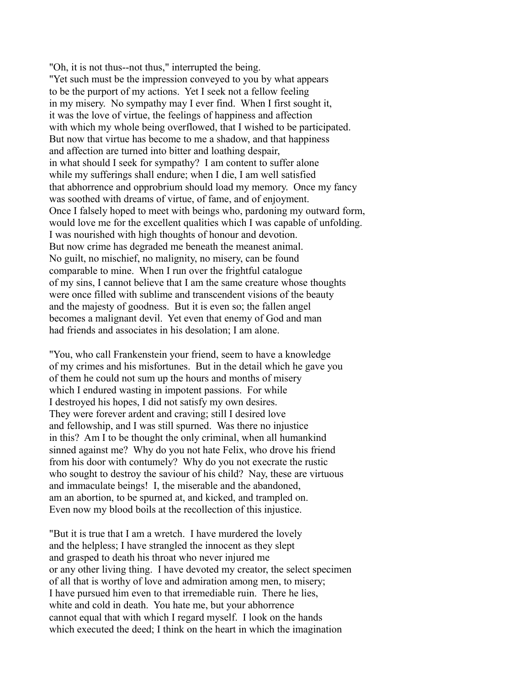"Oh, it is not thus--not thus," interrupted the being. "Yet such must be the impression conveyed to you by what appears to be the purport of my actions. Yet I seek not a fellow feeling in my misery. No sympathy may I ever find. When I first sought it, it was the love of virtue, the feelings of happiness and affection with which my whole being overflowed, that I wished to be participated. But now that virtue has become to me a shadow, and that happiness and affection are turned into bitter and loathing despair, in what should I seek for sympathy? I am content to suffer alone while my sufferings shall endure; when I die, I am well satisfied that abhorrence and opprobrium should load my memory. Once my fancy was soothed with dreams of virtue, of fame, and of enjoyment. Once I falsely hoped to meet with beings who, pardoning my outward form, would love me for the excellent qualities which I was capable of unfolding. I was nourished with high thoughts of honour and devotion. But now crime has degraded me beneath the meanest animal. No guilt, no mischief, no malignity, no misery, can be found comparable to mine. When I run over the frightful catalogue of my sins, I cannot believe that I am the same creature whose thoughts were once filled with sublime and transcendent visions of the beauty and the majesty of goodness. But it is even so; the fallen angel becomes a malignant devil. Yet even that enemy of God and man had friends and associates in his desolation; I am alone.

"You, who call Frankenstein your friend, seem to have a knowledge of my crimes and his misfortunes. But in the detail which he gave you of them he could not sum up the hours and months of misery which I endured wasting in impotent passions. For while I destroyed his hopes, I did not satisfy my own desires. They were forever ardent and craving; still I desired love and fellowship, and I was still spurned. Was there no injustice in this? Am I to be thought the only criminal, when all humankind sinned against me? Why do you not hate Felix, who drove his friend from his door with contumely? Why do you not execrate the rustic who sought to destroy the saviour of his child? Nay, these are virtuous and immaculate beings! I, the miserable and the abandoned, am an abortion, to be spurned at, and kicked, and trampled on. Even now my blood boils at the recollection of this injustice.

"But it is true that I am a wretch. I have murdered the lovely and the helpless; I have strangled the innocent as they slept and grasped to death his throat who never injured me or any other living thing. I have devoted my creator, the select specimen of all that is worthy of love and admiration among men, to misery; I have pursued him even to that irremediable ruin. There he lies, white and cold in death. You hate me, but your abhorrence cannot equal that with which I regard myself. I look on the hands which executed the deed; I think on the heart in which the imagination